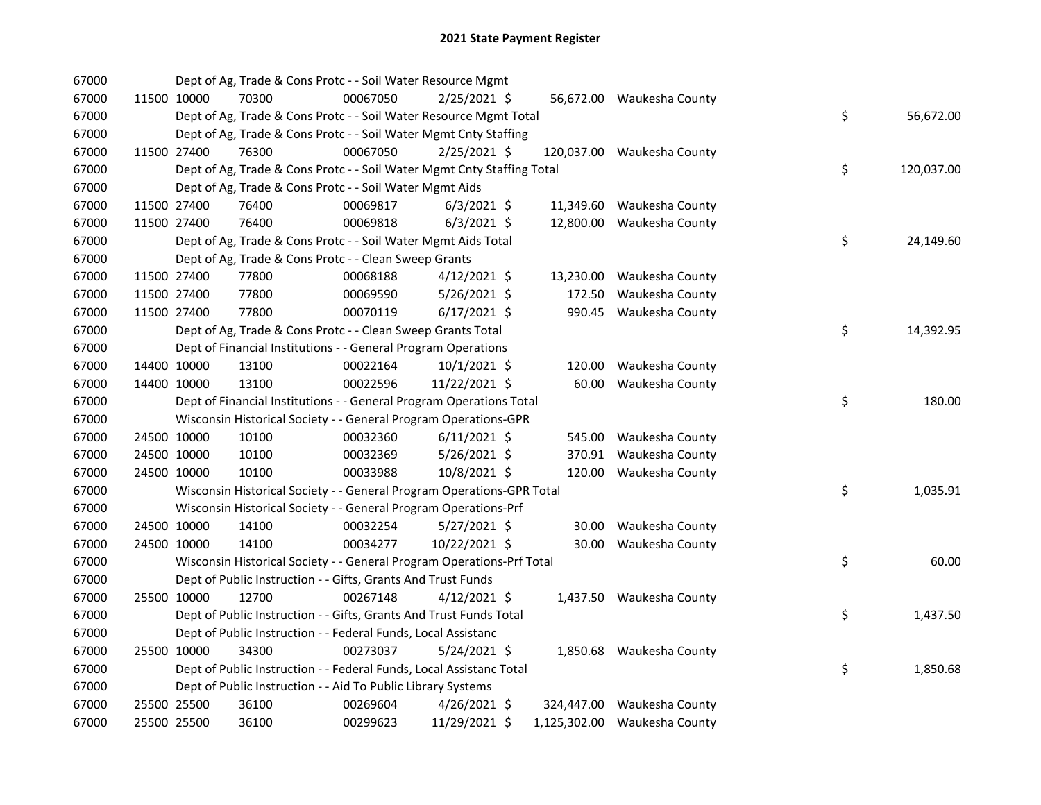| 67000 |             | Dept of Ag, Trade & Cons Protc - - Soil Water Resource Mgmt            |          |                |        |                              |    |            |
|-------|-------------|------------------------------------------------------------------------|----------|----------------|--------|------------------------------|----|------------|
| 67000 | 11500 10000 | 70300                                                                  | 00067050 | $2/25/2021$ \$ |        | 56,672.00 Waukesha County    |    |            |
| 67000 |             | Dept of Ag, Trade & Cons Protc - - Soil Water Resource Mgmt Total      |          |                |        |                              | \$ | 56,672.00  |
| 67000 |             | Dept of Ag, Trade & Cons Protc - - Soil Water Mgmt Cnty Staffing       |          |                |        |                              |    |            |
| 67000 | 11500 27400 | 76300                                                                  | 00067050 | 2/25/2021 \$   |        | 120,037.00 Waukesha County   |    |            |
| 67000 |             | Dept of Ag, Trade & Cons Protc - - Soil Water Mgmt Cnty Staffing Total |          |                |        |                              | \$ | 120,037.00 |
| 67000 |             | Dept of Ag, Trade & Cons Protc - - Soil Water Mgmt Aids                |          |                |        |                              |    |            |
| 67000 | 11500 27400 | 76400                                                                  | 00069817 | $6/3/2021$ \$  |        | 11,349.60 Waukesha County    |    |            |
| 67000 | 11500 27400 | 76400                                                                  | 00069818 | $6/3/2021$ \$  |        | 12,800.00 Waukesha County    |    |            |
| 67000 |             | Dept of Ag, Trade & Cons Protc - - Soil Water Mgmt Aids Total          |          |                |        |                              | \$ | 24,149.60  |
| 67000 |             | Dept of Ag, Trade & Cons Protc - - Clean Sweep Grants                  |          |                |        |                              |    |            |
| 67000 | 11500 27400 | 77800                                                                  | 00068188 | $4/12/2021$ \$ |        | 13,230.00 Waukesha County    |    |            |
| 67000 | 11500 27400 | 77800                                                                  | 00069590 | 5/26/2021 \$   | 172.50 | Waukesha County              |    |            |
| 67000 | 11500 27400 | 77800                                                                  | 00070119 | $6/17/2021$ \$ |        | 990.45 Waukesha County       |    |            |
| 67000 |             | Dept of Ag, Trade & Cons Protc - - Clean Sweep Grants Total            |          |                |        |                              | \$ | 14,392.95  |
| 67000 |             | Dept of Financial Institutions - - General Program Operations          |          |                |        |                              |    |            |
| 67000 | 14400 10000 | 13100                                                                  | 00022164 | $10/1/2021$ \$ | 120.00 | Waukesha County              |    |            |
| 67000 | 14400 10000 | 13100                                                                  | 00022596 | 11/22/2021 \$  | 60.00  | Waukesha County              |    |            |
| 67000 |             | Dept of Financial Institutions - - General Program Operations Total    |          |                |        |                              | \$ | 180.00     |
| 67000 |             | Wisconsin Historical Society - - General Program Operations-GPR        |          |                |        |                              |    |            |
| 67000 | 24500 10000 | 10100                                                                  | 00032360 | $6/11/2021$ \$ |        | 545.00 Waukesha County       |    |            |
| 67000 | 24500 10000 | 10100                                                                  | 00032369 | $5/26/2021$ \$ | 370.91 | Waukesha County              |    |            |
| 67000 | 24500 10000 | 10100                                                                  | 00033988 | 10/8/2021 \$   |        | 120.00 Waukesha County       |    |            |
| 67000 |             | Wisconsin Historical Society - - General Program Operations-GPR Total  |          |                |        |                              | \$ | 1,035.91   |
| 67000 |             | Wisconsin Historical Society - - General Program Operations-Prf        |          |                |        |                              |    |            |
| 67000 | 24500 10000 | 14100                                                                  | 00032254 | $5/27/2021$ \$ | 30.00  | Waukesha County              |    |            |
| 67000 | 24500 10000 | 14100                                                                  | 00034277 | 10/22/2021 \$  | 30.00  | Waukesha County              |    |            |
| 67000 |             | Wisconsin Historical Society - - General Program Operations-Prf Total  |          |                |        |                              | \$ | 60.00      |
| 67000 |             | Dept of Public Instruction - - Gifts, Grants And Trust Funds           |          |                |        |                              |    |            |
| 67000 | 25500 10000 | 12700                                                                  | 00267148 | $4/12/2021$ \$ |        | 1,437.50 Waukesha County     |    |            |
| 67000 |             | Dept of Public Instruction - - Gifts, Grants And Trust Funds Total     |          |                |        |                              | \$ | 1,437.50   |
| 67000 |             | Dept of Public Instruction - - Federal Funds, Local Assistanc          |          |                |        |                              |    |            |
| 67000 | 25500 10000 | 34300                                                                  | 00273037 | $5/24/2021$ \$ |        | 1,850.68 Waukesha County     |    |            |
| 67000 |             | Dept of Public Instruction - - Federal Funds, Local Assistanc Total    |          |                |        |                              | \$ | 1,850.68   |
| 67000 |             | Dept of Public Instruction - - Aid To Public Library Systems           |          |                |        |                              |    |            |
| 67000 | 25500 25500 | 36100                                                                  | 00269604 | $4/26/2021$ \$ |        | 324,447.00 Waukesha County   |    |            |
| 67000 | 25500 25500 | 36100                                                                  | 00299623 | 11/29/2021 \$  |        | 1,125,302.00 Waukesha County |    |            |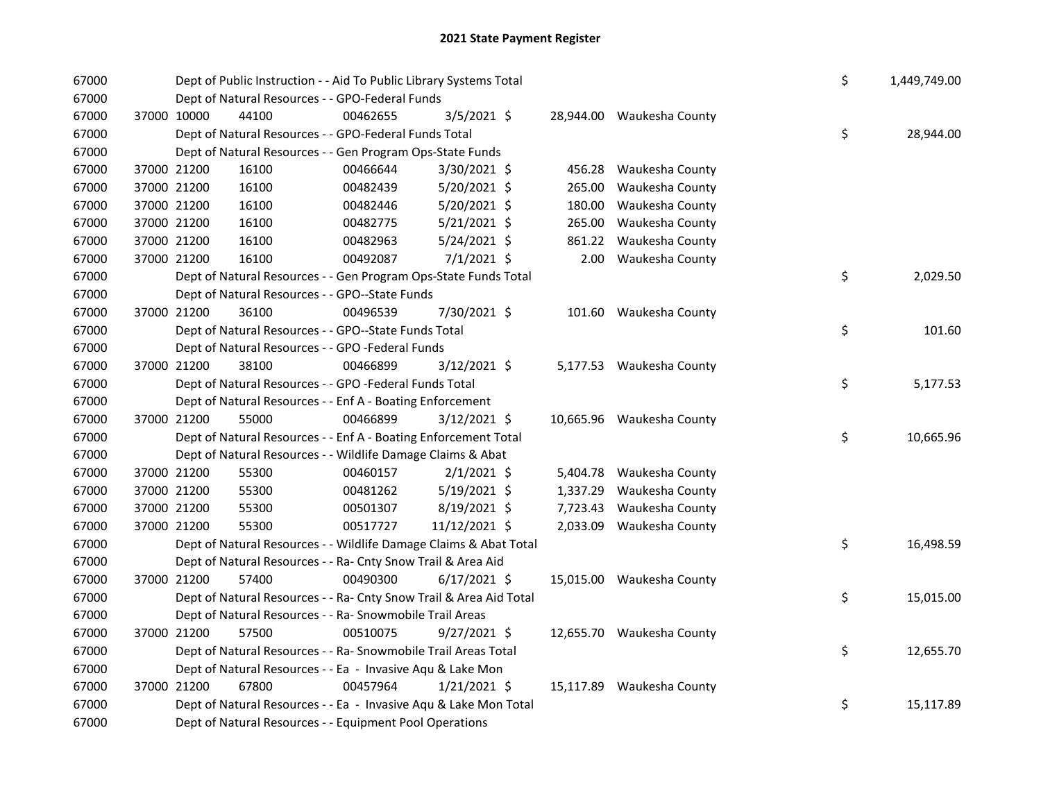| 67000 |             |             | Dept of Public Instruction - - Aid To Public Library Systems Total | \$       | 1,449,749.00   |          |                           |    |           |
|-------|-------------|-------------|--------------------------------------------------------------------|----------|----------------|----------|---------------------------|----|-----------|
| 67000 |             |             | Dept of Natural Resources - - GPO-Federal Funds                    |          |                |          |                           |    |           |
| 67000 | 37000 10000 |             | 44100                                                              | 00462655 | 3/5/2021 \$    |          | 28,944.00 Waukesha County |    |           |
| 67000 |             |             | Dept of Natural Resources - - GPO-Federal Funds Total              |          |                |          |                           | \$ | 28,944.00 |
| 67000 |             |             | Dept of Natural Resources - - Gen Program Ops-State Funds          |          |                |          |                           |    |           |
| 67000 |             | 37000 21200 | 16100                                                              | 00466644 | $3/30/2021$ \$ |          | 456.28 Waukesha County    |    |           |
| 67000 |             | 37000 21200 | 16100                                                              | 00482439 | $5/20/2021$ \$ | 265.00   | Waukesha County           |    |           |
| 67000 |             | 37000 21200 | 16100                                                              | 00482446 | 5/20/2021 \$   | 180.00   | Waukesha County           |    |           |
| 67000 | 37000 21200 |             | 16100                                                              | 00482775 | $5/21/2021$ \$ | 265.00   | Waukesha County           |    |           |
| 67000 | 37000 21200 |             | 16100                                                              | 00482963 | 5/24/2021 \$   | 861.22   | Waukesha County           |    |           |
| 67000 | 37000 21200 |             | 16100                                                              | 00492087 | $7/1/2021$ \$  |          | 2.00 Waukesha County      |    |           |
| 67000 |             |             | Dept of Natural Resources - - Gen Program Ops-State Funds Total    |          |                |          |                           | \$ | 2,029.50  |
| 67000 |             |             | Dept of Natural Resources - - GPO--State Funds                     |          |                |          |                           |    |           |
| 67000 |             | 37000 21200 | 36100                                                              | 00496539 | 7/30/2021 \$   |          | 101.60 Waukesha County    |    |           |
| 67000 |             |             | Dept of Natural Resources - - GPO--State Funds Total               |          |                |          |                           | \$ | 101.60    |
| 67000 |             |             | Dept of Natural Resources - - GPO -Federal Funds                   |          |                |          |                           |    |           |
| 67000 |             | 37000 21200 | 38100                                                              | 00466899 | 3/12/2021 \$   |          | 5,177.53 Waukesha County  |    |           |
| 67000 |             |             | Dept of Natural Resources - - GPO -Federal Funds Total             |          |                |          |                           | \$ | 5,177.53  |
| 67000 |             |             | Dept of Natural Resources - - Enf A - Boating Enforcement          |          |                |          |                           |    |           |
| 67000 |             | 37000 21200 | 55000                                                              | 00466899 | 3/12/2021 \$   |          | 10,665.96 Waukesha County |    |           |
| 67000 |             |             | Dept of Natural Resources - - Enf A - Boating Enforcement Total    |          |                |          |                           | \$ | 10,665.96 |
| 67000 |             |             | Dept of Natural Resources - - Wildlife Damage Claims & Abat        |          |                |          |                           |    |           |
| 67000 |             | 37000 21200 | 55300                                                              | 00460157 | $2/1/2021$ \$  |          | 5,404.78 Waukesha County  |    |           |
| 67000 |             | 37000 21200 | 55300                                                              | 00481262 | 5/19/2021 \$   | 1,337.29 | Waukesha County           |    |           |
| 67000 |             | 37000 21200 | 55300                                                              | 00501307 | 8/19/2021 \$   |          | 7,723.43 Waukesha County  |    |           |
| 67000 |             | 37000 21200 | 55300                                                              | 00517727 | 11/12/2021 \$  |          | 2,033.09 Waukesha County  |    |           |
| 67000 |             |             | Dept of Natural Resources - - Wildlife Damage Claims & Abat Total  |          |                |          |                           | \$ | 16,498.59 |
| 67000 |             |             | Dept of Natural Resources - - Ra- Cnty Snow Trail & Area Aid       |          |                |          |                           |    |           |
| 67000 |             | 37000 21200 | 57400                                                              | 00490300 | $6/17/2021$ \$ |          | 15,015.00 Waukesha County |    |           |
| 67000 |             |             | Dept of Natural Resources - - Ra- Cnty Snow Trail & Area Aid Total |          |                |          |                           | \$ | 15,015.00 |
| 67000 |             |             | Dept of Natural Resources - - Ra- Snowmobile Trail Areas           |          |                |          |                           |    |           |
| 67000 |             | 37000 21200 | 57500                                                              | 00510075 | $9/27/2021$ \$ |          | 12,655.70 Waukesha County |    |           |
| 67000 |             |             | Dept of Natural Resources - - Ra- Snowmobile Trail Areas Total     |          |                |          |                           | \$ | 12,655.70 |
| 67000 |             |             | Dept of Natural Resources - - Ea - Invasive Aqu & Lake Mon         |          |                |          |                           |    |           |
| 67000 |             | 37000 21200 | 67800                                                              | 00457964 | $1/21/2021$ \$ |          | 15,117.89 Waukesha County |    |           |
| 67000 |             |             | Dept of Natural Resources - - Ea - Invasive Aqu & Lake Mon Total   |          |                |          |                           | \$ | 15,117.89 |
| 67000 |             |             | Dept of Natural Resources - - Equipment Pool Operations            |          |                |          |                           |    |           |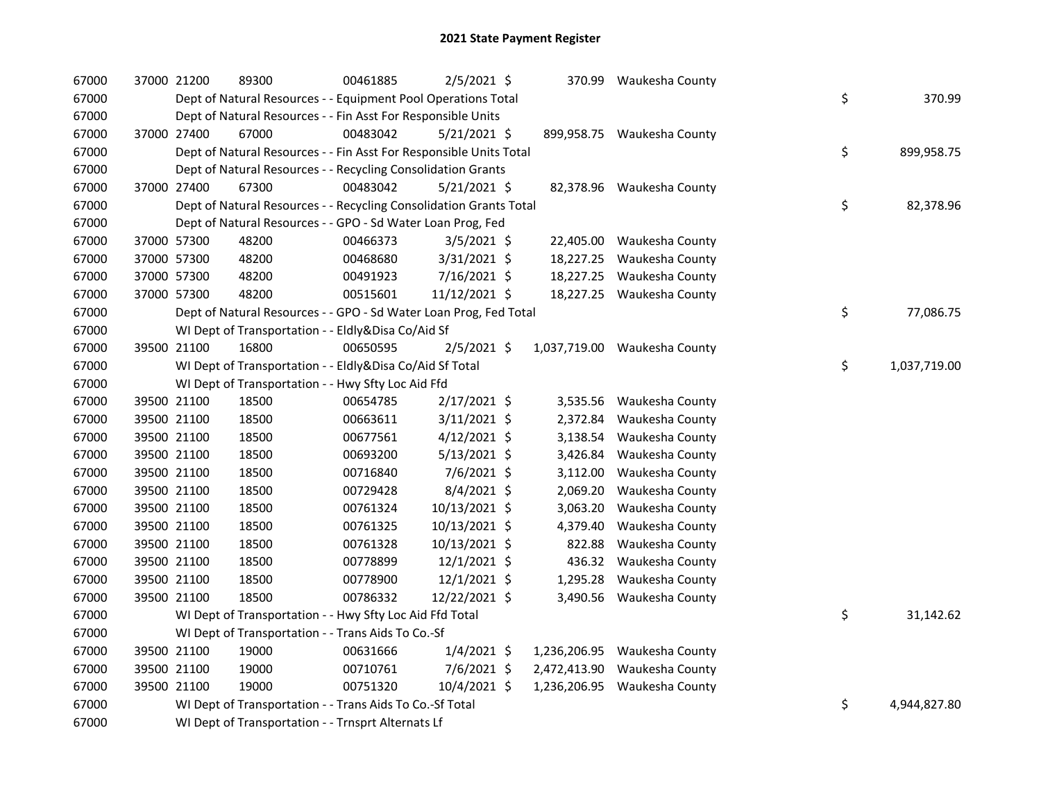| 67000 | 37000 21200 | 89300                                                              | 00461885 | 2/5/2021 \$    | 370.99       | Waukesha County              |    |              |
|-------|-------------|--------------------------------------------------------------------|----------|----------------|--------------|------------------------------|----|--------------|
| 67000 |             | Dept of Natural Resources - - Equipment Pool Operations Total      |          |                |              |                              | \$ | 370.99       |
| 67000 |             | Dept of Natural Resources - - Fin Asst For Responsible Units       |          |                |              |                              |    |              |
| 67000 | 37000 27400 | 67000                                                              | 00483042 | $5/21/2021$ \$ |              | 899,958.75 Waukesha County   |    |              |
| 67000 |             | Dept of Natural Resources - - Fin Asst For Responsible Units Total |          |                |              |                              | \$ | 899,958.75   |
| 67000 |             | Dept of Natural Resources - - Recycling Consolidation Grants       |          |                |              |                              |    |              |
| 67000 | 37000 27400 | 67300                                                              | 00483042 | $5/21/2021$ \$ |              | 82,378.96 Waukesha County    |    |              |
| 67000 |             | Dept of Natural Resources - - Recycling Consolidation Grants Total |          |                |              |                              | \$ | 82,378.96    |
| 67000 |             | Dept of Natural Resources - - GPO - Sd Water Loan Prog, Fed        |          |                |              |                              |    |              |
| 67000 | 37000 57300 | 48200                                                              | 00466373 | $3/5/2021$ \$  |              | 22,405.00 Waukesha County    |    |              |
| 67000 | 37000 57300 | 48200                                                              | 00468680 | $3/31/2021$ \$ | 18,227.25    | Waukesha County              |    |              |
| 67000 | 37000 57300 | 48200                                                              | 00491923 | 7/16/2021 \$   |              | 18,227.25 Waukesha County    |    |              |
| 67000 | 37000 57300 | 48200                                                              | 00515601 | 11/12/2021 \$  |              | 18,227.25 Waukesha County    |    |              |
| 67000 |             | Dept of Natural Resources - - GPO - Sd Water Loan Prog, Fed Total  |          |                |              |                              | \$ | 77,086.75    |
| 67000 |             | WI Dept of Transportation - - Eldly&Disa Co/Aid Sf                 |          |                |              |                              |    |              |
| 67000 | 39500 21100 | 16800                                                              | 00650595 | $2/5/2021$ \$  |              | 1,037,719.00 Waukesha County |    |              |
| 67000 |             | WI Dept of Transportation - - Eldly&Disa Co/Aid Sf Total           |          |                |              |                              | \$ | 1,037,719.00 |
| 67000 |             | WI Dept of Transportation - - Hwy Sfty Loc Aid Ffd                 |          |                |              |                              |    |              |
| 67000 | 39500 21100 | 18500                                                              | 00654785 | $2/17/2021$ \$ | 3,535.56     | Waukesha County              |    |              |
| 67000 | 39500 21100 | 18500                                                              | 00663611 | $3/11/2021$ \$ | 2,372.84     | Waukesha County              |    |              |
| 67000 | 39500 21100 | 18500                                                              | 00677561 | $4/12/2021$ \$ | 3,138.54     | Waukesha County              |    |              |
| 67000 | 39500 21100 | 18500                                                              | 00693200 | $5/13/2021$ \$ | 3,426.84     | Waukesha County              |    |              |
| 67000 | 39500 21100 | 18500                                                              | 00716840 | 7/6/2021 \$    | 3,112.00     | Waukesha County              |    |              |
| 67000 | 39500 21100 | 18500                                                              | 00729428 | $8/4/2021$ \$  | 2,069.20     | Waukesha County              |    |              |
| 67000 | 39500 21100 | 18500                                                              | 00761324 | 10/13/2021 \$  | 3,063.20     | Waukesha County              |    |              |
| 67000 | 39500 21100 | 18500                                                              | 00761325 | 10/13/2021 \$  | 4,379.40     | Waukesha County              |    |              |
| 67000 | 39500 21100 | 18500                                                              | 00761328 | 10/13/2021 \$  | 822.88       | Waukesha County              |    |              |
| 67000 | 39500 21100 | 18500                                                              | 00778899 | $12/1/2021$ \$ | 436.32       | Waukesha County              |    |              |
| 67000 | 39500 21100 | 18500                                                              | 00778900 | $12/1/2021$ \$ | 1,295.28     | Waukesha County              |    |              |
| 67000 | 39500 21100 | 18500                                                              | 00786332 | 12/22/2021 \$  | 3,490.56     | Waukesha County              |    |              |
| 67000 |             | WI Dept of Transportation - - Hwy Sfty Loc Aid Ffd Total           |          |                |              |                              | \$ | 31,142.62    |
| 67000 |             | WI Dept of Transportation - - Trans Aids To Co.-Sf                 |          |                |              |                              |    |              |
| 67000 | 39500 21100 | 19000                                                              | 00631666 | $1/4/2021$ \$  |              | 1,236,206.95 Waukesha County |    |              |
| 67000 | 39500 21100 | 19000                                                              | 00710761 | 7/6/2021 \$    | 2,472,413.90 | Waukesha County              |    |              |
| 67000 | 39500 21100 | 19000                                                              | 00751320 | 10/4/2021 \$   |              | 1,236,206.95 Waukesha County |    |              |
| 67000 |             | WI Dept of Transportation - - Trans Aids To Co.-Sf Total           |          |                |              |                              | \$ | 4,944,827.80 |
| 67000 |             | WI Dept of Transportation - - Trnsprt Alternats Lf                 |          |                |              |                              |    |              |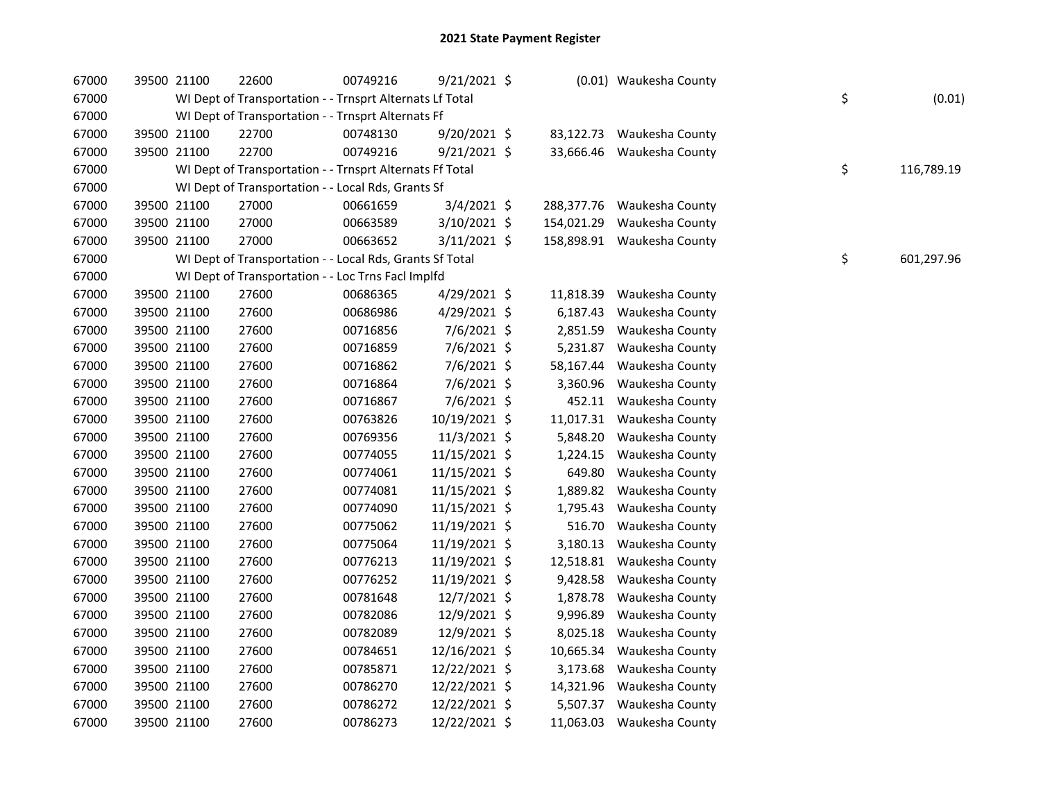| 67000 | 39500 21100 | 22600                                                    | 00749216 | $9/21/2021$ \$ |            | (0.01) Waukesha County     |    |            |
|-------|-------------|----------------------------------------------------------|----------|----------------|------------|----------------------------|----|------------|
| 67000 |             | WI Dept of Transportation - - Trnsprt Alternats Lf Total |          |                |            |                            | \$ | (0.01)     |
| 67000 |             | WI Dept of Transportation - - Trnsprt Alternats Ff       |          |                |            |                            |    |            |
| 67000 | 39500 21100 | 22700                                                    | 00748130 | 9/20/2021 \$   | 83,122.73  | Waukesha County            |    |            |
| 67000 | 39500 21100 | 22700                                                    | 00749216 | $9/21/2021$ \$ |            | 33,666.46 Waukesha County  |    |            |
| 67000 |             | WI Dept of Transportation - - Trnsprt Alternats Ff Total |          |                |            |                            | \$ | 116,789.19 |
| 67000 |             | WI Dept of Transportation - - Local Rds, Grants Sf       |          |                |            |                            |    |            |
| 67000 | 39500 21100 | 27000                                                    | 00661659 | 3/4/2021 \$    | 288,377.76 | Waukesha County            |    |            |
| 67000 | 39500 21100 | 27000                                                    | 00663589 | 3/10/2021 \$   | 154,021.29 | Waukesha County            |    |            |
| 67000 | 39500 21100 | 27000                                                    | 00663652 | $3/11/2021$ \$ |            | 158,898.91 Waukesha County |    |            |
| 67000 |             | WI Dept of Transportation - - Local Rds, Grants Sf Total |          |                |            |                            | \$ | 601,297.96 |
| 67000 |             | WI Dept of Transportation - - Loc Trns Facl Implfd       |          |                |            |                            |    |            |
| 67000 | 39500 21100 | 27600                                                    | 00686365 | 4/29/2021 \$   | 11,818.39  | Waukesha County            |    |            |
| 67000 | 39500 21100 | 27600                                                    | 00686986 | 4/29/2021 \$   | 6,187.43   | Waukesha County            |    |            |
| 67000 | 39500 21100 | 27600                                                    | 00716856 | 7/6/2021 \$    | 2,851.59   | Waukesha County            |    |            |
| 67000 | 39500 21100 | 27600                                                    | 00716859 | 7/6/2021 \$    | 5,231.87   | Waukesha County            |    |            |
| 67000 | 39500 21100 | 27600                                                    | 00716862 | $7/6/2021$ \$  | 58,167.44  | Waukesha County            |    |            |
| 67000 | 39500 21100 | 27600                                                    | 00716864 | 7/6/2021 \$    | 3,360.96   | Waukesha County            |    |            |
| 67000 | 39500 21100 | 27600                                                    | 00716867 | $7/6/2021$ \$  |            | 452.11 Waukesha County     |    |            |
| 67000 | 39500 21100 | 27600                                                    | 00763826 | 10/19/2021 \$  | 11,017.31  | Waukesha County            |    |            |
| 67000 | 39500 21100 | 27600                                                    | 00769356 | 11/3/2021 \$   | 5,848.20   | Waukesha County            |    |            |
| 67000 | 39500 21100 | 27600                                                    | 00774055 | 11/15/2021 \$  | 1,224.15   | Waukesha County            |    |            |
| 67000 | 39500 21100 | 27600                                                    | 00774061 | 11/15/2021 \$  | 649.80     | Waukesha County            |    |            |
| 67000 | 39500 21100 | 27600                                                    | 00774081 | 11/15/2021 \$  | 1,889.82   | Waukesha County            |    |            |
| 67000 | 39500 21100 | 27600                                                    | 00774090 | 11/15/2021 \$  | 1,795.43   | Waukesha County            |    |            |
| 67000 | 39500 21100 | 27600                                                    | 00775062 | 11/19/2021 \$  | 516.70     | Waukesha County            |    |            |
| 67000 | 39500 21100 | 27600                                                    | 00775064 | 11/19/2021 \$  | 3,180.13   | Waukesha County            |    |            |
| 67000 | 39500 21100 | 27600                                                    | 00776213 | 11/19/2021 \$  | 12,518.81  | Waukesha County            |    |            |
| 67000 | 39500 21100 | 27600                                                    | 00776252 | 11/19/2021 \$  | 9,428.58   | Waukesha County            |    |            |
| 67000 | 39500 21100 | 27600                                                    | 00781648 | 12/7/2021 \$   | 1,878.78   | Waukesha County            |    |            |
| 67000 | 39500 21100 | 27600                                                    | 00782086 | 12/9/2021 \$   | 9,996.89   | Waukesha County            |    |            |
| 67000 | 39500 21100 | 27600                                                    | 00782089 | 12/9/2021 \$   | 8,025.18   | Waukesha County            |    |            |
| 67000 | 39500 21100 | 27600                                                    | 00784651 | 12/16/2021 \$  | 10,665.34  | Waukesha County            |    |            |
| 67000 | 39500 21100 | 27600                                                    | 00785871 | 12/22/2021 \$  | 3,173.68   | Waukesha County            |    |            |
| 67000 | 39500 21100 | 27600                                                    | 00786270 | 12/22/2021 \$  | 14,321.96  | Waukesha County            |    |            |
| 67000 | 39500 21100 | 27600                                                    | 00786272 | 12/22/2021 \$  | 5,507.37   | Waukesha County            |    |            |
| 67000 | 39500 21100 | 27600                                                    | 00786273 | 12/22/2021 \$  |            | 11,063.03 Waukesha County  |    |            |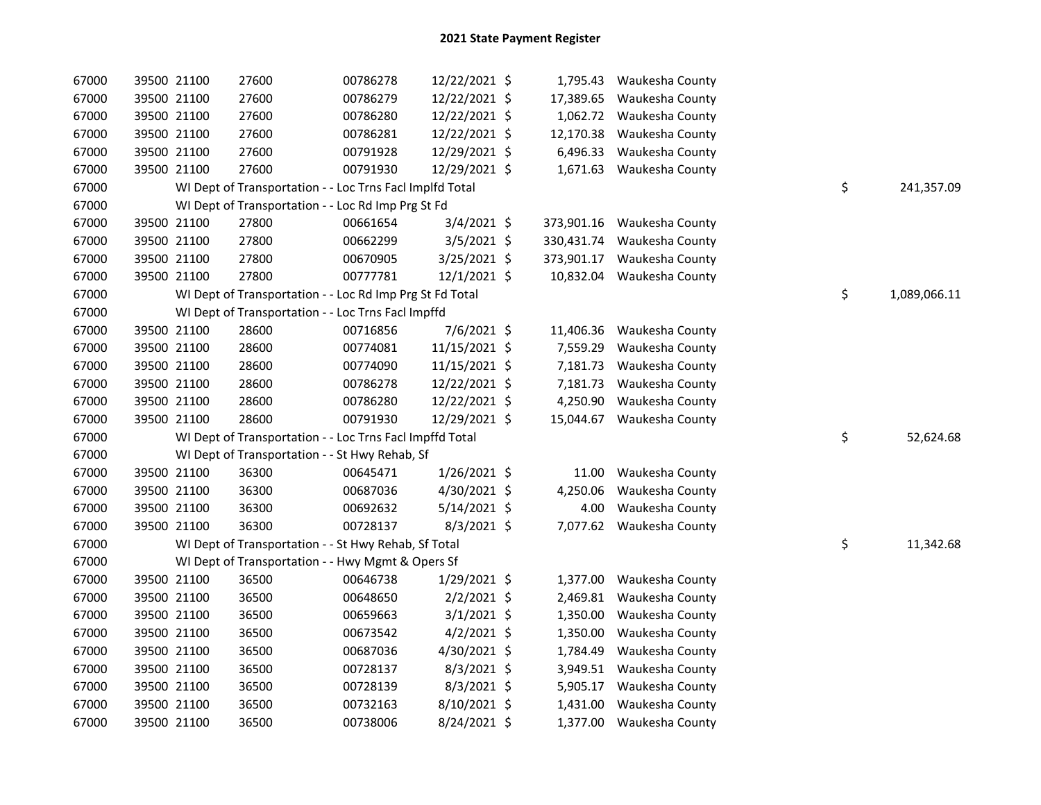| 67000 | 39500 21100 | 27600                                                    | 00786278 | 12/22/2021 \$  |            | 1,795.43 Waukesha County   |    |              |
|-------|-------------|----------------------------------------------------------|----------|----------------|------------|----------------------------|----|--------------|
| 67000 | 39500 21100 | 27600                                                    | 00786279 | 12/22/2021 \$  | 17,389.65  | Waukesha County            |    |              |
| 67000 | 39500 21100 | 27600                                                    | 00786280 | 12/22/2021 \$  | 1,062.72   | Waukesha County            |    |              |
| 67000 | 39500 21100 | 27600                                                    | 00786281 | 12/22/2021 \$  | 12,170.38  | Waukesha County            |    |              |
| 67000 | 39500 21100 | 27600                                                    | 00791928 | 12/29/2021 \$  | 6,496.33   | Waukesha County            |    |              |
| 67000 | 39500 21100 | 27600                                                    | 00791930 | 12/29/2021 \$  | 1,671.63   | Waukesha County            |    |              |
| 67000 |             | WI Dept of Transportation - - Loc Trns Facl Implfd Total |          |                |            |                            | \$ | 241,357.09   |
| 67000 |             | WI Dept of Transportation - - Loc Rd Imp Prg St Fd       |          |                |            |                            |    |              |
| 67000 | 39500 21100 | 27800                                                    | 00661654 | $3/4/2021$ \$  |            | 373,901.16 Waukesha County |    |              |
| 67000 | 39500 21100 | 27800                                                    | 00662299 | 3/5/2021 \$    | 330,431.74 | Waukesha County            |    |              |
| 67000 | 39500 21100 | 27800                                                    | 00670905 | 3/25/2021 \$   | 373,901.17 | Waukesha County            |    |              |
| 67000 | 39500 21100 | 27800                                                    | 00777781 | 12/1/2021 \$   |            | 10,832.04 Waukesha County  |    |              |
| 67000 |             | WI Dept of Transportation - - Loc Rd Imp Prg St Fd Total |          |                |            |                            | \$ | 1,089,066.11 |
| 67000 |             | WI Dept of Transportation - - Loc Trns Facl Impffd       |          |                |            |                            |    |              |
| 67000 | 39500 21100 | 28600                                                    | 00716856 | 7/6/2021 \$    | 11,406.36  | Waukesha County            |    |              |
| 67000 | 39500 21100 | 28600                                                    | 00774081 | 11/15/2021 \$  | 7,559.29   | Waukesha County            |    |              |
| 67000 | 39500 21100 | 28600                                                    | 00774090 | 11/15/2021 \$  | 7,181.73   | Waukesha County            |    |              |
| 67000 | 39500 21100 | 28600                                                    | 00786278 | 12/22/2021 \$  | 7,181.73   | Waukesha County            |    |              |
| 67000 | 39500 21100 | 28600                                                    | 00786280 | 12/22/2021 \$  | 4,250.90   | Waukesha County            |    |              |
| 67000 | 39500 21100 | 28600                                                    | 00791930 | 12/29/2021 \$  | 15,044.67  | Waukesha County            |    |              |
| 67000 |             | WI Dept of Transportation - - Loc Trns Facl Impffd Total |          |                |            |                            | \$ | 52,624.68    |
| 67000 |             | WI Dept of Transportation - - St Hwy Rehab, Sf           |          |                |            |                            |    |              |
| 67000 | 39500 21100 | 36300                                                    | 00645471 | $1/26/2021$ \$ | 11.00      | Waukesha County            |    |              |
| 67000 | 39500 21100 | 36300                                                    | 00687036 | 4/30/2021 \$   | 4,250.06   | Waukesha County            |    |              |
| 67000 | 39500 21100 | 36300                                                    | 00692632 | $5/14/2021$ \$ | 4.00       | Waukesha County            |    |              |
| 67000 | 39500 21100 | 36300                                                    | 00728137 | 8/3/2021 \$    |            | 7,077.62 Waukesha County   |    |              |
| 67000 |             | WI Dept of Transportation - - St Hwy Rehab, Sf Total     |          |                |            |                            | \$ | 11,342.68    |
| 67000 |             | WI Dept of Transportation - - Hwy Mgmt & Opers Sf        |          |                |            |                            |    |              |
| 67000 | 39500 21100 | 36500                                                    | 00646738 | 1/29/2021 \$   |            | 1,377.00 Waukesha County   |    |              |
| 67000 | 39500 21100 | 36500                                                    | 00648650 | $2/2/2021$ \$  | 2,469.81   | Waukesha County            |    |              |
| 67000 | 39500 21100 | 36500                                                    | 00659663 | $3/1/2021$ \$  | 1,350.00   | Waukesha County            |    |              |
| 67000 | 39500 21100 | 36500                                                    | 00673542 | $4/2/2021$ \$  | 1,350.00   | Waukesha County            |    |              |
| 67000 | 39500 21100 | 36500                                                    | 00687036 | 4/30/2021 \$   | 1,784.49   | Waukesha County            |    |              |
| 67000 | 39500 21100 | 36500                                                    | 00728137 | 8/3/2021 \$    |            | 3,949.51 Waukesha County   |    |              |
| 67000 | 39500 21100 | 36500                                                    | 00728139 | 8/3/2021 \$    | 5,905.17   | Waukesha County            |    |              |
| 67000 | 39500 21100 | 36500                                                    | 00732163 | 8/10/2021 \$   | 1,431.00   | Waukesha County            |    |              |
| 67000 | 39500 21100 | 36500                                                    | 00738006 | 8/24/2021 \$   |            | 1,377.00 Waukesha County   |    |              |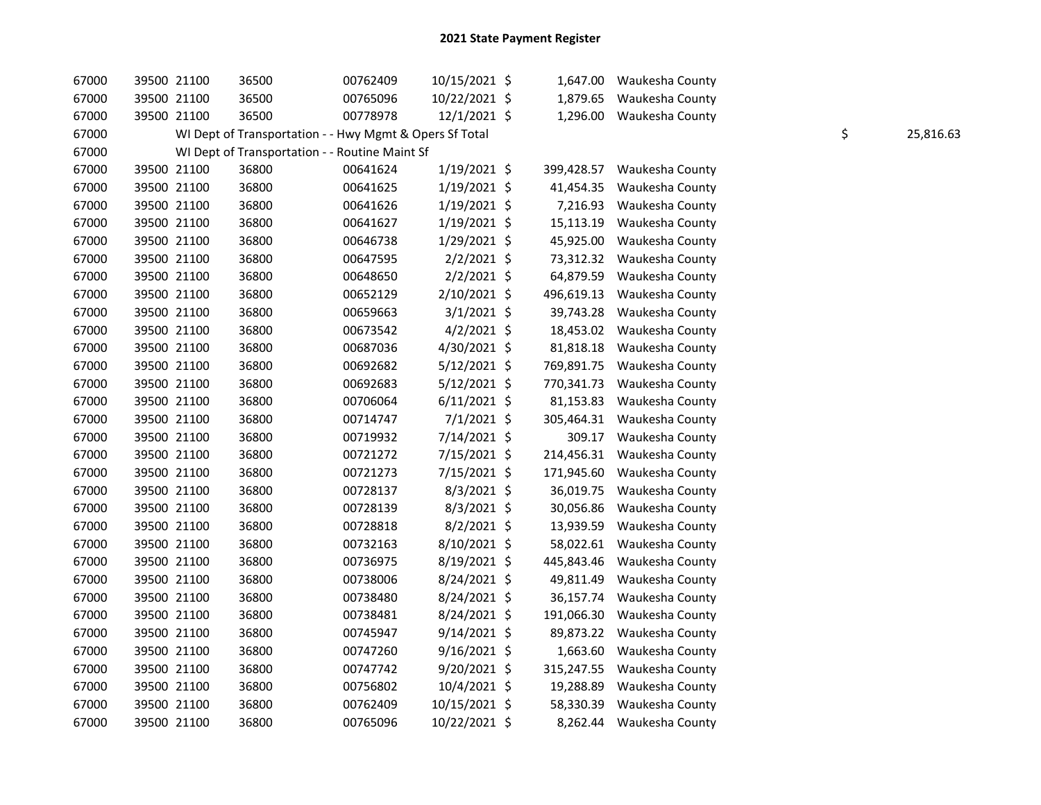| 67000 | 39500 21100 | 36500                                                   | 00762409 | 10/15/2021 \$  |            | 1,647.00 Waukesha County |    |           |
|-------|-------------|---------------------------------------------------------|----------|----------------|------------|--------------------------|----|-----------|
| 67000 | 39500 21100 | 36500                                                   | 00765096 | 10/22/2021 \$  | 1,879.65   | Waukesha County          |    |           |
| 67000 | 39500 21100 | 36500                                                   | 00778978 | $12/1/2021$ \$ | 1,296.00   | Waukesha County          |    |           |
| 67000 |             | WI Dept of Transportation - - Hwy Mgmt & Opers Sf Total |          |                |            |                          | \$ | 25,816.63 |
| 67000 |             | WI Dept of Transportation - - Routine Maint Sf          |          |                |            |                          |    |           |
| 67000 | 39500 21100 | 36800                                                   | 00641624 | $1/19/2021$ \$ | 399,428.57 | Waukesha County          |    |           |
| 67000 | 39500 21100 | 36800                                                   | 00641625 | $1/19/2021$ \$ | 41,454.35  | Waukesha County          |    |           |
| 67000 | 39500 21100 | 36800                                                   | 00641626 | $1/19/2021$ \$ | 7,216.93   | Waukesha County          |    |           |
| 67000 | 39500 21100 | 36800                                                   | 00641627 | $1/19/2021$ \$ | 15,113.19  | Waukesha County          |    |           |
| 67000 | 39500 21100 | 36800                                                   | 00646738 | $1/29/2021$ \$ | 45,925.00  | Waukesha County          |    |           |
| 67000 | 39500 21100 | 36800                                                   | 00647595 | $2/2/2021$ \$  | 73,312.32  | Waukesha County          |    |           |
| 67000 | 39500 21100 | 36800                                                   | 00648650 | $2/2/2021$ \$  | 64,879.59  | Waukesha County          |    |           |
| 67000 | 39500 21100 | 36800                                                   | 00652129 | 2/10/2021 \$   | 496,619.13 | Waukesha County          |    |           |
| 67000 | 39500 21100 | 36800                                                   | 00659663 | $3/1/2021$ \$  | 39,743.28  | Waukesha County          |    |           |
| 67000 | 39500 21100 | 36800                                                   | 00673542 | $4/2/2021$ \$  | 18,453.02  | Waukesha County          |    |           |
| 67000 | 39500 21100 | 36800                                                   | 00687036 | 4/30/2021 \$   | 81,818.18  | Waukesha County          |    |           |
| 67000 | 39500 21100 | 36800                                                   | 00692682 | $5/12/2021$ \$ | 769,891.75 | Waukesha County          |    |           |
| 67000 | 39500 21100 | 36800                                                   | 00692683 | $5/12/2021$ \$ | 770,341.73 | Waukesha County          |    |           |
| 67000 | 39500 21100 | 36800                                                   | 00706064 | $6/11/2021$ \$ | 81,153.83  | Waukesha County          |    |           |
| 67000 | 39500 21100 | 36800                                                   | 00714747 | $7/1/2021$ \$  | 305,464.31 | Waukesha County          |    |           |
| 67000 | 39500 21100 | 36800                                                   | 00719932 | 7/14/2021 \$   | 309.17     | Waukesha County          |    |           |
| 67000 | 39500 21100 | 36800                                                   | 00721272 | 7/15/2021 \$   | 214,456.31 | Waukesha County          |    |           |
| 67000 | 39500 21100 | 36800                                                   | 00721273 | 7/15/2021 \$   | 171,945.60 | Waukesha County          |    |           |
| 67000 | 39500 21100 | 36800                                                   | 00728137 | 8/3/2021 \$    | 36,019.75  | Waukesha County          |    |           |
| 67000 | 39500 21100 | 36800                                                   | 00728139 | 8/3/2021 \$    | 30,056.86  | Waukesha County          |    |           |
| 67000 | 39500 21100 | 36800                                                   | 00728818 | $8/2/2021$ \$  | 13,939.59  | Waukesha County          |    |           |
| 67000 | 39500 21100 | 36800                                                   | 00732163 | 8/10/2021 \$   | 58,022.61  | Waukesha County          |    |           |
| 67000 | 39500 21100 | 36800                                                   | 00736975 | 8/19/2021 \$   | 445,843.46 | Waukesha County          |    |           |
| 67000 | 39500 21100 | 36800                                                   | 00738006 | 8/24/2021 \$   | 49,811.49  | Waukesha County          |    |           |
| 67000 | 39500 21100 | 36800                                                   | 00738480 | 8/24/2021 \$   | 36,157.74  | Waukesha County          |    |           |
| 67000 | 39500 21100 | 36800                                                   | 00738481 | 8/24/2021 \$   | 191,066.30 | Waukesha County          |    |           |
| 67000 | 39500 21100 | 36800                                                   | 00745947 | $9/14/2021$ \$ | 89,873.22  | Waukesha County          |    |           |
| 67000 | 39500 21100 | 36800                                                   | 00747260 | $9/16/2021$ \$ | 1,663.60   | Waukesha County          |    |           |
| 67000 | 39500 21100 | 36800                                                   | 00747742 | $9/20/2021$ \$ | 315,247.55 | Waukesha County          |    |           |
| 67000 | 39500 21100 | 36800                                                   | 00756802 | 10/4/2021 \$   | 19,288.89  | Waukesha County          |    |           |
| 67000 | 39500 21100 | 36800                                                   | 00762409 | 10/15/2021 \$  | 58,330.39  | Waukesha County          |    |           |
| 67000 | 39500 21100 | 36800                                                   | 00765096 | 10/22/2021 \$  |            | 8,262.44 Waukesha County |    |           |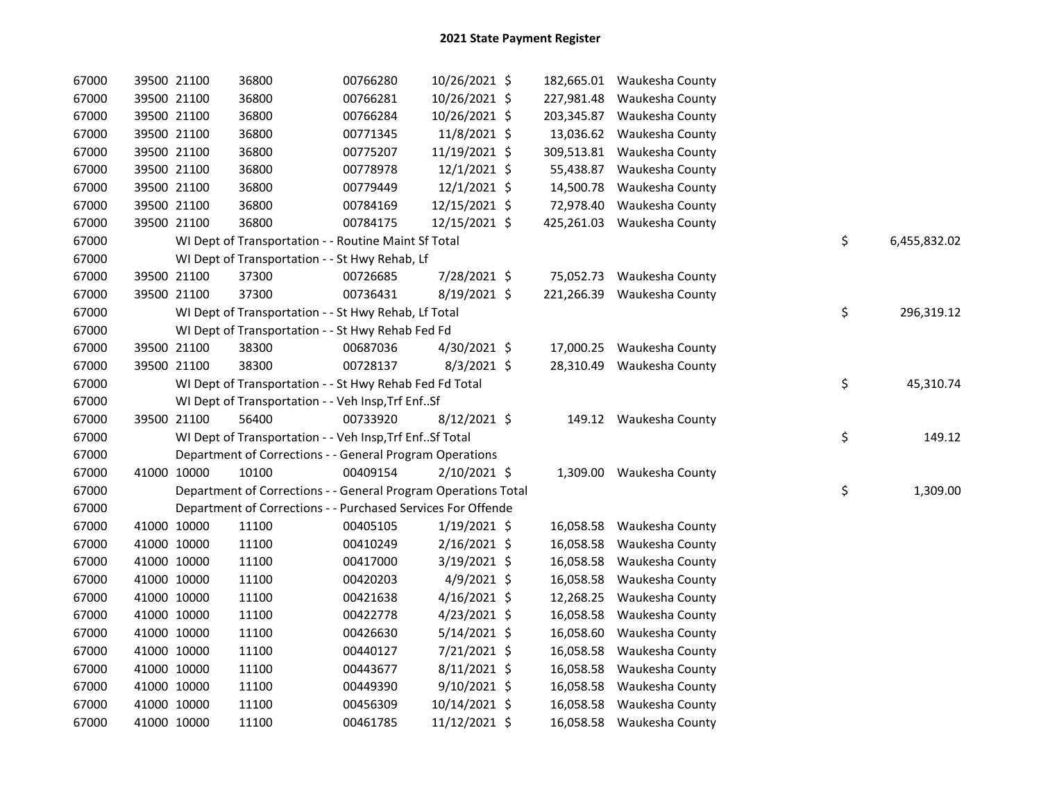| 67000 |             | 39500 21100 | 36800                                                          | 00766280 | 10/26/2021 \$  |            | 182,665.01 Waukesha County |    |              |
|-------|-------------|-------------|----------------------------------------------------------------|----------|----------------|------------|----------------------------|----|--------------|
| 67000 |             | 39500 21100 | 36800                                                          | 00766281 | 10/26/2021 \$  |            | 227,981.48 Waukesha County |    |              |
| 67000 |             | 39500 21100 | 36800                                                          | 00766284 | 10/26/2021 \$  | 203,345.87 | Waukesha County            |    |              |
| 67000 |             | 39500 21100 | 36800                                                          | 00771345 | 11/8/2021 \$   |            | 13,036.62 Waukesha County  |    |              |
| 67000 |             | 39500 21100 | 36800                                                          | 00775207 | 11/19/2021 \$  | 309,513.81 | Waukesha County            |    |              |
| 67000 |             | 39500 21100 | 36800                                                          | 00778978 | $12/1/2021$ \$ | 55,438.87  | Waukesha County            |    |              |
| 67000 |             | 39500 21100 | 36800                                                          | 00779449 | $12/1/2021$ \$ | 14,500.78  | Waukesha County            |    |              |
| 67000 |             | 39500 21100 | 36800                                                          | 00784169 | 12/15/2021 \$  | 72,978.40  | Waukesha County            |    |              |
| 67000 |             | 39500 21100 | 36800                                                          | 00784175 | 12/15/2021 \$  |            | 425,261.03 Waukesha County |    |              |
| 67000 |             |             | WI Dept of Transportation - - Routine Maint Sf Total           |          |                |            |                            | \$ | 6,455,832.02 |
| 67000 |             |             | WI Dept of Transportation - - St Hwy Rehab, Lf                 |          |                |            |                            |    |              |
| 67000 |             | 39500 21100 | 37300                                                          | 00726685 | 7/28/2021 \$   |            | 75,052.73 Waukesha County  |    |              |
| 67000 |             | 39500 21100 | 37300                                                          | 00736431 | 8/19/2021 \$   |            | 221,266.39 Waukesha County |    |              |
| 67000 |             |             | WI Dept of Transportation - - St Hwy Rehab, Lf Total           |          |                |            |                            | \$ | 296,319.12   |
| 67000 |             |             | WI Dept of Transportation - - St Hwy Rehab Fed Fd              |          |                |            |                            |    |              |
| 67000 |             | 39500 21100 | 38300                                                          | 00687036 | 4/30/2021 \$   |            | 17,000.25 Waukesha County  |    |              |
| 67000 |             | 39500 21100 | 38300                                                          | 00728137 | $8/3/2021$ \$  |            | 28,310.49 Waukesha County  |    |              |
| 67000 |             |             | WI Dept of Transportation - - St Hwy Rehab Fed Fd Total        |          |                |            |                            | \$ | 45,310.74    |
| 67000 |             |             | WI Dept of Transportation - - Veh Insp, Trf EnfSf              |          |                |            |                            |    |              |
| 67000 |             | 39500 21100 | 56400                                                          | 00733920 | 8/12/2021 \$   |            | 149.12 Waukesha County     |    |              |
| 67000 |             |             | WI Dept of Transportation - - Veh Insp, Trf EnfSf Total        |          |                |            |                            | \$ | 149.12       |
| 67000 |             |             | Department of Corrections - - General Program Operations       |          |                |            |                            |    |              |
| 67000 | 41000 10000 |             | 10100                                                          | 00409154 | 2/10/2021 \$   |            | 1,309.00 Waukesha County   |    |              |
| 67000 |             |             | Department of Corrections - - General Program Operations Total |          |                |            |                            | \$ | 1,309.00     |
| 67000 |             |             | Department of Corrections - - Purchased Services For Offende   |          |                |            |                            |    |              |
| 67000 |             | 41000 10000 | 11100                                                          | 00405105 | $1/19/2021$ \$ | 16,058.58  | Waukesha County            |    |              |
| 67000 |             | 41000 10000 | 11100                                                          | 00410249 | 2/16/2021 \$   | 16,058.58  | Waukesha County            |    |              |
| 67000 |             | 41000 10000 | 11100                                                          | 00417000 | 3/19/2021 \$   | 16,058.58  | Waukesha County            |    |              |
| 67000 |             | 41000 10000 | 11100                                                          | 00420203 | $4/9/2021$ \$  | 16,058.58  | Waukesha County            |    |              |
| 67000 |             | 41000 10000 | 11100                                                          | 00421638 | $4/16/2021$ \$ | 12,268.25  | Waukesha County            |    |              |
| 67000 |             | 41000 10000 | 11100                                                          | 00422778 | 4/23/2021 \$   | 16,058.58  | Waukesha County            |    |              |
| 67000 |             | 41000 10000 | 11100                                                          | 00426630 | $5/14/2021$ \$ | 16,058.60  | Waukesha County            |    |              |
| 67000 |             | 41000 10000 | 11100                                                          | 00440127 | 7/21/2021 \$   | 16,058.58  | Waukesha County            |    |              |
| 67000 |             | 41000 10000 | 11100                                                          | 00443677 | $8/11/2021$ \$ | 16,058.58  | Waukesha County            |    |              |
| 67000 |             | 41000 10000 | 11100                                                          | 00449390 | 9/10/2021 \$   | 16,058.58  | Waukesha County            |    |              |
| 67000 |             | 41000 10000 | 11100                                                          | 00456309 | 10/14/2021 \$  | 16,058.58  | Waukesha County            |    |              |
| 67000 |             | 41000 10000 | 11100                                                          | 00461785 | 11/12/2021 \$  |            | 16,058.58 Waukesha County  |    |              |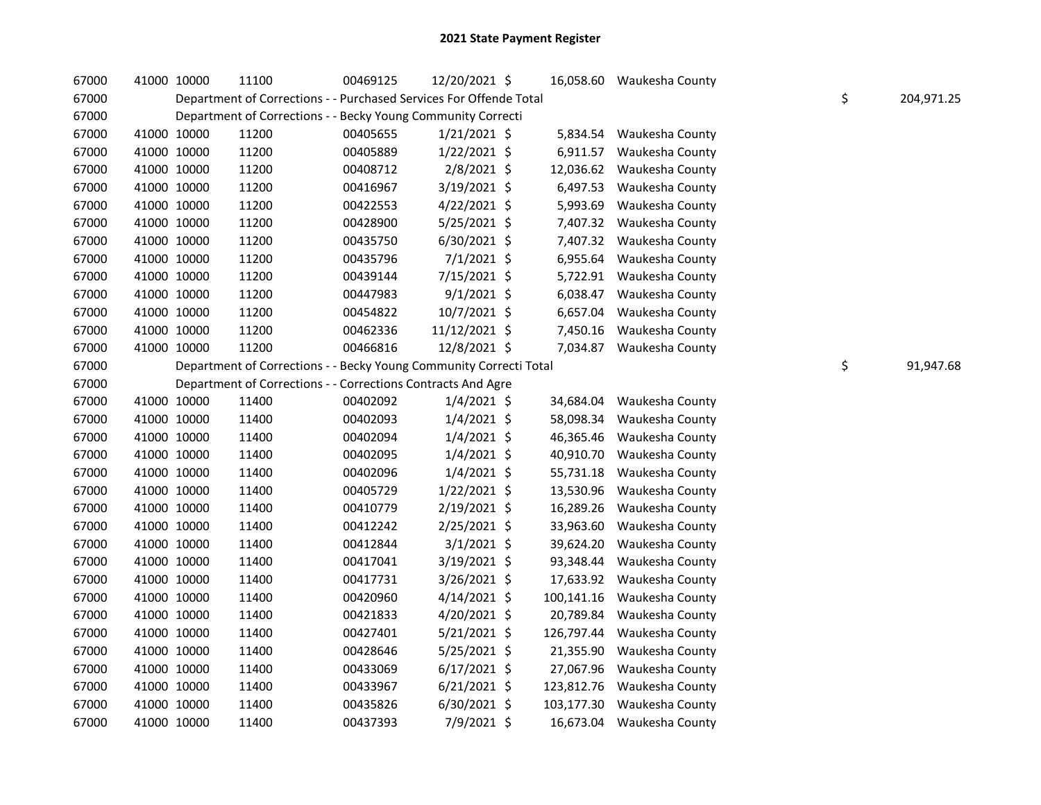| 67000 | 41000 10000 | 11100                                                              | 00469125 | 12/20/2021 \$  |            | 16,058.60 Waukesha County  |                  |
|-------|-------------|--------------------------------------------------------------------|----------|----------------|------------|----------------------------|------------------|
| 67000 |             | Department of Corrections - - Purchased Services For Offende Total |          |                |            |                            | \$<br>204,971.25 |
| 67000 |             | Department of Corrections - - Becky Young Community Correcti       |          |                |            |                            |                  |
| 67000 | 41000 10000 | 11200                                                              | 00405655 | $1/21/2021$ \$ |            | 5,834.54 Waukesha County   |                  |
| 67000 | 41000 10000 | 11200                                                              | 00405889 | $1/22/2021$ \$ |            | 6,911.57 Waukesha County   |                  |
| 67000 | 41000 10000 | 11200                                                              | 00408712 | $2/8/2021$ \$  |            | 12,036.62 Waukesha County  |                  |
| 67000 | 41000 10000 | 11200                                                              | 00416967 | 3/19/2021 \$   |            | 6,497.53 Waukesha County   |                  |
| 67000 | 41000 10000 | 11200                                                              | 00422553 | $4/22/2021$ \$ |            | 5,993.69 Waukesha County   |                  |
| 67000 | 41000 10000 | 11200                                                              | 00428900 | $5/25/2021$ \$ |            | 7,407.32 Waukesha County   |                  |
| 67000 | 41000 10000 | 11200                                                              | 00435750 | 6/30/2021 \$   |            | 7,407.32 Waukesha County   |                  |
| 67000 | 41000 10000 | 11200                                                              | 00435796 | $7/1/2021$ \$  |            | 6,955.64 Waukesha County   |                  |
| 67000 | 41000 10000 | 11200                                                              | 00439144 | 7/15/2021 \$   |            | 5,722.91 Waukesha County   |                  |
| 67000 | 41000 10000 | 11200                                                              | 00447983 | $9/1/2021$ \$  |            | 6,038.47 Waukesha County   |                  |
| 67000 | 41000 10000 | 11200                                                              | 00454822 | $10/7/2021$ \$ |            | 6,657.04 Waukesha County   |                  |
| 67000 | 41000 10000 | 11200                                                              | 00462336 | 11/12/2021 \$  |            | 7,450.16 Waukesha County   |                  |
| 67000 | 41000 10000 | 11200                                                              | 00466816 | 12/8/2021 \$   |            | 7,034.87 Waukesha County   |                  |
| 67000 |             | Department of Corrections - - Becky Young Community Correcti Total |          |                |            |                            | \$<br>91,947.68  |
| 67000 |             | Department of Corrections - - Corrections Contracts And Agre       |          |                |            |                            |                  |
| 67000 | 41000 10000 | 11400                                                              | 00402092 | $1/4/2021$ \$  | 34,684.04  | Waukesha County            |                  |
| 67000 | 41000 10000 | 11400                                                              | 00402093 | $1/4/2021$ \$  | 58,098.34  | Waukesha County            |                  |
| 67000 | 41000 10000 | 11400                                                              | 00402094 | $1/4/2021$ \$  | 46,365.46  | Waukesha County            |                  |
| 67000 | 41000 10000 | 11400                                                              | 00402095 | $1/4/2021$ \$  | 40,910.70  | Waukesha County            |                  |
| 67000 | 41000 10000 | 11400                                                              | 00402096 | $1/4/2021$ \$  | 55,731.18  | Waukesha County            |                  |
| 67000 | 41000 10000 | 11400                                                              | 00405729 | $1/22/2021$ \$ | 13,530.96  | Waukesha County            |                  |
| 67000 | 41000 10000 | 11400                                                              | 00410779 | 2/19/2021 \$   | 16,289.26  | Waukesha County            |                  |
| 67000 | 41000 10000 | 11400                                                              | 00412242 | 2/25/2021 \$   | 33,963.60  | Waukesha County            |                  |
| 67000 | 41000 10000 | 11400                                                              | 00412844 | $3/1/2021$ \$  | 39,624.20  | Waukesha County            |                  |
| 67000 | 41000 10000 | 11400                                                              | 00417041 | $3/19/2021$ \$ | 93,348.44  | Waukesha County            |                  |
| 67000 | 41000 10000 | 11400                                                              | 00417731 | $3/26/2021$ \$ | 17,633.92  | Waukesha County            |                  |
| 67000 | 41000 10000 | 11400                                                              | 00420960 | $4/14/2021$ \$ | 100,141.16 | Waukesha County            |                  |
| 67000 | 41000 10000 | 11400                                                              | 00421833 | 4/20/2021 \$   | 20,789.84  | Waukesha County            |                  |
| 67000 | 41000 10000 | 11400                                                              | 00427401 | $5/21/2021$ \$ | 126,797.44 | Waukesha County            |                  |
| 67000 | 41000 10000 | 11400                                                              | 00428646 | 5/25/2021 \$   | 21,355.90  | Waukesha County            |                  |
| 67000 | 41000 10000 | 11400                                                              | 00433069 | $6/17/2021$ \$ | 27,067.96  | Waukesha County            |                  |
| 67000 | 41000 10000 | 11400                                                              | 00433967 | $6/21/2021$ \$ |            | 123,812.76 Waukesha County |                  |
| 67000 | 41000 10000 | 11400                                                              | 00435826 | 6/30/2021 \$   | 103,177.30 | Waukesha County            |                  |
| 67000 | 41000 10000 | 11400                                                              | 00437393 | 7/9/2021 \$    |            | 16,673.04 Waukesha County  |                  |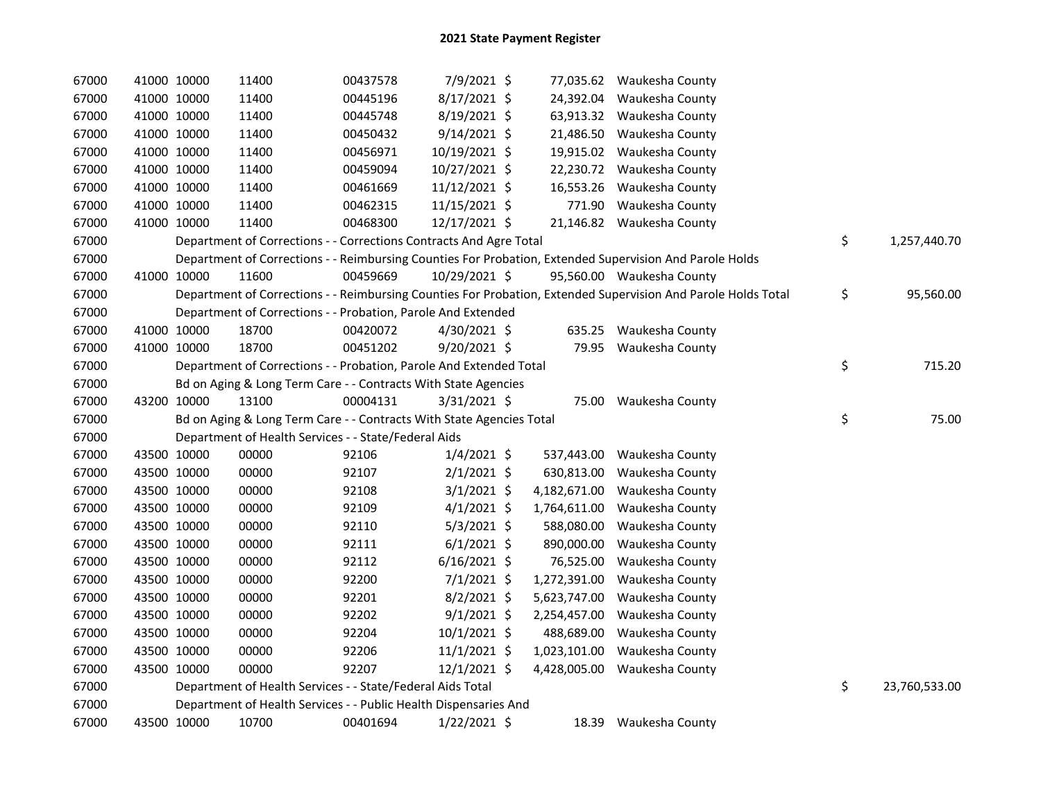| 67000 | 41000 10000 | 11400                                                                | 00437578 | 7/9/2021 \$    |              | 77,035.62 Waukesha County                                                                                     |                     |
|-------|-------------|----------------------------------------------------------------------|----------|----------------|--------------|---------------------------------------------------------------------------------------------------------------|---------------------|
| 67000 | 41000 10000 | 11400                                                                | 00445196 | 8/17/2021 \$   | 24,392.04    | Waukesha County                                                                                               |                     |
| 67000 | 41000 10000 | 11400                                                                | 00445748 | 8/19/2021 \$   | 63,913.32    | Waukesha County                                                                                               |                     |
| 67000 | 41000 10000 | 11400                                                                | 00450432 | $9/14/2021$ \$ | 21,486.50    | Waukesha County                                                                                               |                     |
| 67000 | 41000 10000 | 11400                                                                | 00456971 | 10/19/2021 \$  | 19,915.02    | Waukesha County                                                                                               |                     |
| 67000 | 41000 10000 | 11400                                                                | 00459094 | 10/27/2021 \$  | 22,230.72    | Waukesha County                                                                                               |                     |
| 67000 | 41000 10000 | 11400                                                                | 00461669 | 11/12/2021 \$  | 16,553.26    | Waukesha County                                                                                               |                     |
| 67000 | 41000 10000 | 11400                                                                | 00462315 | 11/15/2021 \$  |              | 771.90 Waukesha County                                                                                        |                     |
| 67000 | 41000 10000 | 11400                                                                | 00468300 | 12/17/2021 \$  |              | 21,146.82 Waukesha County                                                                                     |                     |
| 67000 |             | Department of Corrections - - Corrections Contracts And Agre Total   |          |                |              |                                                                                                               | \$<br>1,257,440.70  |
| 67000 |             |                                                                      |          |                |              | Department of Corrections - - Reimbursing Counties For Probation, Extended Supervision And Parole Holds       |                     |
| 67000 | 41000 10000 | 11600                                                                | 00459669 | 10/29/2021 \$  |              | 95,560.00 Waukesha County                                                                                     |                     |
| 67000 |             |                                                                      |          |                |              | Department of Corrections - - Reimbursing Counties For Probation, Extended Supervision And Parole Holds Total | \$<br>95,560.00     |
| 67000 |             | Department of Corrections - - Probation, Parole And Extended         |          |                |              |                                                                                                               |                     |
| 67000 | 41000 10000 | 18700                                                                | 00420072 | $4/30/2021$ \$ |              | 635.25 Waukesha County                                                                                        |                     |
| 67000 | 41000 10000 | 18700                                                                | 00451202 | 9/20/2021 \$   |              | 79.95 Waukesha County                                                                                         |                     |
| 67000 |             | Department of Corrections - - Probation, Parole And Extended Total   |          |                |              |                                                                                                               | \$<br>715.20        |
| 67000 |             | Bd on Aging & Long Term Care - - Contracts With State Agencies       |          |                |              |                                                                                                               |                     |
| 67000 | 43200 10000 | 13100                                                                | 00004131 | $3/31/2021$ \$ |              | 75.00 Waukesha County                                                                                         |                     |
| 67000 |             | Bd on Aging & Long Term Care - - Contracts With State Agencies Total |          |                |              |                                                                                                               | \$<br>75.00         |
| 67000 |             | Department of Health Services - - State/Federal Aids                 |          |                |              |                                                                                                               |                     |
| 67000 | 43500 10000 | 00000                                                                | 92106    | $1/4/2021$ \$  | 537,443.00   | Waukesha County                                                                                               |                     |
| 67000 | 43500 10000 | 00000                                                                | 92107    | $2/1/2021$ \$  | 630,813.00   | Waukesha County                                                                                               |                     |
| 67000 | 43500 10000 | 00000                                                                | 92108    | $3/1/2021$ \$  | 4,182,671.00 | Waukesha County                                                                                               |                     |
| 67000 | 43500 10000 | 00000                                                                | 92109    | $4/1/2021$ \$  | 1,764,611.00 | Waukesha County                                                                                               |                     |
| 67000 | 43500 10000 | 00000                                                                | 92110    | $5/3/2021$ \$  | 588,080.00   | Waukesha County                                                                                               |                     |
| 67000 | 43500 10000 | 00000                                                                | 92111    | $6/1/2021$ \$  | 890,000.00   | Waukesha County                                                                                               |                     |
| 67000 | 43500 10000 | 00000                                                                | 92112    | $6/16/2021$ \$ | 76,525.00    | Waukesha County                                                                                               |                     |
| 67000 | 43500 10000 | 00000                                                                | 92200    | $7/1/2021$ \$  | 1,272,391.00 | Waukesha County                                                                                               |                     |
| 67000 | 43500 10000 | 00000                                                                | 92201    | $8/2/2021$ \$  | 5,623,747.00 | Waukesha County                                                                                               |                     |
| 67000 | 43500 10000 | 00000                                                                | 92202    | $9/1/2021$ \$  | 2,254,457.00 | Waukesha County                                                                                               |                     |
| 67000 | 43500 10000 | 00000                                                                | 92204    | $10/1/2021$ \$ | 488,689.00   | Waukesha County                                                                                               |                     |
| 67000 | 43500 10000 | 00000                                                                | 92206    | $11/1/2021$ \$ | 1,023,101.00 | Waukesha County                                                                                               |                     |
| 67000 | 43500 10000 | 00000                                                                | 92207    | 12/1/2021 \$   | 4,428,005.00 | Waukesha County                                                                                               |                     |
| 67000 |             | Department of Health Services - - State/Federal Aids Total           |          |                |              |                                                                                                               | \$<br>23,760,533.00 |
| 67000 |             | Department of Health Services - - Public Health Dispensaries And     |          |                |              |                                                                                                               |                     |
| 67000 | 43500 10000 | 10700                                                                | 00401694 | $1/22/2021$ \$ | 18.39        | Waukesha County                                                                                               |                     |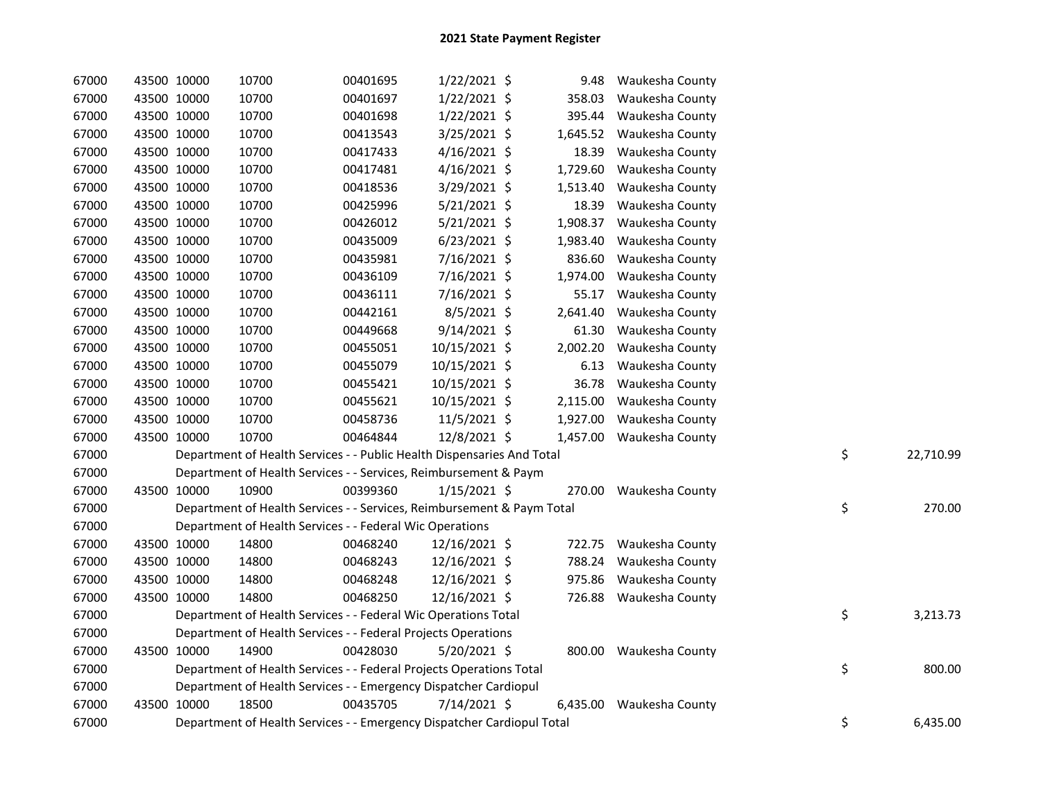| 67000 | 43500 10000 | 10700                                                                  | 00401695 | 1/22/2021 \$   | 9.48     | Waukesha County          |    |           |
|-------|-------------|------------------------------------------------------------------------|----------|----------------|----------|--------------------------|----|-----------|
| 67000 | 43500 10000 | 10700                                                                  | 00401697 | $1/22/2021$ \$ | 358.03   | Waukesha County          |    |           |
| 67000 | 43500 10000 | 10700                                                                  | 00401698 | $1/22/2021$ \$ | 395.44   | Waukesha County          |    |           |
| 67000 | 43500 10000 | 10700                                                                  | 00413543 | $3/25/2021$ \$ | 1,645.52 | Waukesha County          |    |           |
| 67000 | 43500 10000 | 10700                                                                  | 00417433 | $4/16/2021$ \$ | 18.39    | Waukesha County          |    |           |
| 67000 | 43500 10000 | 10700                                                                  | 00417481 | $4/16/2021$ \$ | 1,729.60 | Waukesha County          |    |           |
| 67000 | 43500 10000 | 10700                                                                  | 00418536 | 3/29/2021 \$   | 1,513.40 | Waukesha County          |    |           |
| 67000 | 43500 10000 | 10700                                                                  | 00425996 | $5/21/2021$ \$ | 18.39    | Waukesha County          |    |           |
| 67000 | 43500 10000 | 10700                                                                  | 00426012 | $5/21/2021$ \$ | 1,908.37 | Waukesha County          |    |           |
| 67000 | 43500 10000 | 10700                                                                  | 00435009 | $6/23/2021$ \$ | 1,983.40 | Waukesha County          |    |           |
| 67000 | 43500 10000 | 10700                                                                  | 00435981 | 7/16/2021 \$   | 836.60   | Waukesha County          |    |           |
| 67000 | 43500 10000 | 10700                                                                  | 00436109 | 7/16/2021 \$   | 1,974.00 | Waukesha County          |    |           |
| 67000 | 43500 10000 | 10700                                                                  | 00436111 | 7/16/2021 \$   | 55.17    | Waukesha County          |    |           |
| 67000 | 43500 10000 | 10700                                                                  | 00442161 | $8/5/2021$ \$  | 2,641.40 | Waukesha County          |    |           |
| 67000 | 43500 10000 | 10700                                                                  | 00449668 | $9/14/2021$ \$ | 61.30    | Waukesha County          |    |           |
| 67000 | 43500 10000 | 10700                                                                  | 00455051 | 10/15/2021 \$  | 2,002.20 | Waukesha County          |    |           |
| 67000 | 43500 10000 | 10700                                                                  | 00455079 | 10/15/2021 \$  | 6.13     | Waukesha County          |    |           |
| 67000 | 43500 10000 | 10700                                                                  | 00455421 | 10/15/2021 \$  | 36.78    | Waukesha County          |    |           |
| 67000 | 43500 10000 | 10700                                                                  | 00455621 | 10/15/2021 \$  | 2,115.00 | Waukesha County          |    |           |
| 67000 | 43500 10000 | 10700                                                                  | 00458736 | 11/5/2021 \$   | 1,927.00 | Waukesha County          |    |           |
| 67000 | 43500 10000 | 10700                                                                  | 00464844 | 12/8/2021 \$   |          | 1,457.00 Waukesha County |    |           |
| 67000 |             | Department of Health Services - - Public Health Dispensaries And Total |          |                |          |                          | \$ | 22,710.99 |
| 67000 |             | Department of Health Services - - Services, Reimbursement & Paym       |          |                |          |                          |    |           |
| 67000 | 43500 10000 | 10900                                                                  | 00399360 | $1/15/2021$ \$ |          | 270.00 Waukesha County   |    |           |
| 67000 |             | Department of Health Services - - Services, Reimbursement & Paym Total |          |                |          |                          | \$ | 270.00    |
| 67000 |             | Department of Health Services - - Federal Wic Operations               |          |                |          |                          |    |           |
| 67000 | 43500 10000 | 14800                                                                  | 00468240 | 12/16/2021 \$  |          | 722.75 Waukesha County   |    |           |
| 67000 | 43500 10000 | 14800                                                                  | 00468243 | 12/16/2021 \$  | 788.24   | Waukesha County          |    |           |
| 67000 | 43500 10000 | 14800                                                                  | 00468248 | 12/16/2021 \$  | 975.86   | Waukesha County          |    |           |
| 67000 | 43500 10000 | 14800                                                                  | 00468250 | 12/16/2021 \$  |          | 726.88 Waukesha County   |    |           |
| 67000 |             | Department of Health Services - - Federal Wic Operations Total         |          |                |          |                          | \$ | 3,213.73  |
| 67000 |             | Department of Health Services - - Federal Projects Operations          |          |                |          |                          |    |           |
| 67000 | 43500 10000 | 14900                                                                  | 00428030 | $5/20/2021$ \$ |          | 800.00 Waukesha County   |    |           |
| 67000 |             | Department of Health Services - - Federal Projects Operations Total    |          |                |          |                          | \$ | 800.00    |
| 67000 |             | Department of Health Services - - Emergency Dispatcher Cardiopul       |          |                |          |                          |    |           |
| 67000 | 43500 10000 | 18500                                                                  | 00435705 | 7/14/2021 \$   |          | 6,435.00 Waukesha County |    |           |
| 67000 |             | Department of Health Services - - Emergency Dispatcher Cardiopul Total |          |                |          |                          | \$ | 6,435.00  |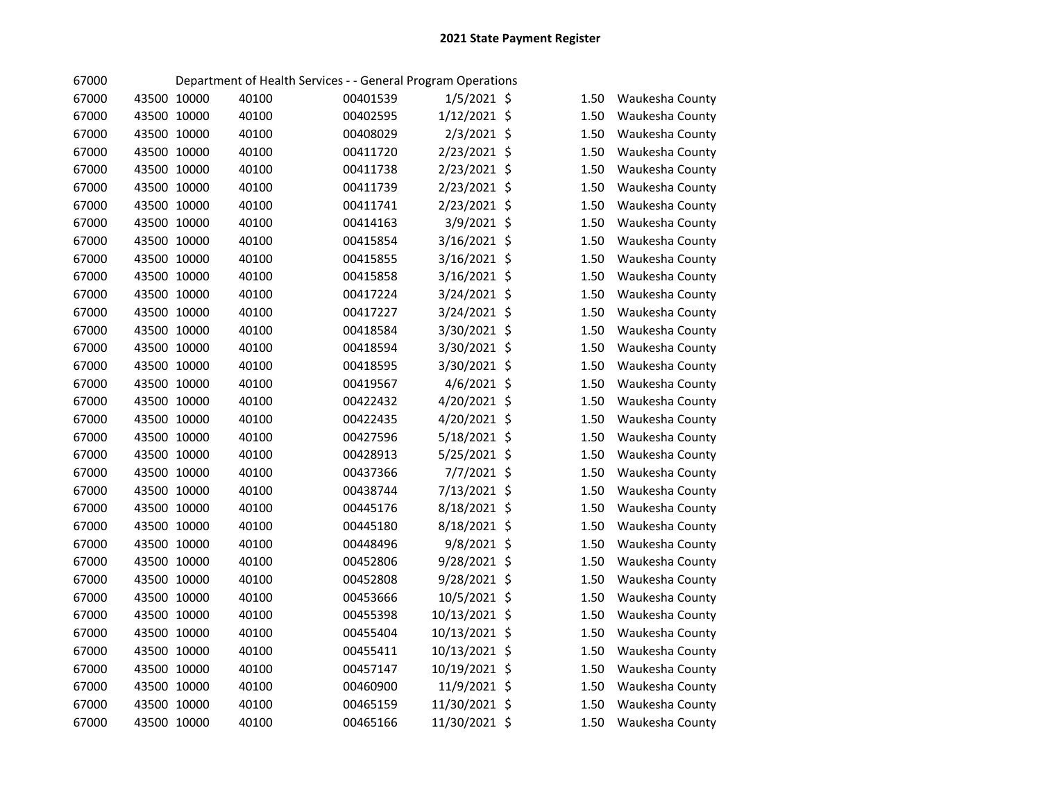| 67000 |             |             |       | Department of Health Services - - General Program Operations |               |      |                 |
|-------|-------------|-------------|-------|--------------------------------------------------------------|---------------|------|-----------------|
| 67000 | 43500 10000 |             | 40100 | 00401539                                                     | $1/5/2021$ \$ | 1.50 | Waukesha County |
| 67000 |             | 43500 10000 | 40100 | 00402595                                                     | 1/12/2021 \$  | 1.50 | Waukesha County |
| 67000 |             | 43500 10000 | 40100 | 00408029                                                     | 2/3/2021 \$   | 1.50 | Waukesha County |
| 67000 |             | 43500 10000 | 40100 | 00411720                                                     | 2/23/2021 \$  | 1.50 | Waukesha County |
| 67000 |             | 43500 10000 | 40100 | 00411738                                                     | 2/23/2021 \$  | 1.50 | Waukesha County |
| 67000 |             | 43500 10000 | 40100 | 00411739                                                     | 2/23/2021 \$  | 1.50 | Waukesha County |
| 67000 | 43500 10000 |             | 40100 | 00411741                                                     | 2/23/2021 \$  | 1.50 | Waukesha County |
| 67000 | 43500 10000 |             | 40100 | 00414163                                                     | 3/9/2021 \$   | 1.50 | Waukesha County |
| 67000 | 43500 10000 |             | 40100 | 00415854                                                     | 3/16/2021 \$  | 1.50 | Waukesha County |
| 67000 | 43500 10000 |             | 40100 | 00415855                                                     | 3/16/2021 \$  | 1.50 | Waukesha County |
| 67000 | 43500 10000 |             | 40100 | 00415858                                                     | 3/16/2021 \$  | 1.50 | Waukesha County |
| 67000 | 43500 10000 |             | 40100 | 00417224                                                     | 3/24/2021 \$  | 1.50 | Waukesha County |
| 67000 | 43500 10000 |             | 40100 | 00417227                                                     | 3/24/2021 \$  | 1.50 | Waukesha County |
| 67000 | 43500 10000 |             | 40100 | 00418584                                                     | 3/30/2021 \$  | 1.50 | Waukesha County |
| 67000 | 43500 10000 |             | 40100 | 00418594                                                     | 3/30/2021 \$  | 1.50 | Waukesha County |
| 67000 | 43500 10000 |             | 40100 | 00418595                                                     | 3/30/2021 \$  | 1.50 | Waukesha County |
| 67000 | 43500 10000 |             | 40100 | 00419567                                                     | 4/6/2021 \$   | 1.50 | Waukesha County |
| 67000 | 43500 10000 |             | 40100 | 00422432                                                     | 4/20/2021 \$  | 1.50 | Waukesha County |
| 67000 | 43500 10000 |             | 40100 | 00422435                                                     | 4/20/2021 \$  | 1.50 | Waukesha County |
| 67000 | 43500 10000 |             | 40100 | 00427596                                                     | 5/18/2021 \$  | 1.50 | Waukesha County |
| 67000 | 43500 10000 |             | 40100 | 00428913                                                     | 5/25/2021 \$  | 1.50 | Waukesha County |
| 67000 | 43500 10000 |             | 40100 | 00437366                                                     | 7/7/2021 \$   | 1.50 | Waukesha County |
| 67000 | 43500 10000 |             | 40100 | 00438744                                                     | 7/13/2021 \$  | 1.50 | Waukesha County |
| 67000 | 43500 10000 |             | 40100 | 00445176                                                     | 8/18/2021 \$  | 1.50 | Waukesha County |
| 67000 | 43500 10000 |             | 40100 | 00445180                                                     | 8/18/2021 \$  | 1.50 | Waukesha County |
| 67000 | 43500 10000 |             | 40100 | 00448496                                                     | $9/8/2021$ \$ | 1.50 | Waukesha County |
| 67000 | 43500 10000 |             | 40100 | 00452806                                                     | 9/28/2021 \$  | 1.50 | Waukesha County |
| 67000 | 43500 10000 |             | 40100 | 00452808                                                     | 9/28/2021 \$  | 1.50 | Waukesha County |
| 67000 | 43500 10000 |             | 40100 | 00453666                                                     | 10/5/2021 \$  | 1.50 | Waukesha County |
| 67000 | 43500 10000 |             | 40100 | 00455398                                                     | 10/13/2021 \$ | 1.50 | Waukesha County |
| 67000 | 43500 10000 |             | 40100 | 00455404                                                     | 10/13/2021 \$ | 1.50 | Waukesha County |
| 67000 |             | 43500 10000 | 40100 | 00455411                                                     | 10/13/2021 \$ | 1.50 | Waukesha County |
| 67000 |             | 43500 10000 | 40100 | 00457147                                                     | 10/19/2021 \$ | 1.50 | Waukesha County |
| 67000 |             | 43500 10000 | 40100 | 00460900                                                     | 11/9/2021 \$  | 1.50 | Waukesha County |
| 67000 |             | 43500 10000 | 40100 | 00465159                                                     | 11/30/2021 \$ | 1.50 | Waukesha County |
| 67000 | 43500 10000 |             | 40100 | 00465166                                                     | 11/30/2021 \$ | 1.50 | Waukesha County |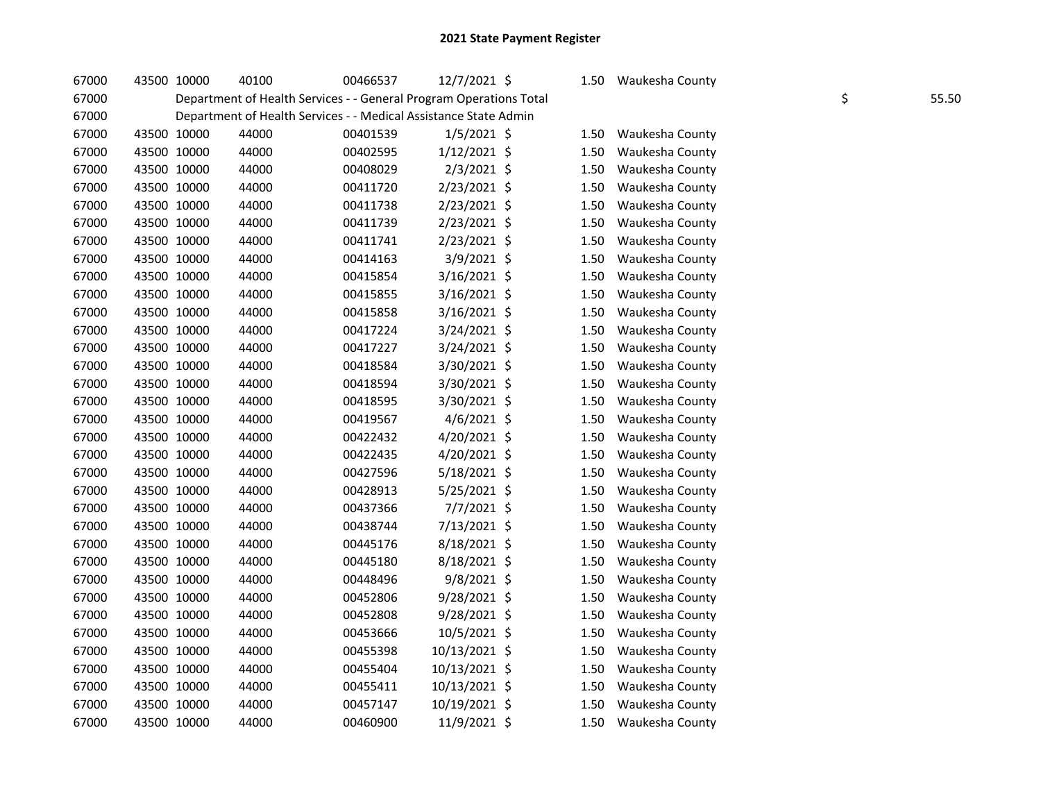| 67000 | 43500 10000 | 40100                                                              | 00466537 | 12/7/2021 \$   | 1.50 | Waukesha County |             |
|-------|-------------|--------------------------------------------------------------------|----------|----------------|------|-----------------|-------------|
| 67000 |             | Department of Health Services - - General Program Operations Total |          |                |      |                 | \$<br>55.50 |
| 67000 |             | Department of Health Services - - Medical Assistance State Admin   |          |                |      |                 |             |
| 67000 | 43500 10000 | 44000                                                              | 00401539 | $1/5/2021$ \$  | 1.50 | Waukesha County |             |
| 67000 | 43500 10000 | 44000                                                              | 00402595 | $1/12/2021$ \$ | 1.50 | Waukesha County |             |
| 67000 | 43500 10000 | 44000                                                              | 00408029 | $2/3/2021$ \$  | 1.50 | Waukesha County |             |
| 67000 | 43500 10000 | 44000                                                              | 00411720 | $2/23/2021$ \$ | 1.50 | Waukesha County |             |
| 67000 | 43500 10000 | 44000                                                              | 00411738 | 2/23/2021 \$   | 1.50 | Waukesha County |             |
| 67000 | 43500 10000 | 44000                                                              | 00411739 | 2/23/2021 \$   | 1.50 | Waukesha County |             |
| 67000 | 43500 10000 | 44000                                                              | 00411741 | 2/23/2021 \$   | 1.50 | Waukesha County |             |
| 67000 | 43500 10000 | 44000                                                              | 00414163 | 3/9/2021 \$    | 1.50 | Waukesha County |             |
| 67000 | 43500 10000 | 44000                                                              | 00415854 | 3/16/2021 \$   | 1.50 | Waukesha County |             |
| 67000 | 43500 10000 | 44000                                                              | 00415855 | 3/16/2021 \$   | 1.50 | Waukesha County |             |
| 67000 | 43500 10000 | 44000                                                              | 00415858 | 3/16/2021 \$   | 1.50 | Waukesha County |             |
| 67000 | 43500 10000 | 44000                                                              | 00417224 | 3/24/2021 \$   | 1.50 | Waukesha County |             |
| 67000 | 43500 10000 | 44000                                                              | 00417227 | 3/24/2021 \$   | 1.50 | Waukesha County |             |
| 67000 | 43500 10000 | 44000                                                              | 00418584 | 3/30/2021 \$   | 1.50 | Waukesha County |             |
| 67000 | 43500 10000 | 44000                                                              | 00418594 | 3/30/2021 \$   | 1.50 | Waukesha County |             |
| 67000 | 43500 10000 | 44000                                                              | 00418595 | 3/30/2021 \$   | 1.50 | Waukesha County |             |
| 67000 | 43500 10000 | 44000                                                              | 00419567 | 4/6/2021 \$    | 1.50 | Waukesha County |             |
| 67000 | 43500 10000 | 44000                                                              | 00422432 | 4/20/2021 \$   | 1.50 | Waukesha County |             |
| 67000 | 43500 10000 | 44000                                                              | 00422435 | 4/20/2021 \$   | 1.50 | Waukesha County |             |
| 67000 | 43500 10000 | 44000                                                              | 00427596 | 5/18/2021 \$   | 1.50 | Waukesha County |             |
| 67000 | 43500 10000 | 44000                                                              | 00428913 | 5/25/2021 \$   | 1.50 | Waukesha County |             |
| 67000 | 43500 10000 | 44000                                                              | 00437366 | 7/7/2021 \$    | 1.50 | Waukesha County |             |
| 67000 | 43500 10000 | 44000                                                              | 00438744 | 7/13/2021 \$   | 1.50 | Waukesha County |             |
| 67000 | 43500 10000 | 44000                                                              | 00445176 | 8/18/2021 \$   | 1.50 | Waukesha County |             |
| 67000 | 43500 10000 | 44000                                                              | 00445180 | 8/18/2021 \$   | 1.50 | Waukesha County |             |
| 67000 | 43500 10000 | 44000                                                              | 00448496 | 9/8/2021 \$    | 1.50 | Waukesha County |             |
| 67000 | 43500 10000 | 44000                                                              | 00452806 | 9/28/2021 \$   | 1.50 | Waukesha County |             |
| 67000 | 43500 10000 | 44000                                                              | 00452808 | $9/28/2021$ \$ | 1.50 | Waukesha County |             |
| 67000 | 43500 10000 | 44000                                                              | 00453666 | 10/5/2021 \$   | 1.50 | Waukesha County |             |
| 67000 | 43500 10000 | 44000                                                              | 00455398 | 10/13/2021 \$  | 1.50 | Waukesha County |             |
| 67000 | 43500 10000 | 44000                                                              | 00455404 | 10/13/2021 \$  | 1.50 | Waukesha County |             |
| 67000 | 43500 10000 | 44000                                                              | 00455411 | 10/13/2021 \$  | 1.50 | Waukesha County |             |
| 67000 | 43500 10000 | 44000                                                              | 00457147 | 10/19/2021 \$  | 1.50 | Waukesha County |             |
| 67000 | 43500 10000 | 44000                                                              | 00460900 | 11/9/2021 \$   | 1.50 | Waukesha County |             |
|       |             |                                                                    |          |                |      |                 |             |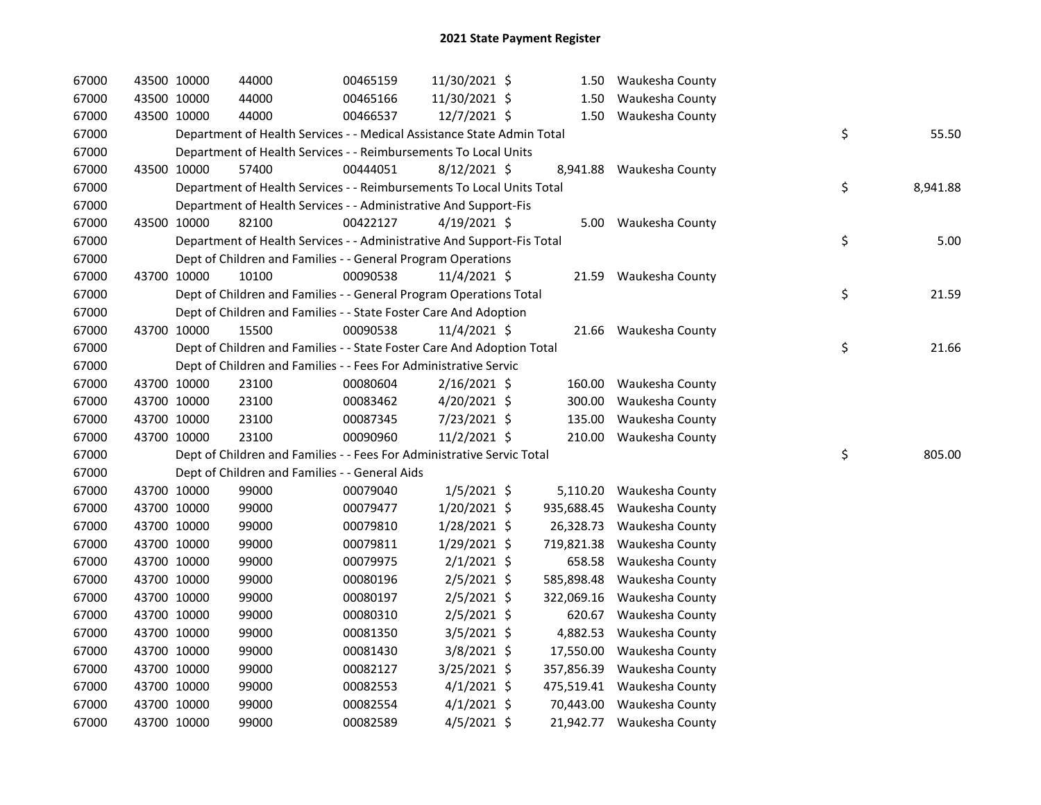| 67000 | 43500 10000 |             | 44000                                                                  | 00465159 | 11/30/2021 \$  |            | 1.50 Waukesha County       |    |          |
|-------|-------------|-------------|------------------------------------------------------------------------|----------|----------------|------------|----------------------------|----|----------|
| 67000 | 43500 10000 |             | 44000                                                                  | 00465166 | 11/30/2021 \$  |            | 1.50 Waukesha County       |    |          |
| 67000 | 43500 10000 |             | 44000                                                                  | 00466537 | 12/7/2021 \$   |            | 1.50 Waukesha County       |    |          |
| 67000 |             |             | Department of Health Services - - Medical Assistance State Admin Total |          |                |            |                            | \$ | 55.50    |
| 67000 |             |             | Department of Health Services - - Reimbursements To Local Units        |          |                |            |                            |    |          |
| 67000 | 43500 10000 |             | 57400                                                                  | 00444051 | $8/12/2021$ \$ | 8,941.88   | Waukesha County            |    |          |
| 67000 |             |             | Department of Health Services - - Reimbursements To Local Units Total  |          |                |            |                            | \$ | 8,941.88 |
| 67000 |             |             | Department of Health Services - - Administrative And Support-Fis       |          |                |            |                            |    |          |
| 67000 |             | 43500 10000 | 82100                                                                  | 00422127 | $4/19/2021$ \$ |            | 5.00 Waukesha County       |    |          |
| 67000 |             |             | Department of Health Services - - Administrative And Support-Fis Total |          |                |            |                            | \$ | 5.00     |
| 67000 |             |             | Dept of Children and Families - - General Program Operations           |          |                |            |                            |    |          |
| 67000 |             | 43700 10000 | 10100                                                                  | 00090538 | 11/4/2021 \$   |            | 21.59 Waukesha County      |    |          |
| 67000 |             |             | Dept of Children and Families - - General Program Operations Total     |          |                |            |                            | \$ | 21.59    |
| 67000 |             |             | Dept of Children and Families - - State Foster Care And Adoption       |          |                |            |                            |    |          |
| 67000 | 43700 10000 |             | 15500                                                                  | 00090538 | 11/4/2021 \$   |            | 21.66 Waukesha County      |    |          |
| 67000 |             |             | Dept of Children and Families - - State Foster Care And Adoption Total |          |                |            |                            | \$ | 21.66    |
| 67000 |             |             | Dept of Children and Families - - Fees For Administrative Servic       |          |                |            |                            |    |          |
| 67000 | 43700 10000 |             | 23100                                                                  | 00080604 | $2/16/2021$ \$ |            | 160.00 Waukesha County     |    |          |
| 67000 |             | 43700 10000 | 23100                                                                  | 00083462 | $4/20/2021$ \$ |            | 300.00 Waukesha County     |    |          |
| 67000 | 43700 10000 |             | 23100                                                                  | 00087345 | 7/23/2021 \$   | 135.00     | Waukesha County            |    |          |
| 67000 | 43700 10000 |             | 23100                                                                  | 00090960 | $11/2/2021$ \$ |            | 210.00 Waukesha County     |    |          |
| 67000 |             |             | Dept of Children and Families - - Fees For Administrative Servic Total |          |                |            |                            | \$ | 805.00   |
| 67000 |             |             | Dept of Children and Families - - General Aids                         |          |                |            |                            |    |          |
| 67000 | 43700 10000 |             | 99000                                                                  | 00079040 | $1/5/2021$ \$  |            | 5,110.20 Waukesha County   |    |          |
| 67000 | 43700 10000 |             | 99000                                                                  | 00079477 | $1/20/2021$ \$ | 935,688.45 | Waukesha County            |    |          |
| 67000 | 43700 10000 |             | 99000                                                                  | 00079810 | 1/28/2021 \$   | 26,328.73  | Waukesha County            |    |          |
| 67000 | 43700 10000 |             | 99000                                                                  | 00079811 | 1/29/2021 \$   | 719,821.38 | Waukesha County            |    |          |
| 67000 | 43700 10000 |             | 99000                                                                  | 00079975 | $2/1/2021$ \$  | 658.58     | Waukesha County            |    |          |
| 67000 | 43700 10000 |             | 99000                                                                  | 00080196 | $2/5/2021$ \$  | 585,898.48 | Waukesha County            |    |          |
| 67000 |             | 43700 10000 | 99000                                                                  | 00080197 | $2/5/2021$ \$  | 322,069.16 | Waukesha County            |    |          |
| 67000 | 43700 10000 |             | 99000                                                                  | 00080310 | $2/5/2021$ \$  | 620.67     | Waukesha County            |    |          |
| 67000 | 43700 10000 |             | 99000                                                                  | 00081350 | $3/5/2021$ \$  | 4,882.53   | Waukesha County            |    |          |
| 67000 | 43700 10000 |             | 99000                                                                  | 00081430 | $3/8/2021$ \$  | 17,550.00  | Waukesha County            |    |          |
| 67000 | 43700 10000 |             | 99000                                                                  | 00082127 | $3/25/2021$ \$ | 357,856.39 | Waukesha County            |    |          |
| 67000 | 43700 10000 |             | 99000                                                                  | 00082553 | $4/1/2021$ \$  |            | 475,519.41 Waukesha County |    |          |
| 67000 | 43700 10000 |             | 99000                                                                  | 00082554 | $4/1/2021$ \$  |            | 70,443.00 Waukesha County  |    |          |
| 67000 | 43700 10000 |             | 99000                                                                  | 00082589 | $4/5/2021$ \$  |            | 21,942.77 Waukesha County  |    |          |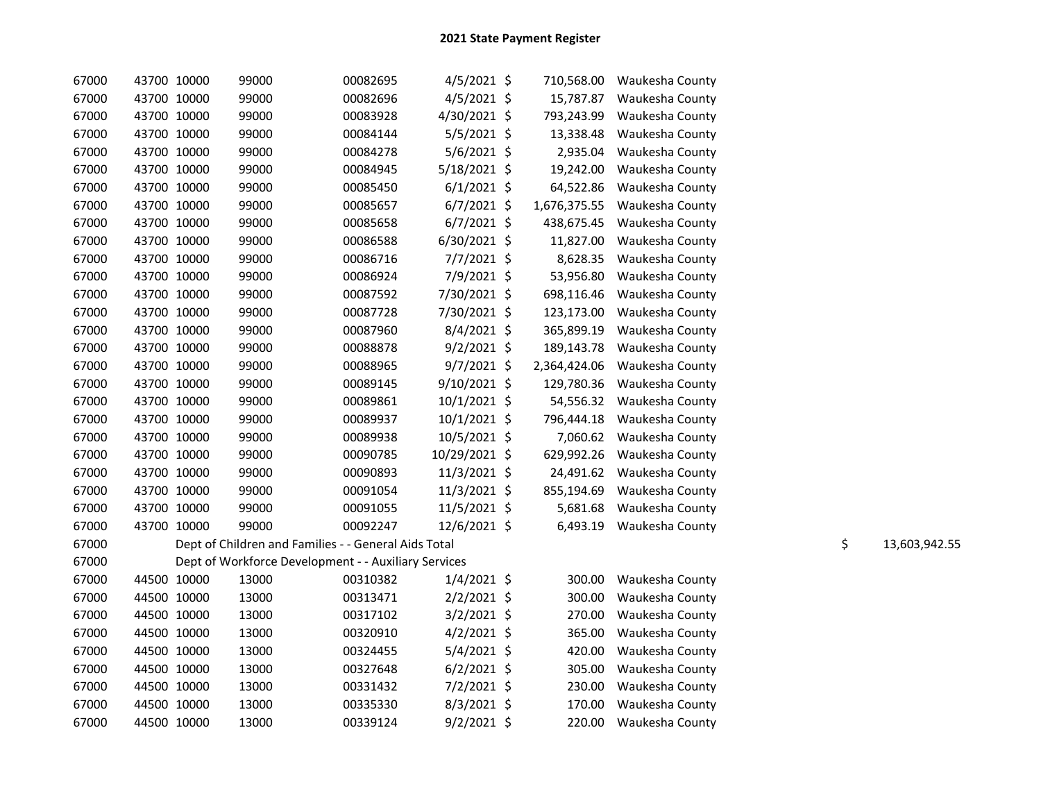| 67000 | 43700 10000 | 99000                                                | 00082695 | $4/5/2021$ \$  | 710,568.00   | Waukesha County |    |               |
|-------|-------------|------------------------------------------------------|----------|----------------|--------------|-----------------|----|---------------|
| 67000 | 43700 10000 | 99000                                                | 00082696 | $4/5/2021$ \$  | 15,787.87    | Waukesha County |    |               |
| 67000 | 43700 10000 | 99000                                                | 00083928 | 4/30/2021 \$   | 793,243.99   | Waukesha County |    |               |
| 67000 | 43700 10000 | 99000                                                | 00084144 | $5/5/2021$ \$  | 13,338.48    | Waukesha County |    |               |
| 67000 | 43700 10000 | 99000                                                | 00084278 | $5/6/2021$ \$  | 2,935.04     | Waukesha County |    |               |
| 67000 | 43700 10000 | 99000                                                | 00084945 | $5/18/2021$ \$ | 19,242.00    | Waukesha County |    |               |
| 67000 | 43700 10000 | 99000                                                | 00085450 | $6/1/2021$ \$  | 64,522.86    | Waukesha County |    |               |
| 67000 | 43700 10000 | 99000                                                | 00085657 | $6/7/2021$ \$  | 1,676,375.55 | Waukesha County |    |               |
| 67000 | 43700 10000 | 99000                                                | 00085658 | $6/7/2021$ \$  | 438,675.45   | Waukesha County |    |               |
| 67000 | 43700 10000 | 99000                                                | 00086588 | $6/30/2021$ \$ | 11,827.00    | Waukesha County |    |               |
| 67000 | 43700 10000 | 99000                                                | 00086716 | $7/7/2021$ \$  | 8,628.35     | Waukesha County |    |               |
| 67000 | 43700 10000 | 99000                                                | 00086924 | 7/9/2021 \$    | 53,956.80    | Waukesha County |    |               |
| 67000 | 43700 10000 | 99000                                                | 00087592 | 7/30/2021 \$   | 698,116.46   | Waukesha County |    |               |
| 67000 | 43700 10000 | 99000                                                | 00087728 | 7/30/2021 \$   | 123,173.00   | Waukesha County |    |               |
| 67000 | 43700 10000 | 99000                                                | 00087960 | 8/4/2021 \$    | 365,899.19   | Waukesha County |    |               |
| 67000 | 43700 10000 | 99000                                                | 00088878 | $9/2/2021$ \$  | 189,143.78   | Waukesha County |    |               |
| 67000 | 43700 10000 | 99000                                                | 00088965 | $9/7/2021$ \$  | 2,364,424.06 | Waukesha County |    |               |
| 67000 | 43700 10000 | 99000                                                | 00089145 | $9/10/2021$ \$ | 129,780.36   | Waukesha County |    |               |
| 67000 | 43700 10000 | 99000                                                | 00089861 | $10/1/2021$ \$ | 54,556.32    | Waukesha County |    |               |
| 67000 | 43700 10000 | 99000                                                | 00089937 | $10/1/2021$ \$ | 796,444.18   | Waukesha County |    |               |
| 67000 | 43700 10000 | 99000                                                | 00089938 | 10/5/2021 \$   | 7,060.62     | Waukesha County |    |               |
| 67000 | 43700 10000 | 99000                                                | 00090785 | 10/29/2021 \$  | 629,992.26   | Waukesha County |    |               |
| 67000 | 43700 10000 | 99000                                                | 00090893 | 11/3/2021 \$   | 24,491.62    | Waukesha County |    |               |
| 67000 | 43700 10000 | 99000                                                | 00091054 | 11/3/2021 \$   | 855,194.69   | Waukesha County |    |               |
| 67000 | 43700 10000 | 99000                                                | 00091055 | 11/5/2021 \$   | 5,681.68     | Waukesha County |    |               |
| 67000 | 43700 10000 | 99000                                                | 00092247 | 12/6/2021 \$   | 6,493.19     | Waukesha County |    |               |
| 67000 |             | Dept of Children and Families - - General Aids Total |          |                |              |                 | \$ | 13,603,942.55 |
| 67000 |             | Dept of Workforce Development - - Auxiliary Services |          |                |              |                 |    |               |
| 67000 | 44500 10000 | 13000                                                | 00310382 | $1/4/2021$ \$  | 300.00       | Waukesha County |    |               |
| 67000 | 44500 10000 | 13000                                                | 00313471 | $2/2/2021$ \$  | 300.00       | Waukesha County |    |               |
| 67000 | 44500 10000 | 13000                                                | 00317102 | $3/2/2021$ \$  | 270.00       | Waukesha County |    |               |
| 67000 | 44500 10000 | 13000                                                | 00320910 | $4/2/2021$ \$  | 365.00       | Waukesha County |    |               |
| 67000 | 44500 10000 | 13000                                                | 00324455 | $5/4/2021$ \$  | 420.00       | Waukesha County |    |               |
| 67000 | 44500 10000 | 13000                                                | 00327648 | $6/2/2021$ \$  | 305.00       | Waukesha County |    |               |
| 67000 | 44500 10000 | 13000                                                | 00331432 | $7/2/2021$ \$  | 230.00       | Waukesha County |    |               |
| 67000 | 44500 10000 | 13000                                                | 00335330 | $8/3/2021$ \$  | 170.00       | Waukesha County |    |               |
| 67000 | 44500 10000 | 13000                                                | 00339124 | $9/2/2021$ \$  | 220.00       | Waukesha County |    |               |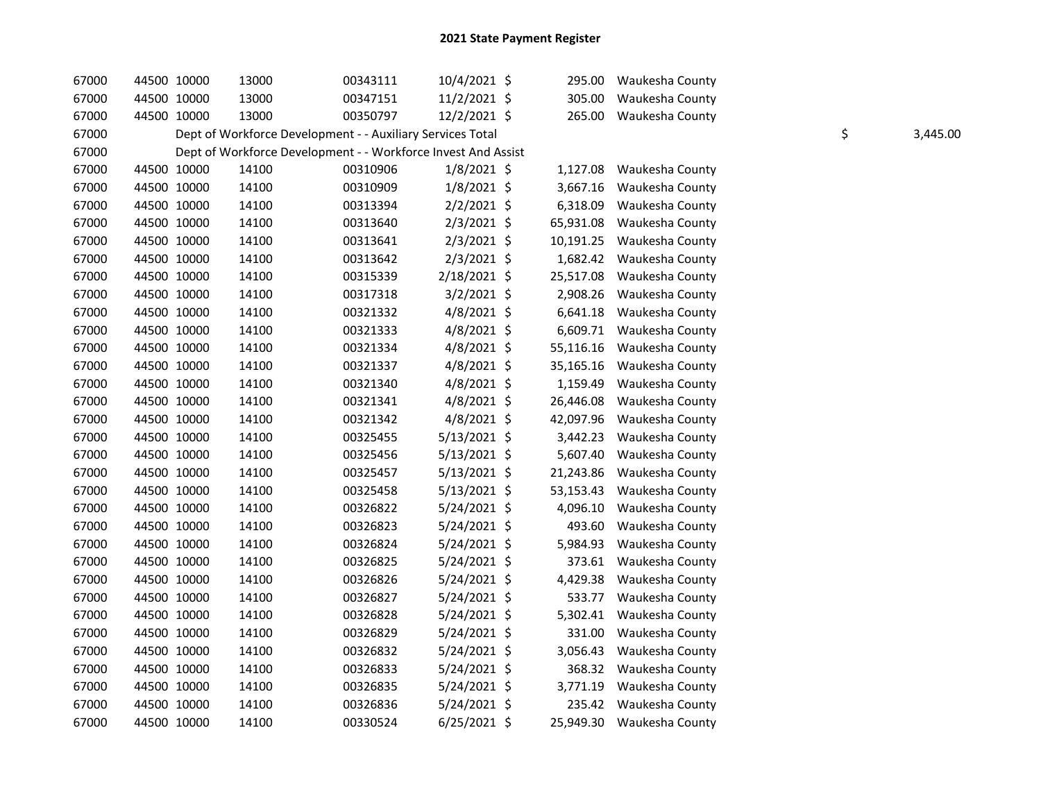| 67000 | 44500 10000 | 13000 | 00343111                                                      | 10/4/2021 \$   | 295.00    | Waukesha County           |    |          |
|-------|-------------|-------|---------------------------------------------------------------|----------------|-----------|---------------------------|----|----------|
| 67000 | 44500 10000 | 13000 | 00347151                                                      | 11/2/2021 \$   | 305.00    | Waukesha County           |    |          |
| 67000 | 44500 10000 | 13000 | 00350797                                                      | 12/2/2021 \$   | 265.00    | Waukesha County           |    |          |
| 67000 |             |       | Dept of Workforce Development - - Auxiliary Services Total    |                |           |                           | \$ | 3,445.00 |
| 67000 |             |       | Dept of Workforce Development - - Workforce Invest And Assist |                |           |                           |    |          |
| 67000 | 44500 10000 | 14100 | 00310906                                                      | $1/8/2021$ \$  | 1,127.08  | Waukesha County           |    |          |
| 67000 | 44500 10000 | 14100 | 00310909                                                      | $1/8/2021$ \$  | 3,667.16  | Waukesha County           |    |          |
| 67000 | 44500 10000 | 14100 | 00313394                                                      | $2/2/2021$ \$  | 6,318.09  | Waukesha County           |    |          |
| 67000 | 44500 10000 | 14100 | 00313640                                                      | $2/3/2021$ \$  | 65,931.08 | Waukesha County           |    |          |
| 67000 | 44500 10000 | 14100 | 00313641                                                      | $2/3/2021$ \$  | 10,191.25 | Waukesha County           |    |          |
| 67000 | 44500 10000 | 14100 | 00313642                                                      | $2/3/2021$ \$  | 1,682.42  | Waukesha County           |    |          |
| 67000 | 44500 10000 | 14100 | 00315339                                                      | 2/18/2021 \$   | 25,517.08 | Waukesha County           |    |          |
| 67000 | 44500 10000 | 14100 | 00317318                                                      | $3/2/2021$ \$  | 2,908.26  | Waukesha County           |    |          |
| 67000 | 44500 10000 | 14100 | 00321332                                                      | $4/8/2021$ \$  | 6,641.18  | Waukesha County           |    |          |
| 67000 | 44500 10000 | 14100 | 00321333                                                      | $4/8/2021$ \$  | 6,609.71  | Waukesha County           |    |          |
| 67000 | 44500 10000 | 14100 | 00321334                                                      | 4/8/2021 \$    | 55,116.16 | Waukesha County           |    |          |
| 67000 | 44500 10000 | 14100 | 00321337                                                      | $4/8/2021$ \$  | 35,165.16 | Waukesha County           |    |          |
| 67000 | 44500 10000 | 14100 | 00321340                                                      | $4/8/2021$ \$  | 1,159.49  | Waukesha County           |    |          |
| 67000 | 44500 10000 | 14100 | 00321341                                                      | 4/8/2021 \$    | 26,446.08 | Waukesha County           |    |          |
| 67000 | 44500 10000 | 14100 | 00321342                                                      | 4/8/2021 \$    | 42,097.96 | Waukesha County           |    |          |
| 67000 | 44500 10000 | 14100 | 00325455                                                      | $5/13/2021$ \$ | 3,442.23  | Waukesha County           |    |          |
| 67000 | 44500 10000 | 14100 | 00325456                                                      | 5/13/2021 \$   | 5,607.40  | Waukesha County           |    |          |
| 67000 | 44500 10000 | 14100 | 00325457                                                      | $5/13/2021$ \$ | 21,243.86 | Waukesha County           |    |          |
| 67000 | 44500 10000 | 14100 | 00325458                                                      | 5/13/2021 \$   | 53,153.43 | Waukesha County           |    |          |
| 67000 | 44500 10000 | 14100 | 00326822                                                      | 5/24/2021 \$   | 4,096.10  | Waukesha County           |    |          |
| 67000 | 44500 10000 | 14100 | 00326823                                                      | 5/24/2021 \$   | 493.60    | Waukesha County           |    |          |
| 67000 | 44500 10000 | 14100 | 00326824                                                      | 5/24/2021 \$   | 5,984.93  | Waukesha County           |    |          |
| 67000 | 44500 10000 | 14100 | 00326825                                                      | 5/24/2021 \$   | 373.61    | Waukesha County           |    |          |
| 67000 | 44500 10000 | 14100 | 00326826                                                      | 5/24/2021 \$   | 4,429.38  | Waukesha County           |    |          |
| 67000 | 44500 10000 | 14100 | 00326827                                                      | 5/24/2021 \$   | 533.77    | Waukesha County           |    |          |
| 67000 | 44500 10000 | 14100 | 00326828                                                      | 5/24/2021 \$   | 5,302.41  | Waukesha County           |    |          |
| 67000 | 44500 10000 | 14100 | 00326829                                                      | 5/24/2021 \$   | 331.00    | Waukesha County           |    |          |
| 67000 | 44500 10000 | 14100 | 00326832                                                      | 5/24/2021 \$   | 3,056.43  | Waukesha County           |    |          |
| 67000 | 44500 10000 | 14100 | 00326833                                                      | 5/24/2021 \$   | 368.32    | Waukesha County           |    |          |
| 67000 | 44500 10000 | 14100 | 00326835                                                      | 5/24/2021 \$   | 3,771.19  | Waukesha County           |    |          |
| 67000 | 44500 10000 | 14100 | 00326836                                                      | 5/24/2021 \$   | 235.42    | Waukesha County           |    |          |
| 67000 | 44500 10000 | 14100 | 00330524                                                      | $6/25/2021$ \$ |           | 25,949.30 Waukesha County |    |          |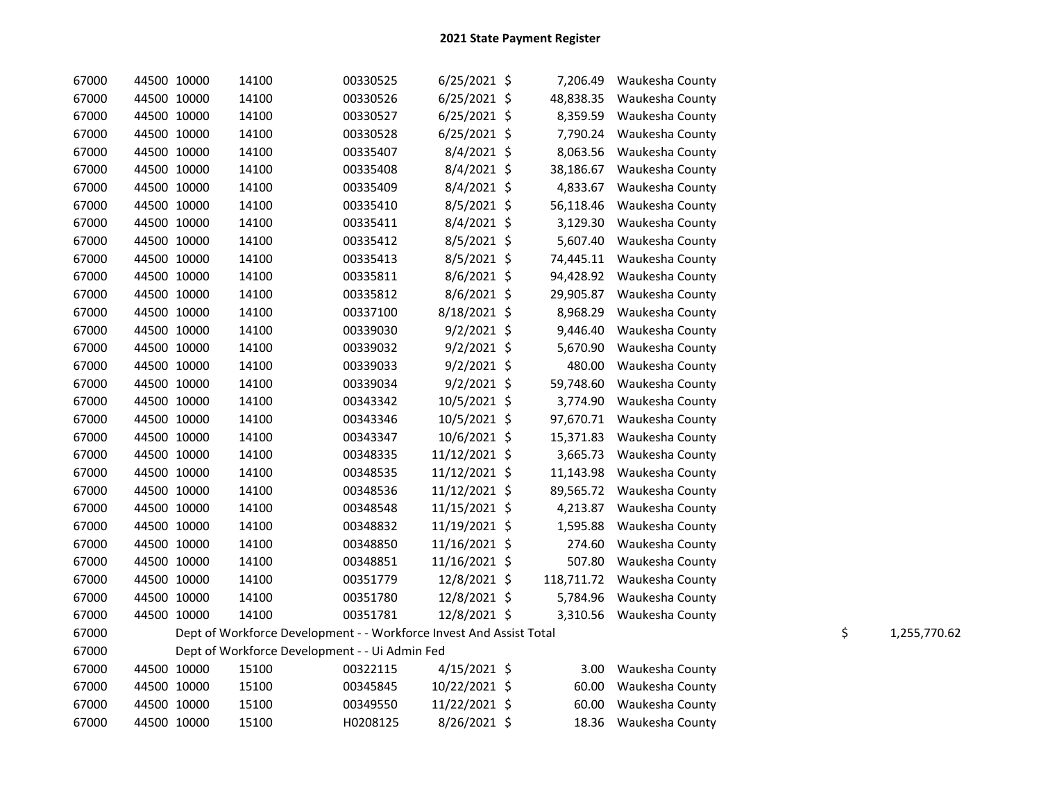| 67000 | 44500 10000 | 14100                                                               | 00330525 | $6/25/2021$ \$ | 7,206.49  | Waukesha County            |    |              |
|-------|-------------|---------------------------------------------------------------------|----------|----------------|-----------|----------------------------|----|--------------|
| 67000 | 44500 10000 | 14100                                                               | 00330526 | $6/25/2021$ \$ | 48,838.35 | Waukesha County            |    |              |
| 67000 | 44500 10000 | 14100                                                               | 00330527 | $6/25/2021$ \$ | 8,359.59  | Waukesha County            |    |              |
| 67000 | 44500 10000 | 14100                                                               | 00330528 | $6/25/2021$ \$ | 7,790.24  | Waukesha County            |    |              |
| 67000 | 44500 10000 | 14100                                                               | 00335407 | $8/4/2021$ \$  | 8,063.56  | Waukesha County            |    |              |
| 67000 | 44500 10000 | 14100                                                               | 00335408 | 8/4/2021 \$    | 38,186.67 | Waukesha County            |    |              |
| 67000 | 44500 10000 | 14100                                                               | 00335409 | 8/4/2021 \$    | 4,833.67  | Waukesha County            |    |              |
| 67000 | 44500 10000 | 14100                                                               | 00335410 | 8/5/2021 \$    | 56,118.46 | Waukesha County            |    |              |
| 67000 | 44500 10000 | 14100                                                               | 00335411 | 8/4/2021 \$    | 3,129.30  | Waukesha County            |    |              |
| 67000 | 44500 10000 | 14100                                                               | 00335412 | 8/5/2021 \$    | 5,607.40  | Waukesha County            |    |              |
| 67000 | 44500 10000 | 14100                                                               | 00335413 | 8/5/2021 \$    | 74,445.11 | Waukesha County            |    |              |
| 67000 | 44500 10000 | 14100                                                               | 00335811 | 8/6/2021 \$    | 94,428.92 | Waukesha County            |    |              |
| 67000 | 44500 10000 | 14100                                                               | 00335812 | 8/6/2021 \$    | 29,905.87 | Waukesha County            |    |              |
| 67000 | 44500 10000 | 14100                                                               | 00337100 | 8/18/2021 \$   | 8,968.29  | Waukesha County            |    |              |
| 67000 | 44500 10000 | 14100                                                               | 00339030 | $9/2/2021$ \$  | 9,446.40  | Waukesha County            |    |              |
| 67000 | 44500 10000 | 14100                                                               | 00339032 | $9/2/2021$ \$  | 5,670.90  | Waukesha County            |    |              |
| 67000 | 44500 10000 | 14100                                                               | 00339033 | $9/2/2021$ \$  | 480.00    | Waukesha County            |    |              |
| 67000 | 44500 10000 | 14100                                                               | 00339034 | $9/2/2021$ \$  | 59,748.60 | Waukesha County            |    |              |
| 67000 | 44500 10000 | 14100                                                               | 00343342 | $10/5/2021$ \$ | 3,774.90  | Waukesha County            |    |              |
| 67000 | 44500 10000 | 14100                                                               | 00343346 | 10/5/2021 \$   | 97,670.71 | Waukesha County            |    |              |
| 67000 | 44500 10000 | 14100                                                               | 00343347 | 10/6/2021 \$   | 15,371.83 | Waukesha County            |    |              |
| 67000 | 44500 10000 | 14100                                                               | 00348335 | 11/12/2021 \$  | 3,665.73  | Waukesha County            |    |              |
| 67000 | 44500 10000 | 14100                                                               | 00348535 | 11/12/2021 \$  | 11,143.98 | Waukesha County            |    |              |
| 67000 | 44500 10000 | 14100                                                               | 00348536 | 11/12/2021 \$  | 89,565.72 | Waukesha County            |    |              |
| 67000 | 44500 10000 | 14100                                                               | 00348548 | 11/15/2021 \$  | 4,213.87  | Waukesha County            |    |              |
| 67000 | 44500 10000 | 14100                                                               | 00348832 | 11/19/2021 \$  | 1,595.88  | Waukesha County            |    |              |
| 67000 | 44500 10000 | 14100                                                               | 00348850 | 11/16/2021 \$  | 274.60    | Waukesha County            |    |              |
| 67000 | 44500 10000 | 14100                                                               | 00348851 | 11/16/2021 \$  | 507.80    | Waukesha County            |    |              |
| 67000 | 44500 10000 | 14100                                                               | 00351779 | 12/8/2021 \$   |           | 118,711.72 Waukesha County |    |              |
| 67000 | 44500 10000 | 14100                                                               | 00351780 | 12/8/2021 \$   | 5,784.96  | Waukesha County            |    |              |
| 67000 | 44500 10000 | 14100                                                               | 00351781 | 12/8/2021 \$   |           | 3,310.56 Waukesha County   |    |              |
| 67000 |             | Dept of Workforce Development - - Workforce Invest And Assist Total |          |                |           |                            | \$ | 1,255,770.62 |
| 67000 |             | Dept of Workforce Development - - Ui Admin Fed                      |          |                |           |                            |    |              |
| 67000 | 44500 10000 | 15100                                                               | 00322115 | $4/15/2021$ \$ |           | 3.00 Waukesha County       |    |              |
| 67000 | 44500 10000 | 15100                                                               | 00345845 | 10/22/2021 \$  | 60.00     | Waukesha County            |    |              |
| 67000 | 44500 10000 | 15100                                                               | 00349550 | 11/22/2021 \$  | 60.00     | Waukesha County            |    |              |
| 67000 | 44500 10000 | 15100                                                               | H0208125 | 8/26/2021 \$   |           | 18.36 Waukesha County      |    |              |
|       |             |                                                                     |          |                |           |                            |    |              |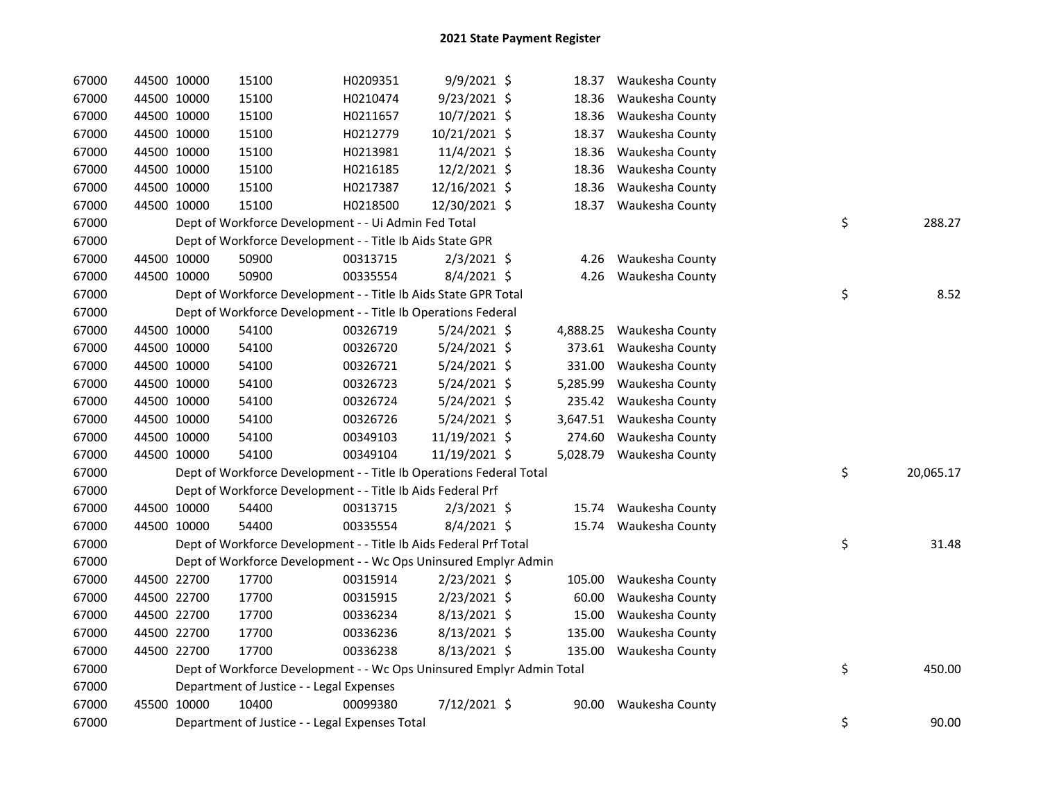| 67000 |             | 44500 10000 | 15100                                                                 | H0209351 | 9/9/2021 \$    |        | 18.37 Waukesha County    |                 |
|-------|-------------|-------------|-----------------------------------------------------------------------|----------|----------------|--------|--------------------------|-----------------|
| 67000 |             | 44500 10000 | 15100                                                                 | H0210474 | 9/23/2021 \$   | 18.36  | Waukesha County          |                 |
| 67000 |             | 44500 10000 | 15100                                                                 | H0211657 | 10/7/2021 \$   | 18.36  | Waukesha County          |                 |
| 67000 |             | 44500 10000 | 15100                                                                 | H0212779 | 10/21/2021 \$  | 18.37  | Waukesha County          |                 |
| 67000 |             | 44500 10000 | 15100                                                                 | H0213981 | 11/4/2021 \$   | 18.36  | Waukesha County          |                 |
| 67000 |             | 44500 10000 | 15100                                                                 | H0216185 | 12/2/2021 \$   | 18.36  | Waukesha County          |                 |
| 67000 |             | 44500 10000 | 15100                                                                 | H0217387 | 12/16/2021 \$  | 18.36  | Waukesha County          |                 |
| 67000 |             | 44500 10000 | 15100                                                                 | H0218500 | 12/30/2021 \$  |        | 18.37 Waukesha County    |                 |
| 67000 |             |             | Dept of Workforce Development - - Ui Admin Fed Total                  |          |                |        |                          | \$<br>288.27    |
| 67000 |             |             | Dept of Workforce Development - - Title Ib Aids State GPR             |          |                |        |                          |                 |
| 67000 |             | 44500 10000 | 50900                                                                 | 00313715 | $2/3/2021$ \$  |        | 4.26 Waukesha County     |                 |
| 67000 |             | 44500 10000 | 50900                                                                 | 00335554 | 8/4/2021 \$    |        | 4.26 Waukesha County     |                 |
| 67000 |             |             | Dept of Workforce Development - - Title Ib Aids State GPR Total       |          |                |        |                          | \$<br>8.52      |
| 67000 |             |             | Dept of Workforce Development - - Title Ib Operations Federal         |          |                |        |                          |                 |
| 67000 |             | 44500 10000 | 54100                                                                 | 00326719 | 5/24/2021 \$   |        | 4,888.25 Waukesha County |                 |
| 67000 |             | 44500 10000 | 54100                                                                 | 00326720 | 5/24/2021 \$   |        | 373.61 Waukesha County   |                 |
| 67000 |             | 44500 10000 | 54100                                                                 | 00326721 | 5/24/2021 \$   | 331.00 | Waukesha County          |                 |
| 67000 | 44500 10000 |             | 54100                                                                 | 00326723 | 5/24/2021 \$   |        | 5,285.99 Waukesha County |                 |
| 67000 |             | 44500 10000 | 54100                                                                 | 00326724 | $5/24/2021$ \$ |        | 235.42 Waukesha County   |                 |
| 67000 |             | 44500 10000 | 54100                                                                 | 00326726 | 5/24/2021 \$   |        | 3,647.51 Waukesha County |                 |
| 67000 |             | 44500 10000 | 54100                                                                 | 00349103 | 11/19/2021 \$  |        | 274.60 Waukesha County   |                 |
| 67000 |             | 44500 10000 | 54100                                                                 | 00349104 | 11/19/2021 \$  |        | 5,028.79 Waukesha County |                 |
| 67000 |             |             | Dept of Workforce Development - - Title Ib Operations Federal Total   |          |                |        |                          | \$<br>20,065.17 |
| 67000 |             |             | Dept of Workforce Development - - Title Ib Aids Federal Prf           |          |                |        |                          |                 |
| 67000 |             | 44500 10000 | 54400                                                                 | 00313715 | $2/3/2021$ \$  |        | 15.74 Waukesha County    |                 |
| 67000 |             | 44500 10000 | 54400                                                                 | 00335554 | $8/4/2021$ \$  |        | 15.74 Waukesha County    |                 |
| 67000 |             |             | Dept of Workforce Development - - Title Ib Aids Federal Prf Total     |          |                |        |                          | \$<br>31.48     |
| 67000 |             |             | Dept of Workforce Development - - Wc Ops Uninsured Emplyr Admin       |          |                |        |                          |                 |
| 67000 |             | 44500 22700 | 17700                                                                 | 00315914 | $2/23/2021$ \$ | 105.00 | Waukesha County          |                 |
| 67000 |             | 44500 22700 | 17700                                                                 | 00315915 | 2/23/2021 \$   | 60.00  | Waukesha County          |                 |
| 67000 |             | 44500 22700 | 17700                                                                 | 00336234 | $8/13/2021$ \$ | 15.00  | Waukesha County          |                 |
| 67000 |             | 44500 22700 | 17700                                                                 | 00336236 | 8/13/2021 \$   | 135.00 | Waukesha County          |                 |
| 67000 | 44500 22700 |             | 17700                                                                 | 00336238 | 8/13/2021 \$   | 135.00 | Waukesha County          |                 |
| 67000 |             |             | Dept of Workforce Development - - Wc Ops Uninsured Emplyr Admin Total |          |                |        |                          | \$<br>450.00    |
| 67000 |             |             | Department of Justice - - Legal Expenses                              |          |                |        |                          |                 |
| 67000 |             | 45500 10000 | 10400                                                                 | 00099380 | 7/12/2021 \$   | 90.00  | Waukesha County          |                 |
| 67000 |             |             | Department of Justice - - Legal Expenses Total                        |          |                |        |                          | \$<br>90.00     |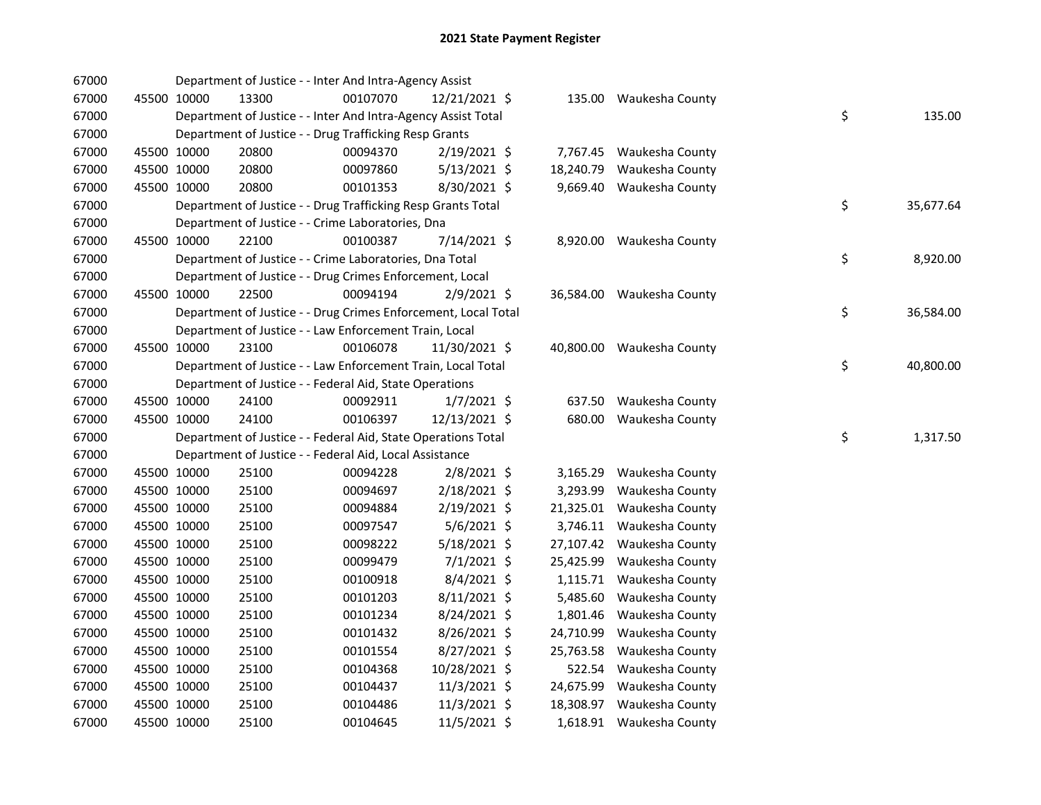| 67000 |             |             | Department of Justice - - Inter And Intra-Agency Assist        |          |                |           |                           |    |           |
|-------|-------------|-------------|----------------------------------------------------------------|----------|----------------|-----------|---------------------------|----|-----------|
| 67000 |             | 45500 10000 | 13300                                                          | 00107070 | 12/21/2021 \$  |           | 135.00 Waukesha County    |    |           |
| 67000 |             |             | Department of Justice - - Inter And Intra-Agency Assist Total  |          |                |           |                           | \$ | 135.00    |
| 67000 |             |             | Department of Justice - - Drug Trafficking Resp Grants         |          |                |           |                           |    |           |
| 67000 | 45500 10000 |             | 20800                                                          | 00094370 | 2/19/2021 \$   |           | 7,767.45 Waukesha County  |    |           |
| 67000 | 45500 10000 |             | 20800                                                          | 00097860 | $5/13/2021$ \$ | 18,240.79 | Waukesha County           |    |           |
| 67000 |             | 45500 10000 | 20800                                                          | 00101353 | 8/30/2021 \$   |           | 9,669.40 Waukesha County  |    |           |
| 67000 |             |             | Department of Justice - - Drug Trafficking Resp Grants Total   |          |                |           |                           | \$ | 35,677.64 |
| 67000 |             |             | Department of Justice - - Crime Laboratories, Dna              |          |                |           |                           |    |           |
| 67000 |             | 45500 10000 | 22100                                                          | 00100387 | 7/14/2021 \$   |           | 8,920.00 Waukesha County  |    |           |
| 67000 |             |             | Department of Justice - - Crime Laboratories, Dna Total        |          |                |           |                           | \$ | 8,920.00  |
| 67000 |             |             | Department of Justice - - Drug Crimes Enforcement, Local       |          |                |           |                           |    |           |
| 67000 |             | 45500 10000 | 22500                                                          | 00094194 | 2/9/2021 \$    |           | 36,584.00 Waukesha County |    |           |
| 67000 |             |             | Department of Justice - - Drug Crimes Enforcement, Local Total |          |                |           |                           | \$ | 36,584.00 |
| 67000 |             |             | Department of Justice - - Law Enforcement Train, Local         |          |                |           |                           |    |           |
| 67000 |             | 45500 10000 | 23100                                                          | 00106078 | 11/30/2021 \$  |           | 40,800.00 Waukesha County |    |           |
| 67000 |             |             | Department of Justice - - Law Enforcement Train, Local Total   |          |                |           |                           | \$ | 40,800.00 |
| 67000 |             |             | Department of Justice - - Federal Aid, State Operations        |          |                |           |                           |    |           |
| 67000 | 45500 10000 |             | 24100                                                          | 00092911 | $1/7/2021$ \$  |           | 637.50 Waukesha County    |    |           |
| 67000 |             | 45500 10000 | 24100                                                          | 00106397 | 12/13/2021 \$  |           | 680.00 Waukesha County    |    |           |
| 67000 |             |             | Department of Justice - - Federal Aid, State Operations Total  |          |                |           |                           | \$ | 1,317.50  |
| 67000 |             |             | Department of Justice - - Federal Aid, Local Assistance        |          |                |           |                           |    |           |
| 67000 | 45500 10000 |             | 25100                                                          | 00094228 | $2/8/2021$ \$  |           | 3,165.29 Waukesha County  |    |           |
| 67000 | 45500 10000 |             | 25100                                                          | 00094697 | 2/18/2021 \$   | 3,293.99  | Waukesha County           |    |           |
| 67000 | 45500 10000 |             | 25100                                                          | 00094884 | 2/19/2021 \$   | 21,325.01 | Waukesha County           |    |           |
| 67000 |             | 45500 10000 | 25100                                                          | 00097547 | $5/6/2021$ \$  |           | 3,746.11 Waukesha County  |    |           |
| 67000 |             | 45500 10000 | 25100                                                          | 00098222 | 5/18/2021 \$   | 27,107.42 | Waukesha County           |    |           |
| 67000 | 45500 10000 |             | 25100                                                          | 00099479 | $7/1/2021$ \$  | 25,425.99 | Waukesha County           |    |           |
| 67000 | 45500 10000 |             | 25100                                                          | 00100918 | 8/4/2021 \$    | 1,115.71  | Waukesha County           |    |           |
| 67000 | 45500 10000 |             | 25100                                                          | 00101203 | 8/11/2021 \$   | 5,485.60  | Waukesha County           |    |           |
| 67000 |             | 45500 10000 | 25100                                                          | 00101234 | 8/24/2021 \$   | 1,801.46  | Waukesha County           |    |           |
| 67000 |             | 45500 10000 | 25100                                                          | 00101432 | 8/26/2021 \$   | 24,710.99 | Waukesha County           |    |           |
| 67000 |             | 45500 10000 | 25100                                                          | 00101554 | 8/27/2021 \$   | 25,763.58 | Waukesha County           |    |           |
| 67000 |             | 45500 10000 | 25100                                                          | 00104368 | 10/28/2021 \$  | 522.54    | Waukesha County           |    |           |
| 67000 |             | 45500 10000 | 25100                                                          | 00104437 | $11/3/2021$ \$ | 24,675.99 | Waukesha County           |    |           |
| 67000 |             | 45500 10000 | 25100                                                          | 00104486 | 11/3/2021 \$   | 18,308.97 | Waukesha County           |    |           |
| 67000 |             | 45500 10000 | 25100                                                          | 00104645 | 11/5/2021 \$   |           | 1,618.91 Waukesha County  |    |           |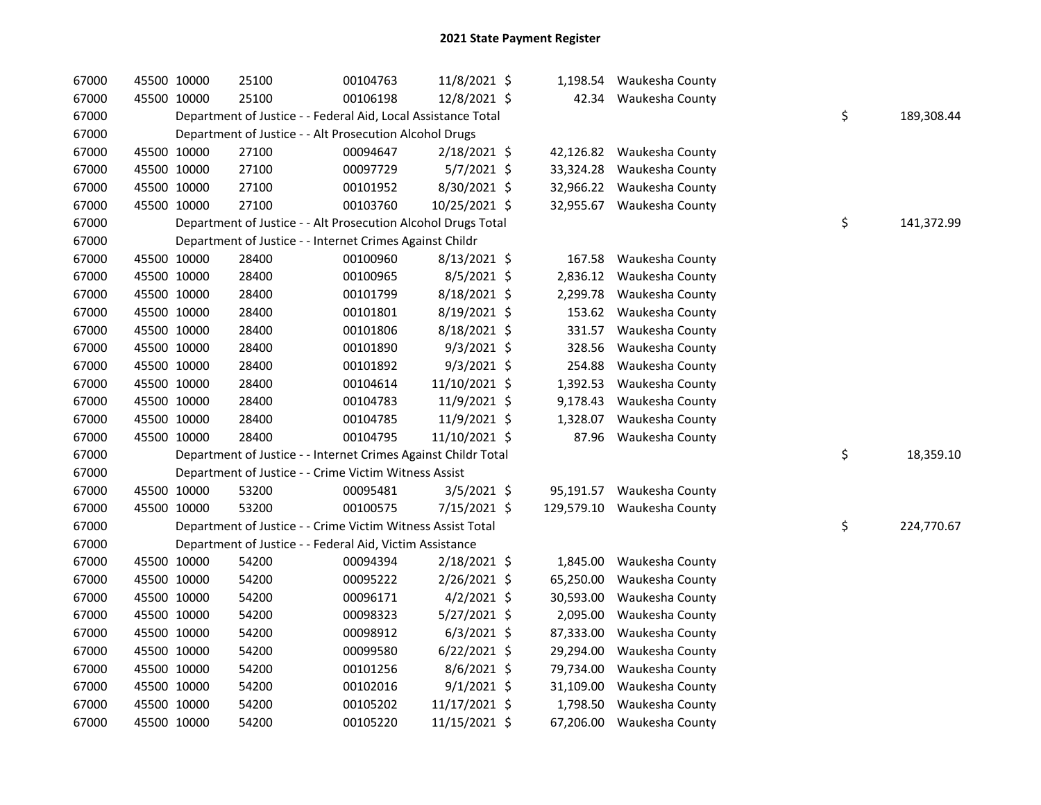| 67000 | 45500 10000 | 25100                                                          | 00104763 | 11/8/2021 \$   |           | 1,198.54 Waukesha County   |    |            |
|-------|-------------|----------------------------------------------------------------|----------|----------------|-----------|----------------------------|----|------------|
| 67000 | 45500 10000 | 25100                                                          | 00106198 | 12/8/2021 \$   |           | 42.34 Waukesha County      |    |            |
| 67000 |             | Department of Justice - - Federal Aid, Local Assistance Total  |          |                |           |                            | \$ | 189,308.44 |
| 67000 |             | Department of Justice - - Alt Prosecution Alcohol Drugs        |          |                |           |                            |    |            |
| 67000 | 45500 10000 | 27100                                                          | 00094647 | 2/18/2021 \$   | 42,126.82 | Waukesha County            |    |            |
| 67000 | 45500 10000 | 27100                                                          | 00097729 | $5/7/2021$ \$  | 33,324.28 | Waukesha County            |    |            |
| 67000 | 45500 10000 | 27100                                                          | 00101952 | 8/30/2021 \$   | 32,966.22 | Waukesha County            |    |            |
| 67000 | 45500 10000 | 27100                                                          | 00103760 | 10/25/2021 \$  |           | 32,955.67 Waukesha County  |    |            |
| 67000 |             | Department of Justice - - Alt Prosecution Alcohol Drugs Total  |          |                |           |                            | \$ | 141,372.99 |
| 67000 |             | Department of Justice - - Internet Crimes Against Childr       |          |                |           |                            |    |            |
| 67000 | 45500 10000 | 28400                                                          | 00100960 | $8/13/2021$ \$ | 167.58    | Waukesha County            |    |            |
| 67000 | 45500 10000 | 28400                                                          | 00100965 | 8/5/2021 \$    | 2,836.12  | Waukesha County            |    |            |
| 67000 | 45500 10000 | 28400                                                          | 00101799 | 8/18/2021 \$   | 2,299.78  | Waukesha County            |    |            |
| 67000 | 45500 10000 | 28400                                                          | 00101801 | 8/19/2021 \$   |           | 153.62 Waukesha County     |    |            |
| 67000 | 45500 10000 | 28400                                                          | 00101806 | 8/18/2021 \$   | 331.57    | Waukesha County            |    |            |
| 67000 | 45500 10000 | 28400                                                          | 00101890 | 9/3/2021 \$    | 328.56    | Waukesha County            |    |            |
| 67000 | 45500 10000 | 28400                                                          | 00101892 | $9/3/2021$ \$  | 254.88    | Waukesha County            |    |            |
| 67000 | 45500 10000 | 28400                                                          | 00104614 | 11/10/2021 \$  | 1,392.53  | Waukesha County            |    |            |
| 67000 | 45500 10000 | 28400                                                          | 00104783 | 11/9/2021 \$   | 9,178.43  | Waukesha County            |    |            |
| 67000 | 45500 10000 | 28400                                                          | 00104785 | 11/9/2021 \$   | 1,328.07  | Waukesha County            |    |            |
| 67000 | 45500 10000 | 28400                                                          | 00104795 | 11/10/2021 \$  | 87.96     | Waukesha County            |    |            |
| 67000 |             | Department of Justice - - Internet Crimes Against Childr Total |          |                |           |                            | \$ | 18,359.10  |
| 67000 |             | Department of Justice - - Crime Victim Witness Assist          |          |                |           |                            |    |            |
| 67000 | 45500 10000 | 53200                                                          | 00095481 | $3/5/2021$ \$  | 95,191.57 | Waukesha County            |    |            |
| 67000 | 45500 10000 | 53200                                                          | 00100575 | 7/15/2021 \$   |           | 129,579.10 Waukesha County |    |            |
| 67000 |             | Department of Justice - - Crime Victim Witness Assist Total    |          |                |           |                            | \$ | 224,770.67 |
| 67000 |             | Department of Justice - - Federal Aid, Victim Assistance       |          |                |           |                            |    |            |
| 67000 | 45500 10000 | 54200                                                          | 00094394 | 2/18/2021 \$   | 1,845.00  | Waukesha County            |    |            |
| 67000 | 45500 10000 | 54200                                                          | 00095222 | 2/26/2021 \$   | 65,250.00 | Waukesha County            |    |            |
| 67000 | 45500 10000 | 54200                                                          | 00096171 | $4/2/2021$ \$  | 30,593.00 | Waukesha County            |    |            |
| 67000 | 45500 10000 | 54200                                                          | 00098323 | 5/27/2021 \$   | 2,095.00  | Waukesha County            |    |            |
| 67000 | 45500 10000 | 54200                                                          | 00098912 | $6/3/2021$ \$  | 87,333.00 | Waukesha County            |    |            |
| 67000 | 45500 10000 | 54200                                                          | 00099580 | $6/22/2021$ \$ | 29,294.00 | Waukesha County            |    |            |
| 67000 | 45500 10000 | 54200                                                          | 00101256 | $8/6/2021$ \$  | 79,734.00 | Waukesha County            |    |            |
| 67000 | 45500 10000 | 54200                                                          | 00102016 | $9/1/2021$ \$  | 31,109.00 | Waukesha County            |    |            |
| 67000 | 45500 10000 | 54200                                                          | 00105202 | 11/17/2021 \$  | 1,798.50  | Waukesha County            |    |            |
| 67000 | 45500 10000 | 54200                                                          | 00105220 | 11/15/2021 \$  | 67,206.00 | Waukesha County            |    |            |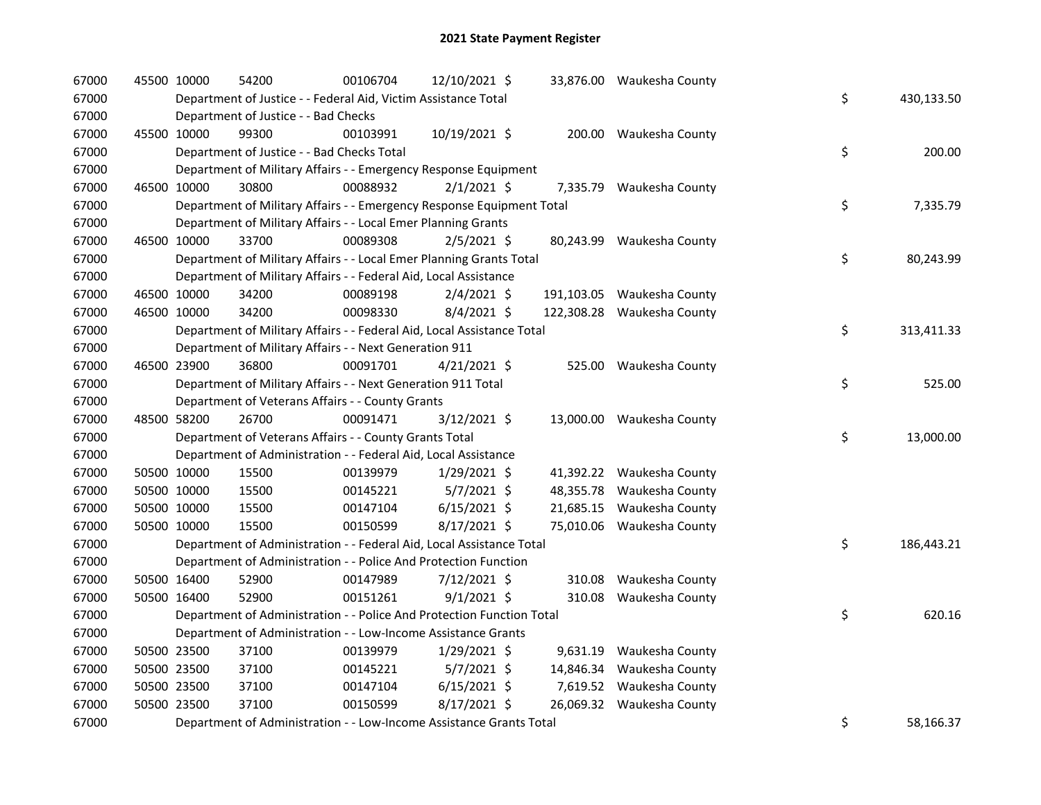| 67000 | 45500 10000 | 54200                                                                  | 00106704 | 12/10/2021 \$  |           | 33,876.00 Waukesha County  |    |            |
|-------|-------------|------------------------------------------------------------------------|----------|----------------|-----------|----------------------------|----|------------|
| 67000 |             | Department of Justice - - Federal Aid, Victim Assistance Total         |          |                |           |                            | \$ | 430,133.50 |
| 67000 |             | Department of Justice - - Bad Checks                                   |          |                |           |                            |    |            |
| 67000 | 45500 10000 | 99300                                                                  | 00103991 | 10/19/2021 \$  |           | 200.00 Waukesha County     |    |            |
| 67000 |             | Department of Justice - - Bad Checks Total                             |          |                |           |                            | \$ | 200.00     |
| 67000 |             | Department of Military Affairs - - Emergency Response Equipment        |          |                |           |                            |    |            |
| 67000 | 46500 10000 | 30800                                                                  | 00088932 | $2/1/2021$ \$  |           | 7,335.79 Waukesha County   |    |            |
| 67000 |             | Department of Military Affairs - - Emergency Response Equipment Total  |          |                |           |                            | \$ | 7,335.79   |
| 67000 |             | Department of Military Affairs - - Local Emer Planning Grants          |          |                |           |                            |    |            |
| 67000 | 46500 10000 | 33700                                                                  | 00089308 | $2/5/2021$ \$  |           | 80,243.99 Waukesha County  |    |            |
| 67000 |             | Department of Military Affairs - - Local Emer Planning Grants Total    |          |                |           |                            | \$ | 80,243.99  |
| 67000 |             | Department of Military Affairs - - Federal Aid, Local Assistance       |          |                |           |                            |    |            |
| 67000 | 46500 10000 | 34200                                                                  | 00089198 | $2/4/2021$ \$  |           | 191,103.05 Waukesha County |    |            |
| 67000 | 46500 10000 | 34200                                                                  | 00098330 | 8/4/2021 \$    |           | 122,308.28 Waukesha County |    |            |
| 67000 |             | Department of Military Affairs - - Federal Aid, Local Assistance Total |          |                |           |                            | \$ | 313,411.33 |
| 67000 |             | Department of Military Affairs - - Next Generation 911                 |          |                |           |                            |    |            |
| 67000 | 46500 23900 | 36800                                                                  | 00091701 | $4/21/2021$ \$ |           | 525.00 Waukesha County     |    |            |
| 67000 |             | Department of Military Affairs - - Next Generation 911 Total           |          |                |           |                            | \$ | 525.00     |
| 67000 |             | Department of Veterans Affairs - - County Grants                       |          |                |           |                            |    |            |
| 67000 | 48500 58200 | 26700                                                                  | 00091471 | 3/12/2021 \$   |           | 13,000.00 Waukesha County  |    |            |
| 67000 |             | Department of Veterans Affairs - - County Grants Total                 |          |                |           |                            | \$ | 13,000.00  |
| 67000 |             | Department of Administration - - Federal Aid, Local Assistance         |          |                |           |                            |    |            |
| 67000 | 50500 10000 | 15500                                                                  | 00139979 | $1/29/2021$ \$ |           | 41,392.22 Waukesha County  |    |            |
| 67000 | 50500 10000 | 15500                                                                  | 00145221 | $5/7/2021$ \$  | 48,355.78 | Waukesha County            |    |            |
| 67000 | 50500 10000 | 15500                                                                  | 00147104 | $6/15/2021$ \$ | 21,685.15 | Waukesha County            |    |            |
| 67000 | 50500 10000 | 15500                                                                  | 00150599 | 8/17/2021 \$   |           | 75,010.06 Waukesha County  |    |            |
| 67000 |             | Department of Administration - - Federal Aid, Local Assistance Total   |          |                |           |                            | \$ | 186,443.21 |
| 67000 |             | Department of Administration - - Police And Protection Function        |          |                |           |                            |    |            |
| 67000 | 50500 16400 | 52900                                                                  | 00147989 | 7/12/2021 \$   |           | 310.08 Waukesha County     |    |            |
| 67000 | 50500 16400 | 52900                                                                  | 00151261 | $9/1/2021$ \$  | 310.08    | Waukesha County            |    |            |
| 67000 |             | Department of Administration - - Police And Protection Function Total  |          |                |           |                            | \$ | 620.16     |
| 67000 |             | Department of Administration - - Low-Income Assistance Grants          |          |                |           |                            |    |            |
| 67000 | 50500 23500 | 37100                                                                  | 00139979 | $1/29/2021$ \$ |           | 9,631.19 Waukesha County   |    |            |
| 67000 | 50500 23500 | 37100                                                                  | 00145221 | $5/7/2021$ \$  |           | 14,846.34 Waukesha County  |    |            |
| 67000 | 50500 23500 | 37100                                                                  | 00147104 | $6/15/2021$ \$ |           | 7,619.52 Waukesha County   |    |            |
| 67000 | 50500 23500 | 37100                                                                  | 00150599 | 8/17/2021 \$   |           | 26,069.32 Waukesha County  |    |            |
| 67000 |             | Department of Administration - - Low-Income Assistance Grants Total    |          |                |           |                            | \$ | 58,166.37  |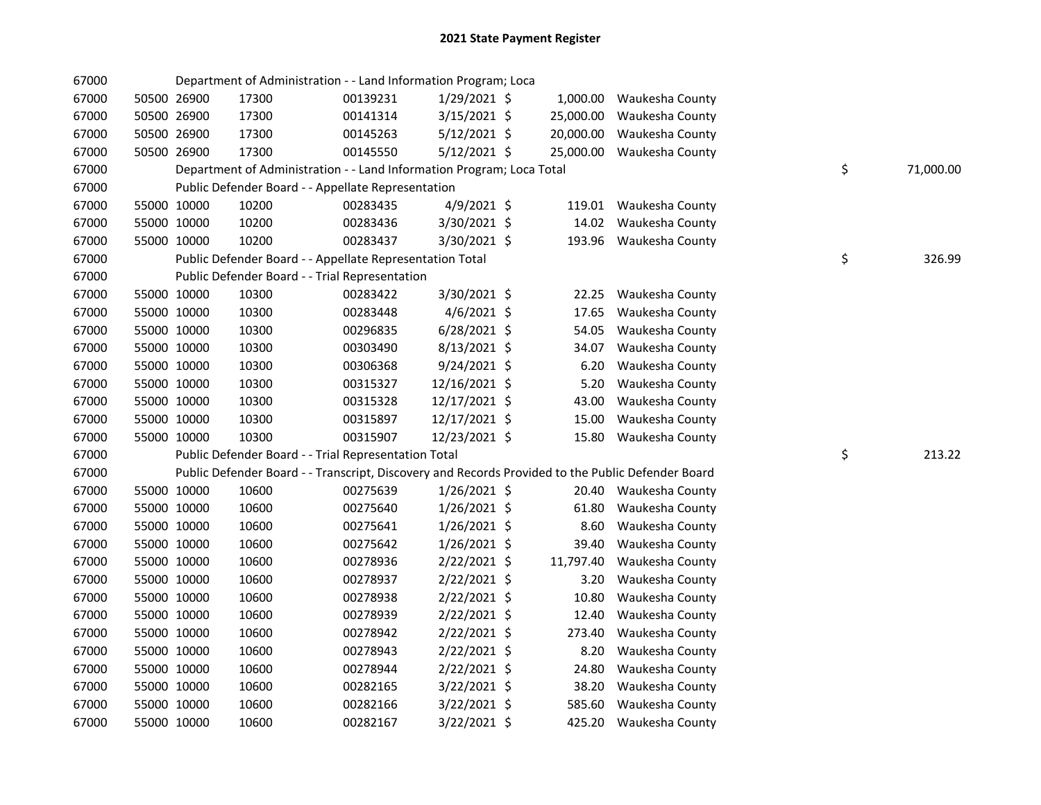| 67000 |             | Department of Administration - - Land Information Program; Loca       |          |                |           |                                                                                                   |    |           |
|-------|-------------|-----------------------------------------------------------------------|----------|----------------|-----------|---------------------------------------------------------------------------------------------------|----|-----------|
| 67000 | 50500 26900 | 17300                                                                 | 00139231 | 1/29/2021 \$   | 1,000.00  | Waukesha County                                                                                   |    |           |
| 67000 | 50500 26900 | 17300                                                                 | 00141314 | 3/15/2021 \$   | 25,000.00 | Waukesha County                                                                                   |    |           |
| 67000 | 50500 26900 | 17300                                                                 | 00145263 | $5/12/2021$ \$ | 20,000.00 | Waukesha County                                                                                   |    |           |
| 67000 | 50500 26900 | 17300                                                                 | 00145550 | $5/12/2021$ \$ | 25,000.00 | Waukesha County                                                                                   |    |           |
| 67000 |             | Department of Administration - - Land Information Program; Loca Total |          |                |           |                                                                                                   | \$ | 71,000.00 |
| 67000 |             | Public Defender Board - - Appellate Representation                    |          |                |           |                                                                                                   |    |           |
| 67000 | 55000 10000 | 10200                                                                 | 00283435 | 4/9/2021 \$    | 119.01    | Waukesha County                                                                                   |    |           |
| 67000 | 55000 10000 | 10200                                                                 | 00283436 | 3/30/2021 \$   | 14.02     | Waukesha County                                                                                   |    |           |
| 67000 | 55000 10000 | 10200                                                                 | 00283437 | 3/30/2021 \$   |           | 193.96 Waukesha County                                                                            |    |           |
| 67000 |             | Public Defender Board - - Appellate Representation Total              |          |                |           |                                                                                                   | \$ | 326.99    |
| 67000 |             | Public Defender Board - - Trial Representation                        |          |                |           |                                                                                                   |    |           |
| 67000 | 55000 10000 | 10300                                                                 | 00283422 | 3/30/2021 \$   | 22.25     | Waukesha County                                                                                   |    |           |
| 67000 | 55000 10000 | 10300                                                                 | 00283448 | $4/6/2021$ \$  | 17.65     | Waukesha County                                                                                   |    |           |
| 67000 | 55000 10000 | 10300                                                                 | 00296835 | $6/28/2021$ \$ | 54.05     | Waukesha County                                                                                   |    |           |
| 67000 | 55000 10000 | 10300                                                                 | 00303490 | $8/13/2021$ \$ | 34.07     | Waukesha County                                                                                   |    |           |
| 67000 | 55000 10000 | 10300                                                                 | 00306368 | $9/24/2021$ \$ | 6.20      | Waukesha County                                                                                   |    |           |
| 67000 | 55000 10000 | 10300                                                                 | 00315327 | 12/16/2021 \$  | 5.20      | Waukesha County                                                                                   |    |           |
| 67000 | 55000 10000 | 10300                                                                 | 00315328 | 12/17/2021 \$  | 43.00     | Waukesha County                                                                                   |    |           |
| 67000 | 55000 10000 | 10300                                                                 | 00315897 | 12/17/2021 \$  | 15.00     | Waukesha County                                                                                   |    |           |
| 67000 | 55000 10000 | 10300                                                                 | 00315907 | 12/23/2021 \$  | 15.80     | Waukesha County                                                                                   |    |           |
| 67000 |             | Public Defender Board - - Trial Representation Total                  |          |                |           |                                                                                                   | \$ | 213.22    |
| 67000 |             |                                                                       |          |                |           | Public Defender Board - - Transcript, Discovery and Records Provided to the Public Defender Board |    |           |
| 67000 | 55000 10000 | 10600                                                                 | 00275639 | $1/26/2021$ \$ |           | 20.40 Waukesha County                                                                             |    |           |
| 67000 | 55000 10000 | 10600                                                                 | 00275640 | $1/26/2021$ \$ | 61.80     | Waukesha County                                                                                   |    |           |
| 67000 | 55000 10000 | 10600                                                                 | 00275641 | $1/26/2021$ \$ | 8.60      | Waukesha County                                                                                   |    |           |
| 67000 | 55000 10000 | 10600                                                                 | 00275642 | $1/26/2021$ \$ | 39.40     | Waukesha County                                                                                   |    |           |
| 67000 | 55000 10000 | 10600                                                                 | 00278936 | 2/22/2021 \$   | 11,797.40 | Waukesha County                                                                                   |    |           |
| 67000 | 55000 10000 | 10600                                                                 | 00278937 | 2/22/2021 \$   | 3.20      | Waukesha County                                                                                   |    |           |
| 67000 | 55000 10000 | 10600                                                                 | 00278938 | 2/22/2021 \$   | 10.80     | Waukesha County                                                                                   |    |           |
| 67000 | 55000 10000 | 10600                                                                 | 00278939 | 2/22/2021 \$   | 12.40     | Waukesha County                                                                                   |    |           |
| 67000 | 55000 10000 | 10600                                                                 | 00278942 | 2/22/2021 \$   | 273.40    | Waukesha County                                                                                   |    |           |
| 67000 | 55000 10000 | 10600                                                                 | 00278943 | $2/22/2021$ \$ | 8.20      | Waukesha County                                                                                   |    |           |
| 67000 | 55000 10000 | 10600                                                                 | 00278944 | 2/22/2021 \$   | 24.80     | Waukesha County                                                                                   |    |           |
| 67000 | 55000 10000 | 10600                                                                 | 00282165 | 3/22/2021 \$   | 38.20     | Waukesha County                                                                                   |    |           |
| 67000 | 55000 10000 | 10600                                                                 | 00282166 | 3/22/2021 \$   | 585.60    | Waukesha County                                                                                   |    |           |
| 67000 | 55000 10000 | 10600                                                                 | 00282167 | $3/22/2021$ \$ | 425.20    | Waukesha County                                                                                   |    |           |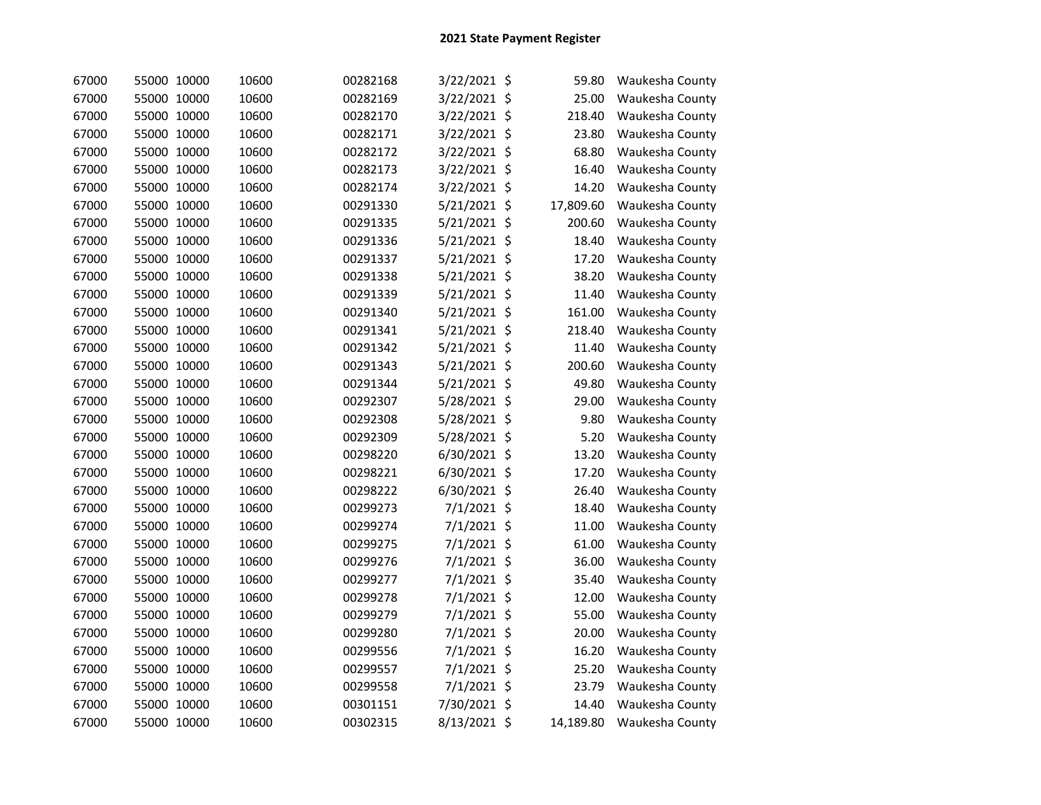| 67000 | 55000 10000 | 10600 | 00282168 | 3/22/2021 \$  | 59.80     | Waukesha County |
|-------|-------------|-------|----------|---------------|-----------|-----------------|
| 67000 | 55000 10000 | 10600 | 00282169 | 3/22/2021 \$  | 25.00     | Waukesha County |
| 67000 | 55000 10000 | 10600 | 00282170 | 3/22/2021 \$  | 218.40    | Waukesha County |
| 67000 | 55000 10000 | 10600 | 00282171 | 3/22/2021 \$  | 23.80     | Waukesha County |
| 67000 | 55000 10000 | 10600 | 00282172 | 3/22/2021 \$  | 68.80     | Waukesha County |
| 67000 | 55000 10000 | 10600 | 00282173 | 3/22/2021 \$  | 16.40     | Waukesha County |
| 67000 | 55000 10000 | 10600 | 00282174 | 3/22/2021 \$  | 14.20     | Waukesha County |
| 67000 | 55000 10000 | 10600 | 00291330 | 5/21/2021 \$  | 17,809.60 | Waukesha County |
| 67000 | 55000 10000 | 10600 | 00291335 | 5/21/2021 \$  | 200.60    | Waukesha County |
| 67000 | 55000 10000 | 10600 | 00291336 | 5/21/2021 \$  | 18.40     | Waukesha County |
| 67000 | 55000 10000 | 10600 | 00291337 | 5/21/2021 \$  | 17.20     | Waukesha County |
| 67000 | 55000 10000 | 10600 | 00291338 | 5/21/2021 \$  | 38.20     | Waukesha County |
| 67000 | 55000 10000 | 10600 | 00291339 | 5/21/2021 \$  | 11.40     | Waukesha County |
| 67000 | 55000 10000 | 10600 | 00291340 | 5/21/2021 \$  | 161.00    | Waukesha County |
| 67000 | 55000 10000 | 10600 | 00291341 | 5/21/2021 \$  | 218.40    | Waukesha County |
| 67000 | 55000 10000 | 10600 | 00291342 | 5/21/2021 \$  | 11.40     | Waukesha County |
| 67000 | 55000 10000 | 10600 | 00291343 | 5/21/2021 \$  | 200.60    | Waukesha County |
| 67000 | 55000 10000 | 10600 | 00291344 | 5/21/2021 \$  | 49.80     | Waukesha County |
| 67000 | 55000 10000 | 10600 | 00292307 | 5/28/2021 \$  | 29.00     | Waukesha County |
| 67000 | 55000 10000 | 10600 | 00292308 | 5/28/2021 \$  | 9.80      | Waukesha County |
| 67000 | 55000 10000 | 10600 | 00292309 | 5/28/2021 \$  | 5.20      | Waukesha County |
| 67000 | 55000 10000 | 10600 | 00298220 | 6/30/2021 \$  | 13.20     | Waukesha County |
| 67000 | 55000 10000 | 10600 | 00298221 | 6/30/2021 \$  | 17.20     | Waukesha County |
| 67000 | 55000 10000 | 10600 | 00298222 | 6/30/2021 \$  | 26.40     | Waukesha County |
| 67000 | 55000 10000 | 10600 | 00299273 | $7/1/2021$ \$ | 18.40     | Waukesha County |
| 67000 | 55000 10000 | 10600 | 00299274 | 7/1/2021 \$   | 11.00     | Waukesha County |
| 67000 | 55000 10000 | 10600 | 00299275 | 7/1/2021 \$   | 61.00     | Waukesha County |
| 67000 | 55000 10000 | 10600 | 00299276 | 7/1/2021 \$   | 36.00     | Waukesha County |
| 67000 | 55000 10000 | 10600 | 00299277 | 7/1/2021 \$   | 35.40     | Waukesha County |
| 67000 | 55000 10000 | 10600 | 00299278 | 7/1/2021 \$   | 12.00     | Waukesha County |
| 67000 | 55000 10000 | 10600 | 00299279 | 7/1/2021 \$   | 55.00     | Waukesha County |
| 67000 | 55000 10000 | 10600 | 00299280 | $7/1/2021$ \$ | 20.00     | Waukesha County |
| 67000 | 55000 10000 | 10600 | 00299556 | $7/1/2021$ \$ | 16.20     | Waukesha County |
| 67000 | 55000 10000 | 10600 | 00299557 | 7/1/2021 \$   | 25.20     | Waukesha County |
| 67000 | 55000 10000 | 10600 | 00299558 | 7/1/2021 \$   | 23.79     | Waukesha County |
| 67000 | 55000 10000 | 10600 | 00301151 | 7/30/2021 \$  | 14.40     | Waukesha County |
| 67000 | 55000 10000 | 10600 | 00302315 | 8/13/2021 \$  | 14,189.80 | Waukesha County |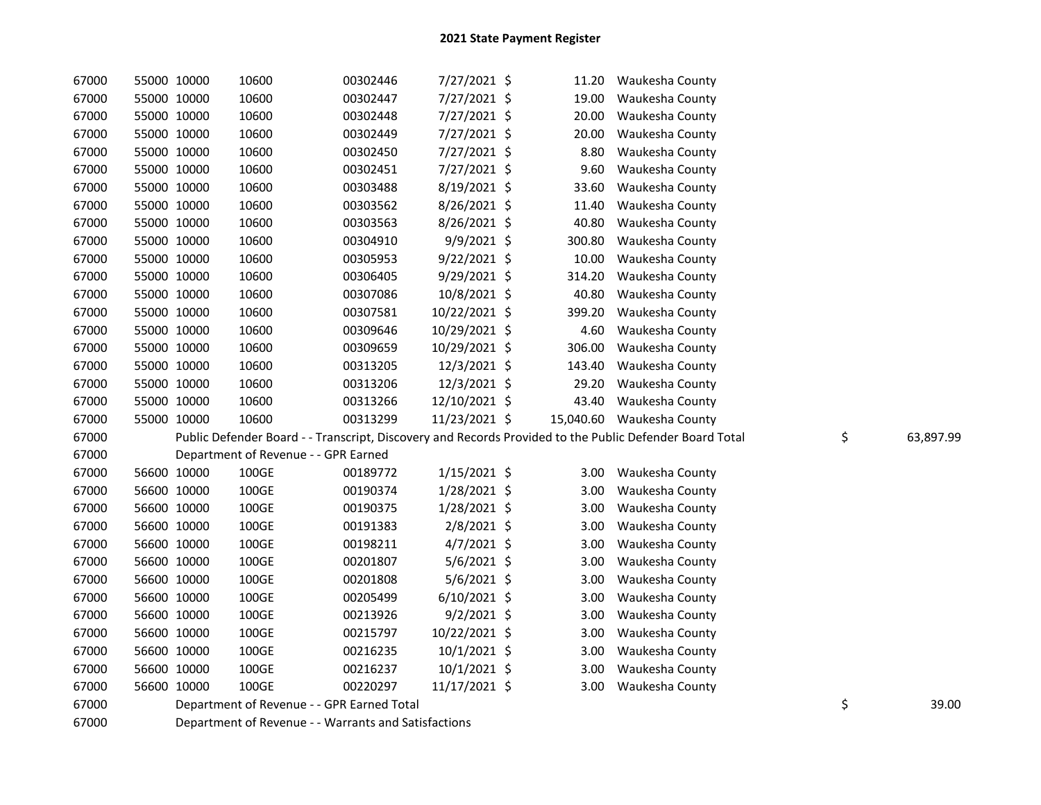| 67000 | 55000 10000 | 10600                                      | 00302446 | 7/27/2021 \$   | 11.20  | Waukesha County                                                                                         |                 |
|-------|-------------|--------------------------------------------|----------|----------------|--------|---------------------------------------------------------------------------------------------------------|-----------------|
| 67000 | 55000 10000 | 10600                                      | 00302447 | 7/27/2021 \$   | 19.00  | Waukesha County                                                                                         |                 |
| 67000 | 55000 10000 | 10600                                      | 00302448 | 7/27/2021 \$   | 20.00  | Waukesha County                                                                                         |                 |
| 67000 | 55000 10000 | 10600                                      | 00302449 | 7/27/2021 \$   | 20.00  | Waukesha County                                                                                         |                 |
| 67000 | 55000 10000 | 10600                                      | 00302450 | 7/27/2021 \$   | 8.80   | Waukesha County                                                                                         |                 |
| 67000 | 55000 10000 | 10600                                      | 00302451 | 7/27/2021 \$   | 9.60   | Waukesha County                                                                                         |                 |
| 67000 | 55000 10000 | 10600                                      | 00303488 | 8/19/2021 \$   | 33.60  | Waukesha County                                                                                         |                 |
| 67000 | 55000 10000 | 10600                                      | 00303562 | 8/26/2021 \$   | 11.40  | Waukesha County                                                                                         |                 |
| 67000 | 55000 10000 | 10600                                      | 00303563 | 8/26/2021 \$   | 40.80  | Waukesha County                                                                                         |                 |
| 67000 | 55000 10000 | 10600                                      | 00304910 | 9/9/2021 \$    | 300.80 | Waukesha County                                                                                         |                 |
| 67000 | 55000 10000 | 10600                                      | 00305953 | $9/22/2021$ \$ | 10.00  | Waukesha County                                                                                         |                 |
| 67000 | 55000 10000 | 10600                                      | 00306405 | 9/29/2021 \$   | 314.20 | Waukesha County                                                                                         |                 |
| 67000 | 55000 10000 | 10600                                      | 00307086 | 10/8/2021 \$   | 40.80  | Waukesha County                                                                                         |                 |
| 67000 | 55000 10000 | 10600                                      | 00307581 | 10/22/2021 \$  | 399.20 | Waukesha County                                                                                         |                 |
| 67000 | 55000 10000 | 10600                                      | 00309646 | 10/29/2021 \$  | 4.60   | Waukesha County                                                                                         |                 |
| 67000 | 55000 10000 | 10600                                      | 00309659 | 10/29/2021 \$  | 306.00 | Waukesha County                                                                                         |                 |
| 67000 | 55000 10000 | 10600                                      | 00313205 | 12/3/2021 \$   | 143.40 | Waukesha County                                                                                         |                 |
| 67000 | 55000 10000 | 10600                                      | 00313206 | 12/3/2021 \$   | 29.20  | Waukesha County                                                                                         |                 |
| 67000 | 55000 10000 | 10600                                      | 00313266 | 12/10/2021 \$  | 43.40  | Waukesha County                                                                                         |                 |
| 67000 | 55000 10000 | 10600                                      | 00313299 | 11/23/2021 \$  |        | 15,040.60 Waukesha County                                                                               |                 |
| 67000 |             |                                            |          |                |        | Public Defender Board - - Transcript, Discovery and Records Provided to the Public Defender Board Total | \$<br>63,897.99 |
| 67000 |             | Department of Revenue - - GPR Earned       |          |                |        |                                                                                                         |                 |
| 67000 | 56600 10000 | 100GE                                      | 00189772 | $1/15/2021$ \$ | 3.00   | Waukesha County                                                                                         |                 |
| 67000 | 56600 10000 | 100GE                                      | 00190374 | $1/28/2021$ \$ | 3.00   | Waukesha County                                                                                         |                 |
| 67000 | 56600 10000 | 100GE                                      | 00190375 | 1/28/2021 \$   | 3.00   | Waukesha County                                                                                         |                 |
| 67000 | 56600 10000 | 100GE                                      | 00191383 | 2/8/2021 \$    | 3.00   | Waukesha County                                                                                         |                 |
| 67000 | 56600 10000 | 100GE                                      | 00198211 | $4/7/2021$ \$  | 3.00   | Waukesha County                                                                                         |                 |
| 67000 | 56600 10000 | 100GE                                      | 00201807 | 5/6/2021 \$    | 3.00   | Waukesha County                                                                                         |                 |
| 67000 | 56600 10000 | 100GE                                      | 00201808 | $5/6/2021$ \$  | 3.00   | Waukesha County                                                                                         |                 |
| 67000 | 56600 10000 | 100GE                                      | 00205499 | $6/10/2021$ \$ | 3.00   | Waukesha County                                                                                         |                 |
| 67000 | 56600 10000 | 100GE                                      | 00213926 | $9/2/2021$ \$  | 3.00   | Waukesha County                                                                                         |                 |
| 67000 | 56600 10000 | 100GE                                      | 00215797 | 10/22/2021 \$  | 3.00   | Waukesha County                                                                                         |                 |
| 67000 | 56600 10000 | 100GE                                      | 00216235 | 10/1/2021 \$   | 3.00   | Waukesha County                                                                                         |                 |
| 67000 | 56600 10000 | 100GE                                      | 00216237 | 10/1/2021 \$   | 3.00   | Waukesha County                                                                                         |                 |
| 67000 | 56600 10000 | 100GE                                      | 00220297 | 11/17/2021 \$  | 3.00   | Waukesha County                                                                                         |                 |
| 67000 |             | Department of Revenue - - GPR Earned Total |          |                |        |                                                                                                         | \$<br>39.00     |
|       |             |                                            |          |                |        |                                                                                                         |                 |

67000 Department of Revenue - - Warrants and Satisfactions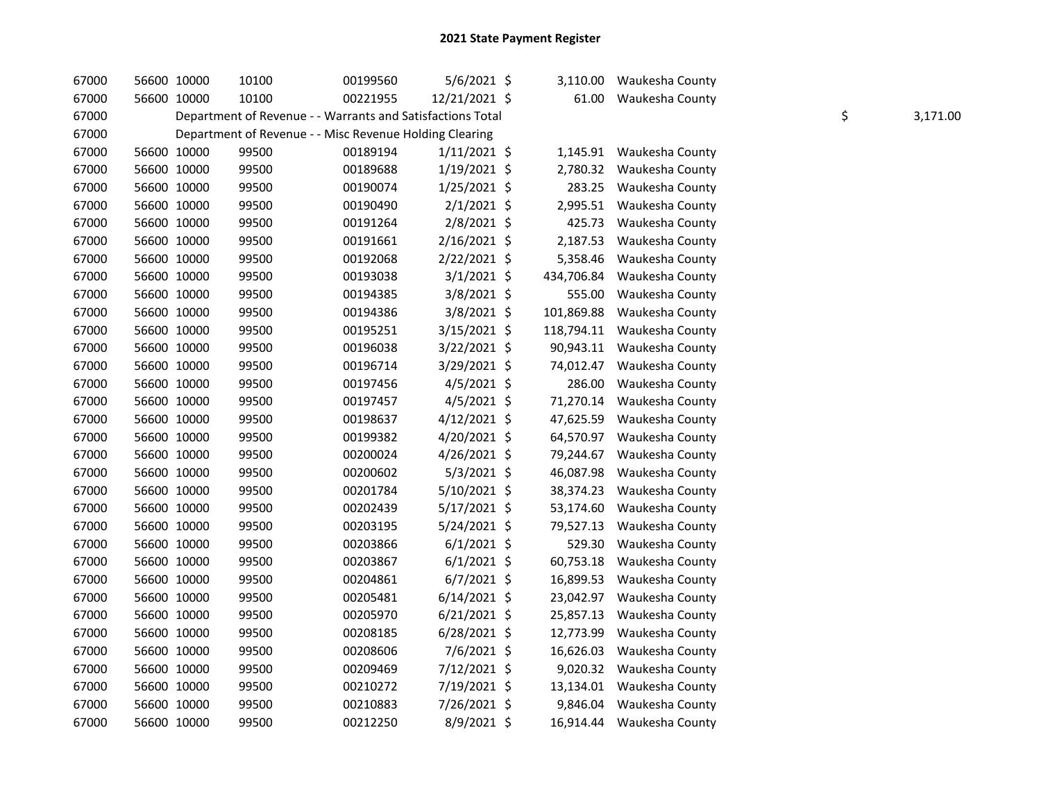| 67000 | 56600 10000 | 10100                                                      | 00199560 | $5/6/2021$ \$  | 3,110.00   | Waukesha County |    |          |
|-------|-------------|------------------------------------------------------------|----------|----------------|------------|-----------------|----|----------|
| 67000 | 56600 10000 | 10100                                                      | 00221955 | 12/21/2021 \$  | 61.00      | Waukesha County |    |          |
| 67000 |             | Department of Revenue - - Warrants and Satisfactions Total |          |                |            |                 | \$ | 3,171.00 |
| 67000 |             | Department of Revenue - - Misc Revenue Holding Clearing    |          |                |            |                 |    |          |
| 67000 | 56600 10000 | 99500                                                      | 00189194 | $1/11/2021$ \$ | 1,145.91   | Waukesha County |    |          |
| 67000 | 56600 10000 | 99500                                                      | 00189688 | $1/19/2021$ \$ | 2,780.32   | Waukesha County |    |          |
| 67000 | 56600 10000 | 99500                                                      | 00190074 | $1/25/2021$ \$ | 283.25     | Waukesha County |    |          |
| 67000 | 56600 10000 | 99500                                                      | 00190490 | $2/1/2021$ \$  | 2,995.51   | Waukesha County |    |          |
| 67000 | 56600 10000 | 99500                                                      | 00191264 | 2/8/2021 \$    | 425.73     | Waukesha County |    |          |
| 67000 | 56600 10000 | 99500                                                      | 00191661 | 2/16/2021 \$   | 2,187.53   | Waukesha County |    |          |
| 67000 | 56600 10000 | 99500                                                      | 00192068 | $2/22/2021$ \$ | 5,358.46   | Waukesha County |    |          |
| 67000 | 56600 10000 | 99500                                                      | 00193038 | $3/1/2021$ \$  | 434,706.84 | Waukesha County |    |          |
| 67000 | 56600 10000 | 99500                                                      | 00194385 | 3/8/2021 \$    | 555.00     | Waukesha County |    |          |
| 67000 | 56600 10000 | 99500                                                      | 00194386 | $3/8/2021$ \$  | 101,869.88 | Waukesha County |    |          |
| 67000 | 56600 10000 | 99500                                                      | 00195251 | 3/15/2021 \$   | 118,794.11 | Waukesha County |    |          |
| 67000 | 56600 10000 | 99500                                                      | 00196038 | 3/22/2021 \$   | 90,943.11  | Waukesha County |    |          |
| 67000 | 56600 10000 | 99500                                                      | 00196714 | 3/29/2021 \$   | 74,012.47  | Waukesha County |    |          |
| 67000 | 56600 10000 | 99500                                                      | 00197456 | $4/5/2021$ \$  | 286.00     | Waukesha County |    |          |
| 67000 | 56600 10000 | 99500                                                      | 00197457 | 4/5/2021 \$    | 71,270.14  | Waukesha County |    |          |
| 67000 | 56600 10000 | 99500                                                      | 00198637 | 4/12/2021 \$   | 47,625.59  | Waukesha County |    |          |
| 67000 | 56600 10000 | 99500                                                      | 00199382 | 4/20/2021 \$   | 64,570.97  | Waukesha County |    |          |
| 67000 | 56600 10000 | 99500                                                      | 00200024 | 4/26/2021 \$   | 79,244.67  | Waukesha County |    |          |
| 67000 | 56600 10000 | 99500                                                      | 00200602 | $5/3/2021$ \$  | 46,087.98  | Waukesha County |    |          |
| 67000 | 56600 10000 | 99500                                                      | 00201784 | 5/10/2021 \$   | 38,374.23  | Waukesha County |    |          |
| 67000 | 56600 10000 | 99500                                                      | 00202439 | $5/17/2021$ \$ | 53,174.60  | Waukesha County |    |          |
| 67000 | 56600 10000 | 99500                                                      | 00203195 | 5/24/2021 \$   | 79,527.13  | Waukesha County |    |          |
| 67000 | 56600 10000 | 99500                                                      | 00203866 | $6/1/2021$ \$  | 529.30     | Waukesha County |    |          |
| 67000 | 56600 10000 | 99500                                                      | 00203867 | $6/1/2021$ \$  | 60,753.18  | Waukesha County |    |          |
| 67000 | 56600 10000 | 99500                                                      | 00204861 | $6/7/2021$ \$  | 16,899.53  | Waukesha County |    |          |
| 67000 | 56600 10000 | 99500                                                      | 00205481 | $6/14/2021$ \$ | 23,042.97  | Waukesha County |    |          |
| 67000 | 56600 10000 | 99500                                                      | 00205970 | $6/21/2021$ \$ | 25,857.13  | Waukesha County |    |          |
| 67000 | 56600 10000 | 99500                                                      | 00208185 | $6/28/2021$ \$ | 12,773.99  | Waukesha County |    |          |
| 67000 | 56600 10000 | 99500                                                      | 00208606 | $7/6/2021$ \$  | 16,626.03  | Waukesha County |    |          |
| 67000 | 56600 10000 | 99500                                                      | 00209469 | 7/12/2021 \$   | 9,020.32   | Waukesha County |    |          |
| 67000 | 56600 10000 | 99500                                                      | 00210272 | 7/19/2021 \$   | 13,134.01  | Waukesha County |    |          |
| 67000 | 56600 10000 | 99500                                                      | 00210883 | 7/26/2021 \$   | 9,846.04   | Waukesha County |    |          |
| 67000 | 56600 10000 | 99500                                                      | 00212250 | $8/9/2021$ \$  | 16,914.44  | Waukesha County |    |          |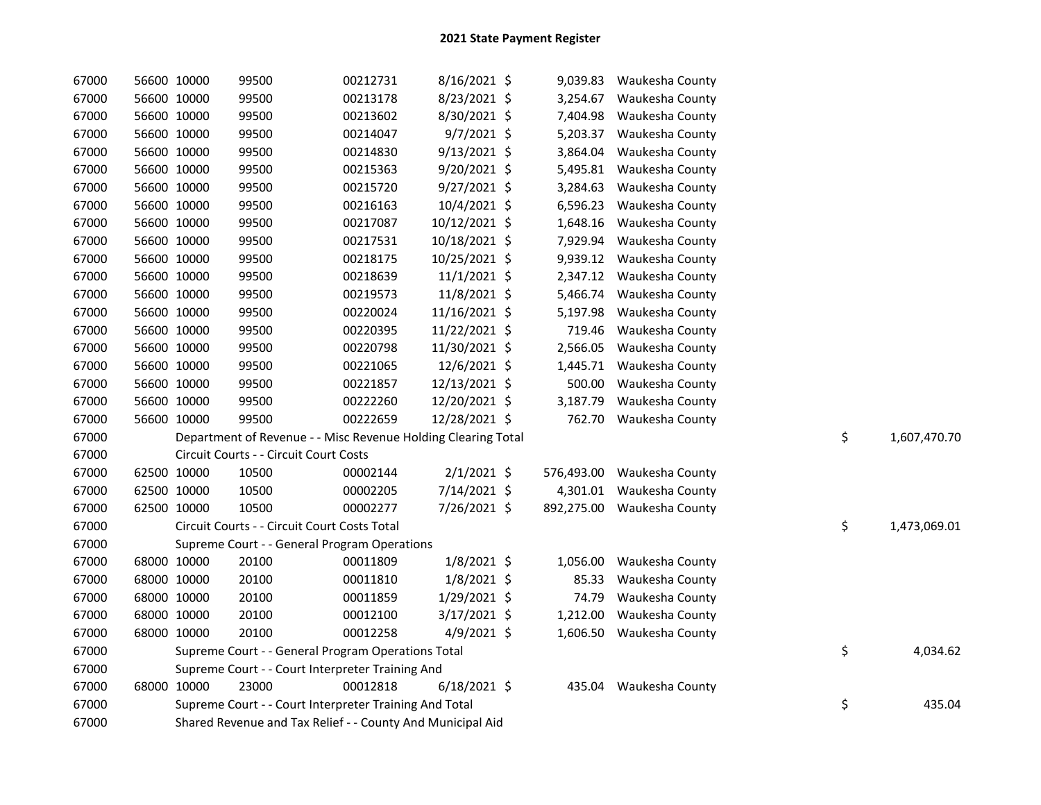| 67000 |             | 56600 10000 | 99500                                                         | 00212731 | 8/16/2021 \$   |          | 9,039.83 Waukesha County   |    |              |
|-------|-------------|-------------|---------------------------------------------------------------|----------|----------------|----------|----------------------------|----|--------------|
| 67000 | 56600 10000 |             | 99500                                                         | 00213178 | 8/23/2021 \$   | 3,254.67 | Waukesha County            |    |              |
| 67000 | 56600 10000 |             | 99500                                                         | 00213602 | 8/30/2021 \$   | 7,404.98 | Waukesha County            |    |              |
| 67000 | 56600 10000 |             | 99500                                                         | 00214047 | $9/7/2021$ \$  | 5,203.37 | Waukesha County            |    |              |
| 67000 | 56600 10000 |             | 99500                                                         | 00214830 | 9/13/2021 \$   | 3,864.04 | Waukesha County            |    |              |
| 67000 | 56600 10000 |             | 99500                                                         | 00215363 | 9/20/2021 \$   | 5,495.81 | Waukesha County            |    |              |
| 67000 | 56600 10000 |             | 99500                                                         | 00215720 | 9/27/2021 \$   | 3,284.63 | Waukesha County            |    |              |
| 67000 | 56600 10000 |             | 99500                                                         | 00216163 | 10/4/2021 \$   | 6,596.23 | Waukesha County            |    |              |
| 67000 |             | 56600 10000 | 99500                                                         | 00217087 | 10/12/2021 \$  | 1,648.16 | Waukesha County            |    |              |
| 67000 | 56600 10000 |             | 99500                                                         | 00217531 | 10/18/2021 \$  | 7,929.94 | Waukesha County            |    |              |
| 67000 |             | 56600 10000 | 99500                                                         | 00218175 | 10/25/2021 \$  | 9,939.12 | Waukesha County            |    |              |
| 67000 |             | 56600 10000 | 99500                                                         | 00218639 | $11/1/2021$ \$ | 2,347.12 | Waukesha County            |    |              |
| 67000 | 56600 10000 |             | 99500                                                         | 00219573 | 11/8/2021 \$   | 5,466.74 | Waukesha County            |    |              |
| 67000 |             | 56600 10000 | 99500                                                         | 00220024 | 11/16/2021 \$  | 5,197.98 | Waukesha County            |    |              |
| 67000 |             | 56600 10000 | 99500                                                         | 00220395 | 11/22/2021 \$  | 719.46   | Waukesha County            |    |              |
| 67000 |             | 56600 10000 | 99500                                                         | 00220798 | 11/30/2021 \$  | 2,566.05 | Waukesha County            |    |              |
| 67000 |             | 56600 10000 | 99500                                                         | 00221065 | 12/6/2021 \$   | 1,445.71 | Waukesha County            |    |              |
| 67000 |             | 56600 10000 | 99500                                                         | 00221857 | 12/13/2021 \$  | 500.00   | Waukesha County            |    |              |
| 67000 |             | 56600 10000 | 99500                                                         | 00222260 | 12/20/2021 \$  | 3,187.79 | Waukesha County            |    |              |
| 67000 |             | 56600 10000 | 99500                                                         | 00222659 | 12/28/2021 \$  |          | 762.70 Waukesha County     |    |              |
| 67000 |             |             | Department of Revenue - - Misc Revenue Holding Clearing Total |          |                |          |                            | \$ | 1,607,470.70 |
| 67000 |             |             | Circuit Courts - - Circuit Court Costs                        |          |                |          |                            |    |              |
| 67000 | 62500 10000 |             | 10500                                                         | 00002144 | $2/1/2021$ \$  |          | 576,493.00 Waukesha County |    |              |
| 67000 |             | 62500 10000 | 10500                                                         | 00002205 | 7/14/2021 \$   |          | 4,301.01 Waukesha County   |    |              |
| 67000 | 62500 10000 |             | 10500                                                         | 00002277 | 7/26/2021 \$   |          | 892,275.00 Waukesha County |    |              |
| 67000 |             |             | Circuit Courts - - Circuit Court Costs Total                  |          |                |          |                            | \$ | 1,473,069.01 |
| 67000 |             |             | Supreme Court - - General Program Operations                  |          |                |          |                            |    |              |
| 67000 |             | 68000 10000 | 20100                                                         | 00011809 | $1/8/2021$ \$  | 1,056.00 | Waukesha County            |    |              |
| 67000 |             | 68000 10000 | 20100                                                         | 00011810 | $1/8/2021$ \$  | 85.33    | Waukesha County            |    |              |
| 67000 |             | 68000 10000 | 20100                                                         | 00011859 | 1/29/2021 \$   | 74.79    | Waukesha County            |    |              |
| 67000 | 68000 10000 |             | 20100                                                         | 00012100 | $3/17/2021$ \$ | 1,212.00 | Waukesha County            |    |              |
| 67000 | 68000 10000 |             | 20100                                                         | 00012258 | $4/9/2021$ \$  | 1,606.50 | Waukesha County            |    |              |
| 67000 |             |             | Supreme Court - - General Program Operations Total            |          |                |          |                            | \$ | 4,034.62     |
| 67000 |             |             | Supreme Court - - Court Interpreter Training And              |          |                |          |                            |    |              |
| 67000 | 68000 10000 |             | 23000                                                         | 00012818 | $6/18/2021$ \$ | 435.04   | Waukesha County            |    |              |
| 67000 |             |             | Supreme Court - - Court Interpreter Training And Total        |          |                |          |                            | \$ | 435.04       |
| 67000 |             |             | Shared Revenue and Tax Relief - - County And Municipal Aid    |          |                |          |                            |    |              |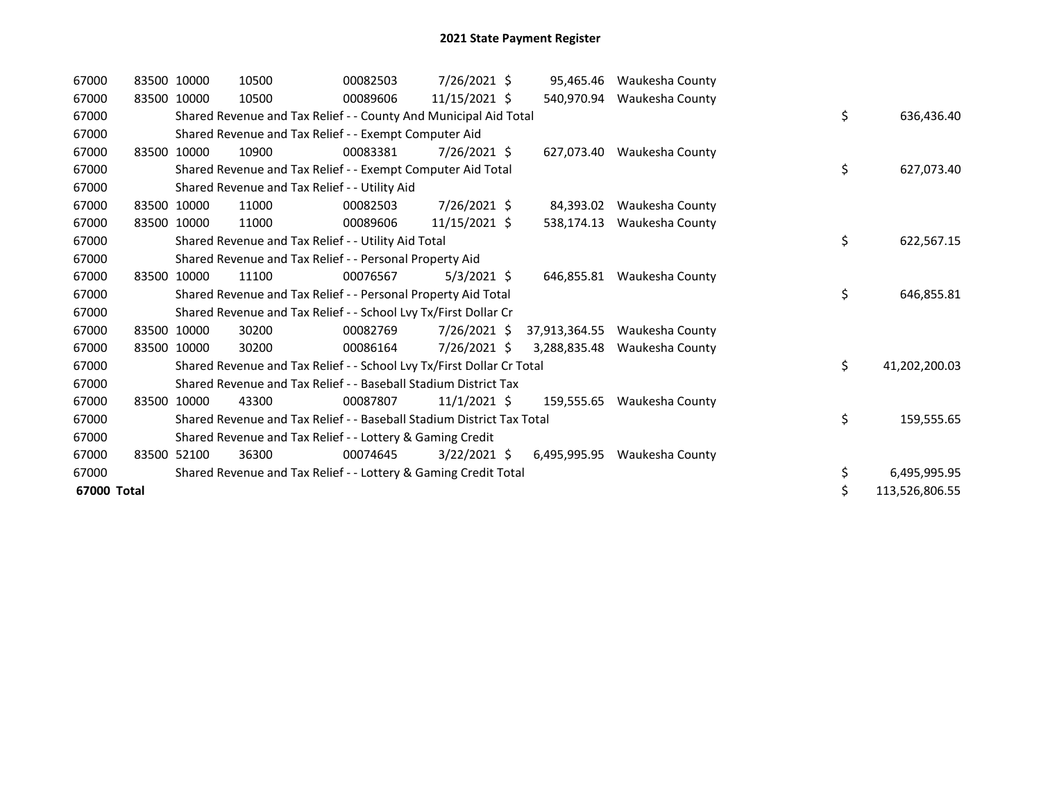| 67000       |             | 83500 10000 | 10500                                                                 | 00082503 | 7/26/2021 \$   | 95,465.46     | Waukesha County |    |                |
|-------------|-------------|-------------|-----------------------------------------------------------------------|----------|----------------|---------------|-----------------|----|----------------|
| 67000       | 83500 10000 |             | 10500                                                                 | 00089606 | 11/15/2021 \$  | 540,970.94    | Waukesha County |    |                |
| 67000       |             |             | Shared Revenue and Tax Relief - - County And Municipal Aid Total      |          |                |               |                 | \$ | 636,436.40     |
| 67000       |             |             | Shared Revenue and Tax Relief - - Exempt Computer Aid                 |          |                |               |                 |    |                |
| 67000       |             | 83500 10000 | 10900                                                                 | 00083381 | $7/26/2021$ \$ | 627.073.40    | Waukesha County |    |                |
| 67000       |             |             | Shared Revenue and Tax Relief - - Exempt Computer Aid Total           |          |                |               |                 | \$ | 627,073.40     |
| 67000       |             |             | Shared Revenue and Tax Relief - - Utility Aid                         |          |                |               |                 |    |                |
| 67000       |             | 83500 10000 | 11000                                                                 | 00082503 | 7/26/2021 \$   | 84,393.02     | Waukesha County |    |                |
| 67000       | 83500       | 10000       | 11000                                                                 | 00089606 | 11/15/2021 \$  | 538.174.13    | Waukesha County |    |                |
| 67000       |             |             | Shared Revenue and Tax Relief - - Utility Aid Total                   |          |                |               |                 | \$ | 622,567.15     |
| 67000       |             |             | Shared Revenue and Tax Relief - - Personal Property Aid               |          |                |               |                 |    |                |
| 67000       |             | 83500 10000 | 11100                                                                 | 00076567 | $5/3/2021$ \$  | 646,855.81    | Waukesha County |    |                |
| 67000       |             |             | Shared Revenue and Tax Relief - - Personal Property Aid Total         |          |                |               |                 | \$ | 646,855.81     |
| 67000       |             |             | Shared Revenue and Tax Relief - - School Lvy Tx/First Dollar Cr       |          |                |               |                 |    |                |
| 67000       |             | 83500 10000 | 30200                                                                 | 00082769 | 7/26/2021 \$   | 37,913,364.55 | Waukesha County |    |                |
| 67000       |             | 83500 10000 | 30200                                                                 | 00086164 | $7/26/2021$ \$ | 3,288,835.48  | Waukesha County |    |                |
| 67000       |             |             | Shared Revenue and Tax Relief - - School Lvy Tx/First Dollar Cr Total |          |                |               |                 | \$ | 41,202,200.03  |
| 67000       |             |             | Shared Revenue and Tax Relief - - Baseball Stadium District Tax       |          |                |               |                 |    |                |
| 67000       |             | 83500 10000 | 43300                                                                 | 00087807 | 11/1/2021 \$   | 159,555.65    | Waukesha County |    |                |
| 67000       |             |             | Shared Revenue and Tax Relief - - Baseball Stadium District Tax Total |          |                |               |                 | \$ | 159,555.65     |
| 67000       |             |             | Shared Revenue and Tax Relief - - Lottery & Gaming Credit             |          |                |               |                 |    |                |
| 67000       |             | 83500 52100 | 36300                                                                 | 00074645 | $3/22/2021$ \$ | 6,495,995.95  | Waukesha County |    |                |
| 67000       |             |             | Shared Revenue and Tax Relief - - Lottery & Gaming Credit Total       |          |                |               |                 | \$ | 6,495,995.95   |
| 67000 Total |             |             |                                                                       |          |                |               |                 | \$ | 113,526,806.55 |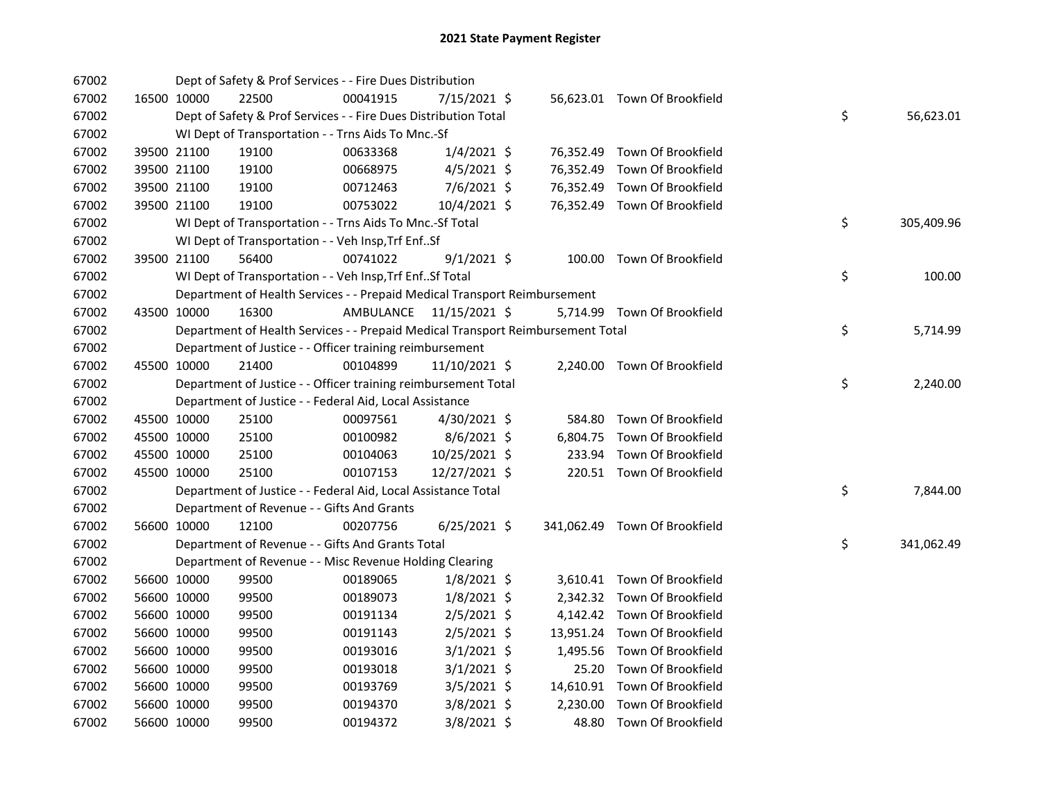| 67002 |             | Dept of Safety & Prof Services - - Fire Dues Distribution                       |                         |                 |  |                               |    |            |
|-------|-------------|---------------------------------------------------------------------------------|-------------------------|-----------------|--|-------------------------------|----|------------|
| 67002 | 16500 10000 | 22500                                                                           | 00041915                | 7/15/2021 \$    |  | 56,623.01 Town Of Brookfield  |    |            |
| 67002 |             | Dept of Safety & Prof Services - - Fire Dues Distribution Total                 |                         |                 |  |                               | \$ | 56,623.01  |
| 67002 |             | WI Dept of Transportation - - Trns Aids To Mnc.-Sf                              |                         |                 |  |                               |    |            |
| 67002 | 39500 21100 | 19100                                                                           | 00633368                | $1/4/2021$ \$   |  | 76,352.49 Town Of Brookfield  |    |            |
| 67002 | 39500 21100 | 19100                                                                           | 00668975                | $4/5/2021$ \$   |  | 76,352.49 Town Of Brookfield  |    |            |
| 67002 | 39500 21100 | 19100                                                                           | 00712463                | 7/6/2021 \$     |  | 76,352.49 Town Of Brookfield  |    |            |
| 67002 | 39500 21100 | 19100                                                                           | 00753022                | 10/4/2021 \$    |  | 76,352.49 Town Of Brookfield  |    |            |
| 67002 |             | WI Dept of Transportation - - Trns Aids To Mnc.-Sf Total                        |                         |                 |  |                               | \$ | 305,409.96 |
| 67002 |             | WI Dept of Transportation - - Veh Insp, Trf EnfSf                               |                         |                 |  |                               |    |            |
| 67002 | 39500 21100 | 56400                                                                           | 00741022                | $9/1/2021$ \$   |  | 100.00 Town Of Brookfield     |    |            |
| 67002 |             | WI Dept of Transportation - - Veh Insp, Trf EnfSf Total                         |                         |                 |  |                               | \$ | 100.00     |
| 67002 |             | Department of Health Services - - Prepaid Medical Transport Reimbursement       |                         |                 |  |                               |    |            |
| 67002 | 43500 10000 | 16300                                                                           | AMBULANCE 11/15/2021 \$ |                 |  | 5,714.99 Town Of Brookfield   |    |            |
| 67002 |             | Department of Health Services - - Prepaid Medical Transport Reimbursement Total |                         |                 |  |                               | \$ | 5,714.99   |
| 67002 |             | Department of Justice - - Officer training reimbursement                        |                         |                 |  |                               |    |            |
| 67002 | 45500 10000 | 21400                                                                           | 00104899                | $11/10/2021$ \$ |  | 2,240.00 Town Of Brookfield   |    |            |
| 67002 |             | Department of Justice - - Officer training reimbursement Total                  |                         |                 |  |                               | \$ | 2,240.00   |
| 67002 |             | Department of Justice - - Federal Aid, Local Assistance                         |                         |                 |  |                               |    |            |
| 67002 | 45500 10000 | 25100                                                                           | 00097561                | 4/30/2021 \$    |  | 584.80 Town Of Brookfield     |    |            |
| 67002 | 45500 10000 | 25100                                                                           | 00100982                | $8/6/2021$ \$   |  | 6,804.75 Town Of Brookfield   |    |            |
| 67002 | 45500 10000 | 25100                                                                           | 00104063                | 10/25/2021 \$   |  | 233.94 Town Of Brookfield     |    |            |
| 67002 | 45500 10000 | 25100                                                                           | 00107153                | 12/27/2021 \$   |  | 220.51 Town Of Brookfield     |    |            |
| 67002 |             | Department of Justice - - Federal Aid, Local Assistance Total                   |                         |                 |  |                               | \$ | 7,844.00   |
| 67002 |             | Department of Revenue - - Gifts And Grants                                      |                         |                 |  |                               |    |            |
| 67002 | 56600 10000 | 12100                                                                           | 00207756                | $6/25/2021$ \$  |  | 341,062.49 Town Of Brookfield |    |            |
| 67002 |             | Department of Revenue - - Gifts And Grants Total                                |                         |                 |  |                               | \$ | 341,062.49 |
| 67002 |             | Department of Revenue - - Misc Revenue Holding Clearing                         |                         |                 |  |                               |    |            |
| 67002 | 56600 10000 | 99500                                                                           | 00189065                | $1/8/2021$ \$   |  | 3,610.41 Town Of Brookfield   |    |            |
| 67002 | 56600 10000 | 99500                                                                           | 00189073                | $1/8/2021$ \$   |  | 2,342.32 Town Of Brookfield   |    |            |
| 67002 | 56600 10000 | 99500                                                                           | 00191134                | $2/5/2021$ \$   |  | 4,142.42 Town Of Brookfield   |    |            |
| 67002 | 56600 10000 | 99500                                                                           | 00191143                | $2/5/2021$ \$   |  | 13,951.24 Town Of Brookfield  |    |            |
| 67002 | 56600 10000 | 99500                                                                           | 00193016                | $3/1/2021$ \$   |  | 1,495.56 Town Of Brookfield   |    |            |
| 67002 | 56600 10000 | 99500                                                                           | 00193018                | $3/1/2021$ \$   |  | 25.20 Town Of Brookfield      |    |            |
| 67002 | 56600 10000 | 99500                                                                           | 00193769                | 3/5/2021 \$     |  | 14,610.91 Town Of Brookfield  |    |            |
| 67002 | 56600 10000 | 99500                                                                           | 00194370                | $3/8/2021$ \$   |  | 2,230.00 Town Of Brookfield   |    |            |
| 67002 | 56600 10000 | 99500                                                                           | 00194372                | 3/8/2021 \$     |  | 48.80 Town Of Brookfield      |    |            |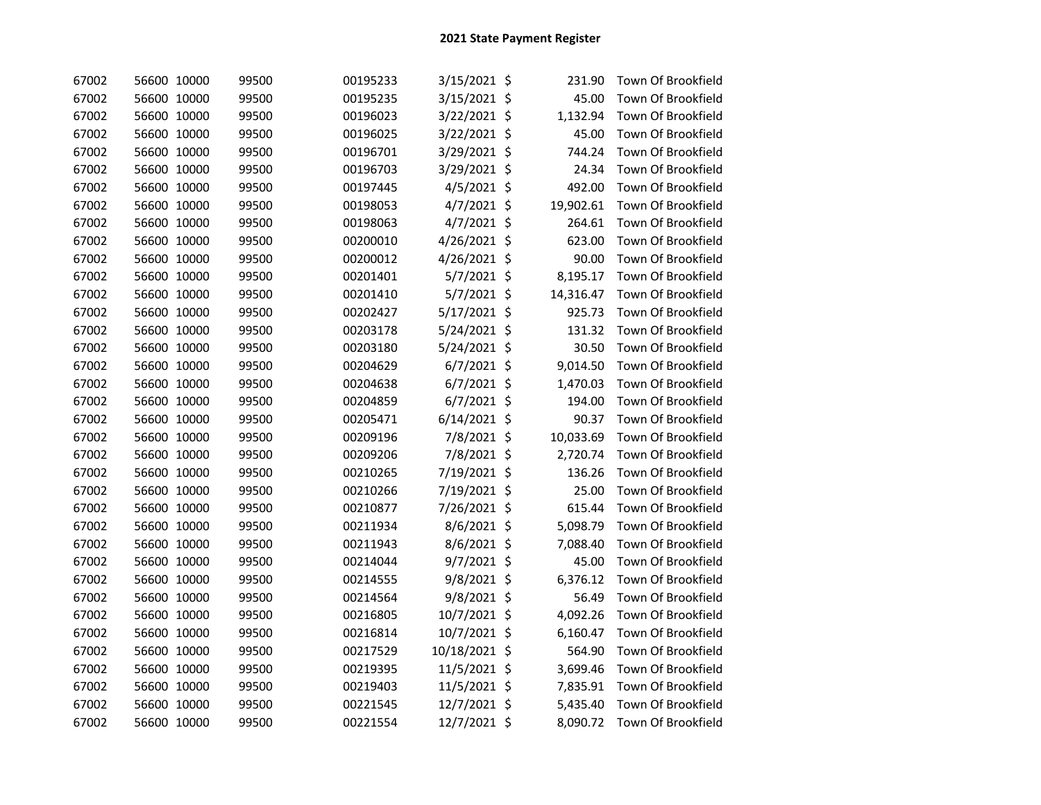| 67002 | 56600 10000 | 99500 | 00195233 | 3/15/2021 \$  |         | 231.90    | Town Of Brookfield |
|-------|-------------|-------|----------|---------------|---------|-----------|--------------------|
| 67002 | 56600 10000 | 99500 | 00195235 | 3/15/2021 \$  |         | 45.00     | Town Of Brookfield |
| 67002 | 56600 10000 | 99500 | 00196023 | 3/22/2021 \$  |         | 1,132.94  | Town Of Brookfield |
| 67002 | 56600 10000 | 99500 | 00196025 | 3/22/2021 \$  |         | 45.00     | Town Of Brookfield |
| 67002 | 56600 10000 | 99500 | 00196701 | 3/29/2021 \$  |         | 744.24    | Town Of Brookfield |
| 67002 | 56600 10000 | 99500 | 00196703 | 3/29/2021 \$  |         | 24.34     | Town Of Brookfield |
| 67002 | 56600 10000 | 99500 | 00197445 | 4/5/2021 \$   |         | 492.00    | Town Of Brookfield |
| 67002 | 56600 10000 | 99500 | 00198053 | 4/7/2021 \$   |         | 19,902.61 | Town Of Brookfield |
| 67002 | 56600 10000 | 99500 | 00198063 | 4/7/2021 \$   |         | 264.61    | Town Of Brookfield |
| 67002 | 56600 10000 | 99500 | 00200010 | 4/26/2021 \$  |         | 623.00    | Town Of Brookfield |
| 67002 | 56600 10000 | 99500 | 00200012 | 4/26/2021 \$  |         | 90.00     | Town Of Brookfield |
| 67002 | 56600 10000 | 99500 | 00201401 | 5/7/2021 \$   |         | 8,195.17  | Town Of Brookfield |
| 67002 | 56600 10000 | 99500 | 00201410 | 5/7/2021 \$   |         | 14,316.47 | Town Of Brookfield |
| 67002 | 56600 10000 | 99500 | 00202427 | 5/17/2021 \$  |         | 925.73    | Town Of Brookfield |
| 67002 | 56600 10000 | 99500 | 00203178 | 5/24/2021 \$  |         | 131.32    | Town Of Brookfield |
| 67002 | 56600 10000 | 99500 | 00203180 | 5/24/2021 \$  |         | 30.50     | Town Of Brookfield |
| 67002 | 56600 10000 | 99500 | 00204629 | $6/7/2021$ \$ |         | 9,014.50  | Town Of Brookfield |
| 67002 | 56600 10000 | 99500 | 00204638 | 6/7/2021 \$   |         | 1,470.03  | Town Of Brookfield |
| 67002 | 56600 10000 | 99500 | 00204859 | 6/7/2021 \$   |         | 194.00    | Town Of Brookfield |
| 67002 | 56600 10000 | 99500 | 00205471 | 6/14/2021 \$  |         | 90.37     | Town Of Brookfield |
| 67002 | 56600 10000 | 99500 | 00209196 | 7/8/2021 \$   |         | 10,033.69 | Town Of Brookfield |
| 67002 | 56600 10000 | 99500 | 00209206 | 7/8/2021 \$   |         | 2,720.74  | Town Of Brookfield |
| 67002 | 56600 10000 | 99500 | 00210265 | 7/19/2021 \$  |         | 136.26    | Town Of Brookfield |
| 67002 | 56600 10000 | 99500 | 00210266 | 7/19/2021 \$  |         | 25.00     | Town Of Brookfield |
| 67002 | 56600 10000 | 99500 | 00210877 | 7/26/2021 \$  |         | 615.44    | Town Of Brookfield |
| 67002 | 56600 10000 | 99500 | 00211934 | 8/6/2021      | $\zeta$ | 5,098.79  | Town Of Brookfield |
| 67002 | 56600 10000 | 99500 | 00211943 | 8/6/2021      | $\zeta$ | 7,088.40  | Town Of Brookfield |
| 67002 | 56600 10000 | 99500 | 00214044 | 9/7/2021 \$   |         | 45.00     | Town Of Brookfield |
| 67002 | 56600 10000 | 99500 | 00214555 | 9/8/2021 \$   |         | 6,376.12  | Town Of Brookfield |
| 67002 | 56600 10000 | 99500 | 00214564 | 9/8/2021 \$   |         | 56.49     | Town Of Brookfield |
| 67002 | 56600 10000 | 99500 | 00216805 | 10/7/2021 \$  |         | 4,092.26  | Town Of Brookfield |
| 67002 | 56600 10000 | 99500 | 00216814 | 10/7/2021 \$  |         | 6,160.47  | Town Of Brookfield |
| 67002 | 56600 10000 | 99500 | 00217529 | 10/18/2021 \$ |         | 564.90    | Town Of Brookfield |
| 67002 | 56600 10000 | 99500 | 00219395 | 11/5/2021 \$  |         | 3,699.46  | Town Of Brookfield |
| 67002 | 56600 10000 | 99500 | 00219403 | 11/5/2021 \$  |         | 7,835.91  | Town Of Brookfield |
| 67002 | 56600 10000 | 99500 | 00221545 | 12/7/2021 \$  |         | 5,435.40  | Town Of Brookfield |
| 67002 | 56600 10000 | 99500 | 00221554 | 12/7/2021 \$  |         | 8,090.72  | Town Of Brookfield |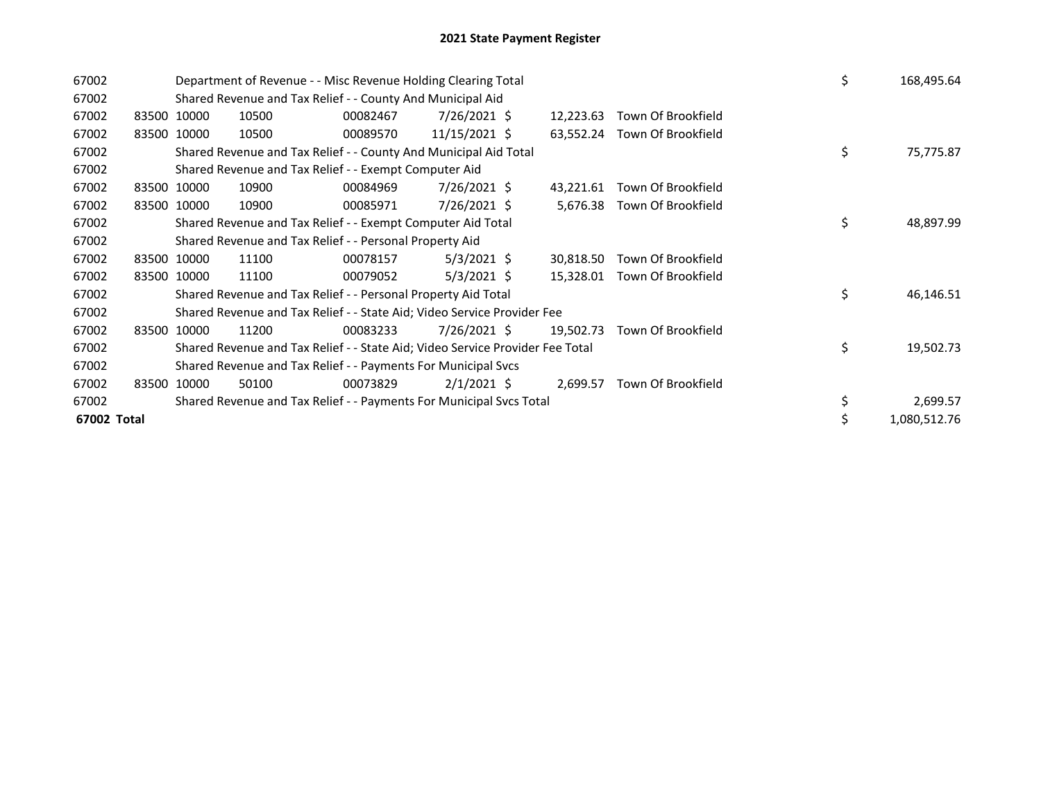| 67002       |       |             | Department of Revenue - - Misc Revenue Holding Clearing Total |                                                                               |               |  |           |                              |  |    | 168,495.64   |
|-------------|-------|-------------|---------------------------------------------------------------|-------------------------------------------------------------------------------|---------------|--|-----------|------------------------------|--|----|--------------|
| 67002       |       |             |                                                               | Shared Revenue and Tax Relief - - County And Municipal Aid                    |               |  |           |                              |  |    |              |
| 67002       |       | 83500 10000 | 10500                                                         | 00082467                                                                      | 7/26/2021 \$  |  | 12,223.63 | Town Of Brookfield           |  |    |              |
| 67002       |       | 83500 10000 | 10500                                                         | 00089570                                                                      | 11/15/2021 \$ |  |           | 63,552.24 Town Of Brookfield |  |    |              |
| 67002       |       |             |                                                               | Shared Revenue and Tax Relief - - County And Municipal Aid Total              |               |  |           |                              |  | \$ | 75,775.87    |
| 67002       |       |             |                                                               | Shared Revenue and Tax Relief - - Exempt Computer Aid                         |               |  |           |                              |  |    |              |
| 67002       |       | 83500 10000 | 10900                                                         | 00084969                                                                      | 7/26/2021 \$  |  | 43,221.61 | Town Of Brookfield           |  |    |              |
| 67002       |       | 83500 10000 | 10900                                                         | 00085971                                                                      | 7/26/2021 \$  |  | 5,676.38  | Town Of Brookfield           |  |    |              |
| 67002       |       |             |                                                               | Shared Revenue and Tax Relief - - Exempt Computer Aid Total                   |               |  | \$        | 48,897.99                    |  |    |              |
| 67002       |       |             |                                                               | Shared Revenue and Tax Relief - - Personal Property Aid                       |               |  |           |                              |  |    |              |
| 67002       |       | 83500 10000 | 11100                                                         | 00078157                                                                      | $5/3/2021$ \$ |  | 30,818.50 | Town Of Brookfield           |  |    |              |
| 67002       |       | 83500 10000 | 11100                                                         | 00079052                                                                      | $5/3/2021$ \$ |  | 15,328.01 | Town Of Brookfield           |  |    |              |
| 67002       |       |             |                                                               | Shared Revenue and Tax Relief - - Personal Property Aid Total                 |               |  |           |                              |  | Ś  | 46,146.51    |
| 67002       |       |             |                                                               | Shared Revenue and Tax Relief - - State Aid; Video Service Provider Fee       |               |  |           |                              |  |    |              |
| 67002       | 83500 | 10000       | 11200                                                         | 00083233                                                                      | 7/26/2021 \$  |  | 19,502.73 | Town Of Brookfield           |  |    |              |
| 67002       |       |             |                                                               | Shared Revenue and Tax Relief - - State Aid; Video Service Provider Fee Total |               |  |           |                              |  | \$ | 19,502.73    |
| 67002       |       |             |                                                               | Shared Revenue and Tax Relief - - Payments For Municipal Svcs                 |               |  |           |                              |  |    |              |
| 67002       |       | 83500 10000 | 50100                                                         | 00073829                                                                      | $2/1/2021$ \$ |  | 2,699.57  | Town Of Brookfield           |  |    |              |
| 67002       |       |             |                                                               | Shared Revenue and Tax Relief - - Payments For Municipal Svcs Total           |               |  |           |                              |  |    | 2,699.57     |
| 67002 Total |       |             |                                                               |                                                                               |               |  |           |                              |  |    | 1,080,512.76 |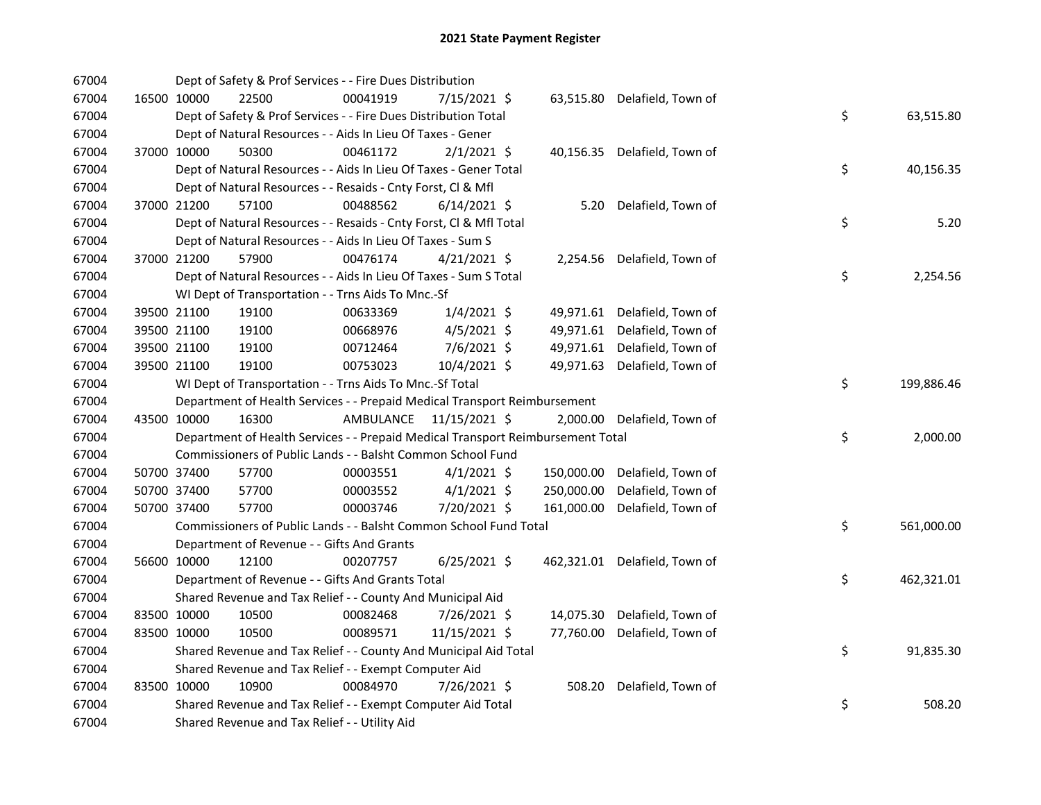| 67004 |             | Dept of Safety & Prof Services - - Fire Dues Distribution                       |                         |                |            |                               |    |            |
|-------|-------------|---------------------------------------------------------------------------------|-------------------------|----------------|------------|-------------------------------|----|------------|
| 67004 | 16500 10000 | 22500                                                                           | 00041919                | 7/15/2021 \$   |            | 63,515.80 Delafield, Town of  |    |            |
| 67004 |             | Dept of Safety & Prof Services - - Fire Dues Distribution Total                 |                         |                |            |                               | \$ | 63,515.80  |
| 67004 |             | Dept of Natural Resources - - Aids In Lieu Of Taxes - Gener                     |                         |                |            |                               |    |            |
| 67004 | 37000 10000 | 50300                                                                           | 00461172                | $2/1/2021$ \$  |            | 40,156.35 Delafield, Town of  |    |            |
| 67004 |             | Dept of Natural Resources - - Aids In Lieu Of Taxes - Gener Total               |                         |                |            |                               | \$ | 40,156.35  |
| 67004 |             | Dept of Natural Resources - - Resaids - Cnty Forst, Cl & Mfl                    |                         |                |            |                               |    |            |
| 67004 | 37000 21200 | 57100                                                                           | 00488562                | $6/14/2021$ \$ |            | 5.20 Delafield, Town of       |    |            |
| 67004 |             | Dept of Natural Resources - - Resaids - Cnty Forst, Cl & Mfl Total              |                         |                |            |                               | \$ | 5.20       |
| 67004 |             | Dept of Natural Resources - - Aids In Lieu Of Taxes - Sum S                     |                         |                |            |                               |    |            |
| 67004 | 37000 21200 | 57900                                                                           | 00476174                | $4/21/2021$ \$ |            | 2,254.56 Delafield, Town of   |    |            |
| 67004 |             | Dept of Natural Resources - - Aids In Lieu Of Taxes - Sum S Total               |                         |                |            |                               | \$ | 2,254.56   |
| 67004 |             | WI Dept of Transportation - - Trns Aids To Mnc.-Sf                              |                         |                |            |                               |    |            |
| 67004 | 39500 21100 | 19100                                                                           | 00633369                | $1/4/2021$ \$  |            | 49,971.61 Delafield, Town of  |    |            |
| 67004 | 39500 21100 | 19100                                                                           | 00668976                | $4/5/2021$ \$  | 49,971.61  | Delafield, Town of            |    |            |
| 67004 | 39500 21100 | 19100                                                                           | 00712464                | $7/6/2021$ \$  | 49,971.61  | Delafield, Town of            |    |            |
| 67004 | 39500 21100 | 19100                                                                           | 00753023                | 10/4/2021 \$   | 49,971.63  | Delafield, Town of            |    |            |
| 67004 |             | WI Dept of Transportation - - Trns Aids To Mnc.-Sf Total                        |                         |                |            |                               | \$ | 199,886.46 |
| 67004 |             | Department of Health Services - - Prepaid Medical Transport Reimbursement       |                         |                |            |                               |    |            |
| 67004 | 43500 10000 | 16300                                                                           | AMBULANCE 11/15/2021 \$ |                |            | 2,000.00 Delafield, Town of   |    |            |
| 67004 |             | Department of Health Services - - Prepaid Medical Transport Reimbursement Total |                         |                |            |                               | \$ | 2,000.00   |
| 67004 |             | Commissioners of Public Lands - - Balsht Common School Fund                     |                         |                |            |                               |    |            |
| 67004 | 50700 37400 | 57700                                                                           | 00003551                | $4/1/2021$ \$  | 150,000.00 | Delafield, Town of            |    |            |
| 67004 | 50700 37400 | 57700                                                                           | 00003552                | $4/1/2021$ \$  | 250,000.00 | Delafield, Town of            |    |            |
| 67004 | 50700 37400 | 57700                                                                           | 00003746                | 7/20/2021 \$   | 161,000.00 | Delafield, Town of            |    |            |
| 67004 |             | Commissioners of Public Lands - - Balsht Common School Fund Total               |                         |                |            |                               | \$ | 561,000.00 |
| 67004 |             | Department of Revenue - - Gifts And Grants                                      |                         |                |            |                               |    |            |
| 67004 | 56600 10000 | 12100                                                                           | 00207757                | $6/25/2021$ \$ |            | 462,321.01 Delafield, Town of |    |            |
| 67004 |             | Department of Revenue - - Gifts And Grants Total                                |                         |                |            |                               | \$ | 462,321.01 |
| 67004 |             | Shared Revenue and Tax Relief - - County And Municipal Aid                      |                         |                |            |                               |    |            |
| 67004 | 83500 10000 | 10500                                                                           | 00082468                | 7/26/2021 \$   | 14,075.30  | Delafield, Town of            |    |            |
| 67004 | 83500 10000 | 10500                                                                           | 00089571                | 11/15/2021 \$  | 77,760.00  | Delafield, Town of            |    |            |
| 67004 |             | Shared Revenue and Tax Relief - - County And Municipal Aid Total                |                         |                |            |                               | \$ | 91,835.30  |
| 67004 |             | Shared Revenue and Tax Relief - - Exempt Computer Aid                           |                         |                |            |                               |    |            |
| 67004 | 83500 10000 | 10900                                                                           | 00084970                | 7/26/2021 \$   | 508.20     | Delafield, Town of            |    |            |
| 67004 |             | Shared Revenue and Tax Relief - - Exempt Computer Aid Total                     |                         |                |            |                               | \$ | 508.20     |
| 67004 |             | Shared Revenue and Tax Relief - - Utility Aid                                   |                         |                |            |                               |    |            |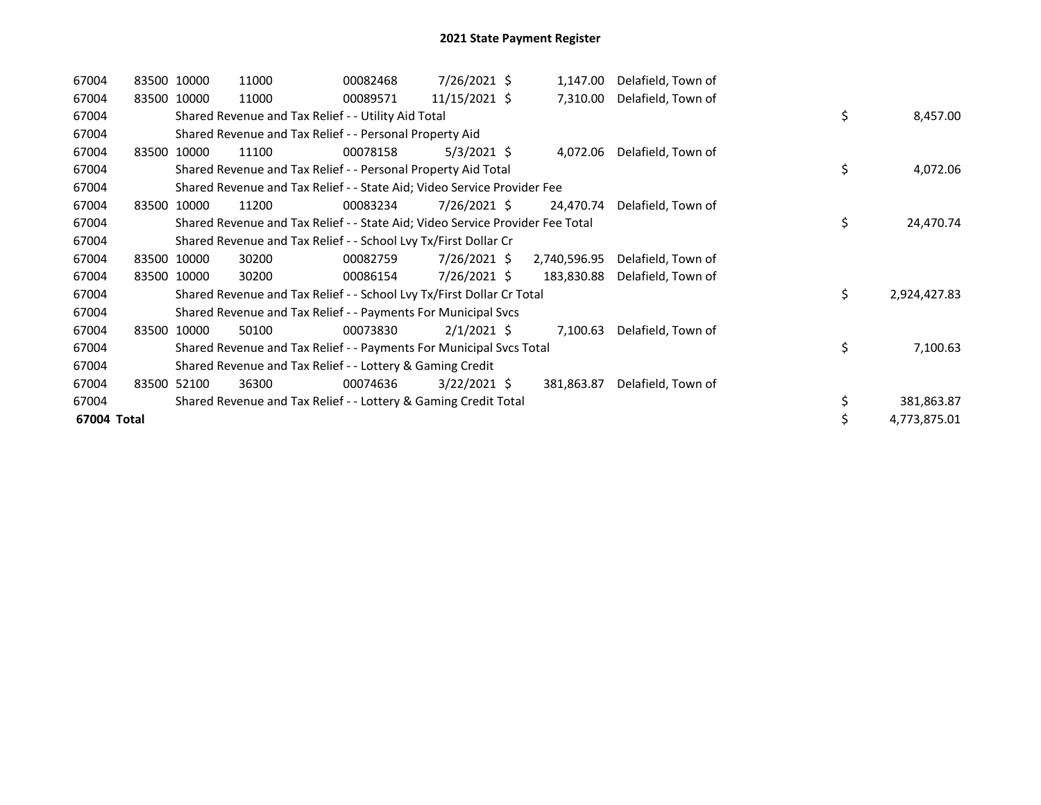| 67004       | 83500 10000 | 11000                                                                         | 00082468 | 7/26/2021 \$   | 1,147.00     | Delafield, Town of |    |              |
|-------------|-------------|-------------------------------------------------------------------------------|----------|----------------|--------------|--------------------|----|--------------|
| 67004       | 83500 10000 | 11000                                                                         | 00089571 | 11/15/2021 \$  | 7,310.00     | Delafield, Town of |    |              |
| 67004       |             | Shared Revenue and Tax Relief - - Utility Aid Total                           |          |                |              |                    | \$ | 8,457.00     |
| 67004       |             | Shared Revenue and Tax Relief - - Personal Property Aid                       |          |                |              |                    |    |              |
| 67004       | 83500 10000 | 11100                                                                         | 00078158 | $5/3/2021$ \$  | 4,072.06     | Delafield, Town of |    |              |
| 67004       |             | Shared Revenue and Tax Relief - - Personal Property Aid Total                 |          |                |              |                    | \$ | 4,072.06     |
| 67004       |             | Shared Revenue and Tax Relief - - State Aid; Video Service Provider Fee       |          |                |              |                    |    |              |
| 67004       | 83500 10000 | 11200                                                                         | 00083234 | $7/26/2021$ \$ | 24,470.74    | Delafield, Town of |    |              |
| 67004       |             | Shared Revenue and Tax Relief - - State Aid; Video Service Provider Fee Total |          |                |              |                    | \$ | 24,470.74    |
| 67004       |             | Shared Revenue and Tax Relief - - School Lvy Tx/First Dollar Cr               |          |                |              |                    |    |              |
| 67004       | 83500 10000 | 30200                                                                         | 00082759 | 7/26/2021 \$   | 2,740,596.95 | Delafield, Town of |    |              |
| 67004       | 83500 10000 | 30200                                                                         | 00086154 | $7/26/2021$ \$ | 183,830.88   | Delafield, Town of |    |              |
| 67004       |             | Shared Revenue and Tax Relief - - School Lvy Tx/First Dollar Cr Total         |          |                |              |                    | \$ | 2,924,427.83 |
| 67004       |             | Shared Revenue and Tax Relief - - Payments For Municipal Svcs                 |          |                |              |                    |    |              |
| 67004       | 83500 10000 | 50100                                                                         | 00073830 | $2/1/2021$ \$  | 7,100.63     | Delafield, Town of |    |              |
| 67004       |             | Shared Revenue and Tax Relief - - Payments For Municipal Svcs Total           |          |                |              |                    | \$ | 7,100.63     |
| 67004       |             | Shared Revenue and Tax Relief - - Lottery & Gaming Credit                     |          |                |              |                    |    |              |
| 67004       | 83500 52100 | 36300                                                                         | 00074636 | $3/22/2021$ \$ | 381,863.87   | Delafield, Town of |    |              |
| 67004       |             | Shared Revenue and Tax Relief - - Lottery & Gaming Credit Total               |          |                |              |                    | \$ | 381,863.87   |
| 67004 Total |             |                                                                               |          |                |              |                    | \$ | 4,773,875.01 |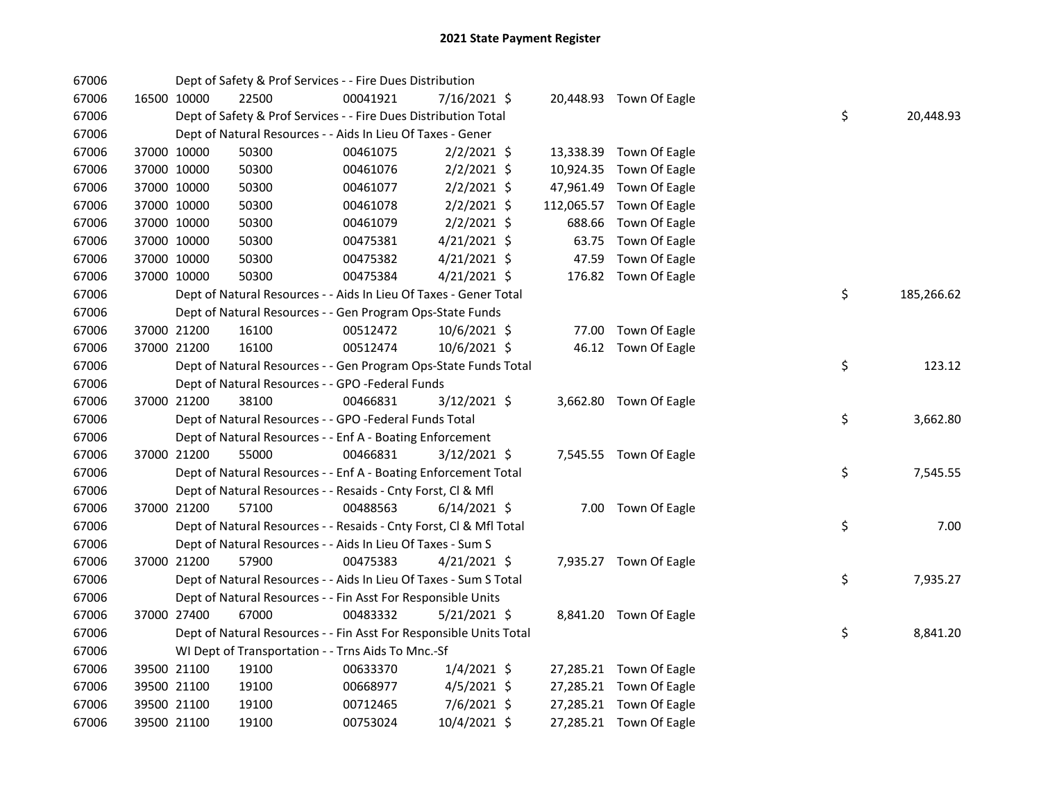| 67006 |             | Dept of Safety & Prof Services - - Fire Dues Distribution          |          |                |       |                          |    |            |
|-------|-------------|--------------------------------------------------------------------|----------|----------------|-------|--------------------------|----|------------|
| 67006 | 16500 10000 | 22500                                                              | 00041921 | 7/16/2021 \$   |       | 20,448.93 Town Of Eagle  |    |            |
| 67006 |             | Dept of Safety & Prof Services - - Fire Dues Distribution Total    |          |                |       |                          | \$ | 20,448.93  |
| 67006 |             | Dept of Natural Resources - - Aids In Lieu Of Taxes - Gener        |          |                |       |                          |    |            |
| 67006 | 37000 10000 | 50300                                                              | 00461075 | $2/2/2021$ \$  |       | 13,338.39 Town Of Eagle  |    |            |
| 67006 | 37000 10000 | 50300                                                              | 00461076 | $2/2/2021$ \$  |       | 10,924.35 Town Of Eagle  |    |            |
| 67006 | 37000 10000 | 50300                                                              | 00461077 | $2/2/2021$ \$  |       | 47,961.49 Town Of Eagle  |    |            |
| 67006 | 37000 10000 | 50300                                                              | 00461078 | $2/2/2021$ \$  |       | 112,065.57 Town Of Eagle |    |            |
| 67006 | 37000 10000 | 50300                                                              | 00461079 | $2/2/2021$ \$  |       | 688.66 Town Of Eagle     |    |            |
| 67006 | 37000 10000 | 50300                                                              | 00475381 | $4/21/2021$ \$ |       | 63.75 Town Of Eagle      |    |            |
| 67006 | 37000 10000 | 50300                                                              | 00475382 | 4/21/2021 \$   | 47.59 | Town Of Eagle            |    |            |
| 67006 | 37000 10000 | 50300                                                              | 00475384 | $4/21/2021$ \$ |       | 176.82 Town Of Eagle     |    |            |
| 67006 |             | Dept of Natural Resources - - Aids In Lieu Of Taxes - Gener Total  |          |                |       |                          | \$ | 185,266.62 |
| 67006 |             | Dept of Natural Resources - - Gen Program Ops-State Funds          |          |                |       |                          |    |            |
| 67006 | 37000 21200 | 16100                                                              | 00512472 | $10/6/2021$ \$ |       | 77.00 Town Of Eagle      |    |            |
| 67006 | 37000 21200 | 16100                                                              | 00512474 | 10/6/2021 \$   |       | 46.12 Town Of Eagle      |    |            |
| 67006 |             | Dept of Natural Resources - - Gen Program Ops-State Funds Total    |          |                |       |                          | \$ | 123.12     |
| 67006 |             | Dept of Natural Resources - - GPO -Federal Funds                   |          |                |       |                          |    |            |
| 67006 | 37000 21200 | 38100                                                              | 00466831 | $3/12/2021$ \$ |       | 3,662.80 Town Of Eagle   |    |            |
| 67006 |             | Dept of Natural Resources - - GPO -Federal Funds Total             |          |                |       |                          | \$ | 3,662.80   |
| 67006 |             | Dept of Natural Resources - - Enf A - Boating Enforcement          |          |                |       |                          |    |            |
| 67006 | 37000 21200 | 55000                                                              | 00466831 | $3/12/2021$ \$ |       | 7,545.55 Town Of Eagle   |    |            |
| 67006 |             | Dept of Natural Resources - - Enf A - Boating Enforcement Total    |          |                |       |                          | \$ | 7,545.55   |
| 67006 |             | Dept of Natural Resources - - Resaids - Cnty Forst, Cl & Mfl       |          |                |       |                          |    |            |
| 67006 | 37000 21200 | 57100                                                              | 00488563 | $6/14/2021$ \$ |       | 7.00 Town Of Eagle       |    |            |
| 67006 |             | Dept of Natural Resources - - Resaids - Cnty Forst, Cl & Mfl Total |          |                |       |                          | \$ | 7.00       |
| 67006 |             | Dept of Natural Resources - - Aids In Lieu Of Taxes - Sum S        |          |                |       |                          |    |            |
| 67006 | 37000 21200 | 57900                                                              | 00475383 | $4/21/2021$ \$ |       | 7,935.27 Town Of Eagle   |    |            |
| 67006 |             | Dept of Natural Resources - - Aids In Lieu Of Taxes - Sum S Total  |          |                |       |                          | \$ | 7,935.27   |
| 67006 |             | Dept of Natural Resources - - Fin Asst For Responsible Units       |          |                |       |                          |    |            |
| 67006 | 37000 27400 | 67000                                                              | 00483332 | $5/21/2021$ \$ |       | 8,841.20 Town Of Eagle   |    |            |
| 67006 |             | Dept of Natural Resources - - Fin Asst For Responsible Units Total |          |                |       |                          | \$ | 8,841.20   |
| 67006 |             | WI Dept of Transportation - - Trns Aids To Mnc.-Sf                 |          |                |       |                          |    |            |
| 67006 | 39500 21100 | 19100                                                              | 00633370 | $1/4/2021$ \$  |       | 27,285.21 Town Of Eagle  |    |            |
| 67006 | 39500 21100 | 19100                                                              | 00668977 | $4/5/2021$ \$  |       | 27,285.21 Town Of Eagle  |    |            |
| 67006 | 39500 21100 | 19100                                                              | 00712465 | $7/6/2021$ \$  |       | 27,285.21 Town Of Eagle  |    |            |
| 67006 | 39500 21100 | 19100                                                              | 00753024 | 10/4/2021 \$   |       | 27,285.21 Town Of Eagle  |    |            |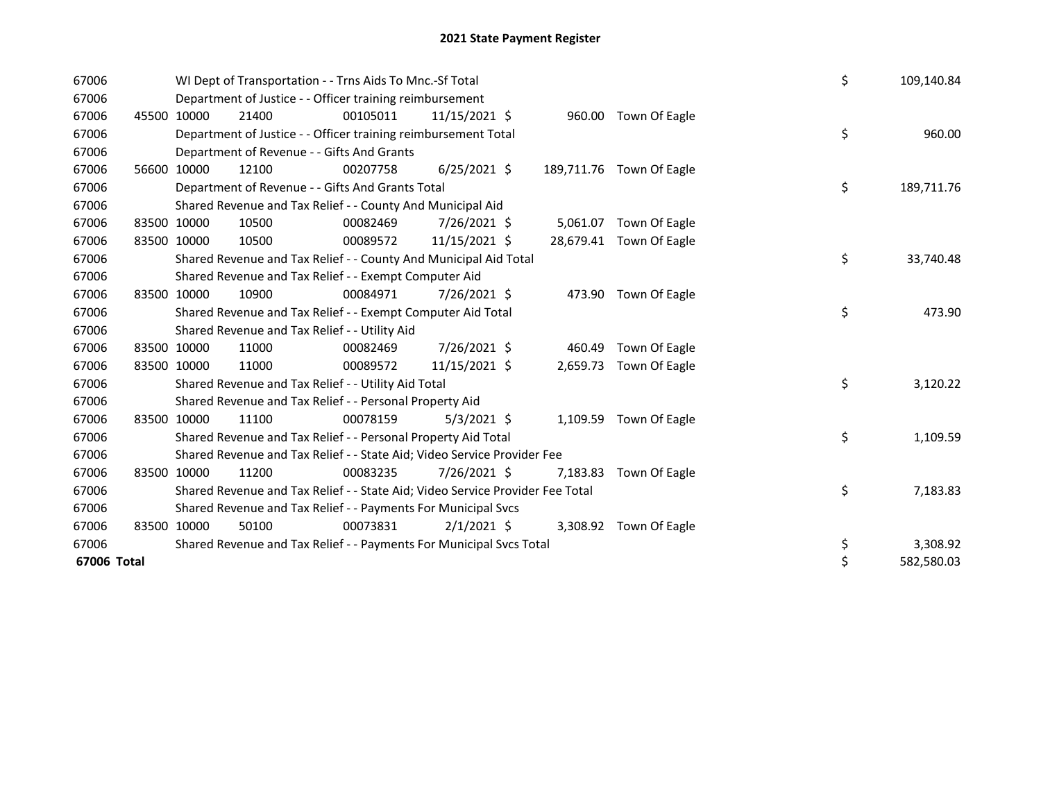| 67006       |             | WI Dept of Transportation - - Trns Aids To Mnc.-Sf Total                      | \$       | 109,140.84     |          |                          |    |            |
|-------------|-------------|-------------------------------------------------------------------------------|----------|----------------|----------|--------------------------|----|------------|
| 67006       |             | Department of Justice - - Officer training reimbursement                      |          |                |          |                          |    |            |
| 67006       | 45500 10000 | 21400                                                                         | 00105011 | 11/15/2021 \$  |          | 960.00 Town Of Eagle     |    |            |
| 67006       |             | Department of Justice - - Officer training reimbursement Total                |          |                |          |                          | \$ | 960.00     |
| 67006       |             | Department of Revenue - - Gifts And Grants                                    |          |                |          |                          |    |            |
| 67006       | 56600 10000 | 12100                                                                         | 00207758 | $6/25/2021$ \$ |          | 189,711.76 Town Of Eagle |    |            |
| 67006       |             | Department of Revenue - - Gifts And Grants Total                              |          |                |          |                          | \$ | 189,711.76 |
| 67006       |             | Shared Revenue and Tax Relief - - County And Municipal Aid                    |          |                |          |                          |    |            |
| 67006       | 83500 10000 | 10500                                                                         | 00082469 | 7/26/2021 \$   |          | 5,061.07 Town Of Eagle   |    |            |
| 67006       | 83500 10000 | 10500                                                                         | 00089572 | 11/15/2021 \$  |          | 28,679.41 Town Of Eagle  |    |            |
| 67006       |             | Shared Revenue and Tax Relief - - County And Municipal Aid Total              |          |                |          |                          | \$ | 33,740.48  |
| 67006       |             | Shared Revenue and Tax Relief - - Exempt Computer Aid                         |          |                |          |                          |    |            |
| 67006       | 83500 10000 | 10900                                                                         | 00084971 | 7/26/2021 \$   |          | 473.90 Town Of Eagle     |    |            |
| 67006       |             | Shared Revenue and Tax Relief - - Exempt Computer Aid Total                   |          |                |          |                          | \$ | 473.90     |
| 67006       |             | Shared Revenue and Tax Relief - - Utility Aid                                 |          |                |          |                          |    |            |
| 67006       | 83500 10000 | 11000                                                                         | 00082469 | 7/26/2021 \$   | 460.49   | Town Of Eagle            |    |            |
| 67006       | 83500 10000 | 11000                                                                         | 00089572 | 11/15/2021 \$  | 2,659.73 | Town Of Eagle            |    |            |
| 67006       |             | Shared Revenue and Tax Relief - - Utility Aid Total                           |          |                |          |                          | \$ | 3,120.22   |
| 67006       |             | Shared Revenue and Tax Relief - - Personal Property Aid                       |          |                |          |                          |    |            |
| 67006       | 83500 10000 | 11100                                                                         | 00078159 | $5/3/2021$ \$  | 1,109.59 | Town Of Eagle            |    |            |
| 67006       |             | Shared Revenue and Tax Relief - - Personal Property Aid Total                 |          |                |          |                          | \$ | 1,109.59   |
| 67006       |             | Shared Revenue and Tax Relief - - State Aid; Video Service Provider Fee       |          |                |          |                          |    |            |
| 67006       | 83500 10000 | 11200                                                                         | 00083235 | 7/26/2021 \$   | 7,183.83 | Town Of Eagle            |    |            |
| 67006       |             | Shared Revenue and Tax Relief - - State Aid; Video Service Provider Fee Total |          |                |          |                          | \$ | 7,183.83   |
| 67006       |             | Shared Revenue and Tax Relief - - Payments For Municipal Svcs                 |          |                |          |                          |    |            |
| 67006       | 83500 10000 | 50100                                                                         | 00073831 | $2/1/2021$ \$  |          | 3,308.92 Town Of Eagle   |    |            |
| 67006       |             | Shared Revenue and Tax Relief - - Payments For Municipal Svcs Total           |          |                |          |                          | \$ | 3,308.92   |
| 67006 Total |             |                                                                               |          |                |          |                          | \$ | 582,580.03 |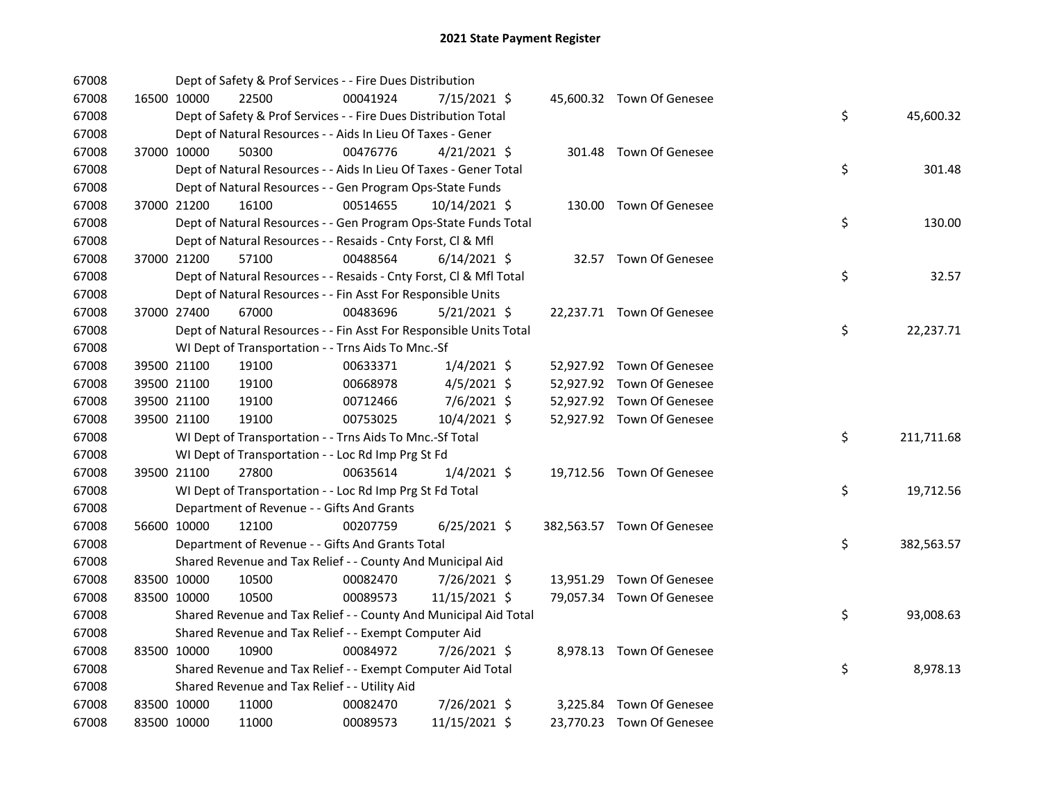| 67008 |             | Dept of Safety & Prof Services - - Fire Dues Distribution          |          |                |  |                            |    |            |
|-------|-------------|--------------------------------------------------------------------|----------|----------------|--|----------------------------|----|------------|
| 67008 | 16500 10000 | 22500                                                              | 00041924 | 7/15/2021 \$   |  | 45,600.32 Town Of Genesee  |    |            |
| 67008 |             | Dept of Safety & Prof Services - - Fire Dues Distribution Total    |          |                |  |                            | \$ | 45,600.32  |
| 67008 |             | Dept of Natural Resources - - Aids In Lieu Of Taxes - Gener        |          |                |  |                            |    |            |
| 67008 | 37000 10000 | 50300                                                              | 00476776 | $4/21/2021$ \$ |  | 301.48 Town Of Genesee     |    |            |
| 67008 |             | Dept of Natural Resources - - Aids In Lieu Of Taxes - Gener Total  |          |                |  |                            | \$ | 301.48     |
| 67008 |             | Dept of Natural Resources - - Gen Program Ops-State Funds          |          |                |  |                            |    |            |
| 67008 | 37000 21200 | 16100                                                              | 00514655 | 10/14/2021 \$  |  | 130.00 Town Of Genesee     |    |            |
| 67008 |             | Dept of Natural Resources - - Gen Program Ops-State Funds Total    |          |                |  |                            | \$ | 130.00     |
| 67008 |             | Dept of Natural Resources - - Resaids - Cnty Forst, CI & Mfl       |          |                |  |                            |    |            |
| 67008 | 37000 21200 | 57100                                                              | 00488564 | $6/14/2021$ \$ |  | 32.57 Town Of Genesee      |    |            |
| 67008 |             | Dept of Natural Resources - - Resaids - Cnty Forst, Cl & Mfl Total |          |                |  |                            | \$ | 32.57      |
| 67008 |             | Dept of Natural Resources - - Fin Asst For Responsible Units       |          |                |  |                            |    |            |
| 67008 | 37000 27400 | 67000                                                              | 00483696 | $5/21/2021$ \$ |  | 22,237.71 Town Of Genesee  |    |            |
| 67008 |             | Dept of Natural Resources - - Fin Asst For Responsible Units Total |          |                |  |                            | \$ | 22,237.71  |
| 67008 |             | WI Dept of Transportation - - Trns Aids To Mnc.-Sf                 |          |                |  |                            |    |            |
| 67008 | 39500 21100 | 19100                                                              | 00633371 | $1/4/2021$ \$  |  | 52,927.92 Town Of Genesee  |    |            |
| 67008 | 39500 21100 | 19100                                                              | 00668978 | $4/5/2021$ \$  |  | 52,927.92 Town Of Genesee  |    |            |
| 67008 | 39500 21100 | 19100                                                              | 00712466 | 7/6/2021 \$    |  | 52,927.92 Town Of Genesee  |    |            |
| 67008 | 39500 21100 | 19100                                                              | 00753025 | 10/4/2021 \$   |  | 52,927.92 Town Of Genesee  |    |            |
| 67008 |             | WI Dept of Transportation - - Trns Aids To Mnc.-Sf Total           |          |                |  |                            | \$ | 211,711.68 |
| 67008 |             | WI Dept of Transportation - - Loc Rd Imp Prg St Fd                 |          |                |  |                            |    |            |
| 67008 | 39500 21100 | 27800                                                              | 00635614 | $1/4/2021$ \$  |  | 19,712.56 Town Of Genesee  |    |            |
| 67008 |             | WI Dept of Transportation - - Loc Rd Imp Prg St Fd Total           |          |                |  |                            | \$ | 19,712.56  |
| 67008 |             | Department of Revenue - - Gifts And Grants                         |          |                |  |                            |    |            |
| 67008 | 56600 10000 | 12100                                                              | 00207759 | $6/25/2021$ \$ |  | 382,563.57 Town Of Genesee |    |            |
| 67008 |             | Department of Revenue - - Gifts And Grants Total                   |          |                |  |                            | \$ | 382,563.57 |
| 67008 |             | Shared Revenue and Tax Relief - - County And Municipal Aid         |          |                |  |                            |    |            |
| 67008 | 83500 10000 | 10500                                                              | 00082470 | 7/26/2021 \$   |  | 13,951.29 Town Of Genesee  |    |            |
| 67008 | 83500 10000 | 10500                                                              | 00089573 | 11/15/2021 \$  |  | 79,057.34 Town Of Genesee  |    |            |
| 67008 |             | Shared Revenue and Tax Relief - - County And Municipal Aid Total   |          |                |  |                            | \$ | 93,008.63  |
| 67008 |             | Shared Revenue and Tax Relief - - Exempt Computer Aid              |          |                |  |                            |    |            |
| 67008 | 83500 10000 | 10900                                                              | 00084972 | 7/26/2021 \$   |  | 8,978.13 Town Of Genesee   |    |            |
| 67008 |             | Shared Revenue and Tax Relief - - Exempt Computer Aid Total        |          |                |  |                            | \$ | 8,978.13   |
| 67008 |             | Shared Revenue and Tax Relief - - Utility Aid                      |          |                |  |                            |    |            |
| 67008 | 83500 10000 | 11000                                                              | 00082470 | 7/26/2021 \$   |  | 3,225.84 Town Of Genesee   |    |            |
| 67008 | 83500 10000 | 11000                                                              | 00089573 | 11/15/2021 \$  |  | 23,770.23 Town Of Genesee  |    |            |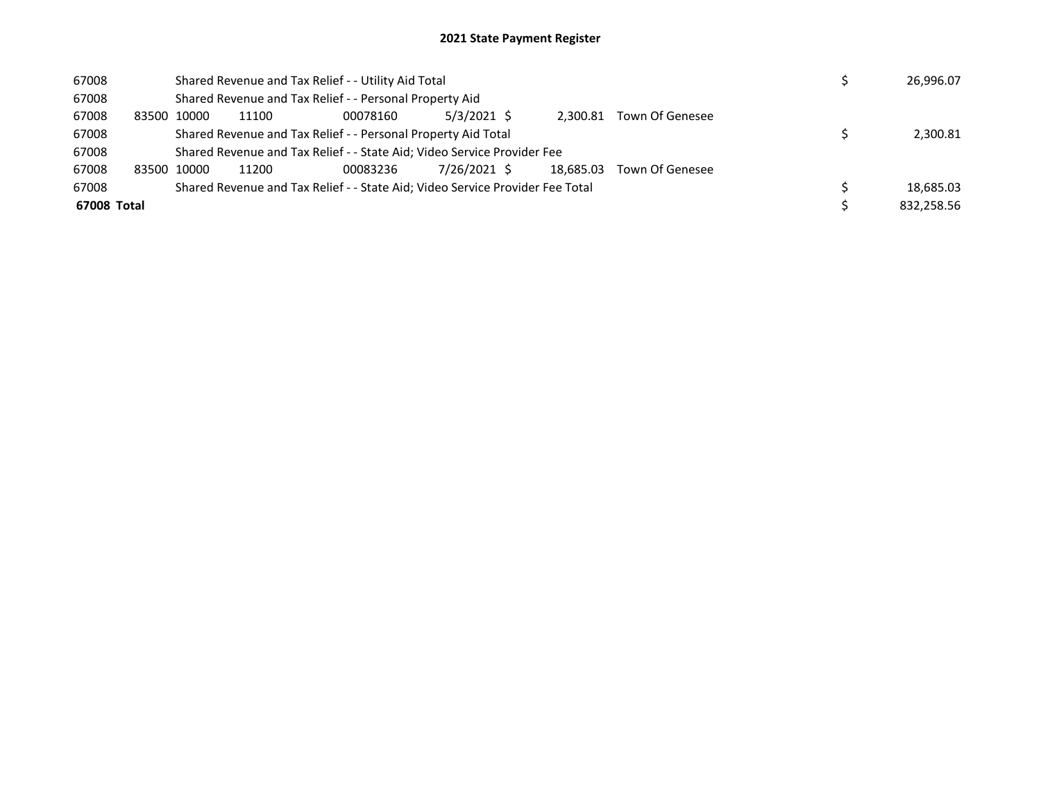## 2021 State Payment Register

| 67008       |       |                                                               | Shared Revenue and Tax Relief - - Utility Aid Total                     |                                                                               |              | 26,996.07 |           |                 |  |  |            |
|-------------|-------|---------------------------------------------------------------|-------------------------------------------------------------------------|-------------------------------------------------------------------------------|--------------|-----------|-----------|-----------------|--|--|------------|
| 67008       |       |                                                               |                                                                         | Shared Revenue and Tax Relief - - Personal Property Aid                       |              |           |           |                 |  |  |            |
| 67008       | 83500 | 10000                                                         | 11100                                                                   | 00078160                                                                      | 5/3/2021 \$  |           | 2.300.81  | Town Of Genesee |  |  |            |
| 67008       |       | Shared Revenue and Tax Relief - - Personal Property Aid Total |                                                                         |                                                                               |              |           |           |                 |  |  | 2,300.81   |
| 67008       |       |                                                               | Shared Revenue and Tax Relief - - State Aid; Video Service Provider Fee |                                                                               |              |           |           |                 |  |  |            |
| 67008       |       | 83500 10000                                                   | 11200                                                                   | 00083236                                                                      | 7/26/2021 \$ |           | 18.685.03 | Town Of Genesee |  |  |            |
| 67008       |       |                                                               |                                                                         | Shared Revenue and Tax Relief - - State Aid; Video Service Provider Fee Total |              |           |           |                 |  |  | 18.685.03  |
| 67008 Total |       |                                                               |                                                                         |                                                                               |              |           |           |                 |  |  | 832.258.56 |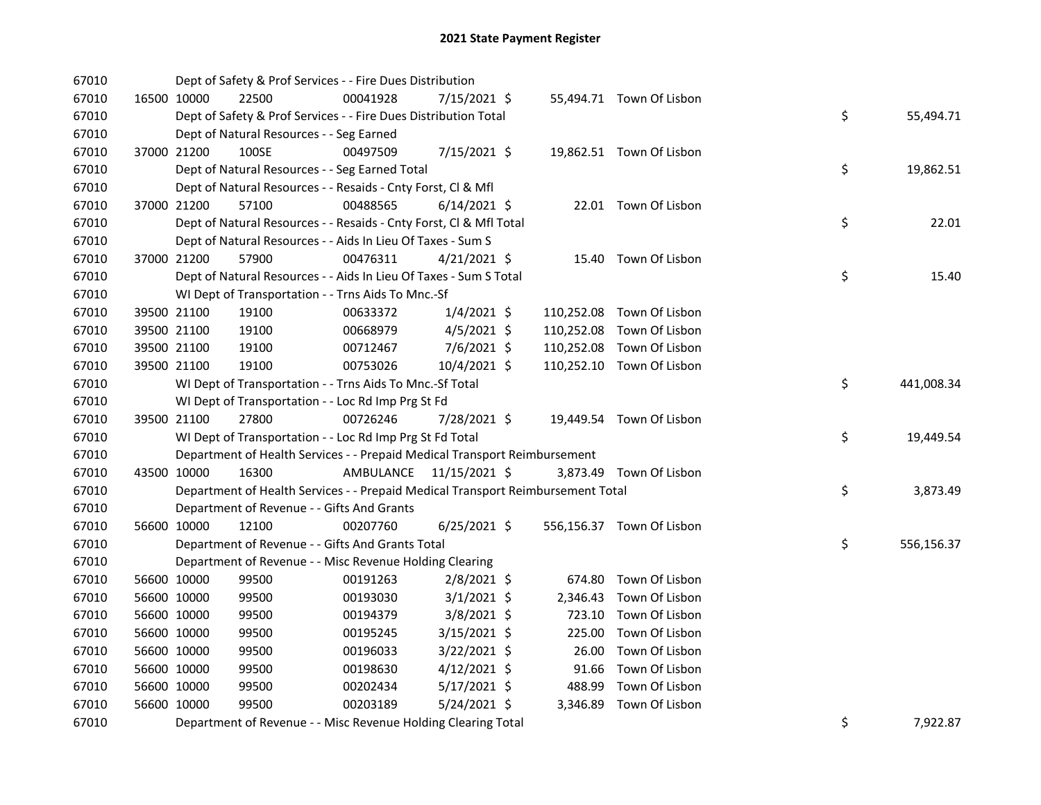| 67010 |             | Dept of Safety & Prof Services - - Fire Dues Distribution                       |           |                |  |                           |    |            |
|-------|-------------|---------------------------------------------------------------------------------|-----------|----------------|--|---------------------------|----|------------|
| 67010 | 16500 10000 | 22500                                                                           | 00041928  | 7/15/2021 \$   |  | 55,494.71 Town Of Lisbon  |    |            |
| 67010 |             | Dept of Safety & Prof Services - - Fire Dues Distribution Total                 |           |                |  |                           | \$ | 55,494.71  |
| 67010 |             | Dept of Natural Resources - - Seg Earned                                        |           |                |  |                           |    |            |
| 67010 | 37000 21200 | 100SE                                                                           | 00497509  | 7/15/2021 \$   |  | 19,862.51 Town Of Lisbon  |    |            |
| 67010 |             | Dept of Natural Resources - - Seg Earned Total                                  |           |                |  |                           | \$ | 19,862.51  |
| 67010 |             | Dept of Natural Resources - - Resaids - Cnty Forst, Cl & Mfl                    |           |                |  |                           |    |            |
| 67010 | 37000 21200 | 57100                                                                           | 00488565  | $6/14/2021$ \$ |  | 22.01 Town Of Lisbon      |    |            |
| 67010 |             | Dept of Natural Resources - - Resaids - Cnty Forst, CI & Mfl Total              |           |                |  |                           | \$ | 22.01      |
| 67010 |             | Dept of Natural Resources - - Aids In Lieu Of Taxes - Sum S                     |           |                |  |                           |    |            |
| 67010 | 37000 21200 | 57900                                                                           | 00476311  | $4/21/2021$ \$ |  | 15.40 Town Of Lisbon      |    |            |
| 67010 |             | Dept of Natural Resources - - Aids In Lieu Of Taxes - Sum S Total               |           |                |  |                           | \$ | 15.40      |
| 67010 |             | WI Dept of Transportation - - Trns Aids To Mnc.-Sf                              |           |                |  |                           |    |            |
| 67010 | 39500 21100 | 19100                                                                           | 00633372  | $1/4/2021$ \$  |  | 110,252.08 Town Of Lisbon |    |            |
| 67010 | 39500 21100 | 19100                                                                           | 00668979  | $4/5/2021$ \$  |  | 110,252.08 Town Of Lisbon |    |            |
| 67010 | 39500 21100 | 19100                                                                           | 00712467  | 7/6/2021 \$    |  | 110,252.08 Town Of Lisbon |    |            |
| 67010 | 39500 21100 | 19100                                                                           | 00753026  | 10/4/2021 \$   |  | 110,252.10 Town Of Lisbon |    |            |
| 67010 |             | WI Dept of Transportation - - Trns Aids To Mnc.-Sf Total                        |           |                |  |                           | \$ | 441,008.34 |
| 67010 |             | WI Dept of Transportation - - Loc Rd Imp Prg St Fd                              |           |                |  |                           |    |            |
| 67010 | 39500 21100 | 27800                                                                           | 00726246  | 7/28/2021 \$   |  | 19,449.54 Town Of Lisbon  |    |            |
| 67010 |             | WI Dept of Transportation - - Loc Rd Imp Prg St Fd Total                        |           |                |  |                           | \$ | 19,449.54  |
| 67010 |             | Department of Health Services - - Prepaid Medical Transport Reimbursement       |           |                |  |                           |    |            |
| 67010 | 43500 10000 | 16300                                                                           | AMBULANCE | 11/15/2021 \$  |  | 3,873.49 Town Of Lisbon   |    |            |
| 67010 |             | Department of Health Services - - Prepaid Medical Transport Reimbursement Total |           |                |  |                           | \$ | 3,873.49   |
| 67010 |             | Department of Revenue - - Gifts And Grants                                      |           |                |  |                           |    |            |
| 67010 | 56600 10000 | 12100                                                                           | 00207760  | $6/25/2021$ \$ |  | 556,156.37 Town Of Lisbon |    |            |
| 67010 |             | Department of Revenue - - Gifts And Grants Total                                |           |                |  |                           | \$ | 556,156.37 |
| 67010 |             | Department of Revenue - - Misc Revenue Holding Clearing                         |           |                |  |                           |    |            |
| 67010 | 56600 10000 | 99500                                                                           | 00191263  | $2/8/2021$ \$  |  | 674.80 Town Of Lisbon     |    |            |
| 67010 | 56600 10000 | 99500                                                                           | 00193030  | $3/1/2021$ \$  |  | 2,346.43 Town Of Lisbon   |    |            |
| 67010 | 56600 10000 | 99500                                                                           | 00194379  | $3/8/2021$ \$  |  | 723.10 Town Of Lisbon     |    |            |
| 67010 | 56600 10000 | 99500                                                                           | 00195245  | $3/15/2021$ \$ |  | 225.00 Town Of Lisbon     |    |            |
| 67010 | 56600 10000 | 99500                                                                           | 00196033  | $3/22/2021$ \$ |  | 26.00 Town Of Lisbon      |    |            |
| 67010 | 56600 10000 | 99500                                                                           | 00198630  | $4/12/2021$ \$ |  | 91.66 Town Of Lisbon      |    |            |
| 67010 | 56600 10000 | 99500                                                                           | 00202434  | 5/17/2021 \$   |  | 488.99 Town Of Lisbon     |    |            |
| 67010 | 56600 10000 | 99500                                                                           | 00203189  | $5/24/2021$ \$ |  | 3,346.89 Town Of Lisbon   |    |            |
| 67010 |             | Department of Revenue - - Misc Revenue Holding Clearing Total                   |           |                |  |                           | \$ | 7,922.87   |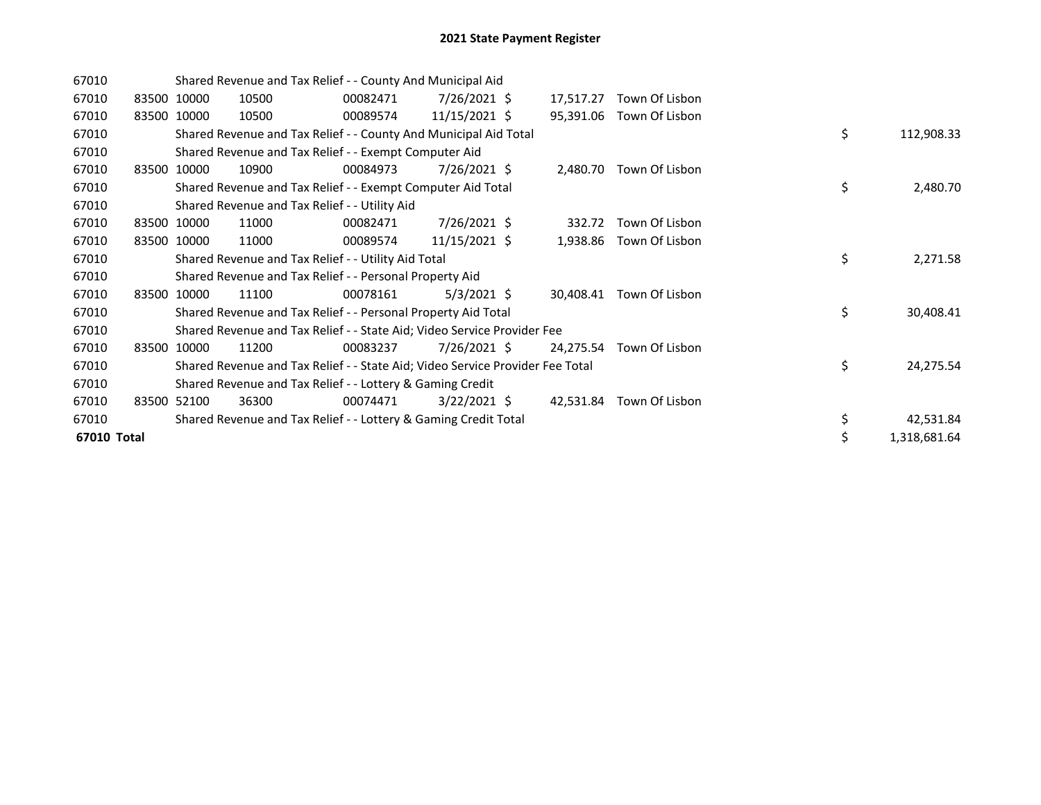| 67010       |       | Shared Revenue and Tax Relief - - County And Municipal Aid |                                                                               |          |                 |  |           |                |  |    |              |
|-------------|-------|------------------------------------------------------------|-------------------------------------------------------------------------------|----------|-----------------|--|-----------|----------------|--|----|--------------|
| 67010       |       | 83500 10000                                                | 10500                                                                         | 00082471 | 7/26/2021 \$    |  | 17,517.27 | Town Of Lisbon |  |    |              |
| 67010       |       | 83500 10000                                                | 10500                                                                         | 00089574 | 11/15/2021 \$   |  | 95,391.06 | Town Of Lisbon |  |    |              |
| 67010       |       |                                                            | Shared Revenue and Tax Relief - - County And Municipal Aid Total              |          |                 |  |           |                |  | \$ | 112,908.33   |
| 67010       |       |                                                            | Shared Revenue and Tax Relief - - Exempt Computer Aid                         |          |                 |  |           |                |  |    |              |
| 67010       |       | 83500 10000                                                | 10900                                                                         | 00084973 | 7/26/2021 \$    |  | 2,480.70  | Town Of Lisbon |  |    |              |
| 67010       |       |                                                            | Shared Revenue and Tax Relief - - Exempt Computer Aid Total                   |          |                 |  |           |                |  | \$ | 2,480.70     |
| 67010       |       |                                                            | Shared Revenue and Tax Relief - - Utility Aid                                 |          |                 |  |           |                |  |    |              |
| 67010       |       | 83500 10000                                                | 11000                                                                         | 00082471 | 7/26/2021 \$    |  | 332.72    | Town Of Lisbon |  |    |              |
| 67010       |       | 83500 10000                                                | 11000                                                                         | 00089574 | $11/15/2021$ \$ |  | 1,938.86  | Town Of Lisbon |  |    |              |
| 67010       |       |                                                            | Shared Revenue and Tax Relief - - Utility Aid Total                           |          |                 |  |           |                |  | \$ | 2,271.58     |
| 67010       |       |                                                            | Shared Revenue and Tax Relief - - Personal Property Aid                       |          |                 |  |           |                |  |    |              |
| 67010       | 83500 | 10000                                                      | 11100                                                                         | 00078161 | $5/3/2021$ \$   |  | 30.408.41 | Town Of Lisbon |  |    |              |
| 67010       |       |                                                            | Shared Revenue and Tax Relief - - Personal Property Aid Total                 |          |                 |  |           |                |  | \$ | 30,408.41    |
| 67010       |       |                                                            | Shared Revenue and Tax Relief - - State Aid; Video Service Provider Fee       |          |                 |  |           |                |  |    |              |
| 67010       |       | 83500 10000                                                | 11200                                                                         | 00083237 | $7/26/2021$ \$  |  | 24,275.54 | Town Of Lisbon |  |    |              |
| 67010       |       |                                                            | Shared Revenue and Tax Relief - - State Aid; Video Service Provider Fee Total |          |                 |  |           |                |  | \$ | 24,275.54    |
| 67010       |       |                                                            | Shared Revenue and Tax Relief - - Lottery & Gaming Credit                     |          |                 |  |           |                |  |    |              |
| 67010       |       | 83500 52100                                                | 36300                                                                         | 00074471 | $3/22/2021$ \$  |  | 42,531.84 | Town Of Lisbon |  |    |              |
| 67010       |       |                                                            | Shared Revenue and Tax Relief - - Lottery & Gaming Credit Total               |          |                 |  |           |                |  | \$ | 42,531.84    |
| 67010 Total |       |                                                            |                                                                               |          |                 |  |           |                |  | \$ | 1,318,681.64 |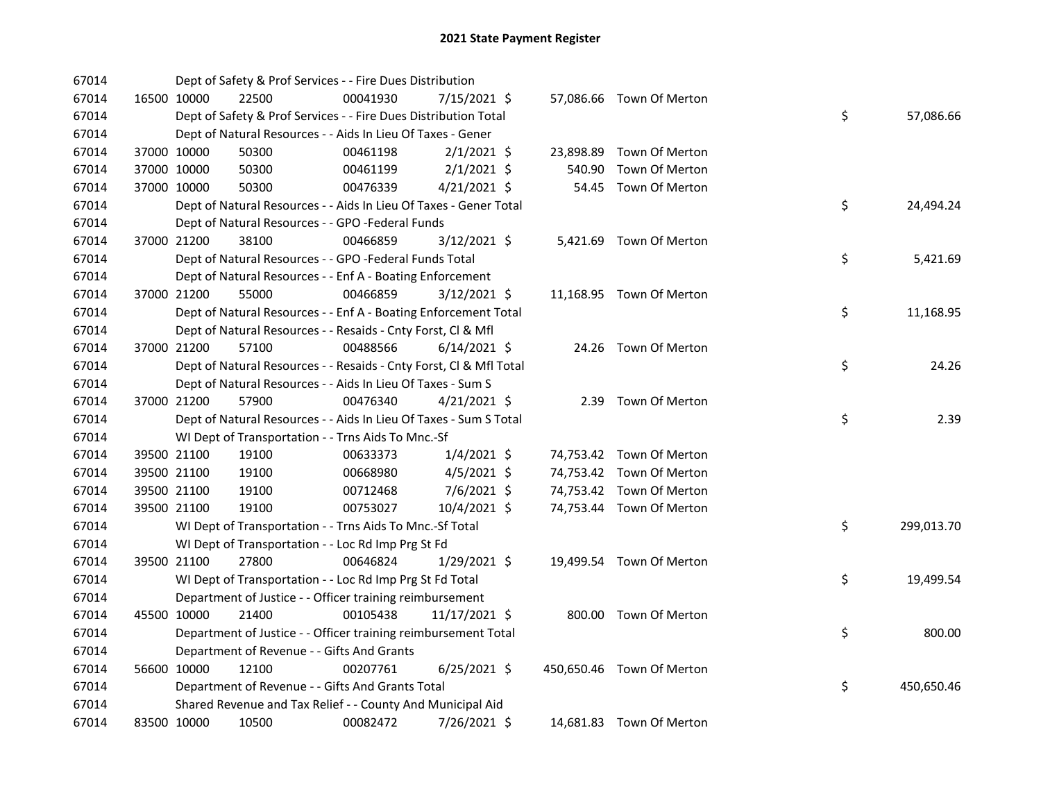| 67014 |             |             | Dept of Safety & Prof Services - - Fire Dues Distribution          |          |                |  |                           |    |            |
|-------|-------------|-------------|--------------------------------------------------------------------|----------|----------------|--|---------------------------|----|------------|
| 67014 |             | 16500 10000 | 22500                                                              | 00041930 | 7/15/2021 \$   |  | 57,086.66 Town Of Merton  |    |            |
| 67014 |             |             | Dept of Safety & Prof Services - - Fire Dues Distribution Total    |          |                |  |                           | \$ | 57,086.66  |
| 67014 |             |             | Dept of Natural Resources - - Aids In Lieu Of Taxes - Gener        |          |                |  |                           |    |            |
| 67014 |             | 37000 10000 | 50300                                                              | 00461198 | $2/1/2021$ \$  |  | 23,898.89 Town Of Merton  |    |            |
| 67014 |             | 37000 10000 | 50300                                                              | 00461199 | $2/1/2021$ \$  |  | 540.90 Town Of Merton     |    |            |
| 67014 | 37000 10000 |             | 50300                                                              | 00476339 | $4/21/2021$ \$ |  | 54.45 Town Of Merton      |    |            |
| 67014 |             |             | Dept of Natural Resources - - Aids In Lieu Of Taxes - Gener Total  |          |                |  |                           | \$ | 24,494.24  |
| 67014 |             |             | Dept of Natural Resources - - GPO -Federal Funds                   |          |                |  |                           |    |            |
| 67014 | 37000 21200 |             | 38100                                                              | 00466859 | 3/12/2021 \$   |  | 5,421.69 Town Of Merton   |    |            |
| 67014 |             |             | Dept of Natural Resources - - GPO -Federal Funds Total             |          |                |  |                           | \$ | 5,421.69   |
| 67014 |             |             | Dept of Natural Resources - - Enf A - Boating Enforcement          |          |                |  |                           |    |            |
| 67014 |             | 37000 21200 | 55000                                                              | 00466859 | $3/12/2021$ \$ |  | 11,168.95 Town Of Merton  |    |            |
| 67014 |             |             | Dept of Natural Resources - - Enf A - Boating Enforcement Total    |          |                |  |                           | \$ | 11,168.95  |
| 67014 |             |             | Dept of Natural Resources - - Resaids - Cnty Forst, Cl & Mfl       |          |                |  |                           |    |            |
| 67014 |             | 37000 21200 | 57100                                                              | 00488566 | $6/14/2021$ \$ |  | 24.26 Town Of Merton      |    |            |
| 67014 |             |             | Dept of Natural Resources - - Resaids - Cnty Forst, Cl & Mfl Total |          |                |  |                           | \$ | 24.26      |
| 67014 |             |             | Dept of Natural Resources - - Aids In Lieu Of Taxes - Sum S        |          |                |  |                           |    |            |
| 67014 |             | 37000 21200 | 57900                                                              | 00476340 | $4/21/2021$ \$ |  | 2.39 Town Of Merton       |    |            |
| 67014 |             |             | Dept of Natural Resources - - Aids In Lieu Of Taxes - Sum S Total  |          |                |  |                           | \$ | 2.39       |
| 67014 |             |             | WI Dept of Transportation - - Trns Aids To Mnc.-Sf                 |          |                |  |                           |    |            |
| 67014 |             | 39500 21100 | 19100                                                              | 00633373 | $1/4/2021$ \$  |  | 74,753.42 Town Of Merton  |    |            |
| 67014 |             | 39500 21100 | 19100                                                              | 00668980 | $4/5/2021$ \$  |  | 74,753.42 Town Of Merton  |    |            |
| 67014 |             | 39500 21100 | 19100                                                              | 00712468 | $7/6/2021$ \$  |  | 74,753.42 Town Of Merton  |    |            |
| 67014 |             | 39500 21100 | 19100                                                              | 00753027 | 10/4/2021 \$   |  | 74,753.44 Town Of Merton  |    |            |
| 67014 |             |             | WI Dept of Transportation - - Trns Aids To Mnc.-Sf Total           |          |                |  |                           | \$ | 299,013.70 |
| 67014 |             |             | WI Dept of Transportation - - Loc Rd Imp Prg St Fd                 |          |                |  |                           |    |            |
| 67014 |             | 39500 21100 | 27800                                                              | 00646824 | $1/29/2021$ \$ |  | 19,499.54 Town Of Merton  |    |            |
| 67014 |             |             | WI Dept of Transportation - - Loc Rd Imp Prg St Fd Total           |          |                |  |                           | \$ | 19,499.54  |
| 67014 |             |             | Department of Justice - - Officer training reimbursement           |          |                |  |                           |    |            |
| 67014 |             | 45500 10000 | 21400                                                              | 00105438 | 11/17/2021 \$  |  | 800.00 Town Of Merton     |    |            |
| 67014 |             |             | Department of Justice - - Officer training reimbursement Total     |          |                |  |                           | \$ | 800.00     |
| 67014 |             |             | Department of Revenue - - Gifts And Grants                         |          |                |  |                           |    |            |
| 67014 |             | 56600 10000 | 12100                                                              | 00207761 | $6/25/2021$ \$ |  | 450,650.46 Town Of Merton |    |            |
| 67014 |             |             | Department of Revenue - - Gifts And Grants Total                   |          |                |  |                           | \$ | 450,650.46 |
| 67014 |             |             | Shared Revenue and Tax Relief - - County And Municipal Aid         |          |                |  |                           |    |            |
| 67014 |             | 83500 10000 | 10500                                                              | 00082472 | 7/26/2021 \$   |  | 14,681.83 Town Of Merton  |    |            |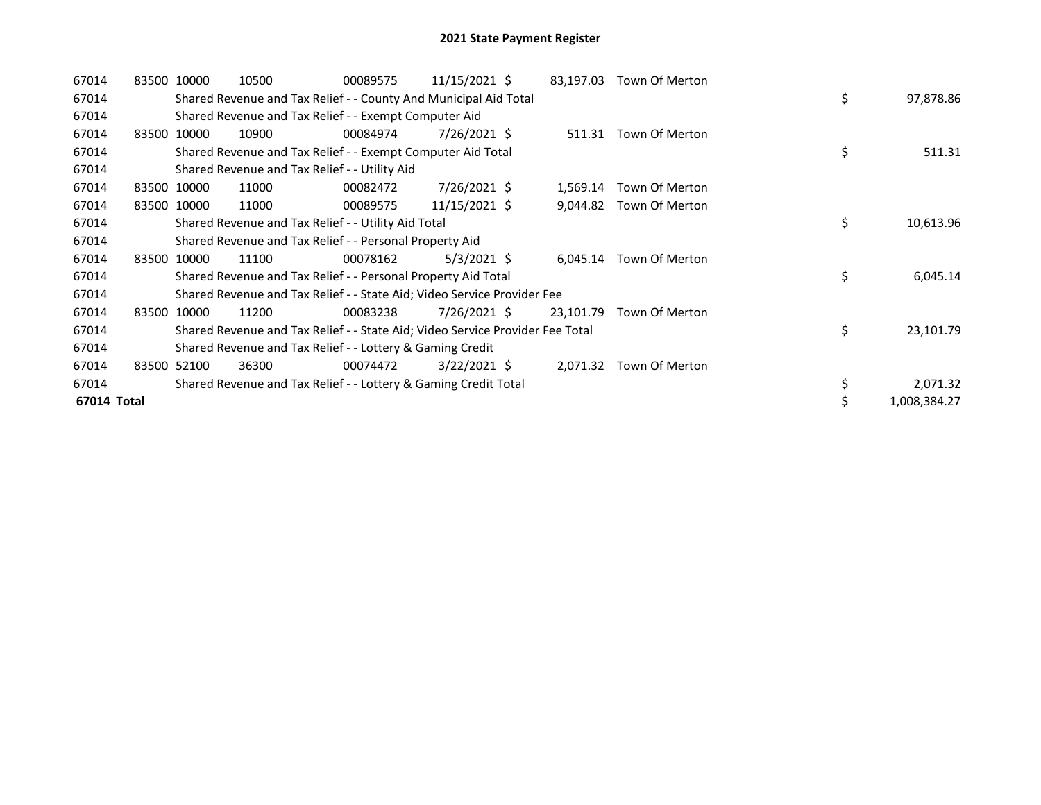| 67014       | 83500 10000 | 10500                                                                         | 00089575 | $11/15/2021$ \$ | 83,197.03 | Town Of Merton          |    |              |
|-------------|-------------|-------------------------------------------------------------------------------|----------|-----------------|-----------|-------------------------|----|--------------|
| 67014       |             | Shared Revenue and Tax Relief - - County And Municipal Aid Total              |          |                 |           |                         | \$ | 97,878.86    |
| 67014       |             | Shared Revenue and Tax Relief - - Exempt Computer Aid                         |          |                 |           |                         |    |              |
| 67014       | 83500 10000 | 10900                                                                         | 00084974 | 7/26/2021 \$    | 511.31    | Town Of Merton          |    |              |
| 67014       |             | Shared Revenue and Tax Relief - - Exempt Computer Aid Total                   |          |                 |           |                         | \$ | 511.31       |
| 67014       |             | Shared Revenue and Tax Relief - - Utility Aid                                 |          |                 |           |                         |    |              |
| 67014       | 83500 10000 | 11000                                                                         | 00082472 | 7/26/2021 \$    | 1,569.14  | Town Of Merton          |    |              |
| 67014       | 83500 10000 | 11000                                                                         | 00089575 | 11/15/2021 \$   | 9,044.82  | Town Of Merton          |    |              |
| 67014       |             | Shared Revenue and Tax Relief - - Utility Aid Total                           |          |                 |           |                         | \$ | 10,613.96    |
| 67014       |             | Shared Revenue and Tax Relief - - Personal Property Aid                       |          |                 |           |                         |    |              |
| 67014       | 83500 10000 | 11100                                                                         | 00078162 | $5/3/2021$ \$   |           | 6,045.14 Town Of Merton |    |              |
| 67014       |             | Shared Revenue and Tax Relief - - Personal Property Aid Total                 |          |                 |           |                         | \$ | 6,045.14     |
| 67014       |             | Shared Revenue and Tax Relief - - State Aid; Video Service Provider Fee       |          |                 |           |                         |    |              |
| 67014       | 83500 10000 | 11200                                                                         | 00083238 | 7/26/2021 \$    | 23,101.79 | Town Of Merton          |    |              |
| 67014       |             | Shared Revenue and Tax Relief - - State Aid; Video Service Provider Fee Total |          |                 |           |                         | \$ | 23,101.79    |
| 67014       |             | Shared Revenue and Tax Relief - - Lottery & Gaming Credit                     |          |                 |           |                         |    |              |
| 67014       | 83500 52100 | 36300                                                                         | 00074472 | $3/22/2021$ \$  | 2,071.32  | Town Of Merton          |    |              |
| 67014       |             | Shared Revenue and Tax Relief - - Lottery & Gaming Credit Total               |          |                 |           |                         | \$ | 2,071.32     |
| 67014 Total |             |                                                                               |          |                 |           |                         |    | 1,008,384.27 |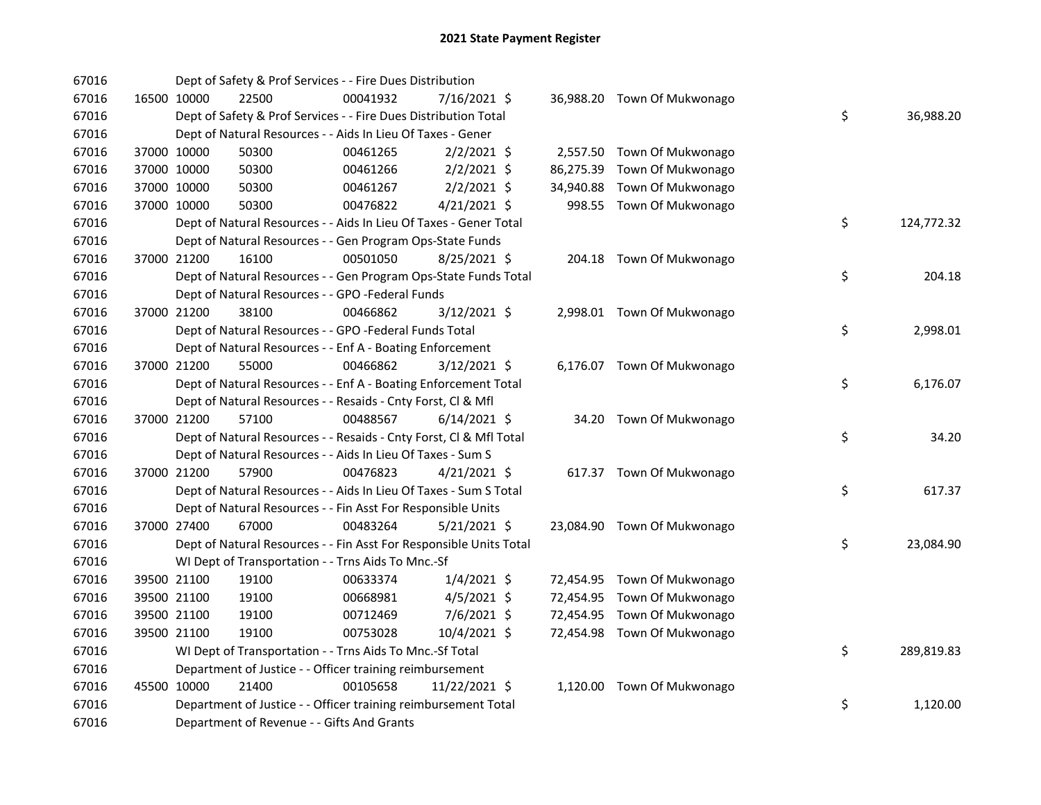| 67016 |             |             | Dept of Safety & Prof Services - - Fire Dues Distribution          |          |                |  |                             |    |            |
|-------|-------------|-------------|--------------------------------------------------------------------|----------|----------------|--|-----------------------------|----|------------|
| 67016 |             | 16500 10000 | 22500                                                              | 00041932 | 7/16/2021 \$   |  | 36,988.20 Town Of Mukwonago |    |            |
| 67016 |             |             | Dept of Safety & Prof Services - - Fire Dues Distribution Total    |          |                |  |                             | \$ | 36,988.20  |
| 67016 |             |             | Dept of Natural Resources - - Aids In Lieu Of Taxes - Gener        |          |                |  |                             |    |            |
| 67016 |             | 37000 10000 | 50300                                                              | 00461265 | $2/2/2021$ \$  |  | 2,557.50 Town Of Mukwonago  |    |            |
| 67016 |             | 37000 10000 | 50300                                                              | 00461266 | $2/2/2021$ \$  |  | 86,275.39 Town Of Mukwonago |    |            |
| 67016 |             | 37000 10000 | 50300                                                              | 00461267 | $2/2/2021$ \$  |  | 34,940.88 Town Of Mukwonago |    |            |
| 67016 | 37000 10000 |             | 50300                                                              | 00476822 | $4/21/2021$ \$ |  | 998.55 Town Of Mukwonago    |    |            |
| 67016 |             |             | Dept of Natural Resources - - Aids In Lieu Of Taxes - Gener Total  |          |                |  |                             | \$ | 124,772.32 |
| 67016 |             |             | Dept of Natural Resources - - Gen Program Ops-State Funds          |          |                |  |                             |    |            |
| 67016 | 37000 21200 |             | 16100                                                              | 00501050 | $8/25/2021$ \$ |  | 204.18 Town Of Mukwonago    |    |            |
| 67016 |             |             | Dept of Natural Resources - - Gen Program Ops-State Funds Total    |          |                |  |                             | \$ | 204.18     |
| 67016 |             |             | Dept of Natural Resources - - GPO -Federal Funds                   |          |                |  |                             |    |            |
| 67016 |             | 37000 21200 | 38100                                                              | 00466862 | 3/12/2021 \$   |  | 2,998.01 Town Of Mukwonago  |    |            |
| 67016 |             |             | Dept of Natural Resources - - GPO -Federal Funds Total             |          |                |  |                             | \$ | 2,998.01   |
| 67016 |             |             | Dept of Natural Resources - - Enf A - Boating Enforcement          |          |                |  |                             |    |            |
| 67016 |             | 37000 21200 | 55000                                                              | 00466862 | $3/12/2021$ \$ |  | 6,176.07 Town Of Mukwonago  |    |            |
| 67016 |             |             | Dept of Natural Resources - - Enf A - Boating Enforcement Total    |          |                |  |                             | \$ | 6,176.07   |
| 67016 |             |             | Dept of Natural Resources - - Resaids - Cnty Forst, Cl & Mfl       |          |                |  |                             |    |            |
| 67016 |             | 37000 21200 | 57100                                                              | 00488567 | $6/14/2021$ \$ |  | 34.20 Town Of Mukwonago     |    |            |
| 67016 |             |             | Dept of Natural Resources - - Resaids - Cnty Forst, Cl & Mfl Total |          |                |  |                             | \$ | 34.20      |
| 67016 |             |             | Dept of Natural Resources - - Aids In Lieu Of Taxes - Sum S        |          |                |  |                             |    |            |
| 67016 |             | 37000 21200 | 57900                                                              | 00476823 | $4/21/2021$ \$ |  | 617.37 Town Of Mukwonago    |    |            |
| 67016 |             |             | Dept of Natural Resources - - Aids In Lieu Of Taxes - Sum S Total  |          |                |  |                             | \$ | 617.37     |
| 67016 |             |             | Dept of Natural Resources - - Fin Asst For Responsible Units       |          |                |  |                             |    |            |
| 67016 |             | 37000 27400 | 67000                                                              | 00483264 | $5/21/2021$ \$ |  | 23,084.90 Town Of Mukwonago |    |            |
| 67016 |             |             | Dept of Natural Resources - - Fin Asst For Responsible Units Total |          |                |  |                             | \$ | 23,084.90  |
| 67016 |             |             | WI Dept of Transportation - - Trns Aids To Mnc.-Sf                 |          |                |  |                             |    |            |
| 67016 |             | 39500 21100 | 19100                                                              | 00633374 | $1/4/2021$ \$  |  | 72,454.95 Town Of Mukwonago |    |            |
| 67016 |             | 39500 21100 | 19100                                                              | 00668981 | $4/5/2021$ \$  |  | 72,454.95 Town Of Mukwonago |    |            |
| 67016 |             | 39500 21100 | 19100                                                              | 00712469 | 7/6/2021 \$    |  | 72,454.95 Town Of Mukwonago |    |            |
| 67016 |             | 39500 21100 | 19100                                                              | 00753028 | 10/4/2021 \$   |  | 72,454.98 Town Of Mukwonago |    |            |
| 67016 |             |             | WI Dept of Transportation - - Trns Aids To Mnc.-Sf Total           |          |                |  |                             | \$ | 289,819.83 |
| 67016 |             |             | Department of Justice - - Officer training reimbursement           |          |                |  |                             |    |            |
| 67016 |             | 45500 10000 | 21400                                                              | 00105658 | 11/22/2021 \$  |  | 1,120.00 Town Of Mukwonago  |    |            |
| 67016 |             |             | Department of Justice - - Officer training reimbursement Total     |          |                |  |                             | \$ | 1,120.00   |
| 67016 |             |             | Department of Revenue - - Gifts And Grants                         |          |                |  |                             |    |            |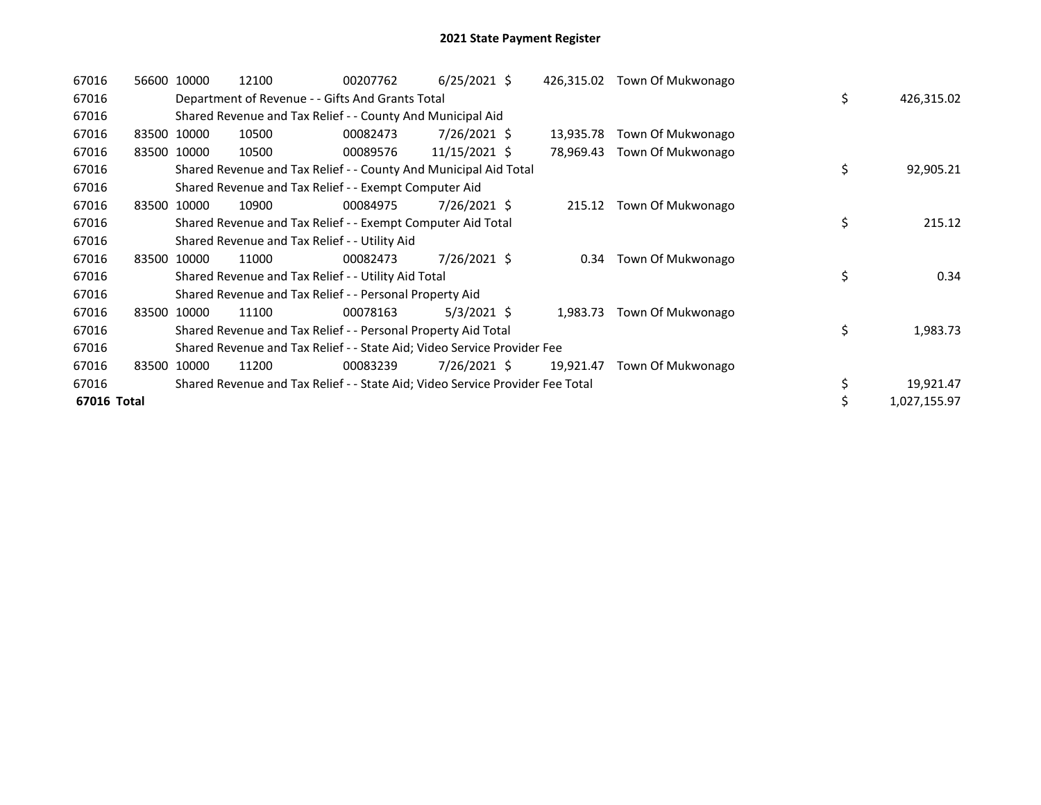| 67016       |       | 56600 10000                                                             | 12100 | 00207762                                                                      | $6/25/2021$ \$ |  | 426,315.02 | Town Of Mukwonago      |    |              |
|-------------|-------|-------------------------------------------------------------------------|-------|-------------------------------------------------------------------------------|----------------|--|------------|------------------------|----|--------------|
| 67016       |       |                                                                         |       | Department of Revenue - - Gifts And Grants Total                              |                |  |            |                        | \$ | 426,315.02   |
| 67016       |       |                                                                         |       | Shared Revenue and Tax Relief - - County And Municipal Aid                    |                |  |            |                        |    |              |
| 67016       |       | 83500 10000                                                             | 10500 | 00082473                                                                      | 7/26/2021 \$   |  | 13,935.78  | Town Of Mukwonago      |    |              |
| 67016       |       | 83500 10000                                                             | 10500 | 00089576                                                                      | 11/15/2021 \$  |  | 78,969.43  | Town Of Mukwonago      |    |              |
| 67016       |       |                                                                         |       | Shared Revenue and Tax Relief - - County And Municipal Aid Total              |                |  |            |                        | \$ | 92,905.21    |
| 67016       |       |                                                                         |       | Shared Revenue and Tax Relief - - Exempt Computer Aid                         |                |  |            |                        |    |              |
| 67016       |       | 83500 10000                                                             | 10900 | 00084975                                                                      | 7/26/2021 \$   |  | 215.12     | Town Of Mukwonago      |    |              |
| 67016       |       |                                                                         |       | Shared Revenue and Tax Relief - - Exempt Computer Aid Total                   |                |  |            |                        | \$ | 215.12       |
| 67016       |       |                                                                         |       | Shared Revenue and Tax Relief - - Utility Aid                                 |                |  |            |                        |    |              |
| 67016       |       | 83500 10000                                                             | 11000 | 00082473                                                                      | 7/26/2021 \$   |  |            | 0.34 Town Of Mukwonago |    |              |
| 67016       |       |                                                                         |       | Shared Revenue and Tax Relief - - Utility Aid Total                           |                |  |            |                        | \$ | 0.34         |
| 67016       |       |                                                                         |       | Shared Revenue and Tax Relief - - Personal Property Aid                       |                |  |            |                        |    |              |
| 67016       |       | 83500 10000                                                             | 11100 | 00078163                                                                      | $5/3/2021$ \$  |  | 1,983.73   | Town Of Mukwonago      |    |              |
| 67016       |       |                                                                         |       | Shared Revenue and Tax Relief - - Personal Property Aid Total                 |                |  |            |                        | \$ | 1,983.73     |
| 67016       |       | Shared Revenue and Tax Relief - - State Aid; Video Service Provider Fee |       |                                                                               |                |  |            |                        |    |              |
| 67016       | 83500 | 10000                                                                   | 11200 | 00083239                                                                      | $7/26/2021$ \$ |  | 19,921.47  | Town Of Mukwonago      |    |              |
| 67016       |       |                                                                         |       | Shared Revenue and Tax Relief - - State Aid; Video Service Provider Fee Total |                |  |            |                        | \$ | 19,921.47    |
| 67016 Total |       |                                                                         |       |                                                                               |                |  |            |                        |    | 1,027,155.97 |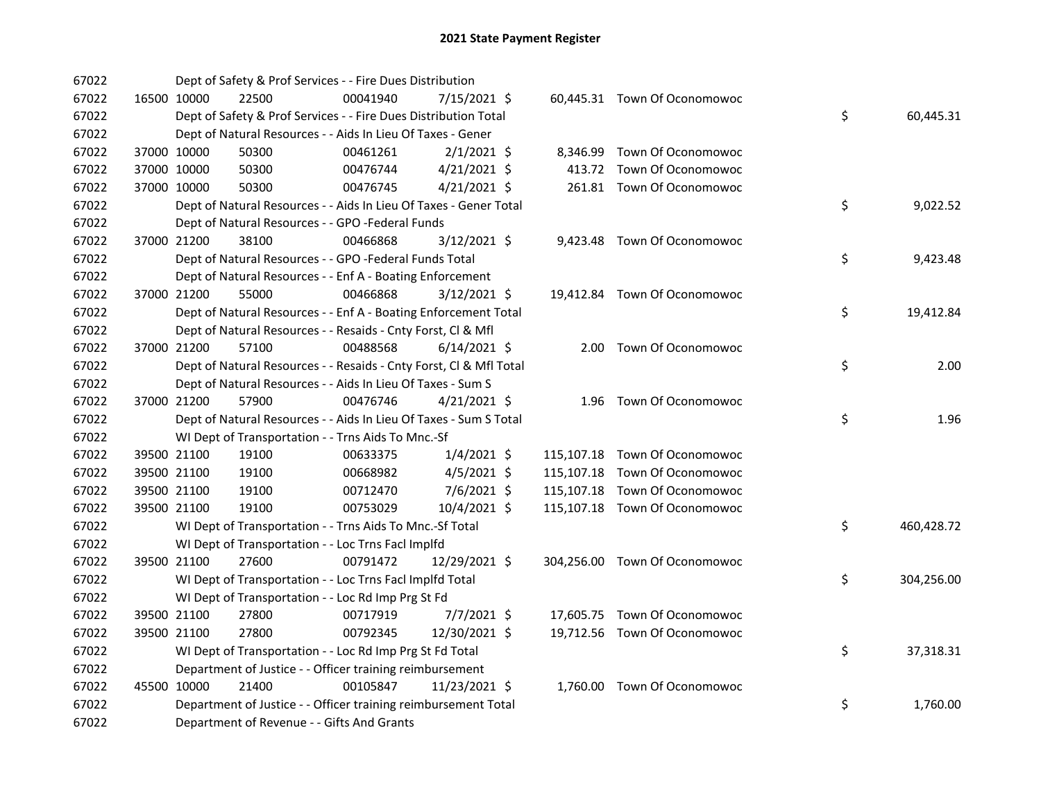| 67022 |             |             | Dept of Safety & Prof Services - - Fire Dues Distribution          |          |                |  |                               |    |            |
|-------|-------------|-------------|--------------------------------------------------------------------|----------|----------------|--|-------------------------------|----|------------|
| 67022 |             | 16500 10000 | 22500                                                              | 00041940 | 7/15/2021 \$   |  | 60,445.31 Town Of Oconomowoc  |    |            |
| 67022 |             |             | Dept of Safety & Prof Services - - Fire Dues Distribution Total    |          |                |  |                               | \$ | 60,445.31  |
| 67022 |             |             | Dept of Natural Resources - - Aids In Lieu Of Taxes - Gener        |          |                |  |                               |    |            |
| 67022 | 37000 10000 |             | 50300                                                              | 00461261 | $2/1/2021$ \$  |  | 8,346.99 Town Of Oconomowoc   |    |            |
| 67022 | 37000 10000 |             | 50300                                                              | 00476744 | $4/21/2021$ \$ |  | 413.72 Town Of Oconomowoc     |    |            |
| 67022 | 37000 10000 |             | 50300                                                              | 00476745 | $4/21/2021$ \$ |  | 261.81 Town Of Oconomowoc     |    |            |
| 67022 |             |             | Dept of Natural Resources - - Aids In Lieu Of Taxes - Gener Total  |          |                |  |                               | \$ | 9,022.52   |
| 67022 |             |             | Dept of Natural Resources - - GPO -Federal Funds                   |          |                |  |                               |    |            |
| 67022 |             | 37000 21200 | 38100                                                              | 00466868 | 3/12/2021 \$   |  | 9,423.48 Town Of Oconomowoc   |    |            |
| 67022 |             |             | Dept of Natural Resources - - GPO -Federal Funds Total             |          |                |  |                               | \$ | 9,423.48   |
| 67022 |             |             | Dept of Natural Resources - - Enf A - Boating Enforcement          |          |                |  |                               |    |            |
| 67022 |             | 37000 21200 | 55000                                                              | 00466868 | $3/12/2021$ \$ |  | 19,412.84 Town Of Oconomowoc  |    |            |
| 67022 |             |             | Dept of Natural Resources - - Enf A - Boating Enforcement Total    |          |                |  |                               | \$ | 19,412.84  |
| 67022 |             |             | Dept of Natural Resources - - Resaids - Cnty Forst, Cl & Mfl       |          |                |  |                               |    |            |
| 67022 | 37000 21200 |             | 57100                                                              | 00488568 | $6/14/2021$ \$ |  | 2.00 Town Of Oconomowoc       |    |            |
| 67022 |             |             | Dept of Natural Resources - - Resaids - Cnty Forst, Cl & Mfl Total |          |                |  |                               | \$ | 2.00       |
| 67022 |             |             | Dept of Natural Resources - - Aids In Lieu Of Taxes - Sum S        |          |                |  |                               |    |            |
| 67022 |             | 37000 21200 | 57900                                                              | 00476746 | $4/21/2021$ \$ |  | 1.96 Town Of Oconomowoc       |    |            |
| 67022 |             |             | Dept of Natural Resources - - Aids In Lieu Of Taxes - Sum S Total  |          |                |  |                               | \$ | 1.96       |
| 67022 |             |             | WI Dept of Transportation - - Trns Aids To Mnc.-Sf                 |          |                |  |                               |    |            |
| 67022 |             | 39500 21100 | 19100                                                              | 00633375 | $1/4/2021$ \$  |  | 115,107.18 Town Of Oconomowoc |    |            |
| 67022 |             | 39500 21100 | 19100                                                              | 00668982 | $4/5/2021$ \$  |  | 115,107.18 Town Of Oconomowoc |    |            |
| 67022 | 39500 21100 |             | 19100                                                              | 00712470 | 7/6/2021 \$    |  | 115,107.18 Town Of Oconomowoc |    |            |
| 67022 | 39500 21100 |             | 19100                                                              | 00753029 | 10/4/2021 \$   |  | 115,107.18 Town Of Oconomowoc |    |            |
| 67022 |             |             | WI Dept of Transportation - - Trns Aids To Mnc.-Sf Total           |          |                |  |                               | \$ | 460,428.72 |
| 67022 |             |             | WI Dept of Transportation - - Loc Trns Facl Implfd                 |          |                |  |                               |    |            |
| 67022 |             | 39500 21100 | 27600                                                              | 00791472 | 12/29/2021 \$  |  | 304,256.00 Town Of Oconomowoc |    |            |
| 67022 |             |             | WI Dept of Transportation - - Loc Trns Facl Implfd Total           |          |                |  |                               | \$ | 304,256.00 |
| 67022 |             |             | WI Dept of Transportation - - Loc Rd Imp Prg St Fd                 |          |                |  |                               |    |            |
| 67022 |             | 39500 21100 | 27800                                                              | 00717919 | 7/7/2021 \$    |  | 17,605.75 Town Of Oconomowoc  |    |            |
| 67022 | 39500 21100 |             | 27800                                                              | 00792345 | 12/30/2021 \$  |  | 19,712.56 Town Of Oconomowoc  |    |            |
| 67022 |             |             | WI Dept of Transportation - - Loc Rd Imp Prg St Fd Total           |          |                |  |                               | \$ | 37,318.31  |
| 67022 |             |             | Department of Justice - - Officer training reimbursement           |          |                |  |                               |    |            |
| 67022 | 45500 10000 |             | 21400                                                              | 00105847 | 11/23/2021 \$  |  | 1,760.00 Town Of Oconomowoc   |    |            |
| 67022 |             |             | Department of Justice - - Officer training reimbursement Total     |          |                |  |                               | \$ | 1,760.00   |
| 67022 |             |             | Department of Revenue - - Gifts And Grants                         |          |                |  |                               |    |            |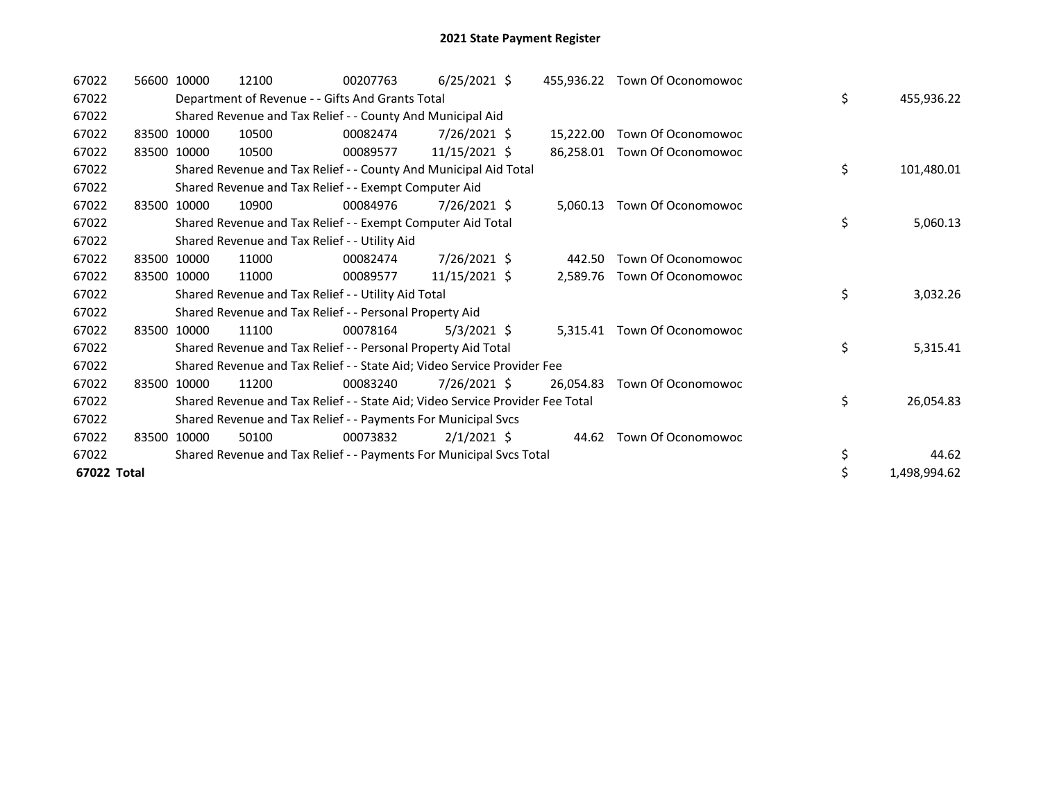| 67022       |       | 56600 10000 | 12100                                                                         | 00207763 | $6/25/2021$ \$  |           | 455,936.22 Town Of Oconomowoc |    |              |
|-------------|-------|-------------|-------------------------------------------------------------------------------|----------|-----------------|-----------|-------------------------------|----|--------------|
| 67022       |       |             | Department of Revenue - - Gifts And Grants Total                              |          |                 |           |                               | \$ | 455,936.22   |
| 67022       |       |             | Shared Revenue and Tax Relief - - County And Municipal Aid                    |          |                 |           |                               |    |              |
| 67022       |       | 83500 10000 | 10500                                                                         | 00082474 | 7/26/2021 \$    | 15,222.00 | Town Of Oconomowoc            |    |              |
| 67022       | 83500 | 10000       | 10500                                                                         | 00089577 | 11/15/2021 \$   | 86.258.01 | Town Of Oconomowoc            |    |              |
| 67022       |       |             | Shared Revenue and Tax Relief - - County And Municipal Aid Total              |          |                 |           |                               | \$ | 101,480.01   |
| 67022       |       |             | Shared Revenue and Tax Relief - - Exempt Computer Aid                         |          |                 |           |                               |    |              |
| 67022       |       | 83500 10000 | 10900                                                                         | 00084976 | 7/26/2021 \$    | 5,060.13  | Town Of Oconomowoc            |    |              |
| 67022       |       |             | Shared Revenue and Tax Relief - - Exempt Computer Aid Total                   |          |                 |           |                               | \$ | 5,060.13     |
| 67022       |       |             | Shared Revenue and Tax Relief - - Utility Aid                                 |          |                 |           |                               |    |              |
| 67022       |       | 83500 10000 | 11000                                                                         | 00082474 | 7/26/2021 \$    | 442.50    | Town Of Oconomowoc            |    |              |
| 67022       |       | 83500 10000 | 11000                                                                         | 00089577 | $11/15/2021$ \$ | 2,589.76  | Town Of Oconomowoc            |    |              |
| 67022       |       |             | Shared Revenue and Tax Relief - - Utility Aid Total                           |          |                 |           |                               | \$ | 3,032.26     |
| 67022       |       |             | Shared Revenue and Tax Relief - - Personal Property Aid                       |          |                 |           |                               |    |              |
| 67022       |       | 83500 10000 | 11100                                                                         | 00078164 | $5/3/2021$ \$   |           | 5,315.41 Town Of Oconomowoc   |    |              |
| 67022       |       |             | Shared Revenue and Tax Relief - - Personal Property Aid Total                 |          |                 |           |                               | \$ | 5,315.41     |
| 67022       |       |             | Shared Revenue and Tax Relief - - State Aid; Video Service Provider Fee       |          |                 |           |                               |    |              |
| 67022       |       | 83500 10000 | 11200                                                                         | 00083240 | 7/26/2021 \$    | 26,054.83 | Town Of Oconomowoc            |    |              |
| 67022       |       |             | Shared Revenue and Tax Relief - - State Aid; Video Service Provider Fee Total |          |                 |           |                               | \$ | 26,054.83    |
| 67022       |       |             | Shared Revenue and Tax Relief - - Payments For Municipal Svcs                 |          |                 |           |                               |    |              |
| 67022       |       | 83500 10000 | 50100                                                                         | 00073832 | $2/1/2021$ \$   |           | 44.62 Town Of Oconomowoc      |    |              |
| 67022       |       |             | Shared Revenue and Tax Relief - - Payments For Municipal Svcs Total           |          |                 |           |                               | \$ | 44.62        |
| 67022 Total |       |             |                                                                               |          |                 |           |                               | \$ | 1,498,994.62 |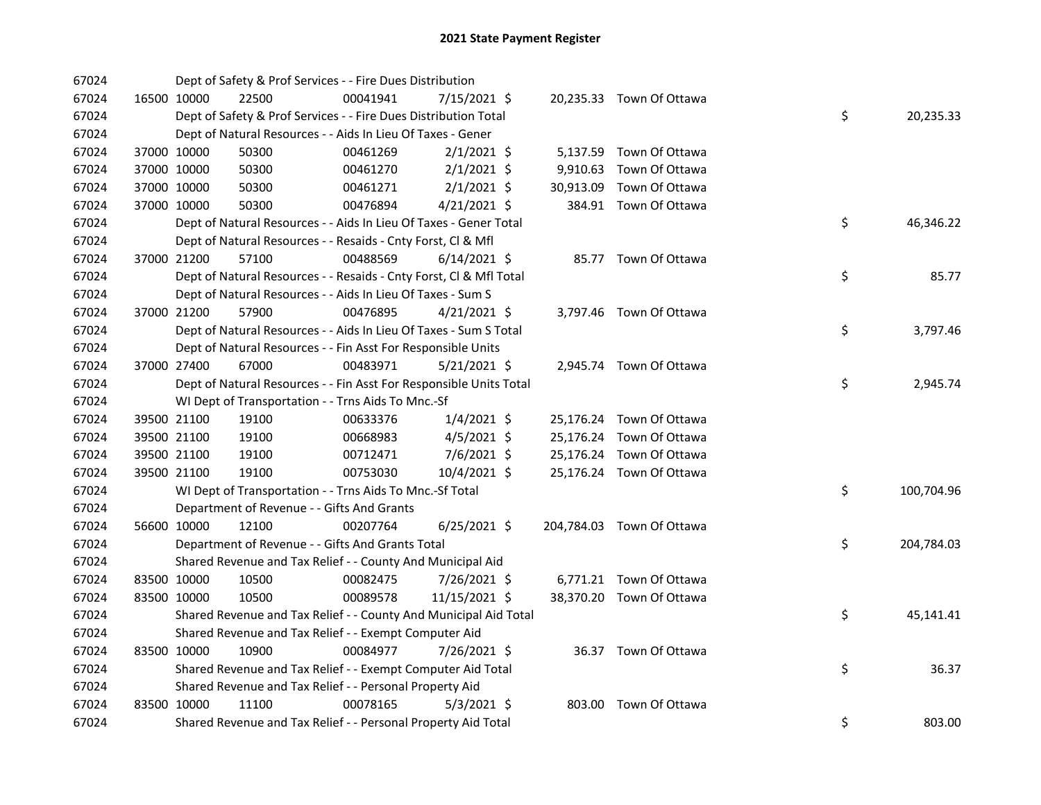| 67024 |             | Dept of Safety & Prof Services - - Fire Dues Distribution          |          |                |  |                           |    |            |
|-------|-------------|--------------------------------------------------------------------|----------|----------------|--|---------------------------|----|------------|
| 67024 | 16500 10000 | 22500                                                              | 00041941 | 7/15/2021 \$   |  | 20,235.33 Town Of Ottawa  |    |            |
| 67024 |             | Dept of Safety & Prof Services - - Fire Dues Distribution Total    |          |                |  |                           | \$ | 20,235.33  |
| 67024 |             | Dept of Natural Resources - - Aids In Lieu Of Taxes - Gener        |          |                |  |                           |    |            |
| 67024 | 37000 10000 | 50300                                                              | 00461269 | $2/1/2021$ \$  |  | 5,137.59 Town Of Ottawa   |    |            |
| 67024 | 37000 10000 | 50300                                                              | 00461270 | $2/1/2021$ \$  |  | 9,910.63 Town Of Ottawa   |    |            |
| 67024 | 37000 10000 | 50300                                                              | 00461271 | $2/1/2021$ \$  |  | 30,913.09 Town Of Ottawa  |    |            |
| 67024 | 37000 10000 | 50300                                                              | 00476894 | $4/21/2021$ \$ |  | 384.91 Town Of Ottawa     |    |            |
| 67024 |             | Dept of Natural Resources - - Aids In Lieu Of Taxes - Gener Total  |          |                |  |                           | \$ | 46,346.22  |
| 67024 |             | Dept of Natural Resources - - Resaids - Cnty Forst, Cl & Mfl       |          |                |  |                           |    |            |
| 67024 | 37000 21200 | 57100                                                              | 00488569 | $6/14/2021$ \$ |  | 85.77 Town Of Ottawa      |    |            |
| 67024 |             | Dept of Natural Resources - - Resaids - Cnty Forst, Cl & Mfl Total |          |                |  |                           | \$ | 85.77      |
| 67024 |             | Dept of Natural Resources - - Aids In Lieu Of Taxes - Sum S        |          |                |  |                           |    |            |
| 67024 | 37000 21200 | 57900                                                              | 00476895 | 4/21/2021 \$   |  | 3,797.46 Town Of Ottawa   |    |            |
| 67024 |             | Dept of Natural Resources - - Aids In Lieu Of Taxes - Sum S Total  |          |                |  |                           | \$ | 3,797.46   |
| 67024 |             | Dept of Natural Resources - - Fin Asst For Responsible Units       |          |                |  |                           |    |            |
| 67024 | 37000 27400 | 67000                                                              | 00483971 | $5/21/2021$ \$ |  | 2,945.74 Town Of Ottawa   |    |            |
| 67024 |             | Dept of Natural Resources - - Fin Asst For Responsible Units Total |          |                |  |                           | \$ | 2,945.74   |
| 67024 |             | WI Dept of Transportation - - Trns Aids To Mnc.-Sf                 |          |                |  |                           |    |            |
| 67024 | 39500 21100 | 19100                                                              | 00633376 | $1/4/2021$ \$  |  | 25,176.24 Town Of Ottawa  |    |            |
| 67024 | 39500 21100 | 19100                                                              | 00668983 | $4/5/2021$ \$  |  | 25,176.24 Town Of Ottawa  |    |            |
| 67024 | 39500 21100 | 19100                                                              | 00712471 | $7/6/2021$ \$  |  | 25,176.24 Town Of Ottawa  |    |            |
| 67024 | 39500 21100 | 19100                                                              | 00753030 | 10/4/2021 \$   |  | 25,176.24 Town Of Ottawa  |    |            |
| 67024 |             | WI Dept of Transportation - - Trns Aids To Mnc.-Sf Total           |          |                |  |                           | \$ | 100,704.96 |
| 67024 |             | Department of Revenue - - Gifts And Grants                         |          |                |  |                           |    |            |
| 67024 | 56600 10000 | 12100                                                              | 00207764 | $6/25/2021$ \$ |  | 204,784.03 Town Of Ottawa |    |            |
| 67024 |             | Department of Revenue - - Gifts And Grants Total                   |          |                |  |                           | \$ | 204,784.03 |
| 67024 |             | Shared Revenue and Tax Relief - - County And Municipal Aid         |          |                |  |                           |    |            |
| 67024 | 83500 10000 | 10500                                                              | 00082475 | 7/26/2021 \$   |  | 6,771.21 Town Of Ottawa   |    |            |
| 67024 | 83500 10000 | 10500                                                              | 00089578 | 11/15/2021 \$  |  | 38,370.20 Town Of Ottawa  |    |            |
| 67024 |             | Shared Revenue and Tax Relief - - County And Municipal Aid Total   |          |                |  |                           | \$ | 45,141.41  |
| 67024 |             | Shared Revenue and Tax Relief - - Exempt Computer Aid              |          |                |  |                           |    |            |
| 67024 | 83500 10000 | 10900                                                              | 00084977 | 7/26/2021 \$   |  | 36.37 Town Of Ottawa      |    |            |
| 67024 |             | Shared Revenue and Tax Relief - - Exempt Computer Aid Total        |          |                |  |                           | \$ | 36.37      |
| 67024 |             | Shared Revenue and Tax Relief - - Personal Property Aid            |          |                |  |                           |    |            |
| 67024 | 83500 10000 | 11100                                                              | 00078165 | $5/3/2021$ \$  |  | 803.00 Town Of Ottawa     |    |            |
| 67024 |             | Shared Revenue and Tax Relief - - Personal Property Aid Total      |          |                |  |                           | \$ | 803.00     |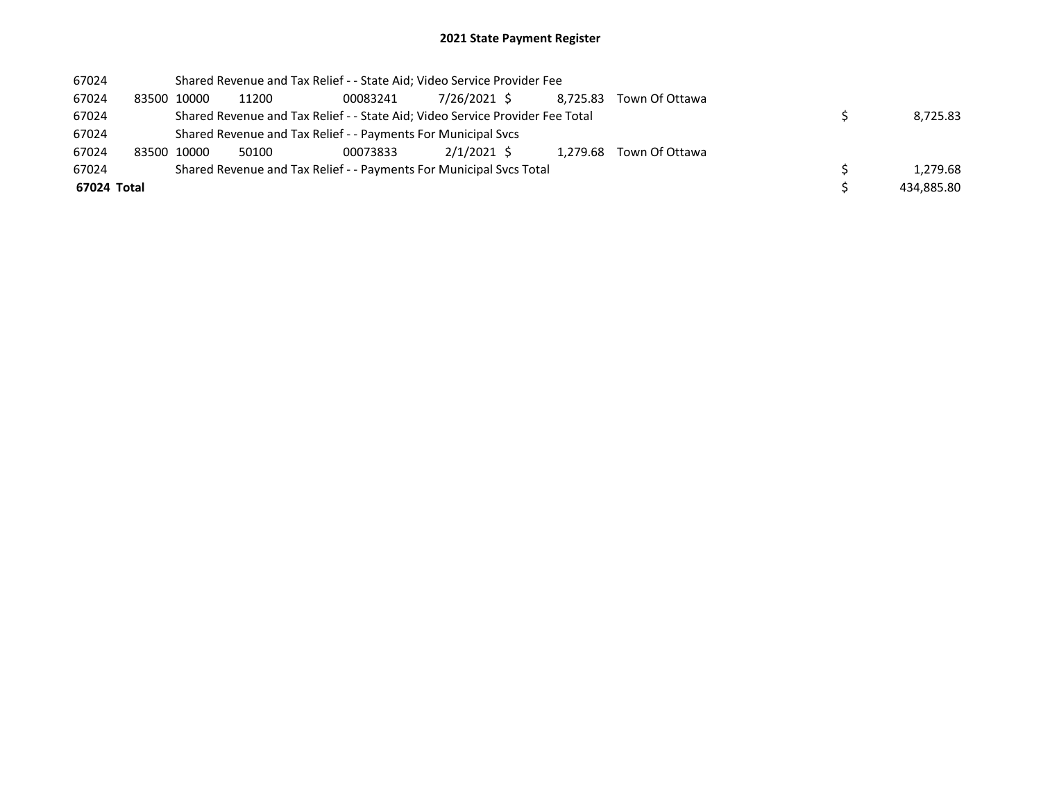## 2021 State Payment Register

| 67024       | Shared Revenue and Tax Relief - - State Aid; Video Service Provider Fee |                                                                               |          |             |  |          |                |  |            |  |
|-------------|-------------------------------------------------------------------------|-------------------------------------------------------------------------------|----------|-------------|--|----------|----------------|--|------------|--|
| 67024       | 83500 10000                                                             | 11200                                                                         | 00083241 | 7/26/2021 S |  | 8.725.83 | Town Of Ottawa |  |            |  |
| 67024       |                                                                         | Shared Revenue and Tax Relief - - State Aid; Video Service Provider Fee Total |          | 8.725.83    |  |          |                |  |            |  |
| 67024       |                                                                         | Shared Revenue and Tax Relief - - Payments For Municipal Svcs                 |          |             |  |          |                |  |            |  |
| 67024       | 83500 10000                                                             | 50100                                                                         | 00073833 | 2/1/2021 \$ |  | 1.279.68 | Town Of Ottawa |  |            |  |
| 67024       |                                                                         | Shared Revenue and Tax Relief - - Payments For Municipal Svcs Total           |          |             |  |          |                |  | 1,279.68   |  |
| 67024 Total |                                                                         |                                                                               |          |             |  |          |                |  | 434,885.80 |  |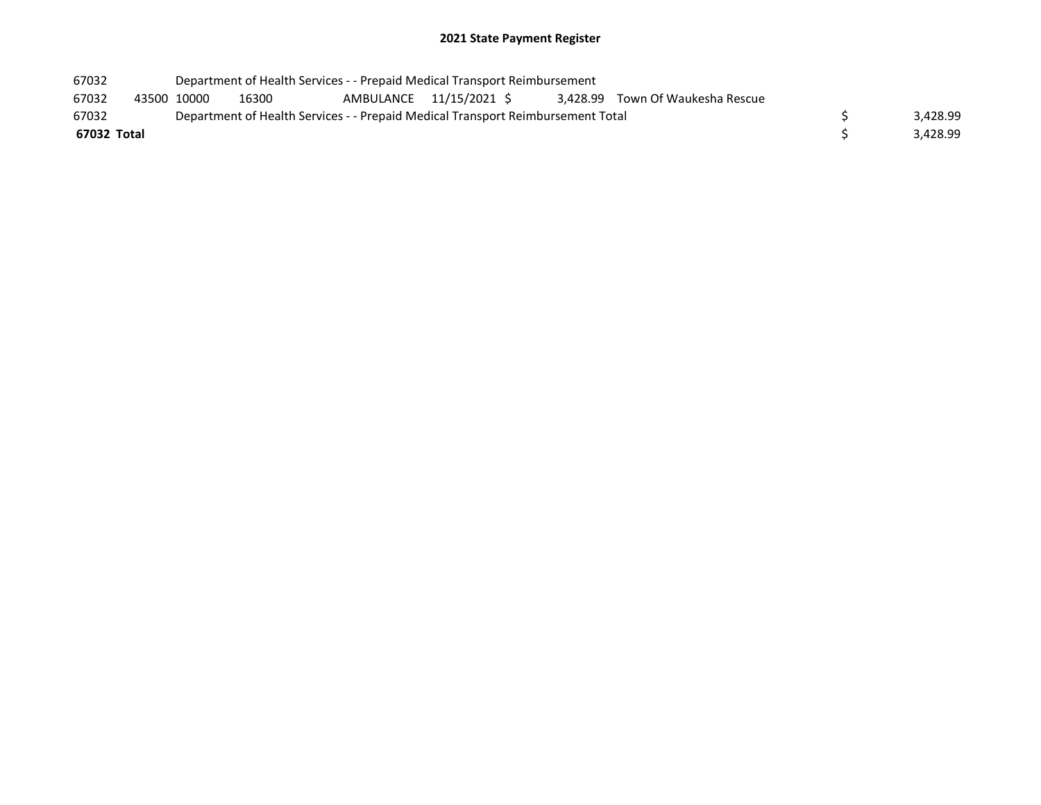## 2021 State Payment Register

| 67032 |             | Department of Health Services - - Prepaid Medical Transport Reimbursement       |          |                         |  |  |  |                                  |          |
|-------|-------------|---------------------------------------------------------------------------------|----------|-------------------------|--|--|--|----------------------------------|----------|
| 67032 |             | 43500 10000                                                                     | 16300    | AMBULANCE 11/15/2021 \$ |  |  |  | 3,428.99 Town Of Waukesha Rescue |          |
| 67032 |             | Department of Health Services - - Prepaid Medical Transport Reimbursement Total | 3.428.99 |                         |  |  |  |                                  |          |
|       | 67032 Total |                                                                                 |          |                         |  |  |  |                                  | 3.428.99 |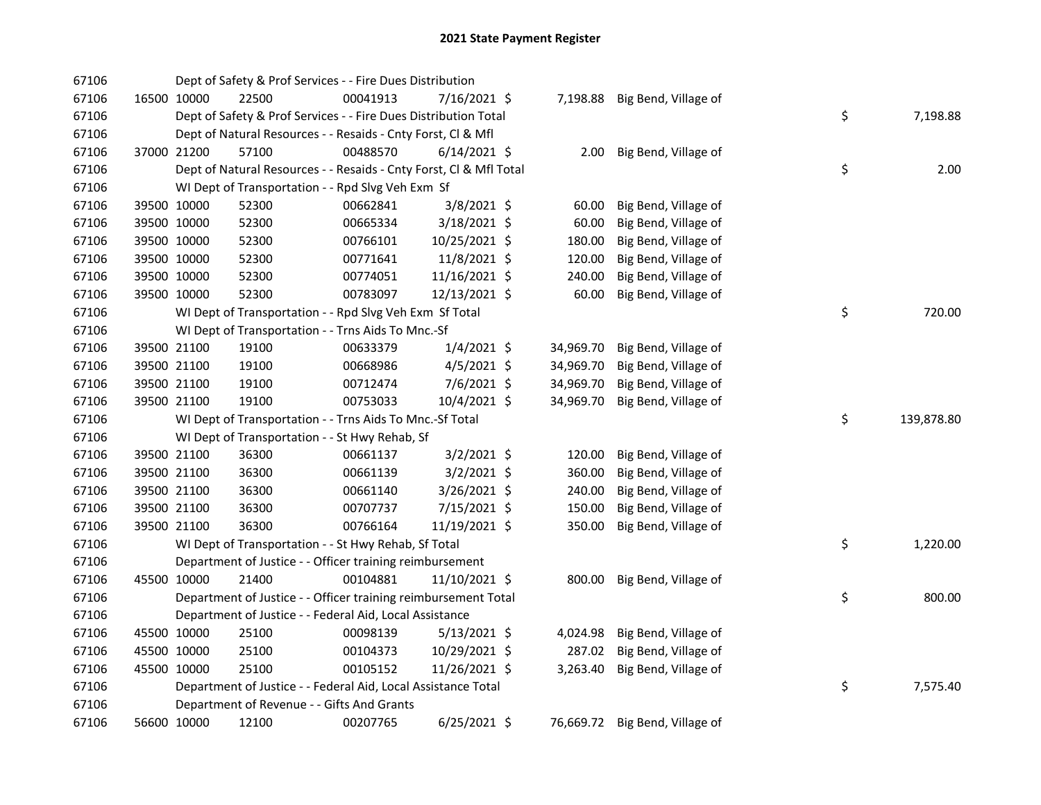| 67106 |             |             | Dept of Safety & Prof Services - - Fire Dues Distribution          |          |                 |           |                                |    |            |
|-------|-------------|-------------|--------------------------------------------------------------------|----------|-----------------|-----------|--------------------------------|----|------------|
| 67106 |             | 16500 10000 | 22500                                                              | 00041913 | 7/16/2021 \$    |           | 7,198.88 Big Bend, Village of  |    |            |
| 67106 |             |             | Dept of Safety & Prof Services - - Fire Dues Distribution Total    |          |                 |           |                                | \$ | 7,198.88   |
| 67106 |             |             | Dept of Natural Resources - - Resaids - Cnty Forst, Cl & Mfl       |          |                 |           |                                |    |            |
| 67106 |             | 37000 21200 | 57100                                                              | 00488570 | $6/14/2021$ \$  | 2.00      | Big Bend, Village of           |    |            |
| 67106 |             |             | Dept of Natural Resources - - Resaids - Cnty Forst, Cl & Mfl Total |          |                 |           |                                | \$ | 2.00       |
| 67106 |             |             | WI Dept of Transportation - - Rpd Slvg Veh Exm Sf                  |          |                 |           |                                |    |            |
| 67106 |             | 39500 10000 | 52300                                                              | 00662841 | 3/8/2021 \$     | 60.00     | Big Bend, Village of           |    |            |
| 67106 |             | 39500 10000 | 52300                                                              | 00665334 | 3/18/2021 \$    | 60.00     | Big Bend, Village of           |    |            |
| 67106 |             | 39500 10000 | 52300                                                              | 00766101 | 10/25/2021 \$   | 180.00    | Big Bend, Village of           |    |            |
| 67106 |             | 39500 10000 | 52300                                                              | 00771641 | 11/8/2021 \$    | 120.00    | Big Bend, Village of           |    |            |
| 67106 |             | 39500 10000 | 52300                                                              | 00774051 | 11/16/2021 \$   | 240.00    | Big Bend, Village of           |    |            |
| 67106 |             | 39500 10000 | 52300                                                              | 00783097 | 12/13/2021 \$   | 60.00     | Big Bend, Village of           |    |            |
| 67106 |             |             | WI Dept of Transportation - - Rpd Slvg Veh Exm Sf Total            |          |                 |           |                                | \$ | 720.00     |
| 67106 |             |             | WI Dept of Transportation - - Trns Aids To Mnc.-Sf                 |          |                 |           |                                |    |            |
| 67106 |             | 39500 21100 | 19100                                                              | 00633379 | $1/4/2021$ \$   | 34,969.70 | Big Bend, Village of           |    |            |
| 67106 |             | 39500 21100 | 19100                                                              | 00668986 | $4/5/2021$ \$   | 34,969.70 | Big Bend, Village of           |    |            |
| 67106 |             | 39500 21100 | 19100                                                              | 00712474 | 7/6/2021 \$     | 34,969.70 | Big Bend, Village of           |    |            |
| 67106 |             | 39500 21100 | 19100                                                              | 00753033 | 10/4/2021 \$    | 34,969.70 | Big Bend, Village of           |    |            |
| 67106 |             |             | WI Dept of Transportation - - Trns Aids To Mnc.-Sf Total           |          |                 |           |                                | \$ | 139,878.80 |
| 67106 |             |             | WI Dept of Transportation - - St Hwy Rehab, Sf                     |          |                 |           |                                |    |            |
| 67106 |             | 39500 21100 | 36300                                                              | 00661137 | $3/2/2021$ \$   | 120.00    | Big Bend, Village of           |    |            |
| 67106 |             | 39500 21100 | 36300                                                              | 00661139 | $3/2/2021$ \$   | 360.00    | Big Bend, Village of           |    |            |
| 67106 |             | 39500 21100 | 36300                                                              | 00661140 | 3/26/2021 \$    | 240.00    | Big Bend, Village of           |    |            |
| 67106 |             | 39500 21100 | 36300                                                              | 00707737 | 7/15/2021 \$    | 150.00    | Big Bend, Village of           |    |            |
| 67106 |             | 39500 21100 | 36300                                                              | 00766164 | 11/19/2021 \$   | 350.00    | Big Bend, Village of           |    |            |
| 67106 |             |             | WI Dept of Transportation - - St Hwy Rehab, Sf Total               |          |                 |           |                                | \$ | 1,220.00   |
| 67106 |             |             | Department of Justice - - Officer training reimbursement           |          |                 |           |                                |    |            |
| 67106 | 45500 10000 |             | 21400                                                              | 00104881 | $11/10/2021$ \$ | 800.00    | Big Bend, Village of           |    |            |
| 67106 |             |             | Department of Justice - - Officer training reimbursement Total     |          |                 |           |                                | \$ | 800.00     |
| 67106 |             |             | Department of Justice - - Federal Aid, Local Assistance            |          |                 |           |                                |    |            |
| 67106 |             | 45500 10000 | 25100                                                              | 00098139 | $5/13/2021$ \$  | 4,024.98  | Big Bend, Village of           |    |            |
| 67106 |             | 45500 10000 | 25100                                                              | 00104373 | 10/29/2021 \$   | 287.02    | Big Bend, Village of           |    |            |
| 67106 |             | 45500 10000 | 25100                                                              | 00105152 | 11/26/2021 \$   | 3,263.40  | Big Bend, Village of           |    |            |
| 67106 |             |             | Department of Justice - - Federal Aid, Local Assistance Total      |          |                 |           |                                | \$ | 7,575.40   |
| 67106 |             |             | Department of Revenue - - Gifts And Grants                         |          |                 |           |                                |    |            |
| 67106 |             | 56600 10000 | 12100                                                              | 00207765 | $6/25/2021$ \$  |           | 76,669.72 Big Bend, Village of |    |            |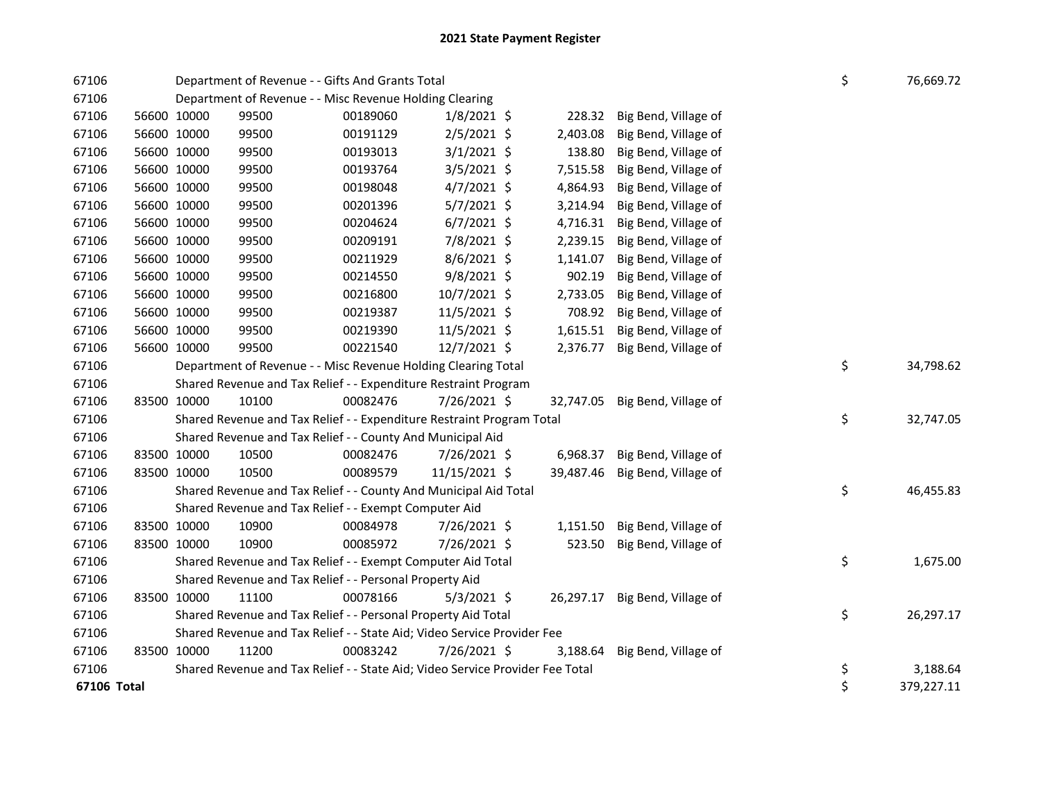| 67106       |                                                         | Department of Revenue - - Gifts And Grants Total                              |          | \$<br>76,669.72 |  |           |                                |  |                  |
|-------------|---------------------------------------------------------|-------------------------------------------------------------------------------|----------|-----------------|--|-----------|--------------------------------|--|------------------|
| 67106       |                                                         | Department of Revenue - - Misc Revenue Holding Clearing                       |          |                 |  |           |                                |  |                  |
| 67106       | 56600 10000                                             | 99500                                                                         | 00189060 | $1/8/2021$ \$   |  | 228.32    | Big Bend, Village of           |  |                  |
| 67106       | 56600 10000                                             | 99500                                                                         | 00191129 | 2/5/2021 \$     |  | 2,403.08  | Big Bend, Village of           |  |                  |
| 67106       | 56600 10000                                             | 99500                                                                         | 00193013 | $3/1/2021$ \$   |  | 138.80    | Big Bend, Village of           |  |                  |
| 67106       | 56600 10000                                             | 99500                                                                         | 00193764 | $3/5/2021$ \$   |  | 7,515.58  | Big Bend, Village of           |  |                  |
| 67106       | 56600 10000                                             | 99500                                                                         | 00198048 | $4/7/2021$ \$   |  | 4,864.93  | Big Bend, Village of           |  |                  |
| 67106       | 56600 10000                                             | 99500                                                                         | 00201396 | $5/7/2021$ \$   |  | 3,214.94  | Big Bend, Village of           |  |                  |
| 67106       | 56600 10000                                             | 99500                                                                         | 00204624 | $6/7/2021$ \$   |  | 4,716.31  | Big Bend, Village of           |  |                  |
| 67106       | 56600 10000                                             | 99500                                                                         | 00209191 | 7/8/2021 \$     |  | 2,239.15  | Big Bend, Village of           |  |                  |
| 67106       | 56600 10000                                             | 99500                                                                         | 00211929 | 8/6/2021 \$     |  | 1,141.07  | Big Bend, Village of           |  |                  |
| 67106       | 56600 10000                                             | 99500                                                                         | 00214550 | 9/8/2021 \$     |  | 902.19    | Big Bend, Village of           |  |                  |
| 67106       | 56600 10000                                             | 99500                                                                         | 00216800 | 10/7/2021 \$    |  | 2,733.05  | Big Bend, Village of           |  |                  |
| 67106       | 56600 10000                                             | 99500                                                                         | 00219387 | 11/5/2021 \$    |  | 708.92    | Big Bend, Village of           |  |                  |
| 67106       | 56600 10000                                             | 99500                                                                         | 00219390 | 11/5/2021 \$    |  | 1,615.51  | Big Bend, Village of           |  |                  |
| 67106       | 56600 10000                                             | 99500                                                                         | 00221540 | 12/7/2021 \$    |  | 2,376.77  | Big Bend, Village of           |  |                  |
| 67106       |                                                         | Department of Revenue - - Misc Revenue Holding Clearing Total                 |          |                 |  |           |                                |  | \$<br>34,798.62  |
| 67106       |                                                         | Shared Revenue and Tax Relief - - Expenditure Restraint Program               |          |                 |  |           |                                |  |                  |
| 67106       | 83500 10000                                             | 10100                                                                         | 00082476 | 7/26/2021 \$    |  |           | 32,747.05 Big Bend, Village of |  |                  |
| 67106       |                                                         | Shared Revenue and Tax Relief - - Expenditure Restraint Program Total         |          |                 |  |           |                                |  | \$<br>32,747.05  |
| 67106       |                                                         | Shared Revenue and Tax Relief - - County And Municipal Aid                    |          |                 |  |           |                                |  |                  |
| 67106       | 83500 10000                                             | 10500                                                                         | 00082476 | 7/26/2021 \$    |  |           | 6,968.37 Big Bend, Village of  |  |                  |
| 67106       | 83500 10000                                             | 10500                                                                         | 00089579 | 11/15/2021 \$   |  | 39,487.46 | Big Bend, Village of           |  |                  |
| 67106       |                                                         | Shared Revenue and Tax Relief - - County And Municipal Aid Total              |          |                 |  |           |                                |  | \$<br>46,455.83  |
| 67106       |                                                         | Shared Revenue and Tax Relief - - Exempt Computer Aid                         |          |                 |  |           |                                |  |                  |
| 67106       | 83500 10000                                             | 10900                                                                         | 00084978 | 7/26/2021 \$    |  | 1,151.50  | Big Bend, Village of           |  |                  |
| 67106       | 83500 10000                                             | 10900                                                                         | 00085972 | 7/26/2021 \$    |  | 523.50    | Big Bend, Village of           |  |                  |
| 67106       |                                                         | Shared Revenue and Tax Relief - - Exempt Computer Aid Total                   |          |                 |  |           |                                |  | \$<br>1,675.00   |
| 67106       | Shared Revenue and Tax Relief - - Personal Property Aid |                                                                               |          |                 |  |           |                                |  |                  |
| 67106       | 83500 10000                                             | 11100                                                                         | 00078166 | $5/3/2021$ \$   |  |           | 26,297.17 Big Bend, Village of |  |                  |
| 67106       |                                                         | Shared Revenue and Tax Relief - - Personal Property Aid Total                 |          |                 |  |           |                                |  | \$<br>26,297.17  |
| 67106       |                                                         | Shared Revenue and Tax Relief - - State Aid; Video Service Provider Fee       |          |                 |  |           |                                |  |                  |
| 67106       | 83500 10000                                             | 11200                                                                         | 00083242 | 7/26/2021 \$    |  | 3,188.64  | Big Bend, Village of           |  |                  |
| 67106       |                                                         | Shared Revenue and Tax Relief - - State Aid; Video Service Provider Fee Total |          |                 |  |           |                                |  | \$<br>3,188.64   |
| 67106 Total |                                                         |                                                                               |          |                 |  |           |                                |  | \$<br>379,227.11 |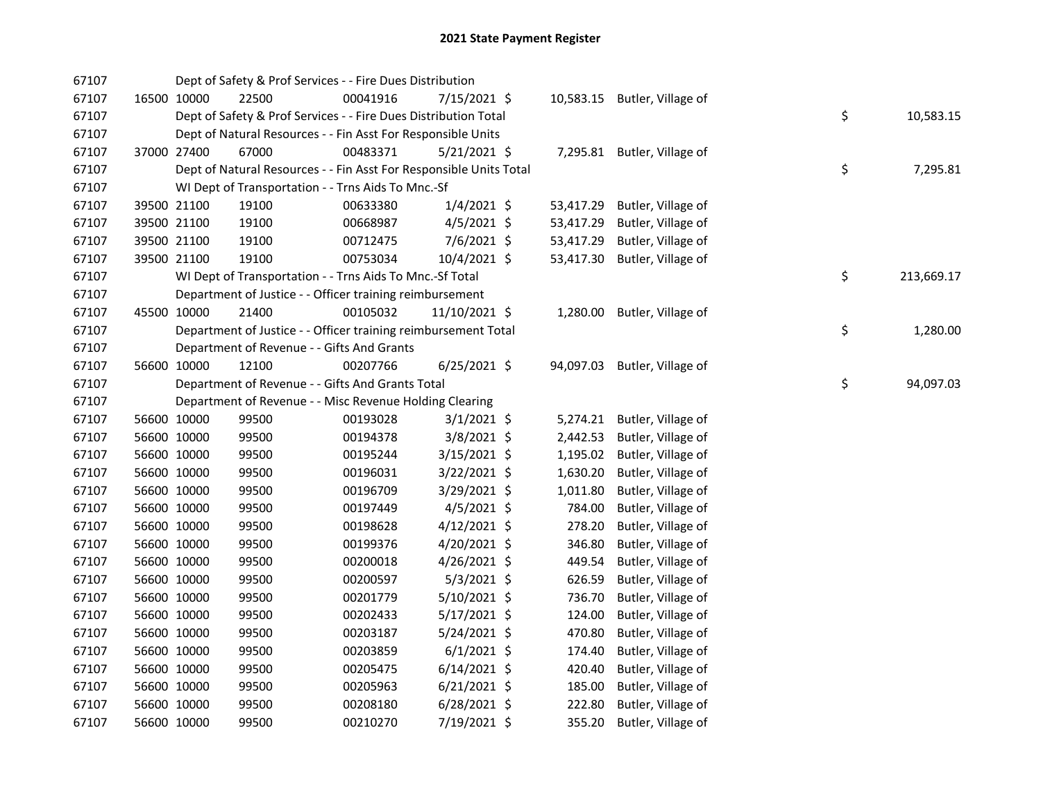| 67107 |             | Dept of Safety & Prof Services - - Fire Dues Distribution          |          |                |           |                              |    |            |
|-------|-------------|--------------------------------------------------------------------|----------|----------------|-----------|------------------------------|----|------------|
| 67107 | 16500 10000 | 22500                                                              | 00041916 | 7/15/2021 \$   |           | 10,583.15 Butler, Village of |    |            |
| 67107 |             | Dept of Safety & Prof Services - - Fire Dues Distribution Total    |          |                |           |                              | \$ | 10,583.15  |
| 67107 |             | Dept of Natural Resources - - Fin Asst For Responsible Units       |          |                |           |                              |    |            |
| 67107 | 37000 27400 | 67000                                                              | 00483371 | $5/21/2021$ \$ |           | 7,295.81 Butler, Village of  |    |            |
| 67107 |             | Dept of Natural Resources - - Fin Asst For Responsible Units Total |          |                |           |                              | \$ | 7,295.81   |
| 67107 |             | WI Dept of Transportation - - Trns Aids To Mnc.-Sf                 |          |                |           |                              |    |            |
| 67107 | 39500 21100 | 19100                                                              | 00633380 | $1/4/2021$ \$  | 53,417.29 | Butler, Village of           |    |            |
| 67107 | 39500 21100 | 19100                                                              | 00668987 | $4/5/2021$ \$  | 53,417.29 | Butler, Village of           |    |            |
| 67107 | 39500 21100 | 19100                                                              | 00712475 | $7/6/2021$ \$  | 53,417.29 | Butler, Village of           |    |            |
| 67107 | 39500 21100 | 19100                                                              | 00753034 | 10/4/2021 \$   | 53,417.30 | Butler, Village of           |    |            |
| 67107 |             | WI Dept of Transportation - - Trns Aids To Mnc.-Sf Total           |          |                |           |                              | \$ | 213,669.17 |
| 67107 |             | Department of Justice - - Officer training reimbursement           |          |                |           |                              |    |            |
| 67107 | 45500 10000 | 21400                                                              | 00105032 | 11/10/2021 \$  | 1,280.00  | Butler, Village of           |    |            |
| 67107 |             | Department of Justice - - Officer training reimbursement Total     |          |                |           |                              | \$ | 1,280.00   |
| 67107 |             | Department of Revenue - - Gifts And Grants                         |          |                |           |                              |    |            |
| 67107 | 56600 10000 | 12100                                                              | 00207766 | $6/25/2021$ \$ | 94,097.03 | Butler, Village of           |    |            |
| 67107 |             | Department of Revenue - - Gifts And Grants Total                   |          |                |           |                              | \$ | 94,097.03  |
| 67107 |             | Department of Revenue - - Misc Revenue Holding Clearing            |          |                |           |                              |    |            |
| 67107 | 56600 10000 | 99500                                                              | 00193028 | $3/1/2021$ \$  | 5,274.21  | Butler, Village of           |    |            |
| 67107 | 56600 10000 | 99500                                                              | 00194378 | $3/8/2021$ \$  | 2,442.53  | Butler, Village of           |    |            |
| 67107 | 56600 10000 | 99500                                                              | 00195244 | 3/15/2021 \$   | 1,195.02  | Butler, Village of           |    |            |
| 67107 | 56600 10000 | 99500                                                              | 00196031 | 3/22/2021 \$   | 1,630.20  | Butler, Village of           |    |            |
| 67107 | 56600 10000 | 99500                                                              | 00196709 | 3/29/2021 \$   | 1,011.80  | Butler, Village of           |    |            |
| 67107 | 56600 10000 | 99500                                                              | 00197449 | $4/5/2021$ \$  | 784.00    | Butler, Village of           |    |            |
| 67107 | 56600 10000 | 99500                                                              | 00198628 | 4/12/2021 \$   | 278.20    | Butler, Village of           |    |            |
| 67107 | 56600 10000 | 99500                                                              | 00199376 | 4/20/2021 \$   | 346.80    | Butler, Village of           |    |            |
| 67107 | 56600 10000 | 99500                                                              | 00200018 | $4/26/2021$ \$ | 449.54    | Butler, Village of           |    |            |
| 67107 | 56600 10000 | 99500                                                              | 00200597 | $5/3/2021$ \$  | 626.59    | Butler, Village of           |    |            |
| 67107 | 56600 10000 | 99500                                                              | 00201779 | $5/10/2021$ \$ | 736.70    | Butler, Village of           |    |            |
| 67107 | 56600 10000 | 99500                                                              | 00202433 | 5/17/2021 \$   | 124.00    | Butler, Village of           |    |            |
| 67107 | 56600 10000 | 99500                                                              | 00203187 | 5/24/2021 \$   | 470.80    | Butler, Village of           |    |            |
| 67107 | 56600 10000 | 99500                                                              | 00203859 | $6/1/2021$ \$  | 174.40    | Butler, Village of           |    |            |
| 67107 | 56600 10000 | 99500                                                              | 00205475 | $6/14/2021$ \$ | 420.40    | Butler, Village of           |    |            |
| 67107 | 56600 10000 | 99500                                                              | 00205963 | $6/21/2021$ \$ | 185.00    | Butler, Village of           |    |            |
| 67107 | 56600 10000 | 99500                                                              | 00208180 | $6/28/2021$ \$ | 222.80    | Butler, Village of           |    |            |
| 67107 | 56600 10000 | 99500                                                              | 00210270 | 7/19/2021 \$   | 355.20    | Butler, Village of           |    |            |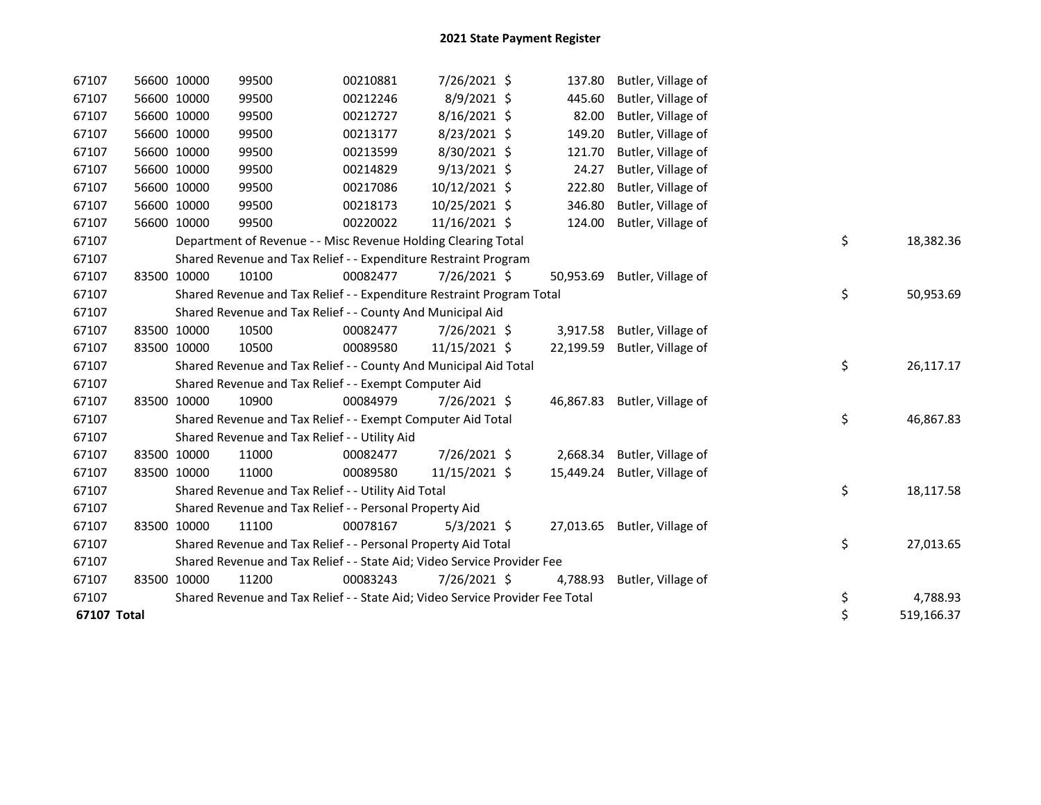| 67107       | 56600 10000 | 99500                                                                         | 00210881 | 7/26/2021 \$    | 137.80    | Butler, Village of           |                  |
|-------------|-------------|-------------------------------------------------------------------------------|----------|-----------------|-----------|------------------------------|------------------|
| 67107       | 56600 10000 | 99500                                                                         | 00212246 | 8/9/2021 \$     | 445.60    | Butler, Village of           |                  |
| 67107       | 56600 10000 | 99500                                                                         | 00212727 | 8/16/2021 \$    | 82.00     | Butler, Village of           |                  |
| 67107       | 56600 10000 | 99500                                                                         | 00213177 | 8/23/2021 \$    | 149.20    | Butler, Village of           |                  |
| 67107       | 56600 10000 | 99500                                                                         | 00213599 | 8/30/2021 \$    | 121.70    | Butler, Village of           |                  |
| 67107       | 56600 10000 | 99500                                                                         | 00214829 | $9/13/2021$ \$  | 24.27     | Butler, Village of           |                  |
| 67107       | 56600 10000 | 99500                                                                         | 00217086 | $10/12/2021$ \$ | 222.80    | Butler, Village of           |                  |
| 67107       | 56600 10000 | 99500                                                                         | 00218173 | 10/25/2021 \$   | 346.80    | Butler, Village of           |                  |
| 67107       | 56600 10000 | 99500                                                                         | 00220022 | 11/16/2021 \$   | 124.00    | Butler, Village of           |                  |
| 67107       |             | Department of Revenue - - Misc Revenue Holding Clearing Total                 |          |                 |           |                              | \$<br>18,382.36  |
| 67107       |             | Shared Revenue and Tax Relief - - Expenditure Restraint Program               |          |                 |           |                              |                  |
| 67107       | 83500 10000 | 10100                                                                         | 00082477 | 7/26/2021 \$    | 50,953.69 | Butler, Village of           |                  |
| 67107       |             | Shared Revenue and Tax Relief - - Expenditure Restraint Program Total         |          |                 |           |                              | \$<br>50,953.69  |
| 67107       |             | Shared Revenue and Tax Relief - - County And Municipal Aid                    |          |                 |           |                              |                  |
| 67107       | 83500 10000 | 10500                                                                         | 00082477 | 7/26/2021 \$    | 3,917.58  | Butler, Village of           |                  |
| 67107       | 83500 10000 | 10500                                                                         | 00089580 | 11/15/2021 \$   | 22,199.59 | Butler, Village of           |                  |
| 67107       |             | Shared Revenue and Tax Relief - - County And Municipal Aid Total              |          |                 |           |                              | \$<br>26,117.17  |
| 67107       |             | Shared Revenue and Tax Relief - - Exempt Computer Aid                         |          |                 |           |                              |                  |
| 67107       | 83500 10000 | 10900                                                                         | 00084979 | 7/26/2021 \$    |           | 46,867.83 Butler, Village of |                  |
| 67107       |             | Shared Revenue and Tax Relief - - Exempt Computer Aid Total                   |          |                 |           |                              | \$<br>46,867.83  |
| 67107       |             | Shared Revenue and Tax Relief - - Utility Aid                                 |          |                 |           |                              |                  |
| 67107       | 83500 10000 | 11000                                                                         | 00082477 | 7/26/2021 \$    | 2,668.34  | Butler, Village of           |                  |
| 67107       | 83500 10000 | 11000                                                                         | 00089580 | 11/15/2021 \$   | 15,449.24 | Butler, Village of           |                  |
| 67107       |             | Shared Revenue and Tax Relief - - Utility Aid Total                           |          |                 |           |                              | \$<br>18,117.58  |
| 67107       |             | Shared Revenue and Tax Relief - - Personal Property Aid                       |          |                 |           |                              |                  |
| 67107       | 83500 10000 | 11100                                                                         | 00078167 | $5/3/2021$ \$   |           | 27,013.65 Butler, Village of |                  |
| 67107       |             | Shared Revenue and Tax Relief - - Personal Property Aid Total                 |          |                 |           |                              | \$<br>27,013.65  |
| 67107       |             | Shared Revenue and Tax Relief - - State Aid; Video Service Provider Fee       |          |                 |           |                              |                  |
| 67107       | 83500 10000 | 11200                                                                         | 00083243 | 7/26/2021 \$    | 4,788.93  | Butler, Village of           |                  |
| 67107       |             | Shared Revenue and Tax Relief - - State Aid; Video Service Provider Fee Total |          |                 |           |                              | \$<br>4,788.93   |
| 67107 Total |             |                                                                               |          |                 |           |                              | \$<br>519,166.37 |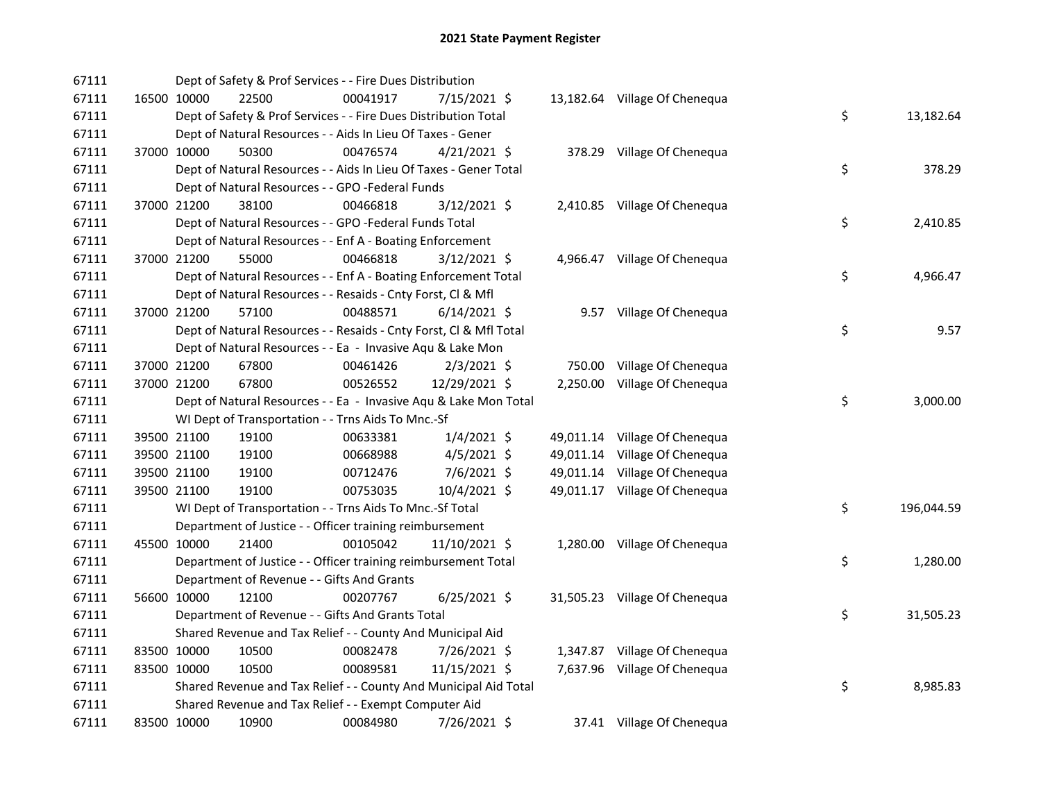| 67111 |             | Dept of Safety & Prof Services - - Fire Dues Distribution          |          |                |  |                               |    |            |
|-------|-------------|--------------------------------------------------------------------|----------|----------------|--|-------------------------------|----|------------|
| 67111 | 16500 10000 | 22500                                                              | 00041917 | 7/15/2021 \$   |  | 13,182.64 Village Of Chenequa |    |            |
| 67111 |             | Dept of Safety & Prof Services - - Fire Dues Distribution Total    |          |                |  |                               | \$ | 13,182.64  |
| 67111 |             | Dept of Natural Resources - - Aids In Lieu Of Taxes - Gener        |          |                |  |                               |    |            |
| 67111 | 37000 10000 | 50300                                                              | 00476574 | $4/21/2021$ \$ |  | 378.29 Village Of Chenequa    |    |            |
| 67111 |             | Dept of Natural Resources - - Aids In Lieu Of Taxes - Gener Total  |          |                |  |                               | \$ | 378.29     |
| 67111 |             | Dept of Natural Resources - - GPO -Federal Funds                   |          |                |  |                               |    |            |
| 67111 | 37000 21200 | 38100                                                              | 00466818 | $3/12/2021$ \$ |  | 2,410.85 Village Of Chenequa  |    |            |
| 67111 |             | Dept of Natural Resources - - GPO -Federal Funds Total             |          |                |  |                               | \$ | 2,410.85   |
| 67111 |             | Dept of Natural Resources - - Enf A - Boating Enforcement          |          |                |  |                               |    |            |
| 67111 | 37000 21200 | 55000                                                              | 00466818 | $3/12/2021$ \$ |  | 4,966.47 Village Of Chenequa  |    |            |
| 67111 |             | Dept of Natural Resources - - Enf A - Boating Enforcement Total    |          |                |  |                               | \$ | 4,966.47   |
| 67111 |             | Dept of Natural Resources - - Resaids - Cnty Forst, Cl & Mfl       |          |                |  |                               |    |            |
| 67111 | 37000 21200 | 57100                                                              | 00488571 | $6/14/2021$ \$ |  | 9.57 Village Of Chenequa      |    |            |
| 67111 |             | Dept of Natural Resources - - Resaids - Cnty Forst, CI & Mfl Total |          |                |  |                               | \$ | 9.57       |
| 67111 |             | Dept of Natural Resources - - Ea - Invasive Aqu & Lake Mon         |          |                |  |                               |    |            |
| 67111 | 37000 21200 | 67800                                                              | 00461426 | $2/3/2021$ \$  |  | 750.00 Village Of Chenequa    |    |            |
| 67111 | 37000 21200 | 67800                                                              | 00526552 | 12/29/2021 \$  |  | 2,250.00 Village Of Chenequa  |    |            |
| 67111 |             | Dept of Natural Resources - - Ea - Invasive Aqu & Lake Mon Total   |          |                |  |                               | \$ | 3,000.00   |
| 67111 |             | WI Dept of Transportation - - Trns Aids To Mnc.-Sf                 |          |                |  |                               |    |            |
| 67111 | 39500 21100 | 19100                                                              | 00633381 | $1/4/2021$ \$  |  | 49,011.14 Village Of Chenequa |    |            |
| 67111 | 39500 21100 | 19100                                                              | 00668988 | $4/5/2021$ \$  |  | 49,011.14 Village Of Chenequa |    |            |
| 67111 | 39500 21100 | 19100                                                              | 00712476 | 7/6/2021 \$    |  | 49,011.14 Village Of Chenequa |    |            |
| 67111 | 39500 21100 | 19100                                                              | 00753035 | 10/4/2021 \$   |  | 49,011.17 Village Of Chenequa |    |            |
| 67111 |             | WI Dept of Transportation - - Trns Aids To Mnc.-Sf Total           |          |                |  |                               | \$ | 196,044.59 |
| 67111 |             | Department of Justice - - Officer training reimbursement           |          |                |  |                               |    |            |
| 67111 | 45500 10000 | 21400                                                              | 00105042 | 11/10/2021 \$  |  | 1,280.00 Village Of Chenequa  |    |            |
| 67111 |             | Department of Justice - - Officer training reimbursement Total     |          |                |  |                               | \$ | 1,280.00   |
| 67111 |             | Department of Revenue - - Gifts And Grants                         |          |                |  |                               |    |            |
| 67111 | 56600 10000 | 12100                                                              | 00207767 | $6/25/2021$ \$ |  | 31,505.23 Village Of Chenequa |    |            |
| 67111 |             | Department of Revenue - - Gifts And Grants Total                   |          |                |  |                               | \$ | 31,505.23  |
| 67111 |             | Shared Revenue and Tax Relief - - County And Municipal Aid         |          |                |  |                               |    |            |
| 67111 | 83500 10000 | 10500                                                              | 00082478 | 7/26/2021 \$   |  | 1,347.87 Village Of Chenequa  |    |            |
| 67111 | 83500 10000 | 10500                                                              | 00089581 | 11/15/2021 \$  |  | 7,637.96 Village Of Chenequa  |    |            |
| 67111 |             | Shared Revenue and Tax Relief - - County And Municipal Aid Total   |          |                |  |                               | \$ | 8,985.83   |
| 67111 |             | Shared Revenue and Tax Relief - - Exempt Computer Aid              |          |                |  |                               |    |            |
| 67111 | 83500 10000 | 10900                                                              | 00084980 | 7/26/2021 \$   |  | 37.41 Village Of Chenequa     |    |            |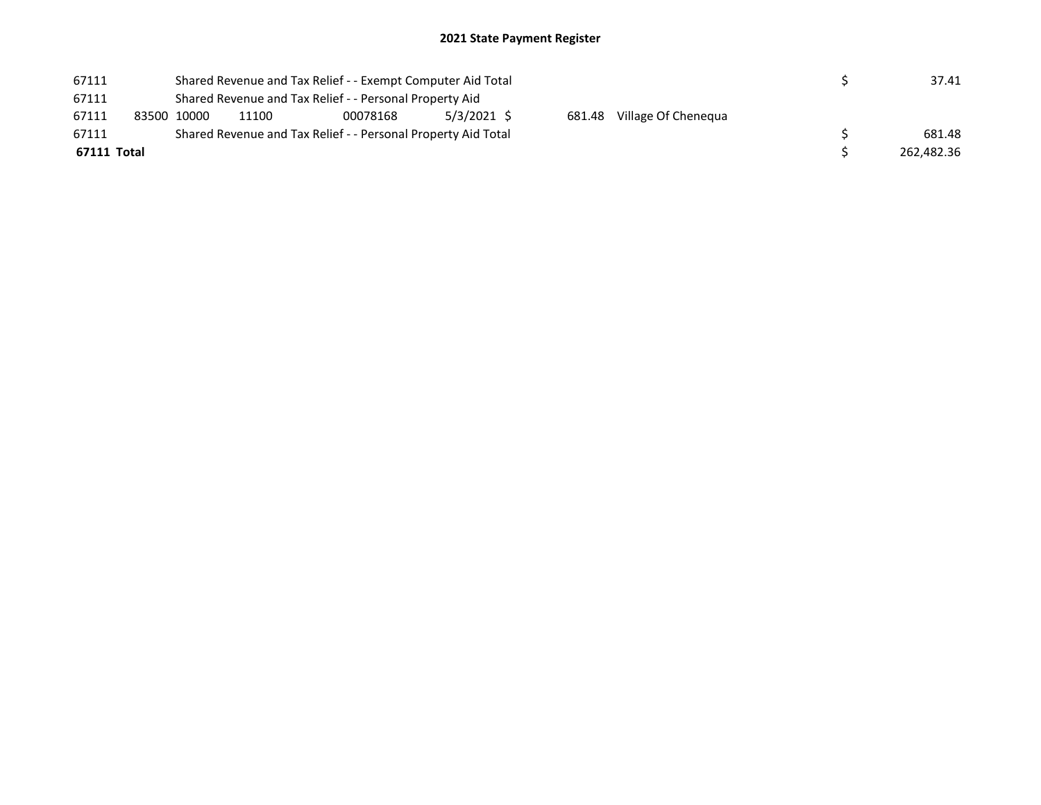## 2021 State Payment Register

| 67111 |             |             | Shared Revenue and Tax Relief - - Exempt Computer Aid Total   | 37.41  |  |  |  |            |
|-------|-------------|-------------|---------------------------------------------------------------|--------|--|--|--|------------|
| 67111 |             |             |                                                               |        |  |  |  |            |
| 67111 |             | 83500 10000 | 11100                                                         |        |  |  |  |            |
| 67111 |             |             | Shared Revenue and Tax Relief - - Personal Property Aid Total | 681.48 |  |  |  |            |
|       | 67111 Total |             |                                                               |        |  |  |  | 262,482.36 |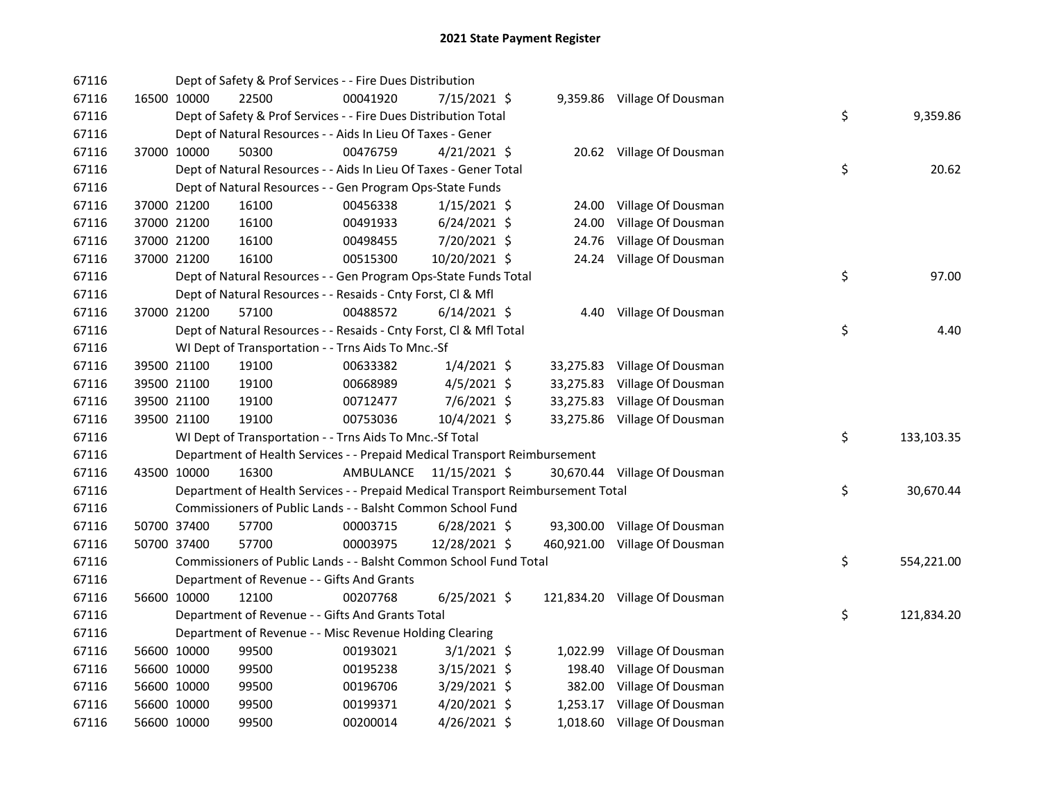| 67116 |             | Dept of Safety & Prof Services - - Fire Dues Distribution                       |           |                |           |                               |    |            |
|-------|-------------|---------------------------------------------------------------------------------|-----------|----------------|-----------|-------------------------------|----|------------|
| 67116 | 16500 10000 | 22500                                                                           | 00041920  | 7/15/2021 \$   |           | 9,359.86 Village Of Dousman   |    |            |
| 67116 |             | Dept of Safety & Prof Services - - Fire Dues Distribution Total                 |           |                |           |                               | \$ | 9,359.86   |
| 67116 |             | Dept of Natural Resources - - Aids In Lieu Of Taxes - Gener                     |           |                |           |                               |    |            |
| 67116 | 37000 10000 | 50300                                                                           | 00476759  | $4/21/2021$ \$ |           | 20.62 Village Of Dousman      |    |            |
| 67116 |             | Dept of Natural Resources - - Aids In Lieu Of Taxes - Gener Total               |           |                |           |                               | \$ | 20.62      |
| 67116 |             | Dept of Natural Resources - - Gen Program Ops-State Funds                       |           |                |           |                               |    |            |
| 67116 | 37000 21200 | 16100                                                                           | 00456338  | $1/15/2021$ \$ | 24.00     | Village Of Dousman            |    |            |
| 67116 | 37000 21200 | 16100                                                                           | 00491933  | $6/24/2021$ \$ | 24.00     | Village Of Dousman            |    |            |
| 67116 | 37000 21200 | 16100                                                                           | 00498455  | 7/20/2021 \$   | 24.76     | Village Of Dousman            |    |            |
| 67116 | 37000 21200 | 16100                                                                           | 00515300  | 10/20/2021 \$  |           | 24.24 Village Of Dousman      |    |            |
| 67116 |             | Dept of Natural Resources - - Gen Program Ops-State Funds Total                 |           |                |           |                               | \$ | 97.00      |
| 67116 |             | Dept of Natural Resources - - Resaids - Cnty Forst, Cl & Mfl                    |           |                |           |                               |    |            |
| 67116 | 37000 21200 | 57100                                                                           | 00488572  | $6/14/2021$ \$ |           | 4.40 Village Of Dousman       |    |            |
| 67116 |             | Dept of Natural Resources - - Resaids - Cnty Forst, Cl & Mfl Total              |           |                |           |                               | \$ | 4.40       |
| 67116 |             | WI Dept of Transportation - - Trns Aids To Mnc.-Sf                              |           |                |           |                               |    |            |
| 67116 | 39500 21100 | 19100                                                                           | 00633382  | $1/4/2021$ \$  |           | 33,275.83 Village Of Dousman  |    |            |
| 67116 | 39500 21100 | 19100                                                                           | 00668989  | $4/5/2021$ \$  | 33,275.83 | Village Of Dousman            |    |            |
| 67116 | 39500 21100 | 19100                                                                           | 00712477  | 7/6/2021 \$    |           | 33,275.83 Village Of Dousman  |    |            |
| 67116 | 39500 21100 | 19100                                                                           | 00753036  | 10/4/2021 \$   |           | 33,275.86 Village Of Dousman  |    |            |
| 67116 |             | WI Dept of Transportation - - Trns Aids To Mnc.-Sf Total                        |           |                |           |                               | \$ | 133,103.35 |
| 67116 |             | Department of Health Services - - Prepaid Medical Transport Reimbursement       |           |                |           |                               |    |            |
| 67116 | 43500 10000 | 16300                                                                           | AMBULANCE | 11/15/2021 \$  |           | 30,670.44 Village Of Dousman  |    |            |
| 67116 |             | Department of Health Services - - Prepaid Medical Transport Reimbursement Total |           |                |           |                               | \$ | 30,670.44  |
| 67116 |             | Commissioners of Public Lands - - Balsht Common School Fund                     |           |                |           |                               |    |            |
| 67116 | 50700 37400 | 57700                                                                           | 00003715  | $6/28/2021$ \$ |           | 93,300.00 Village Of Dousman  |    |            |
| 67116 | 50700 37400 | 57700                                                                           | 00003975  | 12/28/2021 \$  |           | 460,921.00 Village Of Dousman |    |            |
| 67116 |             | Commissioners of Public Lands - - Balsht Common School Fund Total               |           |                |           |                               | \$ | 554,221.00 |
| 67116 |             | Department of Revenue - - Gifts And Grants                                      |           |                |           |                               |    |            |
| 67116 | 56600 10000 | 12100                                                                           | 00207768  | $6/25/2021$ \$ |           | 121,834.20 Village Of Dousman |    |            |
| 67116 |             | Department of Revenue - - Gifts And Grants Total                                |           |                |           |                               | \$ | 121,834.20 |
| 67116 |             | Department of Revenue - - Misc Revenue Holding Clearing                         |           |                |           |                               |    |            |
| 67116 | 56600 10000 | 99500                                                                           | 00193021  | $3/1/2021$ \$  | 1,022.99  | Village Of Dousman            |    |            |
| 67116 | 56600 10000 | 99500                                                                           | 00195238  | $3/15/2021$ \$ | 198.40    | Village Of Dousman            |    |            |
| 67116 | 56600 10000 | 99500                                                                           | 00196706  | $3/29/2021$ \$ | 382.00    | Village Of Dousman            |    |            |
| 67116 | 56600 10000 | 99500                                                                           | 00199371  | 4/20/2021 \$   |           | 1,253.17 Village Of Dousman   |    |            |
| 67116 | 56600 10000 | 99500                                                                           | 00200014  | 4/26/2021 \$   |           | 1,018.60 Village Of Dousman   |    |            |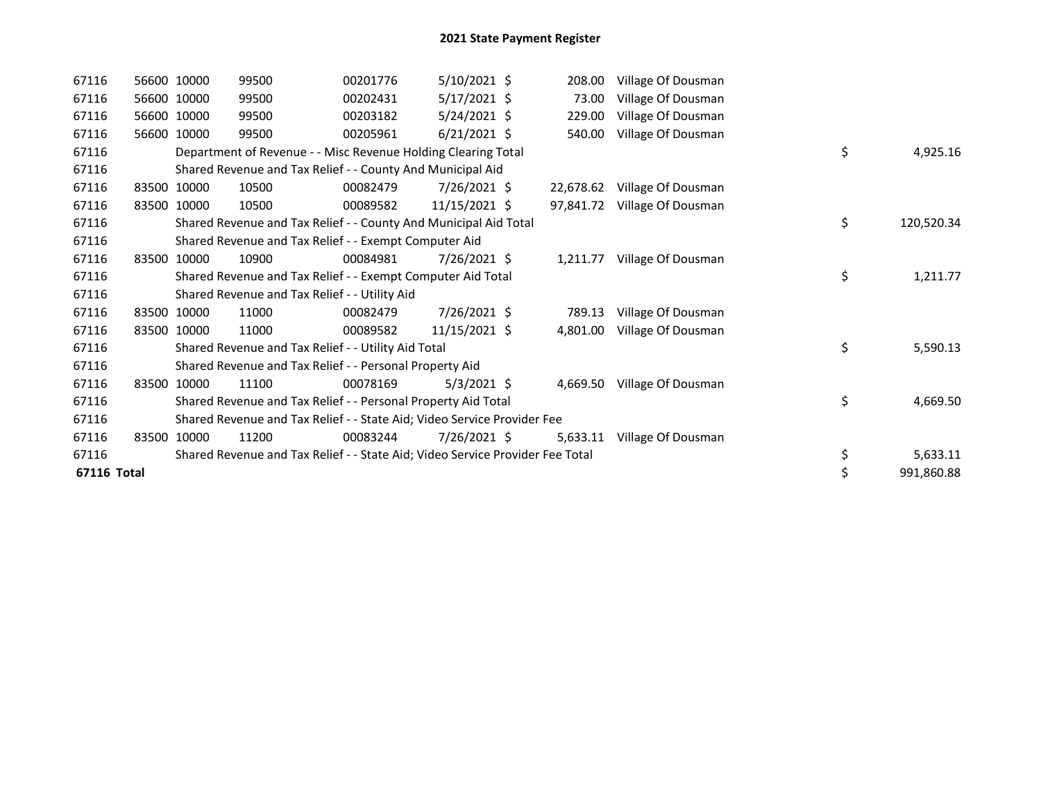| 67116       |       | 56600 10000 | 99500                                                                         | 00201776 | $5/10/2021$ \$ | 208.00    | Village Of Dousman |                  |
|-------------|-------|-------------|-------------------------------------------------------------------------------|----------|----------------|-----------|--------------------|------------------|
| 67116       |       | 56600 10000 | 99500                                                                         | 00202431 | 5/17/2021 \$   | 73.00     | Village Of Dousman |                  |
| 67116       |       | 56600 10000 | 99500                                                                         | 00203182 | 5/24/2021 \$   | 229.00    | Village Of Dousman |                  |
| 67116       |       | 56600 10000 | 99500                                                                         | 00205961 | $6/21/2021$ \$ | 540.00    | Village Of Dousman |                  |
| 67116       |       |             | Department of Revenue - - Misc Revenue Holding Clearing Total                 |          |                |           |                    | \$<br>4,925.16   |
| 67116       |       |             | Shared Revenue and Tax Relief - - County And Municipal Aid                    |          |                |           |                    |                  |
| 67116       |       | 83500 10000 | 10500                                                                         | 00082479 | 7/26/2021 \$   | 22,678.62 | Village Of Dousman |                  |
| 67116       | 83500 | 10000       | 10500                                                                         | 00089582 | 11/15/2021 \$  | 97,841.72 | Village Of Dousman |                  |
| 67116       |       |             | Shared Revenue and Tax Relief - - County And Municipal Aid Total              |          |                |           |                    | \$<br>120,520.34 |
| 67116       |       |             | Shared Revenue and Tax Relief - - Exempt Computer Aid                         |          |                |           |                    |                  |
| 67116       |       | 83500 10000 | 10900                                                                         | 00084981 | 7/26/2021 \$   | 1,211.77  | Village Of Dousman |                  |
| 67116       |       |             | Shared Revenue and Tax Relief - - Exempt Computer Aid Total                   |          |                |           |                    | \$<br>1,211.77   |
| 67116       |       |             | Shared Revenue and Tax Relief - - Utility Aid                                 |          |                |           |                    |                  |
| 67116       |       | 83500 10000 | 11000                                                                         | 00082479 | 7/26/2021 \$   | 789.13    | Village Of Dousman |                  |
| 67116       |       | 83500 10000 | 11000                                                                         | 00089582 | 11/15/2021 \$  | 4,801.00  | Village Of Dousman |                  |
| 67116       |       |             | Shared Revenue and Tax Relief - - Utility Aid Total                           |          |                |           |                    | \$<br>5,590.13   |
| 67116       |       |             | Shared Revenue and Tax Relief - - Personal Property Aid                       |          |                |           |                    |                  |
| 67116       |       | 83500 10000 | 11100                                                                         | 00078169 | $5/3/2021$ \$  | 4,669.50  | Village Of Dousman |                  |
| 67116       |       |             | Shared Revenue and Tax Relief - - Personal Property Aid Total                 |          |                |           |                    | \$<br>4,669.50   |
| 67116       |       |             | Shared Revenue and Tax Relief - - State Aid; Video Service Provider Fee       |          |                |           |                    |                  |
| 67116       |       | 83500 10000 | 11200                                                                         | 00083244 | 7/26/2021 \$   | 5,633.11  | Village Of Dousman |                  |
| 67116       |       |             | Shared Revenue and Tax Relief - - State Aid; Video Service Provider Fee Total |          |                |           |                    | \$<br>5,633.11   |
| 67116 Total |       |             |                                                                               |          |                |           |                    | \$<br>991,860.88 |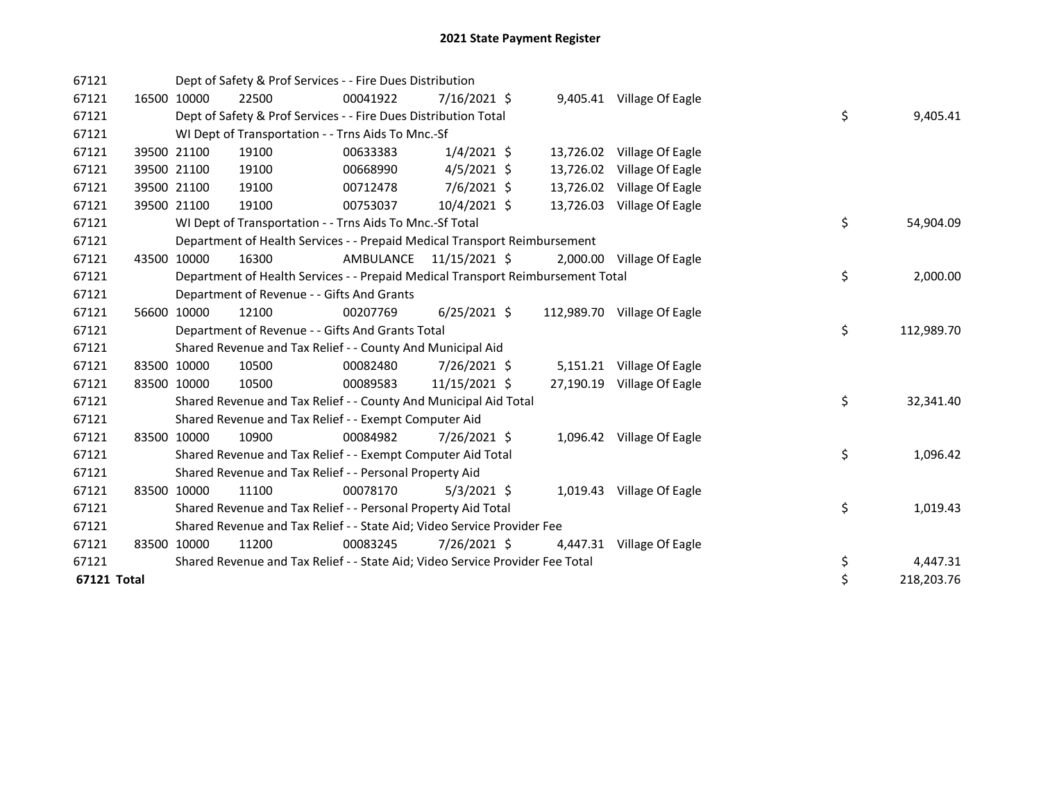| 67121       |       |             | Dept of Safety & Prof Services - - Fire Dues Distribution                       |           |                |           |                             |    |            |
|-------------|-------|-------------|---------------------------------------------------------------------------------|-----------|----------------|-----------|-----------------------------|----|------------|
| 67121       |       | 16500 10000 | 22500                                                                           | 00041922  | 7/16/2021 \$   |           | 9,405.41 Village Of Eagle   |    |            |
| 67121       |       |             | Dept of Safety & Prof Services - - Fire Dues Distribution Total                 |           |                |           |                             | \$ | 9,405.41   |
| 67121       |       |             | WI Dept of Transportation - - Trns Aids To Mnc.-Sf                              |           |                |           |                             |    |            |
| 67121       |       | 39500 21100 | 19100                                                                           | 00633383  | $1/4/2021$ \$  |           | 13,726.02 Village Of Eagle  |    |            |
| 67121       |       | 39500 21100 | 19100                                                                           | 00668990  | $4/5/2021$ \$  | 13,726.02 | Village Of Eagle            |    |            |
| 67121       |       | 39500 21100 | 19100                                                                           | 00712478  | $7/6/2021$ \$  |           | 13,726.02 Village Of Eagle  |    |            |
| 67121       |       | 39500 21100 | 19100                                                                           | 00753037  | 10/4/2021 \$   |           | 13,726.03 Village Of Eagle  |    |            |
| 67121       |       |             | WI Dept of Transportation - - Trns Aids To Mnc.-Sf Total                        |           |                |           |                             | \$ | 54,904.09  |
| 67121       |       |             | Department of Health Services - - Prepaid Medical Transport Reimbursement       |           |                |           |                             |    |            |
| 67121       |       | 43500 10000 | 16300                                                                           | AMBULANCE | 11/15/2021 \$  |           | 2,000.00 Village Of Eagle   |    |            |
| 67121       |       |             | Department of Health Services - - Prepaid Medical Transport Reimbursement Total |           |                |           |                             | \$ | 2,000.00   |
| 67121       |       |             | Department of Revenue - - Gifts And Grants                                      |           |                |           |                             |    |            |
| 67121       |       | 56600 10000 | 12100                                                                           | 00207769  | $6/25/2021$ \$ |           | 112,989.70 Village Of Eagle |    |            |
| 67121       |       |             | Department of Revenue - - Gifts And Grants Total                                |           |                |           |                             | \$ | 112,989.70 |
| 67121       |       |             | Shared Revenue and Tax Relief - - County And Municipal Aid                      |           |                |           |                             |    |            |
| 67121       |       | 83500 10000 | 10500                                                                           | 00082480  | 7/26/2021 \$   |           | 5,151.21 Village Of Eagle   |    |            |
| 67121       |       | 83500 10000 | 10500                                                                           | 00089583  | 11/15/2021 \$  | 27,190.19 | Village Of Eagle            |    |            |
| 67121       |       |             | Shared Revenue and Tax Relief - - County And Municipal Aid Total                |           |                |           |                             | \$ | 32,341.40  |
| 67121       |       |             | Shared Revenue and Tax Relief - - Exempt Computer Aid                           |           |                |           |                             |    |            |
| 67121       |       | 83500 10000 | 10900                                                                           | 00084982  | 7/26/2021 \$   |           | 1,096.42 Village Of Eagle   |    |            |
| 67121       |       |             | Shared Revenue and Tax Relief - - Exempt Computer Aid Total                     |           |                |           |                             | \$ | 1,096.42   |
| 67121       |       |             | Shared Revenue and Tax Relief - - Personal Property Aid                         |           |                |           |                             |    |            |
| 67121       | 83500 | 10000       | 11100                                                                           | 00078170  | $5/3/2021$ \$  |           | 1,019.43 Village Of Eagle   |    |            |
| 67121       |       |             | Shared Revenue and Tax Relief - - Personal Property Aid Total                   |           |                |           |                             | \$ | 1,019.43   |
| 67121       |       |             | Shared Revenue and Tax Relief - - State Aid; Video Service Provider Fee         |           |                |           |                             |    |            |
| 67121       |       | 83500 10000 | 11200                                                                           | 00083245  | 7/26/2021 \$   | 4,447.31  | Village Of Eagle            |    |            |
| 67121       |       |             | Shared Revenue and Tax Relief - - State Aid; Video Service Provider Fee Total   |           |                |           |                             | \$ | 4,447.31   |
| 67121 Total |       |             |                                                                                 |           |                |           |                             | \$ | 218,203.76 |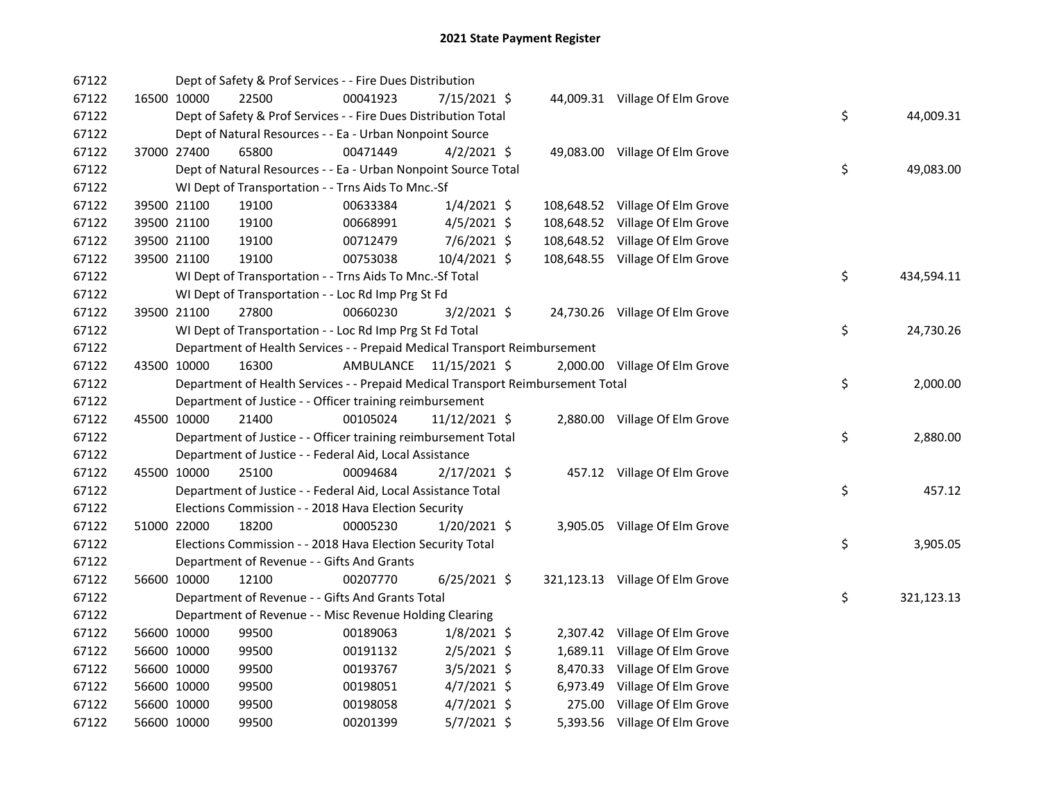| 67122 |             | Dept of Safety & Prof Services - - Fire Dues Distribution                       |                         |                |  |                                 |    |            |
|-------|-------------|---------------------------------------------------------------------------------|-------------------------|----------------|--|---------------------------------|----|------------|
| 67122 | 16500 10000 | 22500                                                                           | 00041923                | 7/15/2021 \$   |  | 44,009.31 Village Of Elm Grove  |    |            |
| 67122 |             | Dept of Safety & Prof Services - - Fire Dues Distribution Total                 |                         |                |  |                                 | \$ | 44,009.31  |
| 67122 |             | Dept of Natural Resources - - Ea - Urban Nonpoint Source                        |                         |                |  |                                 |    |            |
| 67122 | 37000 27400 | 65800                                                                           | 00471449                | $4/2/2021$ \$  |  | 49,083.00 Village Of Elm Grove  |    |            |
| 67122 |             | Dept of Natural Resources - - Ea - Urban Nonpoint Source Total                  |                         |                |  |                                 | \$ | 49,083.00  |
| 67122 |             | WI Dept of Transportation - - Trns Aids To Mnc.-Sf                              |                         |                |  |                                 |    |            |
| 67122 | 39500 21100 | 19100                                                                           | 00633384                | $1/4/2021$ \$  |  | 108,648.52 Village Of Elm Grove |    |            |
| 67122 | 39500 21100 | 19100                                                                           | 00668991                | $4/5/2021$ \$  |  | 108,648.52 Village Of Elm Grove |    |            |
| 67122 | 39500 21100 | 19100                                                                           | 00712479                | $7/6/2021$ \$  |  | 108,648.52 Village Of Elm Grove |    |            |
| 67122 | 39500 21100 | 19100                                                                           | 00753038                | $10/4/2021$ \$ |  | 108,648.55 Village Of Elm Grove |    |            |
| 67122 |             | WI Dept of Transportation - - Trns Aids To Mnc.-Sf Total                        |                         |                |  |                                 | \$ | 434,594.11 |
| 67122 |             | WI Dept of Transportation - - Loc Rd Imp Prg St Fd                              |                         |                |  |                                 |    |            |
| 67122 | 39500 21100 | 27800                                                                           | 00660230                | $3/2/2021$ \$  |  | 24,730.26 Village Of Elm Grove  |    |            |
| 67122 |             | WI Dept of Transportation - - Loc Rd Imp Prg St Fd Total                        |                         |                |  |                                 | \$ | 24,730.26  |
| 67122 |             | Department of Health Services - - Prepaid Medical Transport Reimbursement       |                         |                |  |                                 |    |            |
| 67122 | 43500 10000 | 16300                                                                           | AMBULANCE 11/15/2021 \$ |                |  | 2,000.00 Village Of Elm Grove   |    |            |
| 67122 |             | Department of Health Services - - Prepaid Medical Transport Reimbursement Total |                         |                |  |                                 | \$ | 2,000.00   |
| 67122 |             | Department of Justice - - Officer training reimbursement                        |                         |                |  |                                 |    |            |
| 67122 | 45500 10000 | 21400                                                                           | 00105024                | 11/12/2021 \$  |  | 2,880.00 Village Of Elm Grove   |    |            |
| 67122 |             | Department of Justice - - Officer training reimbursement Total                  |                         |                |  |                                 | \$ | 2,880.00   |
| 67122 |             | Department of Justice - - Federal Aid, Local Assistance                         |                         |                |  |                                 |    |            |
| 67122 | 45500 10000 | 25100                                                                           | 00094684                | $2/17/2021$ \$ |  | 457.12 Village Of Elm Grove     |    |            |
| 67122 |             | Department of Justice - - Federal Aid, Local Assistance Total                   |                         |                |  |                                 | \$ | 457.12     |
| 67122 |             | Elections Commission - - 2018 Hava Election Security                            |                         |                |  |                                 |    |            |
| 67122 | 51000 22000 | 18200                                                                           | 00005230                | 1/20/2021 \$   |  | 3,905.05 Village Of Elm Grove   |    |            |
| 67122 |             | Elections Commission - - 2018 Hava Election Security Total                      |                         |                |  |                                 | \$ | 3,905.05   |
| 67122 |             | Department of Revenue - - Gifts And Grants                                      |                         |                |  |                                 |    |            |
| 67122 | 56600 10000 | 12100                                                                           | 00207770                | $6/25/2021$ \$ |  | 321,123.13 Village Of Elm Grove |    |            |
| 67122 |             | Department of Revenue - - Gifts And Grants Total                                |                         |                |  |                                 | \$ | 321,123.13 |
| 67122 |             | Department of Revenue - - Misc Revenue Holding Clearing                         |                         |                |  |                                 |    |            |
| 67122 | 56600 10000 | 99500                                                                           | 00189063                | $1/8/2021$ \$  |  | 2,307.42 Village Of Elm Grove   |    |            |
| 67122 | 56600 10000 | 99500                                                                           | 00191132                | $2/5/2021$ \$  |  | 1,689.11 Village Of Elm Grove   |    |            |
| 67122 | 56600 10000 | 99500                                                                           | 00193767                | $3/5/2021$ \$  |  | 8,470.33 Village Of Elm Grove   |    |            |
| 67122 | 56600 10000 | 99500                                                                           | 00198051                | $4/7/2021$ \$  |  | 6,973.49 Village Of Elm Grove   |    |            |
| 67122 | 56600 10000 | 99500                                                                           | 00198058                | $4/7/2021$ \$  |  | 275.00 Village Of Elm Grove     |    |            |
| 67122 | 56600 10000 | 99500                                                                           | 00201399                | $5/7/2021$ \$  |  | 5,393.56 Village Of Elm Grove   |    |            |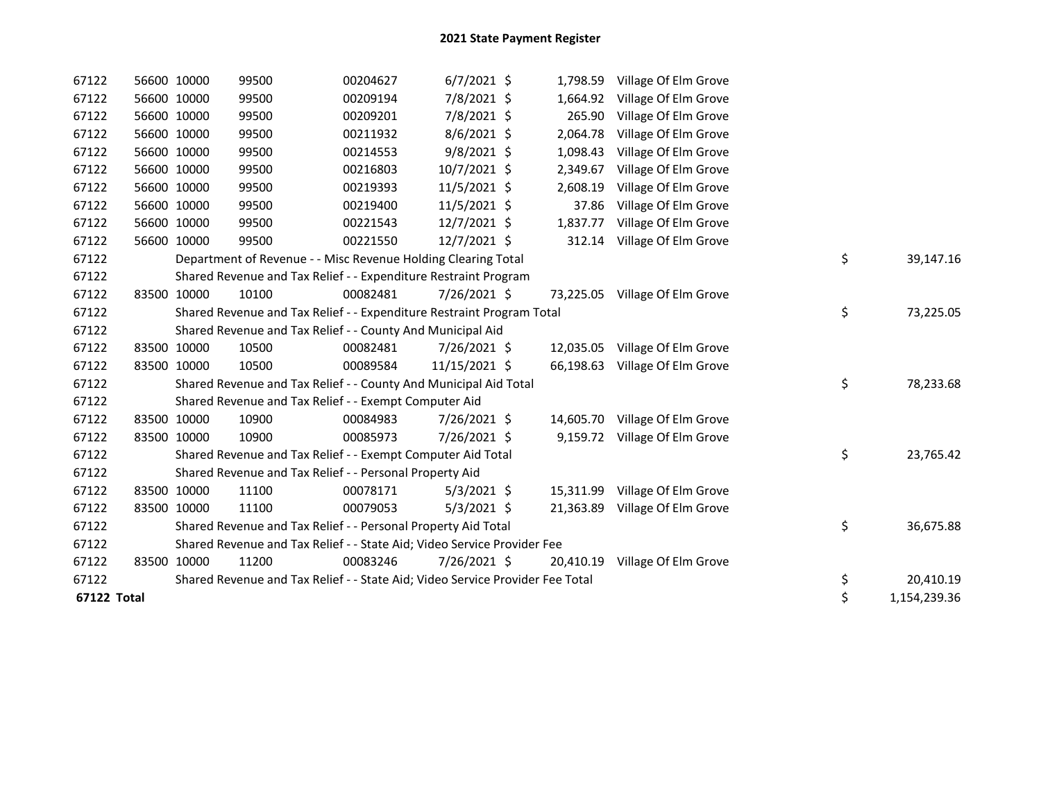| 67122       | 56600 10000 | 99500                                                                         | 00204627 | $6/7/2021$ \$  | 1,798.59  | Village Of Elm Grove           |    |              |
|-------------|-------------|-------------------------------------------------------------------------------|----------|----------------|-----------|--------------------------------|----|--------------|
| 67122       | 56600 10000 | 99500                                                                         | 00209194 | 7/8/2021 \$    | 1,664.92  | Village Of Elm Grove           |    |              |
| 67122       | 56600 10000 | 99500                                                                         | 00209201 | 7/8/2021 \$    | 265.90    | Village Of Elm Grove           |    |              |
| 67122       | 56600 10000 | 99500                                                                         | 00211932 | $8/6/2021$ \$  | 2,064.78  | Village Of Elm Grove           |    |              |
| 67122       | 56600 10000 | 99500                                                                         | 00214553 | $9/8/2021$ \$  | 1,098.43  | Village Of Elm Grove           |    |              |
| 67122       | 56600 10000 | 99500                                                                         | 00216803 | $10/7/2021$ \$ | 2,349.67  | Village Of Elm Grove           |    |              |
| 67122       | 56600 10000 | 99500                                                                         | 00219393 | $11/5/2021$ \$ | 2,608.19  | Village Of Elm Grove           |    |              |
| 67122       | 56600 10000 | 99500                                                                         | 00219400 | 11/5/2021 \$   | 37.86     | Village Of Elm Grove           |    |              |
| 67122       | 56600 10000 | 99500                                                                         | 00221543 | 12/7/2021 \$   | 1,837.77  | Village Of Elm Grove           |    |              |
| 67122       | 56600 10000 | 99500                                                                         | 00221550 | 12/7/2021 \$   | 312.14    | Village Of Elm Grove           |    |              |
| 67122       |             | Department of Revenue - - Misc Revenue Holding Clearing Total                 |          |                |           |                                | \$ | 39,147.16    |
| 67122       |             | Shared Revenue and Tax Relief - - Expenditure Restraint Program               |          |                |           |                                |    |              |
| 67122       | 83500 10000 | 10100                                                                         | 00082481 | 7/26/2021 \$   |           | 73,225.05 Village Of Elm Grove |    |              |
| 67122       |             | Shared Revenue and Tax Relief - - Expenditure Restraint Program Total         |          |                |           |                                | \$ | 73,225.05    |
| 67122       |             | Shared Revenue and Tax Relief - - County And Municipal Aid                    |          |                |           |                                |    |              |
| 67122       | 83500 10000 | 10500                                                                         | 00082481 | 7/26/2021 \$   | 12,035.05 | Village Of Elm Grove           |    |              |
| 67122       | 83500 10000 | 10500                                                                         | 00089584 | 11/15/2021 \$  | 66,198.63 | Village Of Elm Grove           |    |              |
| 67122       |             | Shared Revenue and Tax Relief - - County And Municipal Aid Total              |          |                |           |                                | \$ | 78,233.68    |
| 67122       |             | Shared Revenue and Tax Relief - - Exempt Computer Aid                         |          |                |           |                                |    |              |
| 67122       | 83500 10000 | 10900                                                                         | 00084983 | 7/26/2021 \$   | 14,605.70 | Village Of Elm Grove           |    |              |
| 67122       | 83500 10000 | 10900                                                                         | 00085973 | 7/26/2021 \$   |           | 9,159.72 Village Of Elm Grove  |    |              |
| 67122       |             | Shared Revenue and Tax Relief - - Exempt Computer Aid Total                   |          |                |           |                                | \$ | 23,765.42    |
| 67122       |             | Shared Revenue and Tax Relief - - Personal Property Aid                       |          |                |           |                                |    |              |
| 67122       | 83500 10000 | 11100                                                                         | 00078171 | $5/3/2021$ \$  | 15,311.99 | Village Of Elm Grove           |    |              |
| 67122       | 83500 10000 | 11100                                                                         | 00079053 | $5/3/2021$ \$  | 21,363.89 | Village Of Elm Grove           |    |              |
| 67122       |             | Shared Revenue and Tax Relief - - Personal Property Aid Total                 |          |                |           |                                | \$ | 36,675.88    |
| 67122       |             | Shared Revenue and Tax Relief - - State Aid; Video Service Provider Fee       |          |                |           |                                |    |              |
| 67122       | 83500 10000 | 11200                                                                         | 00083246 | 7/26/2021 \$   | 20,410.19 | Village Of Elm Grove           |    |              |
| 67122       |             | Shared Revenue and Tax Relief - - State Aid; Video Service Provider Fee Total |          |                |           |                                | \$ | 20,410.19    |
| 67122 Total |             |                                                                               |          |                |           |                                | \$ | 1,154,239.36 |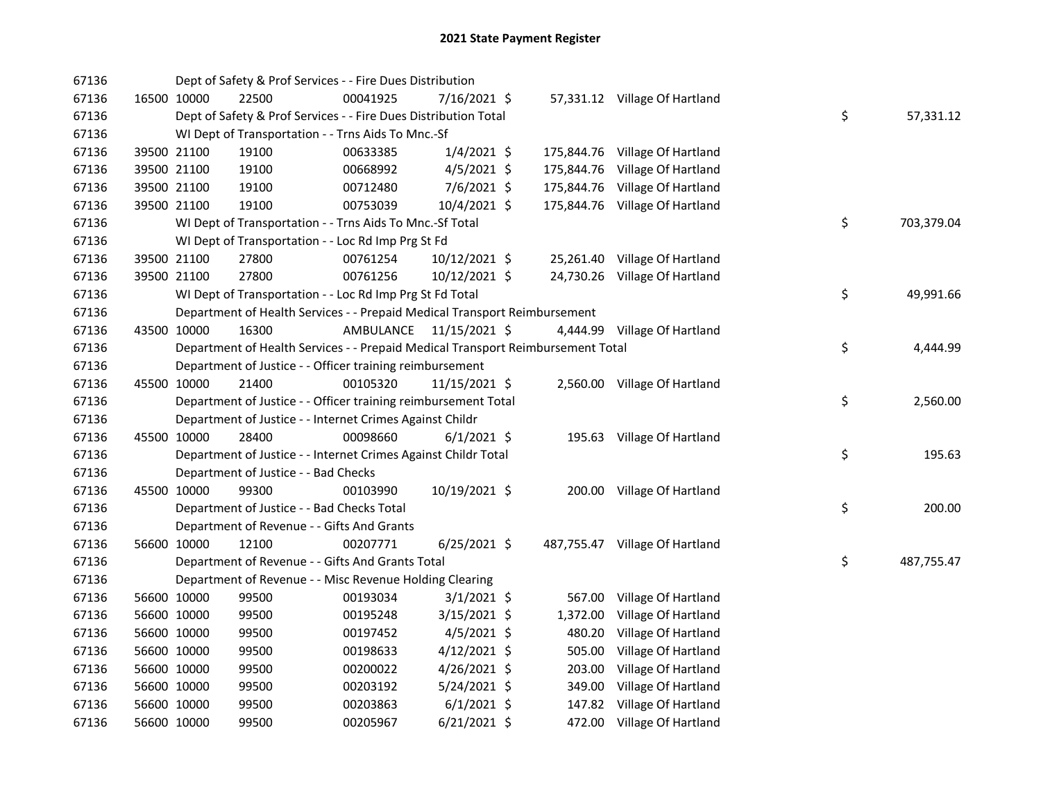| 67136 |             |             | Dept of Safety & Prof Services - - Fire Dues Distribution                       |           |                |            |                                |    |            |
|-------|-------------|-------------|---------------------------------------------------------------------------------|-----------|----------------|------------|--------------------------------|----|------------|
| 67136 |             | 16500 10000 | 22500                                                                           | 00041925  | 7/16/2021 \$   |            | 57,331.12 Village Of Hartland  |    |            |
| 67136 |             |             | Dept of Safety & Prof Services - - Fire Dues Distribution Total                 |           |                |            |                                | \$ | 57,331.12  |
| 67136 |             |             | WI Dept of Transportation - - Trns Aids To Mnc.-Sf                              |           |                |            |                                |    |            |
| 67136 |             | 39500 21100 | 19100                                                                           | 00633385  | $1/4/2021$ \$  |            | 175,844.76 Village Of Hartland |    |            |
| 67136 |             | 39500 21100 | 19100                                                                           | 00668992  | $4/5/2021$ \$  | 175,844.76 | Village Of Hartland            |    |            |
| 67136 |             | 39500 21100 | 19100                                                                           | 00712480  | 7/6/2021 \$    | 175,844.76 | Village Of Hartland            |    |            |
| 67136 | 39500 21100 |             | 19100                                                                           | 00753039  | 10/4/2021 \$   |            | 175,844.76 Village Of Hartland |    |            |
| 67136 |             |             | WI Dept of Transportation - - Trns Aids To Mnc.-Sf Total                        |           |                |            |                                | \$ | 703,379.04 |
| 67136 |             |             | WI Dept of Transportation - - Loc Rd Imp Prg St Fd                              |           |                |            |                                |    |            |
| 67136 |             | 39500 21100 | 27800                                                                           | 00761254  | 10/12/2021 \$  |            | 25,261.40 Village Of Hartland  |    |            |
| 67136 |             | 39500 21100 | 27800                                                                           | 00761256  | 10/12/2021 \$  |            | 24,730.26 Village Of Hartland  |    |            |
| 67136 |             |             | WI Dept of Transportation - - Loc Rd Imp Prg St Fd Total                        |           |                |            |                                | \$ | 49,991.66  |
| 67136 |             |             | Department of Health Services - - Prepaid Medical Transport Reimbursement       |           |                |            |                                |    |            |
| 67136 |             | 43500 10000 | 16300                                                                           | AMBULANCE | 11/15/2021 \$  |            | 4,444.99 Village Of Hartland   |    |            |
| 67136 |             |             | Department of Health Services - - Prepaid Medical Transport Reimbursement Total |           |                |            |                                | \$ | 4,444.99   |
| 67136 |             |             | Department of Justice - - Officer training reimbursement                        |           |                |            |                                |    |            |
| 67136 |             | 45500 10000 | 21400                                                                           | 00105320  | 11/15/2021 \$  |            | 2,560.00 Village Of Hartland   |    |            |
| 67136 |             |             | Department of Justice - - Officer training reimbursement Total                  |           |                |            |                                | \$ | 2,560.00   |
| 67136 |             |             | Department of Justice - - Internet Crimes Against Childr                        |           |                |            |                                |    |            |
| 67136 |             | 45500 10000 | 28400                                                                           | 00098660  | $6/1/2021$ \$  |            | 195.63 Village Of Hartland     |    |            |
| 67136 |             |             | Department of Justice - - Internet Crimes Against Childr Total                  |           |                |            |                                | \$ | 195.63     |
| 67136 |             |             | Department of Justice - - Bad Checks                                            |           |                |            |                                |    |            |
| 67136 |             | 45500 10000 | 99300                                                                           | 00103990  | 10/19/2021 \$  |            | 200.00 Village Of Hartland     |    |            |
| 67136 |             |             | Department of Justice - - Bad Checks Total                                      |           |                |            |                                | \$ | 200.00     |
| 67136 |             |             | Department of Revenue - - Gifts And Grants                                      |           |                |            |                                |    |            |
| 67136 |             | 56600 10000 | 12100                                                                           | 00207771  | $6/25/2021$ \$ |            | 487,755.47 Village Of Hartland |    |            |
| 67136 |             |             | Department of Revenue - - Gifts And Grants Total                                |           |                |            |                                | \$ | 487,755.47 |
| 67136 |             |             | Department of Revenue - - Misc Revenue Holding Clearing                         |           |                |            |                                |    |            |
| 67136 |             | 56600 10000 | 99500                                                                           | 00193034  | $3/1/2021$ \$  |            | 567.00 Village Of Hartland     |    |            |
| 67136 | 56600 10000 |             | 99500                                                                           | 00195248  | $3/15/2021$ \$ | 1,372.00   | Village Of Hartland            |    |            |
| 67136 | 56600 10000 |             | 99500                                                                           | 00197452  | $4/5/2021$ \$  | 480.20     | Village Of Hartland            |    |            |
| 67136 | 56600 10000 |             | 99500                                                                           | 00198633  | $4/12/2021$ \$ | 505.00     | Village Of Hartland            |    |            |
| 67136 | 56600 10000 |             | 99500                                                                           | 00200022  | $4/26/2021$ \$ | 203.00     | Village Of Hartland            |    |            |
| 67136 | 56600 10000 |             | 99500                                                                           | 00203192  | $5/24/2021$ \$ | 349.00     | Village Of Hartland            |    |            |
| 67136 | 56600 10000 |             | 99500                                                                           | 00203863  | $6/1/2021$ \$  |            | 147.82 Village Of Hartland     |    |            |
| 67136 | 56600 10000 |             | 99500                                                                           | 00205967  | $6/21/2021$ \$ |            | 472.00 Village Of Hartland     |    |            |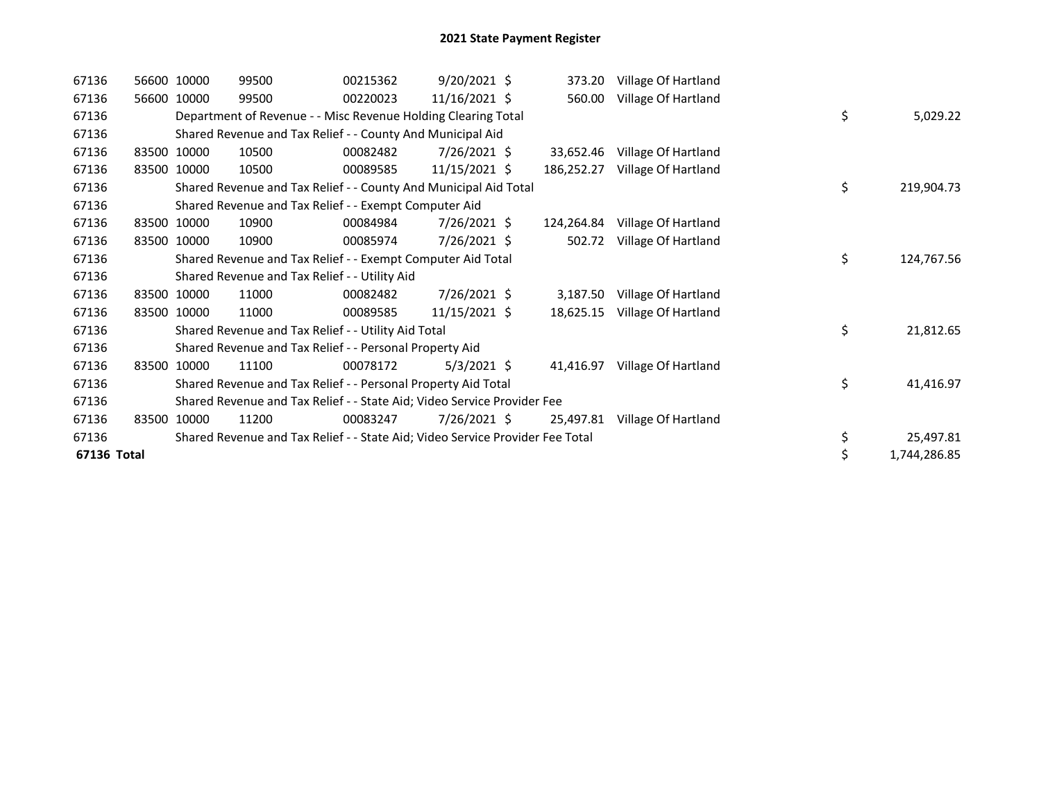| 67136       | 56600 10000 | 99500                                                                         | 00215362 | $9/20/2021$ \$  | 373.20     | Village Of Hartland |    |              |
|-------------|-------------|-------------------------------------------------------------------------------|----------|-----------------|------------|---------------------|----|--------------|
| 67136       | 56600 10000 | 99500                                                                         | 00220023 | 11/16/2021 \$   | 560.00     | Village Of Hartland |    |              |
| 67136       |             | Department of Revenue - - Misc Revenue Holding Clearing Total                 |          |                 |            |                     | \$ | 5,029.22     |
| 67136       |             | Shared Revenue and Tax Relief - - County And Municipal Aid                    |          |                 |            |                     |    |              |
| 67136       | 83500 10000 | 10500                                                                         | 00082482 | $7/26/2021$ \$  | 33,652.46  | Village Of Hartland |    |              |
| 67136       | 83500 10000 | 10500                                                                         | 00089585 | 11/15/2021 \$   | 186,252.27 | Village Of Hartland |    |              |
| 67136       |             | Shared Revenue and Tax Relief - - County And Municipal Aid Total              |          |                 |            |                     | \$ | 219,904.73   |
| 67136       |             | Shared Revenue and Tax Relief - - Exempt Computer Aid                         |          |                 |            |                     |    |              |
| 67136       | 83500 10000 | 10900                                                                         | 00084984 | $7/26/2021$ \$  | 124,264.84 | Village Of Hartland |    |              |
| 67136       | 83500 10000 | 10900                                                                         | 00085974 | 7/26/2021 \$    | 502.72     | Village Of Hartland |    |              |
| 67136       |             | Shared Revenue and Tax Relief - - Exempt Computer Aid Total                   |          |                 |            |                     | \$ | 124,767.56   |
| 67136       |             | Shared Revenue and Tax Relief - - Utility Aid                                 |          |                 |            |                     |    |              |
| 67136       | 83500 10000 | 11000                                                                         | 00082482 | 7/26/2021 \$    | 3,187.50   | Village Of Hartland |    |              |
| 67136       | 83500 10000 | 11000                                                                         | 00089585 | $11/15/2021$ \$ | 18,625.15  | Village Of Hartland |    |              |
| 67136       |             | Shared Revenue and Tax Relief - - Utility Aid Total                           |          |                 |            |                     | \$ | 21,812.65    |
| 67136       |             | Shared Revenue and Tax Relief - - Personal Property Aid                       |          |                 |            |                     |    |              |
| 67136       | 83500 10000 | 11100                                                                         | 00078172 | $5/3/2021$ \$   | 41,416.97  | Village Of Hartland |    |              |
| 67136       |             | Shared Revenue and Tax Relief - - Personal Property Aid Total                 |          |                 |            |                     | \$ | 41,416.97    |
| 67136       |             | Shared Revenue and Tax Relief - - State Aid; Video Service Provider Fee       |          |                 |            |                     |    |              |
| 67136       | 83500 10000 | 11200                                                                         | 00083247 | $7/26/2021$ \$  | 25,497.81  | Village Of Hartland |    |              |
| 67136       |             | Shared Revenue and Tax Relief - - State Aid; Video Service Provider Fee Total |          |                 |            |                     | \$ | 25,497.81    |
| 67136 Total |             |                                                                               |          |                 |            |                     | \$ | 1,744,286.85 |
|             |             |                                                                               |          |                 |            |                     |    |              |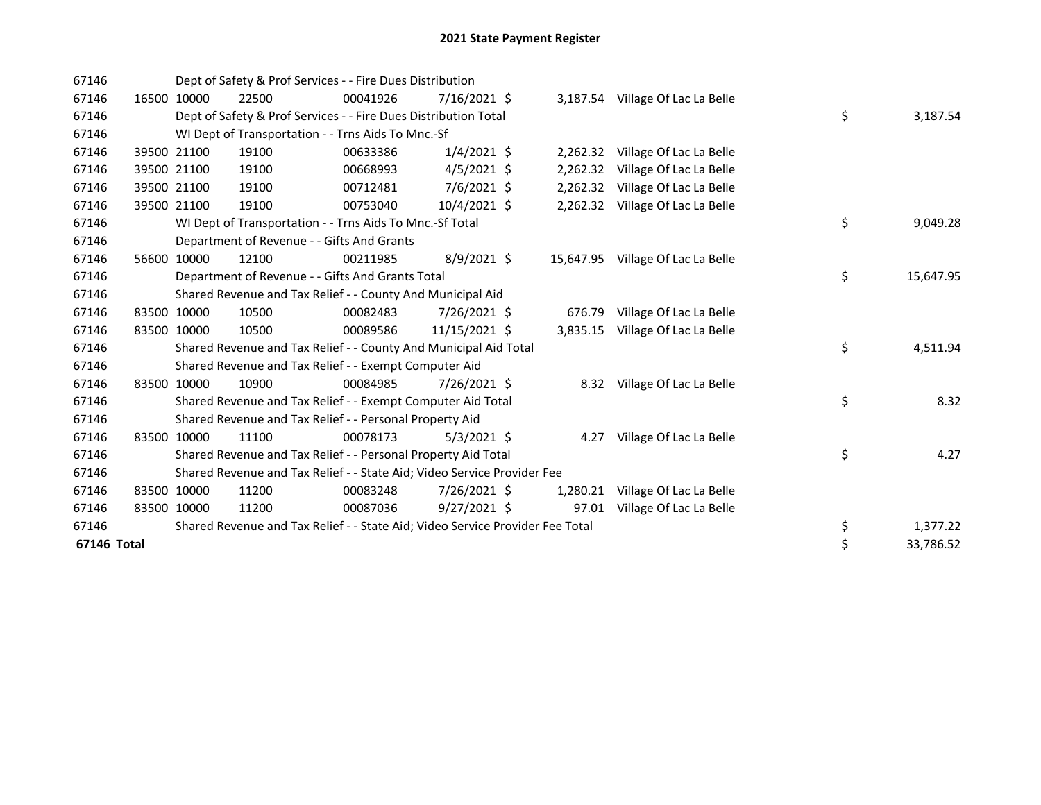| 67146       |       |             | Dept of Safety & Prof Services - - Fire Dues Distribution                     |          |                |           |                                  |           |           |
|-------------|-------|-------------|-------------------------------------------------------------------------------|----------|----------------|-----------|----------------------------------|-----------|-----------|
| 67146       |       | 16500 10000 | 22500                                                                         | 00041926 | $7/16/2021$ \$ |           | 3,187.54 Village Of Lac La Belle |           |           |
| 67146       |       |             | Dept of Safety & Prof Services - - Fire Dues Distribution Total               |          |                |           |                                  | \$        | 3,187.54  |
| 67146       |       |             | WI Dept of Transportation - - Trns Aids To Mnc.-Sf                            |          |                |           |                                  |           |           |
| 67146       |       | 39500 21100 | 19100                                                                         | 00633386 | $1/4/2021$ \$  | 2,262.32  | Village Of Lac La Belle          |           |           |
| 67146       |       | 39500 21100 | 19100                                                                         | 00668993 | $4/5/2021$ \$  | 2,262.32  | Village Of Lac La Belle          |           |           |
| 67146       |       | 39500 21100 | 19100                                                                         | 00712481 | 7/6/2021 \$    | 2,262.32  | Village Of Lac La Belle          |           |           |
| 67146       |       | 39500 21100 | 19100                                                                         | 00753040 | 10/4/2021 \$   |           | 2,262.32 Village Of Lac La Belle |           |           |
| 67146       |       |             | WI Dept of Transportation - - Trns Aids To Mnc.-Sf Total                      |          |                |           |                                  | \$        | 9,049.28  |
| 67146       |       |             | Department of Revenue - - Gifts And Grants                                    |          |                |           |                                  |           |           |
| 67146       |       | 56600 10000 | 12100                                                                         | 00211985 | $8/9/2021$ \$  | 15,647.95 | Village Of Lac La Belle          |           |           |
| 67146       |       |             | Department of Revenue - - Gifts And Grants Total                              |          |                |           |                                  | \$        | 15,647.95 |
| 67146       |       |             | Shared Revenue and Tax Relief - - County And Municipal Aid                    |          |                |           |                                  |           |           |
| 67146       |       | 83500 10000 | 10500                                                                         | 00082483 | 7/26/2021 \$   | 676.79    | Village Of Lac La Belle          |           |           |
| 67146       |       | 83500 10000 | 10500                                                                         | 00089586 | 11/15/2021 \$  | 3,835.15  | Village Of Lac La Belle          |           |           |
| 67146       |       |             | Shared Revenue and Tax Relief - - County And Municipal Aid Total              |          |                |           |                                  | \$        | 4,511.94  |
| 67146       |       |             | Shared Revenue and Tax Relief - - Exempt Computer Aid                         |          |                |           |                                  |           |           |
| 67146       | 83500 | 10000       | 10900                                                                         | 00084985 | 7/26/2021 \$   |           | 8.32 Village Of Lac La Belle     |           |           |
| 67146       |       |             | Shared Revenue and Tax Relief - - Exempt Computer Aid Total                   |          |                |           |                                  | \$        | 8.32      |
| 67146       |       |             | Shared Revenue and Tax Relief - - Personal Property Aid                       |          |                |           |                                  |           |           |
| 67146       |       | 83500 10000 | 11100                                                                         | 00078173 | $5/3/2021$ \$  | 4.27      | Village Of Lac La Belle          |           |           |
| 67146       |       |             | Shared Revenue and Tax Relief - - Personal Property Aid Total                 |          |                |           |                                  | \$        | 4.27      |
| 67146       |       |             | Shared Revenue and Tax Relief - - State Aid; Video Service Provider Fee       |          |                |           |                                  |           |           |
| 67146       |       | 83500 10000 | 11200                                                                         | 00083248 | 7/26/2021 \$   | 1,280.21  | Village Of Lac La Belle          |           |           |
| 67146       |       | 83500 10000 | 11200                                                                         | 00087036 | $9/27/2021$ \$ | 97.01     | Village Of Lac La Belle          |           |           |
| 67146       |       |             | Shared Revenue and Tax Relief - - State Aid; Video Service Provider Fee Total |          |                |           |                                  | \$        | 1,377.22  |
| 67146 Total |       |             |                                                                               |          |                |           | \$                               | 33,786.52 |           |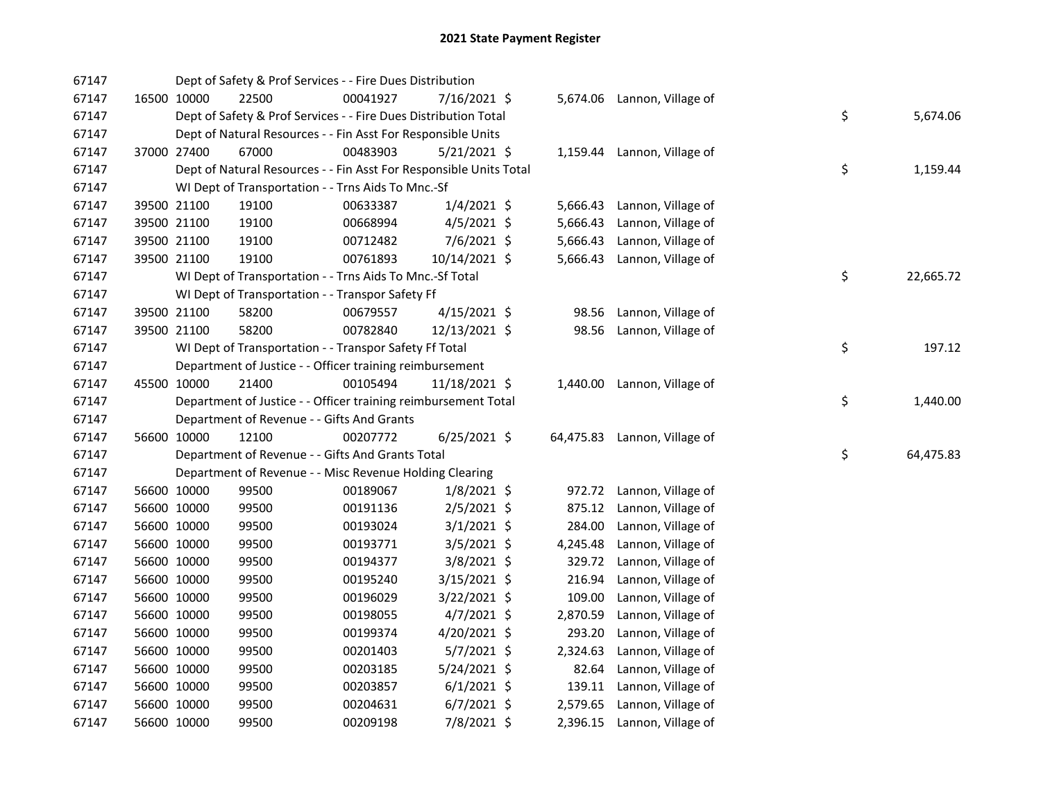| 67147 |             | Dept of Safety & Prof Services - - Fire Dues Distribution          |          |                |          |                              |    |           |
|-------|-------------|--------------------------------------------------------------------|----------|----------------|----------|------------------------------|----|-----------|
| 67147 | 16500 10000 | 22500                                                              | 00041927 | 7/16/2021 \$   |          | 5,674.06 Lannon, Village of  |    |           |
| 67147 |             | Dept of Safety & Prof Services - - Fire Dues Distribution Total    |          |                |          |                              | \$ | 5,674.06  |
| 67147 |             | Dept of Natural Resources - - Fin Asst For Responsible Units       |          |                |          |                              |    |           |
| 67147 | 37000 27400 | 67000                                                              | 00483903 | 5/21/2021 \$   |          | 1,159.44 Lannon, Village of  |    |           |
| 67147 |             | Dept of Natural Resources - - Fin Asst For Responsible Units Total |          |                |          |                              | \$ | 1,159.44  |
| 67147 |             | WI Dept of Transportation - - Trns Aids To Mnc.-Sf                 |          |                |          |                              |    |           |
| 67147 | 39500 21100 | 19100                                                              | 00633387 | $1/4/2021$ \$  | 5,666.43 | Lannon, Village of           |    |           |
| 67147 | 39500 21100 | 19100                                                              | 00668994 | $4/5/2021$ \$  | 5,666.43 | Lannon, Village of           |    |           |
| 67147 | 39500 21100 | 19100                                                              | 00712482 | $7/6/2021$ \$  | 5,666.43 | Lannon, Village of           |    |           |
| 67147 | 39500 21100 | 19100                                                              | 00761893 | 10/14/2021 \$  | 5,666.43 | Lannon, Village of           |    |           |
| 67147 |             | WI Dept of Transportation - - Trns Aids To Mnc.-Sf Total           |          |                |          |                              | \$ | 22,665.72 |
| 67147 |             | WI Dept of Transportation - - Transpor Safety Ff                   |          |                |          |                              |    |           |
| 67147 | 39500 21100 | 58200                                                              | 00679557 | $4/15/2021$ \$ | 98.56    | Lannon, Village of           |    |           |
| 67147 | 39500 21100 | 58200                                                              | 00782840 | 12/13/2021 \$  | 98.56    | Lannon, Village of           |    |           |
| 67147 |             | WI Dept of Transportation - - Transpor Safety Ff Total             |          |                |          |                              | \$ | 197.12    |
| 67147 |             | Department of Justice - - Officer training reimbursement           |          |                |          |                              |    |           |
| 67147 | 45500 10000 | 21400                                                              | 00105494 | 11/18/2021 \$  |          | 1,440.00 Lannon, Village of  |    |           |
| 67147 |             | Department of Justice - - Officer training reimbursement Total     |          |                |          |                              | \$ | 1,440.00  |
| 67147 |             | Department of Revenue - - Gifts And Grants                         |          |                |          |                              |    |           |
| 67147 | 56600 10000 | 12100                                                              | 00207772 | $6/25/2021$ \$ |          | 64,475.83 Lannon, Village of |    |           |
| 67147 |             | Department of Revenue - - Gifts And Grants Total                   |          |                |          |                              | \$ | 64,475.83 |
| 67147 |             | Department of Revenue - - Misc Revenue Holding Clearing            |          |                |          |                              |    |           |
| 67147 | 56600 10000 | 99500                                                              | 00189067 | $1/8/2021$ \$  |          | 972.72 Lannon, Village of    |    |           |
| 67147 | 56600 10000 | 99500                                                              | 00191136 | $2/5/2021$ \$  | 875.12   | Lannon, Village of           |    |           |
| 67147 | 56600 10000 | 99500                                                              | 00193024 | $3/1/2021$ \$  | 284.00   | Lannon, Village of           |    |           |
| 67147 | 56600 10000 | 99500                                                              | 00193771 | $3/5/2021$ \$  | 4,245.48 | Lannon, Village of           |    |           |
| 67147 | 56600 10000 | 99500                                                              | 00194377 | $3/8/2021$ \$  | 329.72   | Lannon, Village of           |    |           |
| 67147 | 56600 10000 | 99500                                                              | 00195240 | $3/15/2021$ \$ | 216.94   | Lannon, Village of           |    |           |
| 67147 | 56600 10000 | 99500                                                              | 00196029 | $3/22/2021$ \$ | 109.00   | Lannon, Village of           |    |           |
| 67147 | 56600 10000 | 99500                                                              | 00198055 | $4/7/2021$ \$  | 2,870.59 | Lannon, Village of           |    |           |
| 67147 | 56600 10000 | 99500                                                              | 00199374 | 4/20/2021 \$   | 293.20   | Lannon, Village of           |    |           |
| 67147 | 56600 10000 | 99500                                                              | 00201403 | $5/7/2021$ \$  | 2,324.63 | Lannon, Village of           |    |           |
| 67147 | 56600 10000 | 99500                                                              | 00203185 | 5/24/2021 \$   | 82.64    | Lannon, Village of           |    |           |
| 67147 | 56600 10000 | 99500                                                              | 00203857 | $6/1/2021$ \$  | 139.11   | Lannon, Village of           |    |           |
| 67147 | 56600 10000 | 99500                                                              | 00204631 | $6/7/2021$ \$  | 2,579.65 | Lannon, Village of           |    |           |
| 67147 | 56600 10000 | 99500                                                              | 00209198 | 7/8/2021 \$    |          | 2,396.15 Lannon, Village of  |    |           |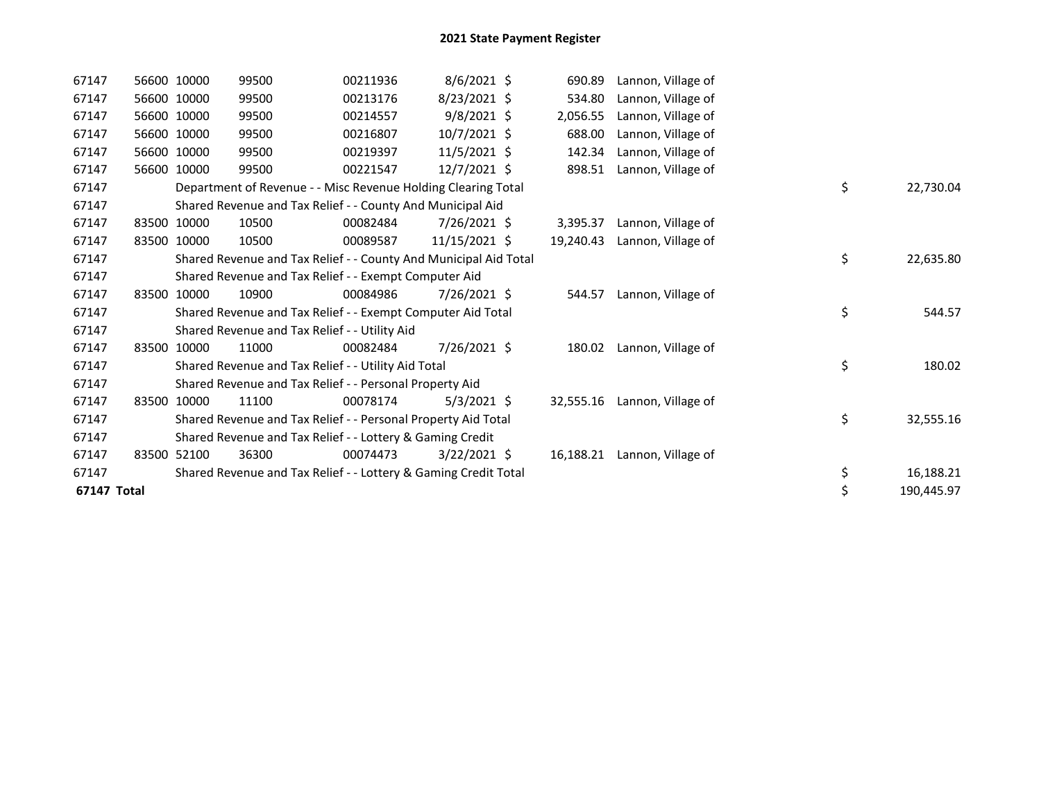| 67147       | 56600 10000 | 99500                                                            | 00211936 | 8/6/2021 \$    | 690.89    | Lannon, Village of |    |            |
|-------------|-------------|------------------------------------------------------------------|----------|----------------|-----------|--------------------|----|------------|
| 67147       | 56600 10000 | 99500                                                            | 00213176 | 8/23/2021 \$   | 534.80    | Lannon, Village of |    |            |
| 67147       | 56600 10000 | 99500                                                            | 00214557 | $9/8/2021$ \$  | 2,056.55  | Lannon, Village of |    |            |
| 67147       | 56600 10000 | 99500                                                            | 00216807 | $10/7/2021$ \$ | 688.00    | Lannon, Village of |    |            |
| 67147       | 56600 10000 | 99500                                                            | 00219397 | $11/5/2021$ \$ | 142.34    | Lannon, Village of |    |            |
| 67147       | 56600 10000 | 99500                                                            | 00221547 | $12/7/2021$ \$ | 898.51    | Lannon, Village of |    |            |
| 67147       |             | Department of Revenue - - Misc Revenue Holding Clearing Total    |          |                |           |                    | \$ | 22,730.04  |
| 67147       |             | Shared Revenue and Tax Relief - - County And Municipal Aid       |          |                |           |                    |    |            |
| 67147       | 83500 10000 | 10500                                                            | 00082484 | 7/26/2021 \$   | 3,395.37  | Lannon, Village of |    |            |
| 67147       | 83500 10000 | 10500                                                            | 00089587 | 11/15/2021 \$  | 19.240.43 | Lannon, Village of |    |            |
| 67147       |             | Shared Revenue and Tax Relief - - County And Municipal Aid Total |          |                |           |                    | \$ | 22,635.80  |
| 67147       |             | Shared Revenue and Tax Relief - - Exempt Computer Aid            |          |                |           |                    |    |            |
| 67147       | 83500 10000 | 10900                                                            | 00084986 | 7/26/2021 \$   | 544.57    | Lannon, Village of |    |            |
| 67147       |             | Shared Revenue and Tax Relief - - Exempt Computer Aid Total      |          |                |           |                    | \$ | 544.57     |
| 67147       |             | Shared Revenue and Tax Relief - - Utility Aid                    |          |                |           |                    |    |            |
| 67147       | 83500 10000 | 11000                                                            | 00082484 | 7/26/2021 \$   | 180.02    | Lannon, Village of |    |            |
| 67147       |             | Shared Revenue and Tax Relief - - Utility Aid Total              |          |                |           |                    | \$ | 180.02     |
| 67147       |             | Shared Revenue and Tax Relief - - Personal Property Aid          |          |                |           |                    |    |            |
| 67147       | 83500 10000 | 11100                                                            | 00078174 | $5/3/2021$ \$  | 32,555.16 | Lannon, Village of |    |            |
| 67147       |             | Shared Revenue and Tax Relief - - Personal Property Aid Total    |          |                |           |                    | \$ | 32,555.16  |
| 67147       |             | Shared Revenue and Tax Relief - - Lottery & Gaming Credit        |          |                |           |                    |    |            |
| 67147       | 83500 52100 | 36300                                                            | 00074473 | $3/22/2021$ \$ | 16,188.21 | Lannon, Village of |    |            |
| 67147       |             | Shared Revenue and Tax Relief - - Lottery & Gaming Credit Total  |          |                |           |                    | \$ | 16,188.21  |
| 67147 Total |             |                                                                  |          |                |           |                    | \$ | 190,445.97 |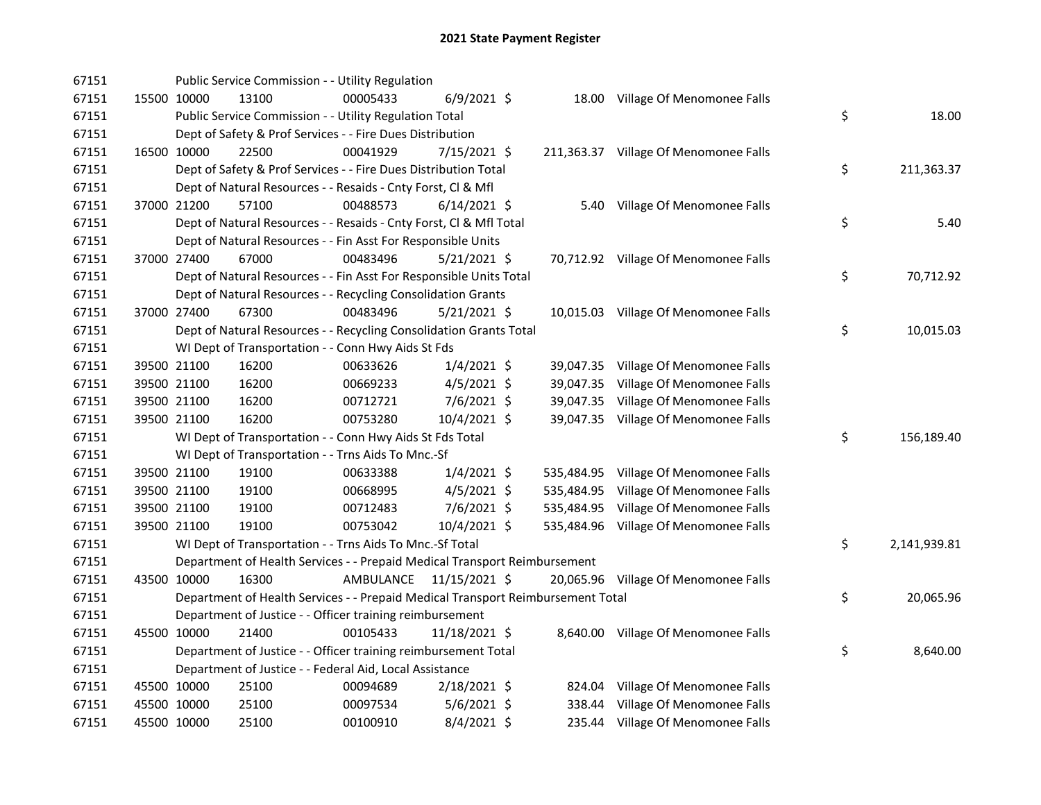| 67151 |             | Public Service Commission - - Utility Regulation                                |           |                |            |                                       |                    |
|-------|-------------|---------------------------------------------------------------------------------|-----------|----------------|------------|---------------------------------------|--------------------|
| 67151 | 15500 10000 | 13100                                                                           | 00005433  | $6/9/2021$ \$  |            | 18.00 Village Of Menomonee Falls      |                    |
| 67151 |             | Public Service Commission - - Utility Regulation Total                          |           |                |            |                                       | \$<br>18.00        |
| 67151 |             | Dept of Safety & Prof Services - - Fire Dues Distribution                       |           |                |            |                                       |                    |
| 67151 | 16500 10000 | 22500                                                                           | 00041929  | 7/15/2021 \$   |            | 211,363.37 Village Of Menomonee Falls |                    |
| 67151 |             | Dept of Safety & Prof Services - - Fire Dues Distribution Total                 |           |                |            |                                       | \$<br>211,363.37   |
| 67151 |             | Dept of Natural Resources - - Resaids - Cnty Forst, Cl & Mfl                    |           |                |            |                                       |                    |
| 67151 | 37000 21200 | 57100                                                                           | 00488573  | $6/14/2021$ \$ |            | 5.40 Village Of Menomonee Falls       |                    |
| 67151 |             | Dept of Natural Resources - - Resaids - Cnty Forst, CI & Mfl Total              |           |                |            |                                       | \$<br>5.40         |
| 67151 |             | Dept of Natural Resources - - Fin Asst For Responsible Units                    |           |                |            |                                       |                    |
| 67151 | 37000 27400 | 67000                                                                           | 00483496  | $5/21/2021$ \$ |            | 70,712.92 Village Of Menomonee Falls  |                    |
| 67151 |             | Dept of Natural Resources - - Fin Asst For Responsible Units Total              |           |                |            |                                       | \$<br>70,712.92    |
| 67151 |             | Dept of Natural Resources - - Recycling Consolidation Grants                    |           |                |            |                                       |                    |
| 67151 | 37000 27400 | 67300                                                                           | 00483496  | $5/21/2021$ \$ |            | 10,015.03 Village Of Menomonee Falls  |                    |
| 67151 |             | Dept of Natural Resources - - Recycling Consolidation Grants Total              |           |                |            |                                       | \$<br>10,015.03    |
| 67151 |             | WI Dept of Transportation - - Conn Hwy Aids St Fds                              |           |                |            |                                       |                    |
| 67151 | 39500 21100 | 16200                                                                           | 00633626  | $1/4/2021$ \$  |            | 39,047.35 Village Of Menomonee Falls  |                    |
| 67151 | 39500 21100 | 16200                                                                           | 00669233  | $4/5/2021$ \$  |            | 39,047.35 Village Of Menomonee Falls  |                    |
| 67151 | 39500 21100 | 16200                                                                           | 00712721  | 7/6/2021 \$    |            | 39,047.35 Village Of Menomonee Falls  |                    |
| 67151 | 39500 21100 | 16200                                                                           | 00753280  | 10/4/2021 \$   |            | 39,047.35 Village Of Menomonee Falls  |                    |
| 67151 |             | WI Dept of Transportation - - Conn Hwy Aids St Fds Total                        |           |                |            |                                       | \$<br>156,189.40   |
| 67151 |             | WI Dept of Transportation - - Trns Aids To Mnc.-Sf                              |           |                |            |                                       |                    |
| 67151 | 39500 21100 | 19100                                                                           | 00633388  | $1/4/2021$ \$  | 535,484.95 | Village Of Menomonee Falls            |                    |
| 67151 | 39500 21100 | 19100                                                                           | 00668995  | $4/5/2021$ \$  | 535,484.95 | Village Of Menomonee Falls            |                    |
| 67151 | 39500 21100 | 19100                                                                           | 00712483  | $7/6/2021$ \$  |            | 535,484.95 Village Of Menomonee Falls |                    |
| 67151 | 39500 21100 | 19100                                                                           | 00753042  | 10/4/2021 \$   |            | 535,484.96 Village Of Menomonee Falls |                    |
| 67151 |             | WI Dept of Transportation - - Trns Aids To Mnc.-Sf Total                        |           |                |            |                                       | \$<br>2,141,939.81 |
| 67151 |             | Department of Health Services - - Prepaid Medical Transport Reimbursement       |           |                |            |                                       |                    |
| 67151 | 43500 10000 | 16300                                                                           | AMBULANCE | 11/15/2021 \$  |            | 20,065.96 Village Of Menomonee Falls  |                    |
| 67151 |             | Department of Health Services - - Prepaid Medical Transport Reimbursement Total |           |                |            |                                       | \$<br>20,065.96    |
| 67151 |             | Department of Justice - - Officer training reimbursement                        |           |                |            |                                       |                    |
| 67151 | 45500 10000 | 21400                                                                           | 00105433  | 11/18/2021 \$  |            | 8,640.00 Village Of Menomonee Falls   |                    |
| 67151 |             | Department of Justice - - Officer training reimbursement Total                  |           |                |            |                                       | \$<br>8,640.00     |
| 67151 |             | Department of Justice - - Federal Aid, Local Assistance                         |           |                |            |                                       |                    |
| 67151 | 45500 10000 | 25100                                                                           | 00094689  | 2/18/2021 \$   |            | 824.04 Village Of Menomonee Falls     |                    |
| 67151 | 45500 10000 | 25100                                                                           | 00097534  | $5/6/2021$ \$  |            | 338.44 Village Of Menomonee Falls     |                    |
| 67151 | 45500 10000 | 25100                                                                           | 00100910  | $8/4/2021$ \$  |            | 235.44 Village Of Menomonee Falls     |                    |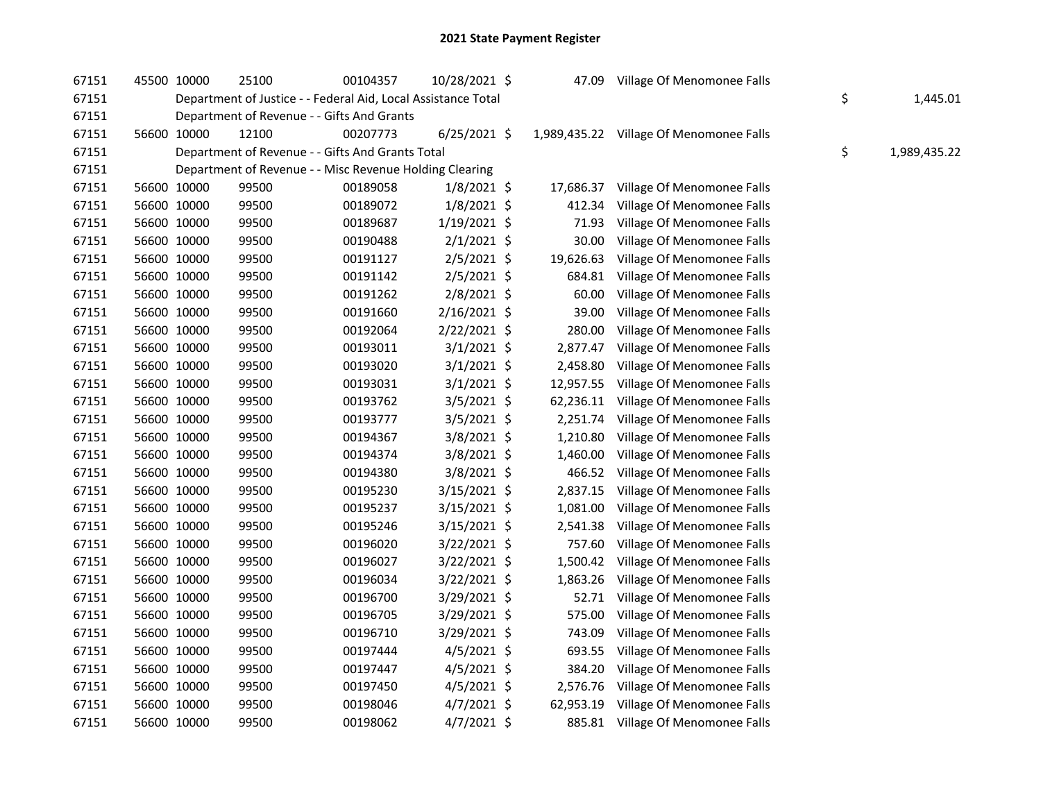| 67151 | 45500 10000 | 25100 | 00104357                                                      | 10/28/2021 \$  | 47.09     | Village Of Menomonee Falls              |                    |
|-------|-------------|-------|---------------------------------------------------------------|----------------|-----------|-----------------------------------------|--------------------|
| 67151 |             |       | Department of Justice - - Federal Aid, Local Assistance Total |                |           |                                         | \$<br>1,445.01     |
| 67151 |             |       | Department of Revenue - - Gifts And Grants                    |                |           |                                         |                    |
| 67151 | 56600 10000 | 12100 | 00207773                                                      | $6/25/2021$ \$ |           | 1,989,435.22 Village Of Menomonee Falls |                    |
| 67151 |             |       | Department of Revenue - - Gifts And Grants Total              |                |           |                                         | \$<br>1,989,435.22 |
| 67151 |             |       | Department of Revenue - - Misc Revenue Holding Clearing       |                |           |                                         |                    |
| 67151 | 56600 10000 | 99500 | 00189058                                                      | $1/8/2021$ \$  | 17,686.37 | Village Of Menomonee Falls              |                    |
| 67151 | 56600 10000 | 99500 | 00189072                                                      | $1/8/2021$ \$  | 412.34    | Village Of Menomonee Falls              |                    |
| 67151 | 56600 10000 | 99500 | 00189687                                                      | $1/19/2021$ \$ | 71.93     | Village Of Menomonee Falls              |                    |
| 67151 | 56600 10000 | 99500 | 00190488                                                      | $2/1/2021$ \$  | 30.00     | Village Of Menomonee Falls              |                    |
| 67151 | 56600 10000 | 99500 | 00191127                                                      | $2/5/2021$ \$  | 19,626.63 | Village Of Menomonee Falls              |                    |
| 67151 | 56600 10000 | 99500 | 00191142                                                      | 2/5/2021 \$    | 684.81    | Village Of Menomonee Falls              |                    |
| 67151 | 56600 10000 | 99500 | 00191262                                                      | $2/8/2021$ \$  | 60.00     | Village Of Menomonee Falls              |                    |
| 67151 | 56600 10000 | 99500 | 00191660                                                      | $2/16/2021$ \$ | 39.00     | Village Of Menomonee Falls              |                    |
| 67151 | 56600 10000 | 99500 | 00192064                                                      | 2/22/2021 \$   | 280.00    | Village Of Menomonee Falls              |                    |
| 67151 | 56600 10000 | 99500 | 00193011                                                      | $3/1/2021$ \$  | 2,877.47  | Village Of Menomonee Falls              |                    |
| 67151 | 56600 10000 | 99500 | 00193020                                                      | $3/1/2021$ \$  | 2,458.80  | Village Of Menomonee Falls              |                    |
| 67151 | 56600 10000 | 99500 | 00193031                                                      | $3/1/2021$ \$  | 12,957.55 | Village Of Menomonee Falls              |                    |
| 67151 | 56600 10000 | 99500 | 00193762                                                      | $3/5/2021$ \$  | 62,236.11 | Village Of Menomonee Falls              |                    |
| 67151 | 56600 10000 | 99500 | 00193777                                                      | $3/5/2021$ \$  |           | 2,251.74 Village Of Menomonee Falls     |                    |
| 67151 | 56600 10000 | 99500 | 00194367                                                      | 3/8/2021 \$    | 1,210.80  | Village Of Menomonee Falls              |                    |
| 67151 | 56600 10000 | 99500 | 00194374                                                      | $3/8/2021$ \$  | 1,460.00  | Village Of Menomonee Falls              |                    |
| 67151 | 56600 10000 | 99500 | 00194380                                                      | $3/8/2021$ \$  | 466.52    | Village Of Menomonee Falls              |                    |
| 67151 | 56600 10000 | 99500 | 00195230                                                      | $3/15/2021$ \$ |           | 2,837.15 Village Of Menomonee Falls     |                    |
| 67151 | 56600 10000 | 99500 | 00195237                                                      | $3/15/2021$ \$ | 1,081.00  | Village Of Menomonee Falls              |                    |
| 67151 | 56600 10000 | 99500 | 00195246                                                      | $3/15/2021$ \$ | 2,541.38  | Village Of Menomonee Falls              |                    |
| 67151 | 56600 10000 | 99500 | 00196020                                                      | 3/22/2021 \$   | 757.60    | Village Of Menomonee Falls              |                    |
| 67151 | 56600 10000 | 99500 | 00196027                                                      | $3/22/2021$ \$ |           | 1,500.42 Village Of Menomonee Falls     |                    |
| 67151 | 56600 10000 | 99500 | 00196034                                                      | 3/22/2021 \$   | 1,863.26  | Village Of Menomonee Falls              |                    |
| 67151 | 56600 10000 | 99500 | 00196700                                                      | 3/29/2021 \$   | 52.71     | Village Of Menomonee Falls              |                    |
| 67151 | 56600 10000 | 99500 | 00196705                                                      | $3/29/2021$ \$ | 575.00    | Village Of Menomonee Falls              |                    |
| 67151 | 56600 10000 | 99500 | 00196710                                                      | $3/29/2021$ \$ | 743.09    | Village Of Menomonee Falls              |                    |
| 67151 | 56600 10000 | 99500 | 00197444                                                      | $4/5/2021$ \$  |           | 693.55 Village Of Menomonee Falls       |                    |
| 67151 | 56600 10000 | 99500 | 00197447                                                      | $4/5/2021$ \$  | 384.20    | Village Of Menomonee Falls              |                    |
| 67151 | 56600 10000 | 99500 | 00197450                                                      | $4/5/2021$ \$  | 2,576.76  | Village Of Menomonee Falls              |                    |
| 67151 | 56600 10000 | 99500 | 00198046                                                      | $4/7/2021$ \$  |           | 62,953.19 Village Of Menomonee Falls    |                    |
| 67151 | 56600 10000 | 99500 | 00198062                                                      | $4/7/2021$ \$  |           | 885.81 Village Of Menomonee Falls       |                    |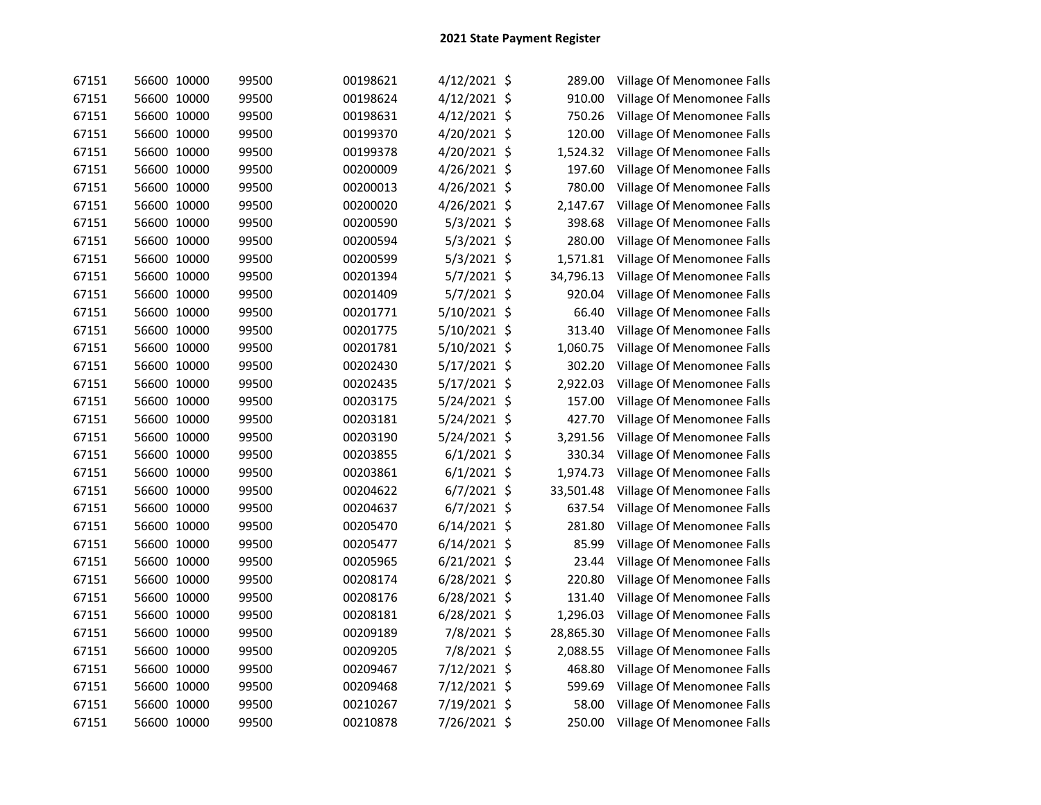| 67151 | 56600 10000 | 99500 | 00198621 | 4/12/2021 \$   | 289.00    | Village Of Menomonee Falls |
|-------|-------------|-------|----------|----------------|-----------|----------------------------|
| 67151 | 56600 10000 | 99500 | 00198624 | 4/12/2021 \$   | 910.00    | Village Of Menomonee Falls |
| 67151 | 56600 10000 | 99500 | 00198631 | 4/12/2021 \$   | 750.26    | Village Of Menomonee Falls |
| 67151 | 56600 10000 | 99500 | 00199370 | 4/20/2021 \$   | 120.00    | Village Of Menomonee Falls |
| 67151 | 56600 10000 | 99500 | 00199378 | 4/20/2021 \$   | 1,524.32  | Village Of Menomonee Falls |
| 67151 | 56600 10000 | 99500 | 00200009 | 4/26/2021 \$   | 197.60    | Village Of Menomonee Falls |
| 67151 | 56600 10000 | 99500 | 00200013 | 4/26/2021 \$   | 780.00    | Village Of Menomonee Falls |
| 67151 | 56600 10000 | 99500 | 00200020 | 4/26/2021 \$   | 2,147.67  | Village Of Menomonee Falls |
| 67151 | 56600 10000 | 99500 | 00200590 | 5/3/2021 \$    | 398.68    | Village Of Menomonee Falls |
| 67151 | 56600 10000 | 99500 | 00200594 | $5/3/2021$ \$  | 280.00    | Village Of Menomonee Falls |
| 67151 | 56600 10000 | 99500 | 00200599 | $5/3/2021$ \$  | 1,571.81  | Village Of Menomonee Falls |
| 67151 | 56600 10000 | 99500 | 00201394 | 5/7/2021 \$    | 34,796.13 | Village Of Menomonee Falls |
| 67151 | 56600 10000 | 99500 | 00201409 | $5/7/2021$ \$  | 920.04    | Village Of Menomonee Falls |
| 67151 | 56600 10000 | 99500 | 00201771 | 5/10/2021 \$   | 66.40     | Village Of Menomonee Falls |
| 67151 | 56600 10000 | 99500 | 00201775 | 5/10/2021 \$   | 313.40    | Village Of Menomonee Falls |
| 67151 | 56600 10000 | 99500 | 00201781 | 5/10/2021 \$   | 1,060.75  | Village Of Menomonee Falls |
| 67151 | 56600 10000 | 99500 | 00202430 | 5/17/2021 \$   | 302.20    | Village Of Menomonee Falls |
| 67151 | 56600 10000 | 99500 | 00202435 | 5/17/2021 \$   | 2,922.03  | Village Of Menomonee Falls |
| 67151 | 56600 10000 | 99500 | 00203175 | 5/24/2021 \$   | 157.00    | Village Of Menomonee Falls |
| 67151 | 56600 10000 | 99500 | 00203181 | 5/24/2021 \$   | 427.70    | Village Of Menomonee Falls |
| 67151 | 56600 10000 | 99500 | 00203190 | 5/24/2021 \$   | 3,291.56  | Village Of Menomonee Falls |
| 67151 | 56600 10000 | 99500 | 00203855 | $6/1/2021$ \$  | 330.34    | Village Of Menomonee Falls |
| 67151 | 56600 10000 | 99500 | 00203861 | $6/1/2021$ \$  | 1,974.73  | Village Of Menomonee Falls |
| 67151 | 56600 10000 | 99500 | 00204622 | 6/7/2021 \$    | 33,501.48 | Village Of Menomonee Falls |
| 67151 | 56600 10000 | 99500 | 00204637 | 6/7/2021 \$    | 637.54    | Village Of Menomonee Falls |
| 67151 | 56600 10000 | 99500 | 00205470 | $6/14/2021$ \$ | 281.80    | Village Of Menomonee Falls |
| 67151 | 56600 10000 | 99500 | 00205477 | $6/14/2021$ \$ | 85.99     | Village Of Menomonee Falls |
| 67151 | 56600 10000 | 99500 | 00205965 | 6/21/2021 \$   | 23.44     | Village Of Menomonee Falls |
| 67151 | 56600 10000 | 99500 | 00208174 | 6/28/2021 \$   | 220.80    | Village Of Menomonee Falls |
| 67151 | 56600 10000 | 99500 | 00208176 | 6/28/2021 \$   | 131.40    | Village Of Menomonee Falls |
| 67151 | 56600 10000 | 99500 | 00208181 | $6/28/2021$ \$ | 1,296.03  | Village Of Menomonee Falls |
| 67151 | 56600 10000 | 99500 | 00209189 | 7/8/2021 \$    | 28,865.30 | Village Of Menomonee Falls |
| 67151 | 56600 10000 | 99500 | 00209205 | 7/8/2021 \$    | 2,088.55  | Village Of Menomonee Falls |
| 67151 | 56600 10000 | 99500 | 00209467 | 7/12/2021 \$   | 468.80    | Village Of Menomonee Falls |
| 67151 | 56600 10000 | 99500 | 00209468 | 7/12/2021 \$   | 599.69    | Village Of Menomonee Falls |
| 67151 | 56600 10000 | 99500 | 00210267 | 7/19/2021 \$   | 58.00     | Village Of Menomonee Falls |
| 67151 | 56600 10000 | 99500 | 00210878 | 7/26/2021 \$   | 250.00    | Village Of Menomonee Falls |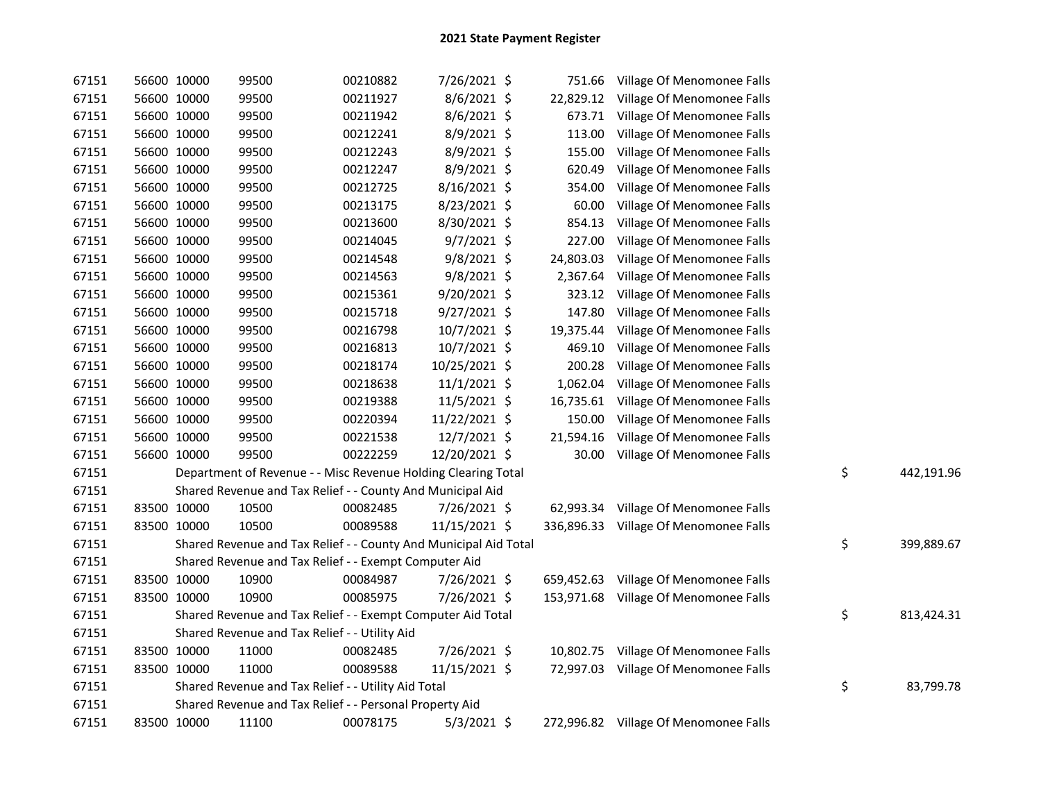| 67151 | 56600 10000 | 99500                                                            | 00210882 | 7/26/2021 \$   |           | 751.66 Village Of Menomonee Falls     |                  |
|-------|-------------|------------------------------------------------------------------|----------|----------------|-----------|---------------------------------------|------------------|
| 67151 | 56600 10000 | 99500                                                            | 00211927 | $8/6/2021$ \$  |           | 22,829.12 Village Of Menomonee Falls  |                  |
| 67151 | 56600 10000 | 99500                                                            | 00211942 | $8/6/2021$ \$  | 673.71    | Village Of Menomonee Falls            |                  |
| 67151 | 56600 10000 | 99500                                                            | 00212241 | 8/9/2021 \$    | 113.00    | Village Of Menomonee Falls            |                  |
| 67151 | 56600 10000 | 99500                                                            | 00212243 | 8/9/2021 \$    | 155.00    | Village Of Menomonee Falls            |                  |
| 67151 | 56600 10000 | 99500                                                            | 00212247 | 8/9/2021 \$    | 620.49    | Village Of Menomonee Falls            |                  |
| 67151 | 56600 10000 | 99500                                                            | 00212725 | 8/16/2021 \$   | 354.00    | Village Of Menomonee Falls            |                  |
| 67151 | 56600 10000 | 99500                                                            | 00213175 | 8/23/2021 \$   | 60.00     | Village Of Menomonee Falls            |                  |
| 67151 | 56600 10000 | 99500                                                            | 00213600 | 8/30/2021 \$   | 854.13    | Village Of Menomonee Falls            |                  |
| 67151 | 56600 10000 | 99500                                                            | 00214045 | $9/7/2021$ \$  | 227.00    | Village Of Menomonee Falls            |                  |
| 67151 | 56600 10000 | 99500                                                            | 00214548 | $9/8/2021$ \$  | 24,803.03 | Village Of Menomonee Falls            |                  |
| 67151 | 56600 10000 | 99500                                                            | 00214563 | $9/8/2021$ \$  | 2,367.64  | Village Of Menomonee Falls            |                  |
| 67151 | 56600 10000 | 99500                                                            | 00215361 | 9/20/2021 \$   | 323.12    | Village Of Menomonee Falls            |                  |
| 67151 | 56600 10000 | 99500                                                            | 00215718 | $9/27/2021$ \$ | 147.80    | Village Of Menomonee Falls            |                  |
| 67151 | 56600 10000 | 99500                                                            | 00216798 | 10/7/2021 \$   | 19,375.44 | Village Of Menomonee Falls            |                  |
| 67151 | 56600 10000 | 99500                                                            | 00216813 | 10/7/2021 \$   | 469.10    | Village Of Menomonee Falls            |                  |
| 67151 | 56600 10000 | 99500                                                            | 00218174 | 10/25/2021 \$  | 200.28    | Village Of Menomonee Falls            |                  |
| 67151 | 56600 10000 | 99500                                                            | 00218638 | 11/1/2021 \$   | 1,062.04  | Village Of Menomonee Falls            |                  |
| 67151 | 56600 10000 | 99500                                                            | 00219388 | 11/5/2021 \$   | 16,735.61 | Village Of Menomonee Falls            |                  |
| 67151 | 56600 10000 | 99500                                                            | 00220394 | 11/22/2021 \$  | 150.00    | Village Of Menomonee Falls            |                  |
| 67151 | 56600 10000 | 99500                                                            | 00221538 | 12/7/2021 \$   | 21,594.16 | Village Of Menomonee Falls            |                  |
| 67151 | 56600 10000 | 99500                                                            | 00222259 | 12/20/2021 \$  | 30.00     | Village Of Menomonee Falls            |                  |
| 67151 |             | Department of Revenue - - Misc Revenue Holding Clearing Total    |          |                |           |                                       | \$<br>442,191.96 |
| 67151 |             | Shared Revenue and Tax Relief - - County And Municipal Aid       |          |                |           |                                       |                  |
| 67151 | 83500 10000 | 10500                                                            | 00082485 | 7/26/2021 \$   |           | 62,993.34 Village Of Menomonee Falls  |                  |
| 67151 | 83500 10000 | 10500                                                            | 00089588 | 11/15/2021 \$  |           | 336,896.33 Village Of Menomonee Falls |                  |
| 67151 |             | Shared Revenue and Tax Relief - - County And Municipal Aid Total |          |                |           |                                       | \$<br>399,889.67 |
| 67151 |             | Shared Revenue and Tax Relief - - Exempt Computer Aid            |          |                |           |                                       |                  |
| 67151 | 83500 10000 | 10900                                                            | 00084987 | 7/26/2021 \$   |           | 659,452.63 Village Of Menomonee Falls |                  |
| 67151 | 83500 10000 | 10900                                                            | 00085975 | 7/26/2021 \$   |           | 153,971.68 Village Of Menomonee Falls |                  |
| 67151 |             | Shared Revenue and Tax Relief - - Exempt Computer Aid Total      |          |                |           |                                       | \$<br>813,424.31 |
| 67151 |             | Shared Revenue and Tax Relief - - Utility Aid                    |          |                |           |                                       |                  |
| 67151 | 83500 10000 | 11000                                                            | 00082485 | 7/26/2021 \$   |           | 10,802.75 Village Of Menomonee Falls  |                  |
| 67151 | 83500 10000 | 11000                                                            | 00089588 | 11/15/2021 \$  |           | 72,997.03 Village Of Menomonee Falls  |                  |
| 67151 |             | Shared Revenue and Tax Relief - - Utility Aid Total              |          |                |           |                                       | \$<br>83,799.78  |
| 67151 |             | Shared Revenue and Tax Relief - - Personal Property Aid          |          |                |           |                                       |                  |
| 67151 | 83500 10000 | 11100                                                            | 00078175 | $5/3/2021$ \$  |           | 272,996.82 Village Of Menomonee Falls |                  |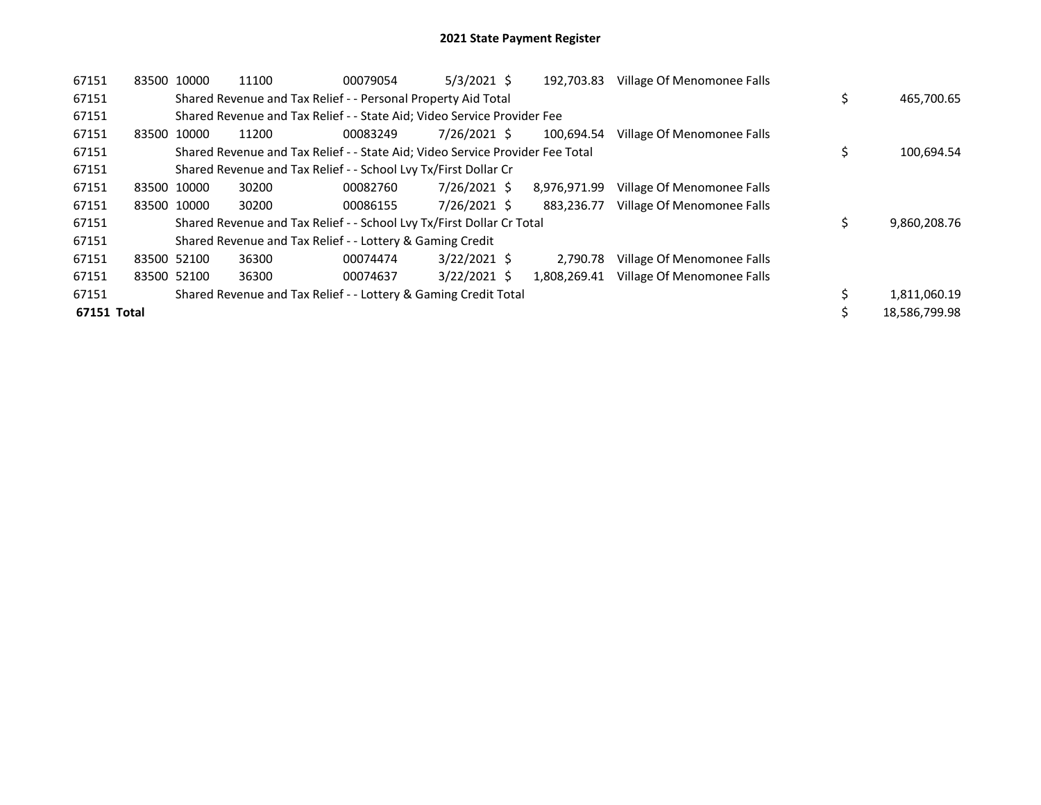| 67151       |             | 83500 10000 | 11100                                                                         | 00079054 | $5/3/2021$ \$  | 192,703.83   | Village Of Menomonee Falls |    |               |
|-------------|-------------|-------------|-------------------------------------------------------------------------------|----------|----------------|--------------|----------------------------|----|---------------|
| 67151       |             |             | Shared Revenue and Tax Relief - - Personal Property Aid Total                 |          |                |              |                            | \$ | 465,700.65    |
| 67151       |             |             | Shared Revenue and Tax Relief - - State Aid; Video Service Provider Fee       |          |                |              |                            |    |               |
| 67151       |             | 83500 10000 | 11200                                                                         | 00083249 | 7/26/2021 \$   | 100.694.54   | Village Of Menomonee Falls |    |               |
| 67151       |             |             | Shared Revenue and Tax Relief - - State Aid; Video Service Provider Fee Total |          |                |              |                            |    | 100,694.54    |
| 67151       |             |             | Shared Revenue and Tax Relief - - School Lvy Tx/First Dollar Cr               |          |                |              |                            |    |               |
| 67151       |             | 83500 10000 | 30200                                                                         | 00082760 | 7/26/2021 \$   | 8,976,971.99 | Village Of Menomonee Falls |    |               |
| 67151       |             | 83500 10000 | 30200                                                                         | 00086155 | 7/26/2021 \$   | 883.236.77   | Village Of Menomonee Falls |    |               |
| 67151       |             |             | Shared Revenue and Tax Relief - - School Lvy Tx/First Dollar Cr Total         |          |                |              |                            | Ś  | 9,860,208.76  |
| 67151       |             |             | Shared Revenue and Tax Relief - - Lottery & Gaming Credit                     |          |                |              |                            |    |               |
| 67151       | 83500 52100 |             | 36300                                                                         | 00074474 | $3/22/2021$ \$ | 2.790.78     | Village Of Menomonee Falls |    |               |
| 67151       |             | 83500 52100 | 36300                                                                         | 00074637 | $3/22/2021$ \$ | 1,808,269.41 | Village Of Menomonee Falls |    |               |
| 67151       |             |             | Shared Revenue and Tax Relief - - Lottery & Gaming Credit Total               |          |                |              |                            |    | 1,811,060.19  |
| 67151 Total |             |             |                                                                               |          |                |              |                            |    | 18,586,799.98 |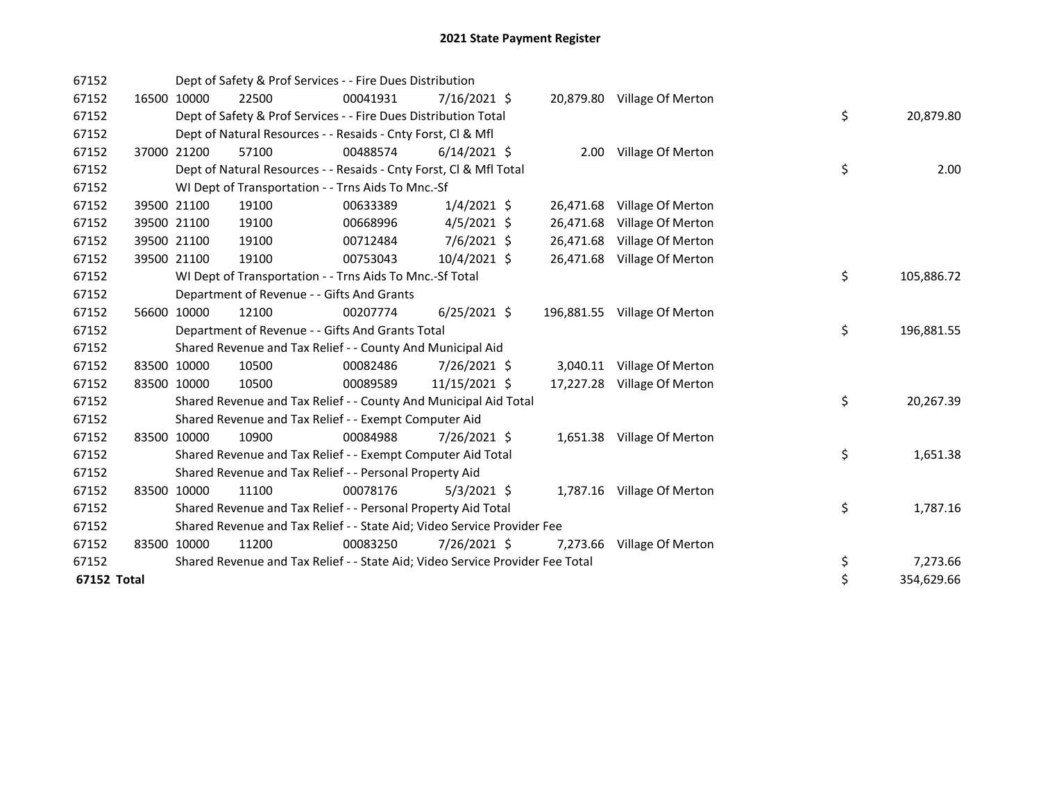| 67152       |       |             | Dept of Safety & Prof Services - - Fire Dues Distribution                     |          |                |           |                              |    |            |
|-------------|-------|-------------|-------------------------------------------------------------------------------|----------|----------------|-----------|------------------------------|----|------------|
| 67152       |       | 16500 10000 | 22500                                                                         | 00041931 | $7/16/2021$ \$ |           | 20,879.80 Village Of Merton  |    |            |
| 67152       |       |             | Dept of Safety & Prof Services - - Fire Dues Distribution Total               |          |                |           |                              | \$ | 20,879.80  |
| 67152       |       |             | Dept of Natural Resources - - Resaids - Cnty Forst, Cl & Mfl                  |          |                |           |                              |    |            |
| 67152       | 37000 | 21200       | 57100                                                                         | 00488574 | $6/14/2021$ \$ |           | 2.00 Village Of Merton       |    |            |
| 67152       |       |             | Dept of Natural Resources - - Resaids - Cnty Forst, Cl & Mfl Total            |          |                |           |                              | \$ | 2.00       |
| 67152       |       |             | WI Dept of Transportation - - Trns Aids To Mnc.-Sf                            |          |                |           |                              |    |            |
| 67152       |       | 39500 21100 | 19100                                                                         | 00633389 | $1/4/2021$ \$  |           | 26,471.68 Village Of Merton  |    |            |
| 67152       |       | 39500 21100 | 19100                                                                         | 00668996 | $4/5/2021$ \$  | 26,471.68 | Village Of Merton            |    |            |
| 67152       |       | 39500 21100 | 19100                                                                         | 00712484 | 7/6/2021 \$    |           | 26,471.68 Village Of Merton  |    |            |
| 67152       |       | 39500 21100 | 19100                                                                         | 00753043 | $10/4/2021$ \$ |           | 26,471.68 Village Of Merton  |    |            |
| 67152       |       |             | WI Dept of Transportation - - Trns Aids To Mnc.-Sf Total                      |          |                |           |                              | \$ | 105,886.72 |
| 67152       |       |             | Department of Revenue - - Gifts And Grants                                    |          |                |           |                              |    |            |
| 67152       |       | 56600 10000 | 12100                                                                         | 00207774 | $6/25/2021$ \$ |           | 196,881.55 Village Of Merton |    |            |
| 67152       |       |             | Department of Revenue - - Gifts And Grants Total                              |          |                |           |                              | \$ | 196,881.55 |
| 67152       |       |             | Shared Revenue and Tax Relief - - County And Municipal Aid                    |          |                |           |                              |    |            |
| 67152       |       | 83500 10000 | 10500                                                                         | 00082486 | 7/26/2021 \$   |           | 3,040.11 Village Of Merton   |    |            |
| 67152       |       | 83500 10000 | 10500                                                                         | 00089589 | 11/15/2021 \$  |           | 17,227.28 Village Of Merton  |    |            |
| 67152       |       |             | Shared Revenue and Tax Relief - - County And Municipal Aid Total              |          |                |           |                              | \$ | 20,267.39  |
| 67152       |       |             | Shared Revenue and Tax Relief - - Exempt Computer Aid                         |          |                |           |                              |    |            |
| 67152       |       | 83500 10000 | 10900                                                                         | 00084988 | 7/26/2021 \$   |           | 1,651.38 Village Of Merton   |    |            |
| 67152       |       |             | Shared Revenue and Tax Relief - - Exempt Computer Aid Total                   |          |                |           |                              | \$ | 1,651.38   |
| 67152       |       |             | Shared Revenue and Tax Relief - - Personal Property Aid                       |          |                |           |                              |    |            |
| 67152       |       | 83500 10000 | 11100                                                                         | 00078176 | $5/3/2021$ \$  |           | 1,787.16 Village Of Merton   |    |            |
| 67152       |       |             | Shared Revenue and Tax Relief - - Personal Property Aid Total                 |          |                |           |                              | \$ | 1,787.16   |
| 67152       |       |             | Shared Revenue and Tax Relief - - State Aid; Video Service Provider Fee       |          |                |           |                              |    |            |
| 67152       |       | 83500 10000 | 11200                                                                         | 00083250 | 7/26/2021 \$   |           | 7,273.66 Village Of Merton   |    |            |
| 67152       |       |             | Shared Revenue and Tax Relief - - State Aid; Video Service Provider Fee Total |          |                |           |                              | \$ | 7,273.66   |
| 67152 Total |       |             |                                                                               |          |                |           |                              | \$ | 354,629.66 |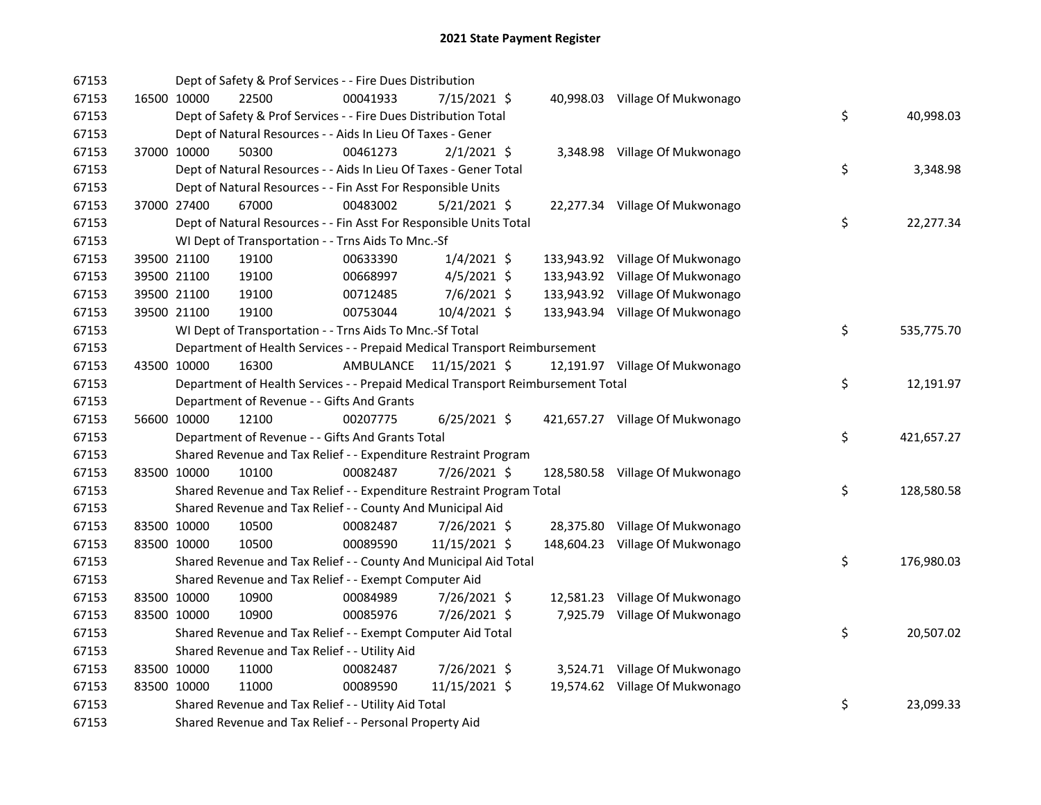| 67153 | Dept of Safety & Prof Services - - Fire Dues Distribution                       |           |                |  |                                 |     |            |
|-------|---------------------------------------------------------------------------------|-----------|----------------|--|---------------------------------|-----|------------|
| 67153 | 16500 10000<br>22500                                                            | 00041933  | 7/15/2021 \$   |  | 40,998.03 Village Of Mukwonago  |     |            |
| 67153 | Dept of Safety & Prof Services - - Fire Dues Distribution Total                 |           |                |  |                                 | \$  | 40,998.03  |
| 67153 | Dept of Natural Resources - - Aids In Lieu Of Taxes - Gener                     |           |                |  |                                 |     |            |
| 67153 | 37000 10000<br>50300                                                            | 00461273  | $2/1/2021$ \$  |  | 3,348.98 Village Of Mukwonago   |     |            |
| 67153 | Dept of Natural Resources - - Aids In Lieu Of Taxes - Gener Total               |           |                |  |                                 | \$  | 3,348.98   |
| 67153 | Dept of Natural Resources - - Fin Asst For Responsible Units                    |           |                |  |                                 |     |            |
| 67153 | 37000 27400<br>67000                                                            | 00483002  | $5/21/2021$ \$ |  | 22,277.34 Village Of Mukwonago  |     |            |
| 67153 | Dept of Natural Resources - - Fin Asst For Responsible Units Total              |           |                |  |                                 | \$  | 22,277.34  |
| 67153 | WI Dept of Transportation - - Trns Aids To Mnc.-Sf                              |           |                |  |                                 |     |            |
| 67153 | 39500 21100<br>19100                                                            | 00633390  | $1/4/2021$ \$  |  | 133,943.92 Village Of Mukwonago |     |            |
| 67153 | 39500 21100<br>19100                                                            | 00668997  | $4/5/2021$ \$  |  | 133,943.92 Village Of Mukwonago |     |            |
| 67153 | 39500 21100<br>19100                                                            | 00712485  | $7/6/2021$ \$  |  | 133,943.92 Village Of Mukwonago |     |            |
| 67153 | 39500 21100<br>19100                                                            | 00753044  | 10/4/2021 \$   |  | 133,943.94 Village Of Mukwonago |     |            |
| 67153 | WI Dept of Transportation - - Trns Aids To Mnc.-Sf Total                        |           |                |  |                                 | \$  | 535,775.70 |
| 67153 | Department of Health Services - - Prepaid Medical Transport Reimbursement       |           |                |  |                                 |     |            |
| 67153 | 43500 10000<br>16300                                                            | AMBULANCE | 11/15/2021 \$  |  | 12,191.97 Village Of Mukwonago  |     |            |
| 67153 | Department of Health Services - - Prepaid Medical Transport Reimbursement Total |           |                |  |                                 | \$. | 12,191.97  |
| 67153 | Department of Revenue - - Gifts And Grants                                      |           |                |  |                                 |     |            |
| 67153 | 12100<br>56600 10000                                                            | 00207775  | $6/25/2021$ \$ |  | 421,657.27 Village Of Mukwonago |     |            |
| 67153 | Department of Revenue - - Gifts And Grants Total                                |           |                |  |                                 | \$  | 421,657.27 |
| 67153 | Shared Revenue and Tax Relief - - Expenditure Restraint Program                 |           |                |  |                                 |     |            |
| 67153 | 83500 10000<br>10100                                                            | 00082487  | 7/26/2021 \$   |  | 128,580.58 Village Of Mukwonago |     |            |
| 67153 | Shared Revenue and Tax Relief - - Expenditure Restraint Program Total           |           |                |  |                                 | \$  | 128,580.58 |
| 67153 | Shared Revenue and Tax Relief - - County And Municipal Aid                      |           |                |  |                                 |     |            |
| 67153 | 83500 10000<br>10500                                                            | 00082487  | $7/26/2021$ \$ |  | 28,375.80 Village Of Mukwonago  |     |            |
| 67153 | 83500 10000<br>10500                                                            | 00089590  | 11/15/2021 \$  |  | 148,604.23 Village Of Mukwonago |     |            |
| 67153 | Shared Revenue and Tax Relief - - County And Municipal Aid Total                |           |                |  |                                 | \$  | 176,980.03 |
| 67153 | Shared Revenue and Tax Relief - - Exempt Computer Aid                           |           |                |  |                                 |     |            |
| 67153 | 83500 10000<br>10900                                                            | 00084989  | 7/26/2021 \$   |  | 12,581.23 Village Of Mukwonago  |     |            |
| 67153 | 83500 10000<br>10900                                                            | 00085976  | 7/26/2021 \$   |  | 7,925.79 Village Of Mukwonago   |     |            |
| 67153 | Shared Revenue and Tax Relief - - Exempt Computer Aid Total                     |           |                |  |                                 | \$  | 20,507.02  |
| 67153 | Shared Revenue and Tax Relief - - Utility Aid                                   |           |                |  |                                 |     |            |
| 67153 | 83500 10000<br>11000                                                            | 00082487  | 7/26/2021 \$   |  | 3,524.71 Village Of Mukwonago   |     |            |
| 67153 | 83500 10000<br>11000                                                            | 00089590  | 11/15/2021 \$  |  | 19,574.62 Village Of Mukwonago  |     |            |
| 67153 | Shared Revenue and Tax Relief - - Utility Aid Total                             |           |                |  |                                 | \$  | 23,099.33  |
| 67153 | Shared Revenue and Tax Relief - - Personal Property Aid                         |           |                |  |                                 |     |            |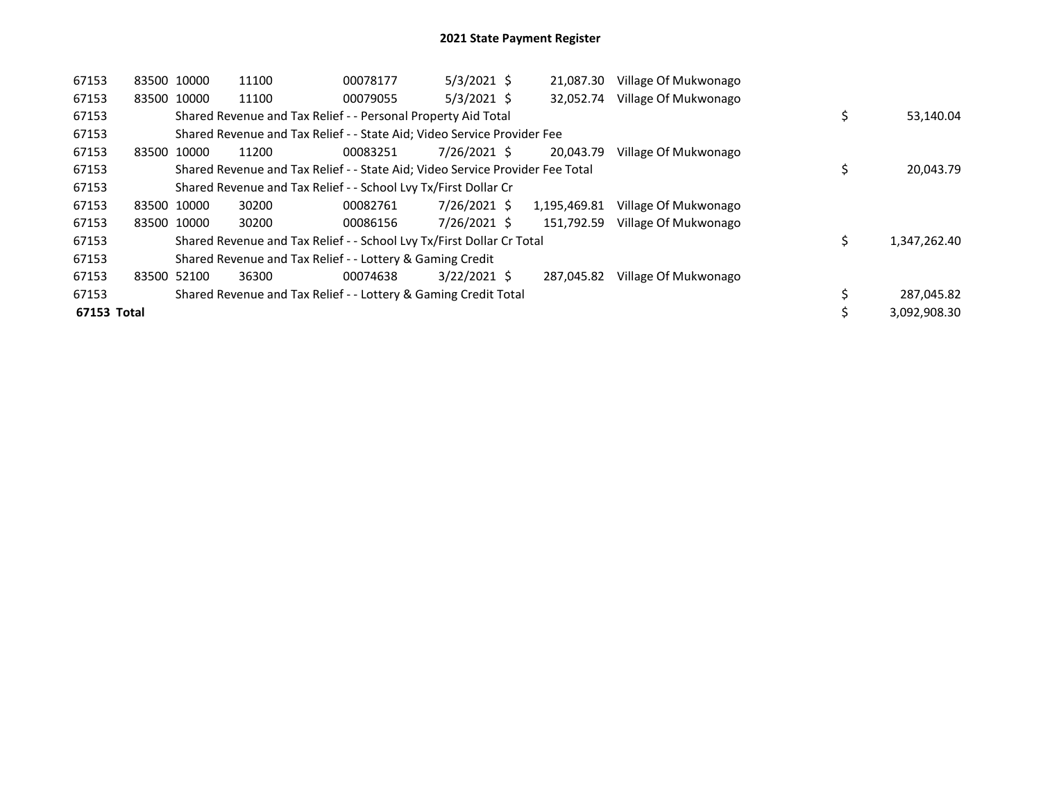| 67153       | 83500 10000 | 11100                                                                         | 00078177 | $5/3/2021$ \$  | 21,087.30    | Village Of Mukwonago |              |
|-------------|-------------|-------------------------------------------------------------------------------|----------|----------------|--------------|----------------------|--------------|
| 67153       | 83500 10000 | 11100                                                                         | 00079055 | $5/3/2021$ \$  | 32.052.74    | Village Of Mukwonago |              |
| 67153       |             | Shared Revenue and Tax Relief - - Personal Property Aid Total                 |          |                |              |                      | 53,140.04    |
| 67153       |             | Shared Revenue and Tax Relief - - State Aid; Video Service Provider Fee       |          |                |              |                      |              |
| 67153       | 83500 10000 | 11200                                                                         | 00083251 | 7/26/2021 \$   | 20.043.79    | Village Of Mukwonago |              |
| 67153       |             | Shared Revenue and Tax Relief - - State Aid; Video Service Provider Fee Total |          |                |              |                      | 20,043.79    |
| 67153       |             | Shared Revenue and Tax Relief - - School Lvy Tx/First Dollar Cr               |          |                |              |                      |              |
| 67153       | 83500 10000 | 30200                                                                         | 00082761 | 7/26/2021 \$   | 1,195,469.81 | Village Of Mukwonago |              |
| 67153       | 83500 10000 | 30200                                                                         | 00086156 | 7/26/2021 \$   | 151.792.59   | Village Of Mukwonago |              |
| 67153       |             | Shared Revenue and Tax Relief - - School Lvy Tx/First Dollar Cr Total         |          |                |              |                      | 1,347,262.40 |
| 67153       |             | Shared Revenue and Tax Relief - - Lottery & Gaming Credit                     |          |                |              |                      |              |
| 67153       | 83500 52100 | 36300                                                                         | 00074638 | $3/22/2021$ \$ | 287,045.82   | Village Of Mukwonago |              |
| 67153       |             | Shared Revenue and Tax Relief - - Lottery & Gaming Credit Total               |          |                |              |                      | 287,045.82   |
| 67153 Total |             |                                                                               |          |                |              |                      | 3.092.908.30 |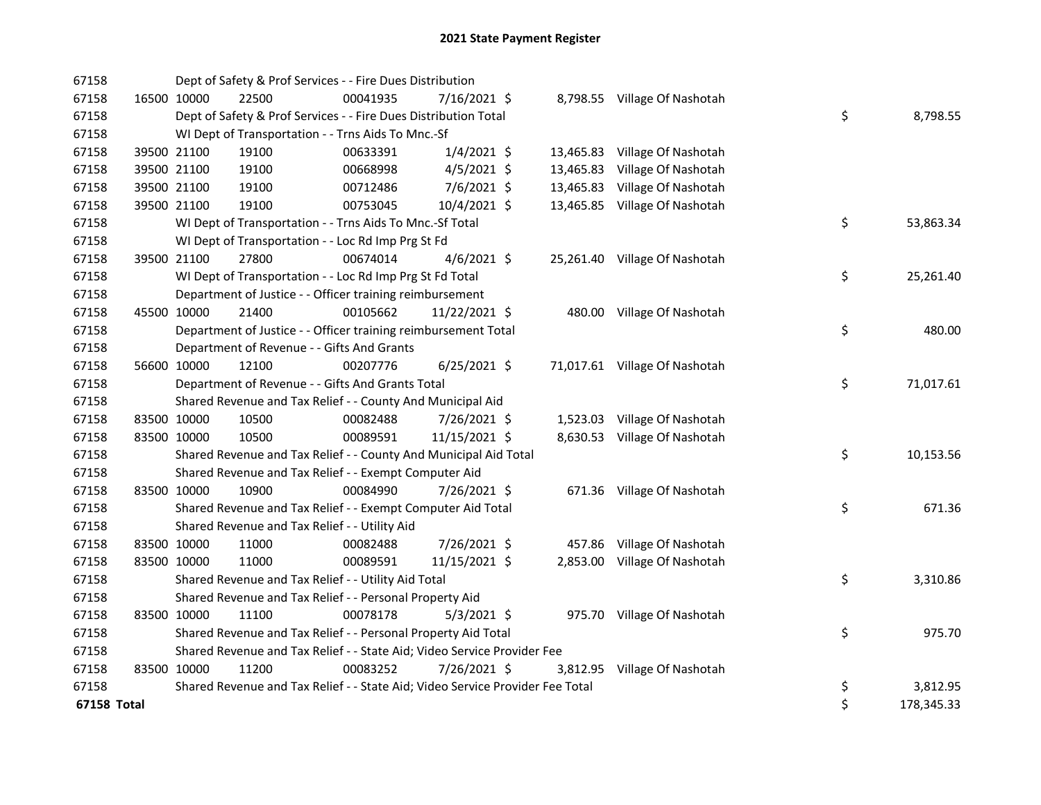| 67158       |             | Dept of Safety & Prof Services - - Fire Dues Distribution                     |          |                |           |                               |    |            |
|-------------|-------------|-------------------------------------------------------------------------------|----------|----------------|-----------|-------------------------------|----|------------|
| 67158       | 16500 10000 | 22500                                                                         | 00041935 | 7/16/2021 \$   |           | 8,798.55 Village Of Nashotah  |    |            |
| 67158       |             | Dept of Safety & Prof Services - - Fire Dues Distribution Total               |          |                |           |                               | \$ | 8,798.55   |
| 67158       |             | WI Dept of Transportation - - Trns Aids To Mnc.-Sf                            |          |                |           |                               |    |            |
| 67158       | 39500 21100 | 19100                                                                         | 00633391 | $1/4/2021$ \$  |           | 13,465.83 Village Of Nashotah |    |            |
| 67158       | 39500 21100 | 19100                                                                         | 00668998 | $4/5/2021$ \$  | 13,465.83 | Village Of Nashotah           |    |            |
| 67158       | 39500 21100 | 19100                                                                         | 00712486 | 7/6/2021 \$    | 13,465.83 | Village Of Nashotah           |    |            |
| 67158       | 39500 21100 | 19100                                                                         | 00753045 | 10/4/2021 \$   |           | 13,465.85 Village Of Nashotah |    |            |
| 67158       |             | WI Dept of Transportation - - Trns Aids To Mnc.-Sf Total                      |          |                |           |                               | \$ | 53,863.34  |
| 67158       |             | WI Dept of Transportation - - Loc Rd Imp Prg St Fd                            |          |                |           |                               |    |            |
| 67158       | 39500 21100 | 27800                                                                         | 00674014 | $4/6/2021$ \$  |           | 25,261.40 Village Of Nashotah |    |            |
| 67158       |             | WI Dept of Transportation - - Loc Rd Imp Prg St Fd Total                      |          |                |           |                               | \$ | 25,261.40  |
| 67158       |             | Department of Justice - - Officer training reimbursement                      |          |                |           |                               |    |            |
| 67158       | 45500 10000 | 21400                                                                         | 00105662 | 11/22/2021 \$  |           | 480.00 Village Of Nashotah    |    |            |
| 67158       |             | Department of Justice - - Officer training reimbursement Total                |          |                |           |                               | \$ | 480.00     |
| 67158       |             | Department of Revenue - - Gifts And Grants                                    |          |                |           |                               |    |            |
| 67158       | 56600 10000 | 12100                                                                         | 00207776 | $6/25/2021$ \$ |           | 71,017.61 Village Of Nashotah |    |            |
| 67158       |             | Department of Revenue - - Gifts And Grants Total                              |          |                |           |                               | \$ | 71,017.61  |
| 67158       |             | Shared Revenue and Tax Relief - - County And Municipal Aid                    |          |                |           |                               |    |            |
| 67158       | 83500 10000 | 10500                                                                         | 00082488 | 7/26/2021 \$   |           | 1,523.03 Village Of Nashotah  |    |            |
| 67158       | 83500 10000 | 10500                                                                         | 00089591 | 11/15/2021 \$  |           | 8,630.53 Village Of Nashotah  |    |            |
| 67158       |             | Shared Revenue and Tax Relief - - County And Municipal Aid Total              |          |                |           |                               | \$ | 10,153.56  |
| 67158       |             | Shared Revenue and Tax Relief - - Exempt Computer Aid                         |          |                |           |                               |    |            |
| 67158       | 83500 10000 | 10900                                                                         | 00084990 | 7/26/2021 \$   |           | 671.36 Village Of Nashotah    |    |            |
| 67158       |             | Shared Revenue and Tax Relief - - Exempt Computer Aid Total                   |          |                |           |                               | \$ | 671.36     |
| 67158       |             | Shared Revenue and Tax Relief - - Utility Aid                                 |          |                |           |                               |    |            |
| 67158       | 83500 10000 | 11000                                                                         | 00082488 | 7/26/2021 \$   |           | 457.86 Village Of Nashotah    |    |            |
| 67158       | 83500 10000 | 11000                                                                         | 00089591 | 11/15/2021 \$  |           | 2,853.00 Village Of Nashotah  |    |            |
| 67158       |             | Shared Revenue and Tax Relief - - Utility Aid Total                           |          |                |           |                               | \$ | 3,310.86   |
| 67158       |             | Shared Revenue and Tax Relief - - Personal Property Aid                       |          |                |           |                               |    |            |
| 67158       | 83500 10000 | 11100                                                                         | 00078178 | $5/3/2021$ \$  |           | 975.70 Village Of Nashotah    |    |            |
| 67158       |             | Shared Revenue and Tax Relief - - Personal Property Aid Total                 |          |                |           |                               | \$ | 975.70     |
| 67158       |             | Shared Revenue and Tax Relief - - State Aid; Video Service Provider Fee       |          |                |           |                               |    |            |
| 67158       | 83500 10000 | 11200                                                                         | 00083252 | 7/26/2021 \$   |           | 3,812.95 Village Of Nashotah  |    |            |
| 67158       |             | Shared Revenue and Tax Relief - - State Aid; Video Service Provider Fee Total |          |                |           |                               | \$ | 3,812.95   |
| 67158 Total |             |                                                                               |          |                |           |                               | \$ | 178,345.33 |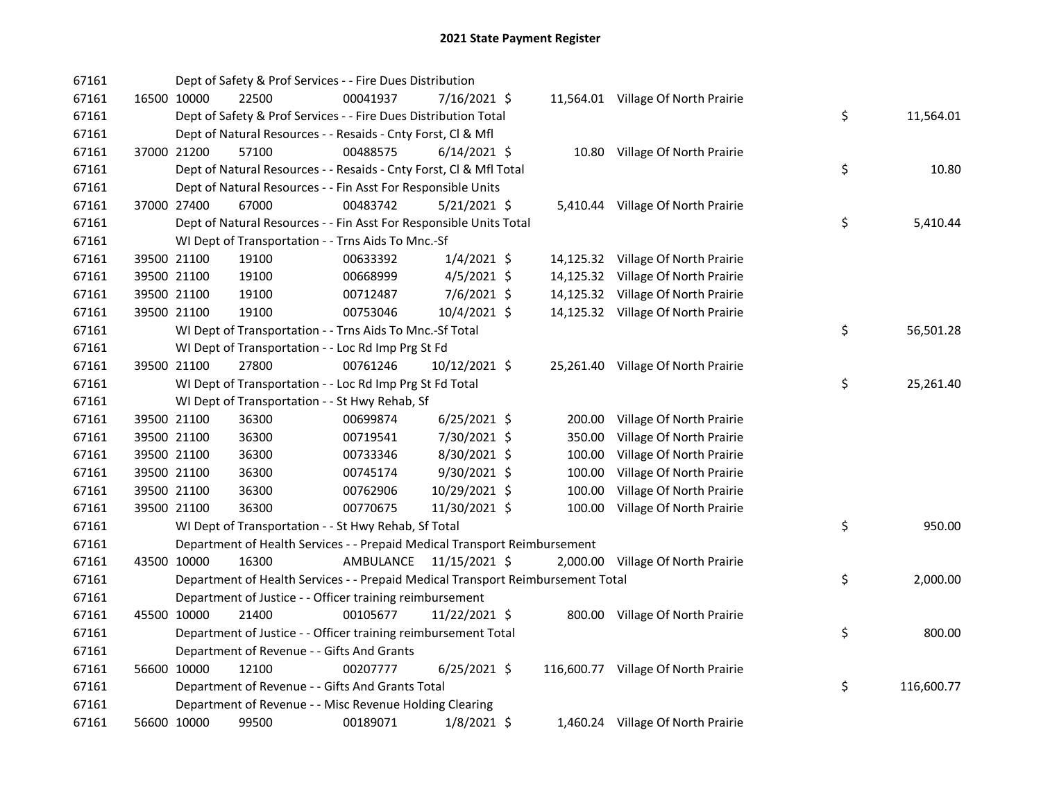| 67161 |             | Dept of Safety & Prof Services - - Fire Dues Distribution                       |           |                |        |                                     |    |            |
|-------|-------------|---------------------------------------------------------------------------------|-----------|----------------|--------|-------------------------------------|----|------------|
| 67161 | 16500 10000 | 22500                                                                           | 00041937  | 7/16/2021 \$   |        | 11,564.01 Village Of North Prairie  |    |            |
| 67161 |             | Dept of Safety & Prof Services - - Fire Dues Distribution Total                 |           |                |        |                                     | \$ | 11,564.01  |
| 67161 |             | Dept of Natural Resources - - Resaids - Cnty Forst, Cl & Mfl                    |           |                |        |                                     |    |            |
| 67161 | 37000 21200 | 57100                                                                           | 00488575  | $6/14/2021$ \$ |        | 10.80 Village Of North Prairie      |    |            |
| 67161 |             | Dept of Natural Resources - - Resaids - Cnty Forst, Cl & Mfl Total              |           |                |        |                                     | \$ | 10.80      |
| 67161 |             | Dept of Natural Resources - - Fin Asst For Responsible Units                    |           |                |        |                                     |    |            |
| 67161 | 37000 27400 | 67000                                                                           | 00483742  | $5/21/2021$ \$ |        | 5,410.44 Village Of North Prairie   |    |            |
| 67161 |             | Dept of Natural Resources - - Fin Asst For Responsible Units Total              |           |                |        |                                     | \$ | 5,410.44   |
| 67161 |             | WI Dept of Transportation - - Trns Aids To Mnc.-Sf                              |           |                |        |                                     |    |            |
| 67161 | 39500 21100 | 19100                                                                           | 00633392  | $1/4/2021$ \$  |        | 14,125.32 Village Of North Prairie  |    |            |
| 67161 | 39500 21100 | 19100                                                                           | 00668999  | $4/5/2021$ \$  |        | 14,125.32 Village Of North Prairie  |    |            |
| 67161 | 39500 21100 | 19100                                                                           | 00712487  | 7/6/2021 \$    |        | 14,125.32 Village Of North Prairie  |    |            |
| 67161 | 39500 21100 | 19100                                                                           | 00753046  | 10/4/2021 \$   |        | 14,125.32 Village Of North Prairie  |    |            |
| 67161 |             | WI Dept of Transportation - - Trns Aids To Mnc.-Sf Total                        |           |                |        |                                     | \$ | 56,501.28  |
| 67161 |             | WI Dept of Transportation - - Loc Rd Imp Prg St Fd                              |           |                |        |                                     |    |            |
| 67161 | 39500 21100 | 27800                                                                           | 00761246  | 10/12/2021 \$  |        | 25,261.40 Village Of North Prairie  |    |            |
| 67161 |             | WI Dept of Transportation - - Loc Rd Imp Prg St Fd Total                        |           |                |        |                                     | \$ | 25,261.40  |
| 67161 |             | WI Dept of Transportation - - St Hwy Rehab, Sf                                  |           |                |        |                                     |    |            |
| 67161 | 39500 21100 | 36300                                                                           | 00699874  | $6/25/2021$ \$ |        | 200.00 Village Of North Prairie     |    |            |
| 67161 | 39500 21100 | 36300                                                                           | 00719541  | 7/30/2021 \$   | 350.00 | Village Of North Prairie            |    |            |
| 67161 | 39500 21100 | 36300                                                                           | 00733346  | 8/30/2021 \$   | 100.00 | Village Of North Prairie            |    |            |
| 67161 | 39500 21100 | 36300                                                                           | 00745174  | $9/30/2021$ \$ | 100.00 | Village Of North Prairie            |    |            |
| 67161 | 39500 21100 | 36300                                                                           | 00762906  | 10/29/2021 \$  | 100.00 | Village Of North Prairie            |    |            |
| 67161 | 39500 21100 | 36300                                                                           | 00770675  | 11/30/2021 \$  | 100.00 | Village Of North Prairie            |    |            |
| 67161 |             | WI Dept of Transportation - - St Hwy Rehab, Sf Total                            |           |                |        |                                     | \$ | 950.00     |
| 67161 |             | Department of Health Services - - Prepaid Medical Transport Reimbursement       |           |                |        |                                     |    |            |
| 67161 | 43500 10000 | 16300                                                                           | AMBULANCE | 11/15/2021 \$  |        | 2,000.00 Village Of North Prairie   |    |            |
| 67161 |             | Department of Health Services - - Prepaid Medical Transport Reimbursement Total |           |                |        |                                     | \$ | 2,000.00   |
| 67161 |             | Department of Justice - - Officer training reimbursement                        |           |                |        |                                     |    |            |
| 67161 | 45500 10000 | 21400                                                                           | 00105677  | 11/22/2021 \$  |        | 800.00 Village Of North Prairie     |    |            |
| 67161 |             | Department of Justice - - Officer training reimbursement Total                  |           |                |        |                                     | \$ | 800.00     |
| 67161 |             | Department of Revenue - - Gifts And Grants                                      |           |                |        |                                     |    |            |
| 67161 | 56600 10000 | 12100                                                                           | 00207777  | $6/25/2021$ \$ |        | 116,600.77 Village Of North Prairie |    |            |
| 67161 |             | Department of Revenue - - Gifts And Grants Total                                |           |                |        |                                     | \$ | 116,600.77 |
| 67161 |             | Department of Revenue - - Misc Revenue Holding Clearing                         |           |                |        |                                     |    |            |
| 67161 | 56600 10000 | 99500                                                                           | 00189071  | 1/8/2021 \$    |        | 1,460.24 Village Of North Prairie   |    |            |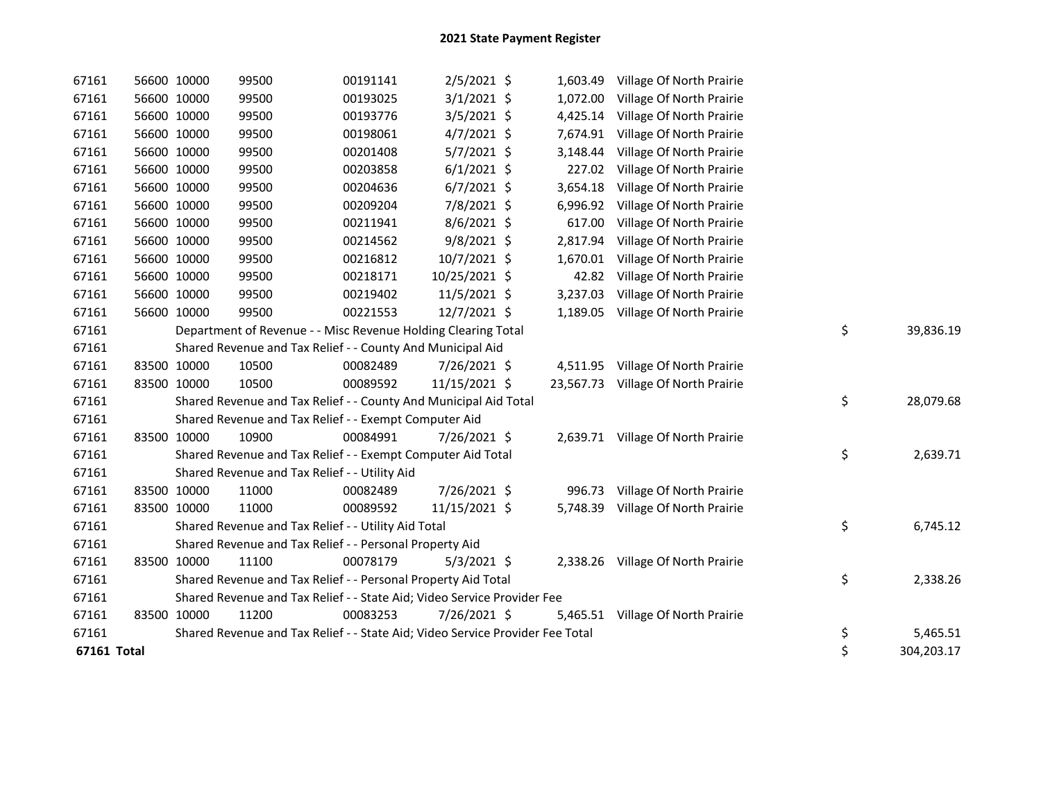| 67161       | 56600 10000 | 99500                                                                         | 00191141 | $2/5/2021$ \$  |          | 1,603.49 Village Of North Prairie  |                  |
|-------------|-------------|-------------------------------------------------------------------------------|----------|----------------|----------|------------------------------------|------------------|
| 67161       | 56600 10000 | 99500                                                                         | 00193025 | $3/1/2021$ \$  | 1,072.00 | Village Of North Prairie           |                  |
| 67161       | 56600 10000 | 99500                                                                         | 00193776 | $3/5/2021$ \$  |          | 4,425.14 Village Of North Prairie  |                  |
| 67161       | 56600 10000 | 99500                                                                         | 00198061 | $4/7/2021$ \$  |          | 7,674.91 Village Of North Prairie  |                  |
| 67161       | 56600 10000 | 99500                                                                         | 00201408 | $5/7/2021$ \$  | 3,148.44 | Village Of North Prairie           |                  |
| 67161       | 56600 10000 | 99500                                                                         | 00203858 | $6/1/2021$ \$  | 227.02   | Village Of North Prairie           |                  |
| 67161       | 56600 10000 | 99500                                                                         | 00204636 | $6/7/2021$ \$  |          | 3,654.18 Village Of North Prairie  |                  |
| 67161       | 56600 10000 | 99500                                                                         | 00209204 | 7/8/2021 \$    |          | 6,996.92 Village Of North Prairie  |                  |
| 67161       | 56600 10000 | 99500                                                                         | 00211941 | 8/6/2021 \$    | 617.00   | Village Of North Prairie           |                  |
| 67161       | 56600 10000 | 99500                                                                         | 00214562 | $9/8/2021$ \$  |          | 2,817.94 Village Of North Prairie  |                  |
| 67161       | 56600 10000 | 99500                                                                         | 00216812 | $10/7/2021$ \$ |          | 1,670.01 Village Of North Prairie  |                  |
| 67161       | 56600 10000 | 99500                                                                         | 00218171 | 10/25/2021 \$  |          | 42.82 Village Of North Prairie     |                  |
| 67161       | 56600 10000 | 99500                                                                         | 00219402 | 11/5/2021 \$   | 3,237.03 | Village Of North Prairie           |                  |
| 67161       | 56600 10000 | 99500                                                                         | 00221553 | 12/7/2021 \$   |          | 1,189.05 Village Of North Prairie  |                  |
| 67161       |             | Department of Revenue - - Misc Revenue Holding Clearing Total                 |          |                |          |                                    | \$<br>39,836.19  |
| 67161       |             | Shared Revenue and Tax Relief - - County And Municipal Aid                    |          |                |          |                                    |                  |
| 67161       | 83500 10000 | 10500                                                                         | 00082489 | 7/26/2021 \$   |          | 4,511.95 Village Of North Prairie  |                  |
| 67161       | 83500 10000 | 10500                                                                         | 00089592 | 11/15/2021 \$  |          | 23,567.73 Village Of North Prairie |                  |
| 67161       |             | Shared Revenue and Tax Relief - - County And Municipal Aid Total              |          |                |          |                                    | \$<br>28,079.68  |
| 67161       |             | Shared Revenue and Tax Relief - - Exempt Computer Aid                         |          |                |          |                                    |                  |
| 67161       | 83500 10000 | 10900                                                                         | 00084991 | 7/26/2021 \$   |          | 2,639.71 Village Of North Prairie  |                  |
| 67161       |             | Shared Revenue and Tax Relief - - Exempt Computer Aid Total                   |          |                |          |                                    | \$<br>2,639.71   |
| 67161       |             | Shared Revenue and Tax Relief - - Utility Aid                                 |          |                |          |                                    |                  |
| 67161       | 83500 10000 | 11000                                                                         | 00082489 | 7/26/2021 \$   |          | 996.73 Village Of North Prairie    |                  |
| 67161       | 83500 10000 | 11000                                                                         | 00089592 | 11/15/2021 \$  |          | 5,748.39 Village Of North Prairie  |                  |
| 67161       |             | Shared Revenue and Tax Relief - - Utility Aid Total                           |          |                |          |                                    | \$<br>6,745.12   |
| 67161       |             | Shared Revenue and Tax Relief - - Personal Property Aid                       |          |                |          |                                    |                  |
| 67161       | 83500 10000 | 11100                                                                         | 00078179 | $5/3/2021$ \$  |          | 2,338.26 Village Of North Prairie  |                  |
| 67161       |             | Shared Revenue and Tax Relief - - Personal Property Aid Total                 |          |                |          |                                    | \$<br>2,338.26   |
| 67161       |             | Shared Revenue and Tax Relief - - State Aid; Video Service Provider Fee       |          |                |          |                                    |                  |
| 67161       | 83500 10000 | 11200                                                                         | 00083253 | 7/26/2021 \$   | 5,465.51 | Village Of North Prairie           |                  |
| 67161       |             | Shared Revenue and Tax Relief - - State Aid; Video Service Provider Fee Total |          |                |          |                                    | \$<br>5,465.51   |
| 67161 Total |             |                                                                               |          |                |          |                                    | \$<br>304,203.17 |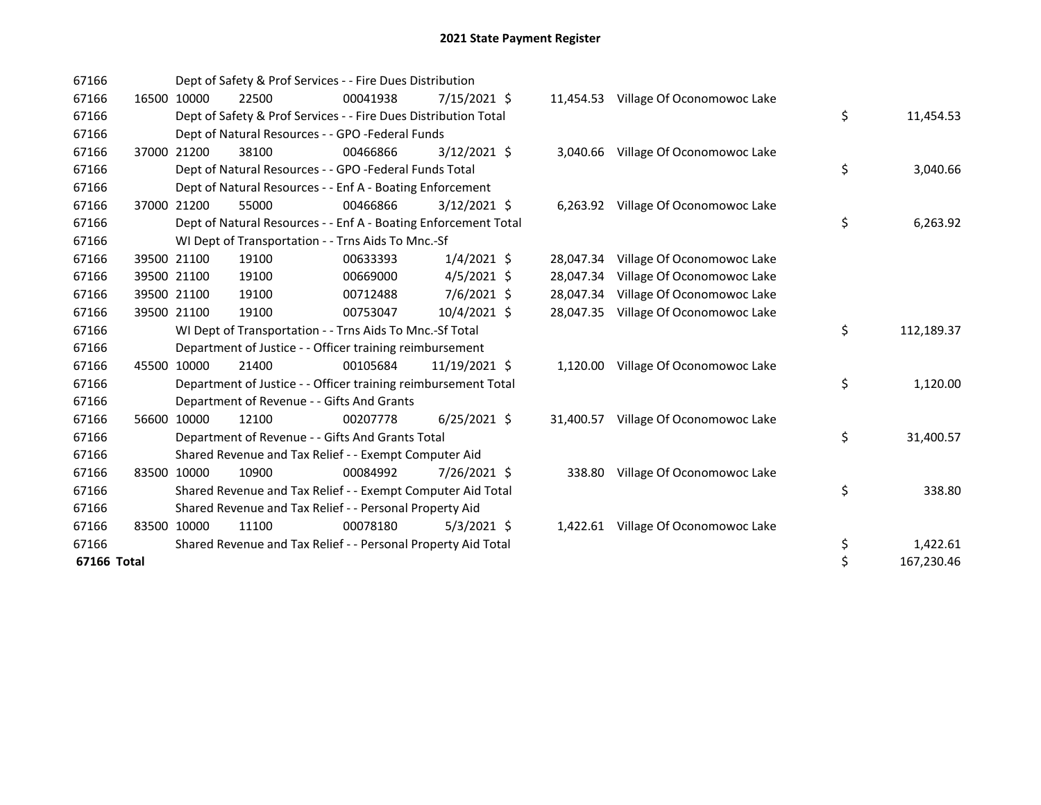| 67166       |             |       | Dept of Safety & Prof Services - - Fire Dues Distribution       |                |           |                                      |                  |
|-------------|-------------|-------|-----------------------------------------------------------------|----------------|-----------|--------------------------------------|------------------|
| 67166       | 16500 10000 | 22500 | 00041938                                                        | 7/15/2021 \$   |           | 11,454.53 Village Of Oconomowoc Lake |                  |
| 67166       |             |       | Dept of Safety & Prof Services - - Fire Dues Distribution Total |                |           |                                      | \$<br>11,454.53  |
| 67166       |             |       | Dept of Natural Resources - - GPO -Federal Funds                |                |           |                                      |                  |
| 67166       | 37000 21200 | 38100 | 00466866                                                        | $3/12/2021$ \$ |           | 3,040.66 Village Of Oconomowoc Lake  |                  |
| 67166       |             |       | Dept of Natural Resources - - GPO -Federal Funds Total          |                |           |                                      | \$<br>3,040.66   |
| 67166       |             |       | Dept of Natural Resources - - Enf A - Boating Enforcement       |                |           |                                      |                  |
| 67166       | 37000 21200 | 55000 | 00466866                                                        | $3/12/2021$ \$ |           | 6,263.92 Village Of Oconomowoc Lake  |                  |
| 67166       |             |       | Dept of Natural Resources - - Enf A - Boating Enforcement Total |                |           |                                      | \$<br>6,263.92   |
| 67166       |             |       | WI Dept of Transportation - - Trns Aids To Mnc.-Sf              |                |           |                                      |                  |
| 67166       | 39500 21100 | 19100 | 00633393                                                        | $1/4/2021$ \$  |           | 28,047.34 Village Of Oconomowoc Lake |                  |
| 67166       | 39500 21100 | 19100 | 00669000                                                        | $4/5/2021$ \$  |           | 28,047.34 Village Of Oconomowoc Lake |                  |
| 67166       | 39500 21100 | 19100 | 00712488                                                        | 7/6/2021 \$    | 28,047.34 | Village Of Oconomowoc Lake           |                  |
| 67166       | 39500 21100 | 19100 | 00753047                                                        | 10/4/2021 \$   | 28.047.35 | Village Of Oconomowoc Lake           |                  |
| 67166       |             |       | WI Dept of Transportation - - Trns Aids To Mnc.-Sf Total        |                |           |                                      | \$<br>112,189.37 |
| 67166       |             |       | Department of Justice - - Officer training reimbursement        |                |           |                                      |                  |
| 67166       | 45500 10000 | 21400 | 00105684                                                        | 11/19/2021 \$  | 1,120.00  | Village Of Oconomowoc Lake           |                  |
| 67166       |             |       | Department of Justice - - Officer training reimbursement Total  |                |           |                                      | \$<br>1,120.00   |
| 67166       |             |       | Department of Revenue - - Gifts And Grants                      |                |           |                                      |                  |
| 67166       | 56600 10000 | 12100 | 00207778                                                        | $6/25/2021$ \$ | 31,400.57 | Village Of Oconomowoc Lake           |                  |
| 67166       |             |       | Department of Revenue - - Gifts And Grants Total                |                |           |                                      | \$<br>31,400.57  |
| 67166       |             |       | Shared Revenue and Tax Relief - - Exempt Computer Aid           |                |           |                                      |                  |
| 67166       | 83500 10000 | 10900 | 00084992                                                        | 7/26/2021 \$   | 338.80    | Village Of Oconomowoc Lake           |                  |
| 67166       |             |       | Shared Revenue and Tax Relief - - Exempt Computer Aid Total     |                |           |                                      | \$<br>338.80     |
| 67166       |             |       | Shared Revenue and Tax Relief - - Personal Property Aid         |                |           |                                      |                  |
| 67166       | 83500 10000 | 11100 | 00078180                                                        | $5/3/2021$ \$  | 1,422.61  | Village Of Oconomowoc Lake           |                  |
| 67166       |             |       | Shared Revenue and Tax Relief - - Personal Property Aid Total   |                |           |                                      | \$<br>1,422.61   |
| 67166 Total |             |       |                                                                 |                |           |                                      | \$<br>167,230.46 |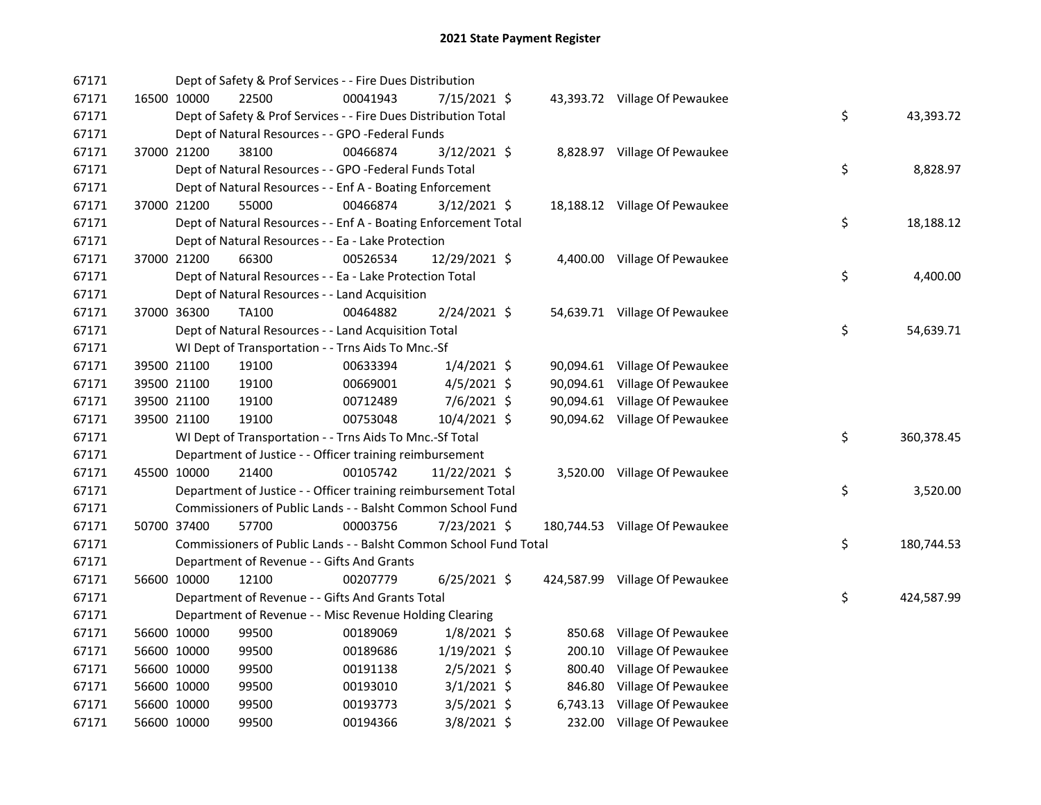| 67171 |             | Dept of Safety & Prof Services - - Fire Dues Distribution         |          |                |  |                                |    |            |
|-------|-------------|-------------------------------------------------------------------|----------|----------------|--|--------------------------------|----|------------|
| 67171 | 16500 10000 | 22500                                                             | 00041943 | 7/15/2021 \$   |  | 43,393.72 Village Of Pewaukee  |    |            |
| 67171 |             | Dept of Safety & Prof Services - - Fire Dues Distribution Total   |          |                |  |                                | \$ | 43,393.72  |
| 67171 |             | Dept of Natural Resources - - GPO -Federal Funds                  |          |                |  |                                |    |            |
| 67171 | 37000 21200 | 38100                                                             | 00466874 | $3/12/2021$ \$ |  | 8,828.97 Village Of Pewaukee   |    |            |
| 67171 |             | Dept of Natural Resources - - GPO -Federal Funds Total            |          |                |  |                                | \$ | 8,828.97   |
| 67171 |             | Dept of Natural Resources - - Enf A - Boating Enforcement         |          |                |  |                                |    |            |
| 67171 | 37000 21200 | 55000                                                             | 00466874 | $3/12/2021$ \$ |  | 18,188.12 Village Of Pewaukee  |    |            |
| 67171 |             | Dept of Natural Resources - - Enf A - Boating Enforcement Total   |          |                |  |                                | \$ | 18,188.12  |
| 67171 |             | Dept of Natural Resources - - Ea - Lake Protection                |          |                |  |                                |    |            |
| 67171 | 37000 21200 | 66300                                                             | 00526534 | 12/29/2021 \$  |  | 4,400.00 Village Of Pewaukee   |    |            |
| 67171 |             | Dept of Natural Resources - - Ea - Lake Protection Total          |          |                |  |                                | \$ | 4,400.00   |
| 67171 |             | Dept of Natural Resources - - Land Acquisition                    |          |                |  |                                |    |            |
| 67171 | 37000 36300 | TA100                                                             | 00464882 | 2/24/2021 \$   |  | 54,639.71 Village Of Pewaukee  |    |            |
| 67171 |             | Dept of Natural Resources - - Land Acquisition Total              |          |                |  |                                | \$ | 54,639.71  |
| 67171 |             | WI Dept of Transportation - - Trns Aids To Mnc.-Sf                |          |                |  |                                |    |            |
| 67171 | 39500 21100 | 19100                                                             | 00633394 | $1/4/2021$ \$  |  | 90,094.61 Village Of Pewaukee  |    |            |
| 67171 | 39500 21100 | 19100                                                             | 00669001 | $4/5/2021$ \$  |  | 90,094.61 Village Of Pewaukee  |    |            |
| 67171 | 39500 21100 | 19100                                                             | 00712489 | 7/6/2021 \$    |  | 90,094.61 Village Of Pewaukee  |    |            |
| 67171 | 39500 21100 | 19100                                                             | 00753048 | 10/4/2021 \$   |  | 90,094.62 Village Of Pewaukee  |    |            |
| 67171 |             | WI Dept of Transportation - - Trns Aids To Mnc.-Sf Total          |          |                |  |                                | \$ | 360,378.45 |
| 67171 |             | Department of Justice - - Officer training reimbursement          |          |                |  |                                |    |            |
| 67171 | 45500 10000 | 21400                                                             | 00105742 | 11/22/2021 \$  |  | 3,520.00 Village Of Pewaukee   |    |            |
| 67171 |             | Department of Justice - - Officer training reimbursement Total    |          |                |  |                                | \$ | 3,520.00   |
| 67171 |             | Commissioners of Public Lands - - Balsht Common School Fund       |          |                |  |                                |    |            |
| 67171 | 50700 37400 | 57700                                                             | 00003756 | 7/23/2021 \$   |  | 180,744.53 Village Of Pewaukee |    |            |
| 67171 |             | Commissioners of Public Lands - - Balsht Common School Fund Total |          |                |  |                                | \$ | 180,744.53 |
| 67171 |             | Department of Revenue - - Gifts And Grants                        |          |                |  |                                |    |            |
| 67171 | 56600 10000 | 12100                                                             | 00207779 | $6/25/2021$ \$ |  | 424,587.99 Village Of Pewaukee |    |            |
| 67171 |             | Department of Revenue - - Gifts And Grants Total                  |          |                |  |                                | \$ | 424,587.99 |
| 67171 |             | Department of Revenue - - Misc Revenue Holding Clearing           |          |                |  |                                |    |            |
| 67171 | 56600 10000 | 99500                                                             | 00189069 | $1/8/2021$ \$  |  | 850.68 Village Of Pewaukee     |    |            |
| 67171 | 56600 10000 | 99500                                                             | 00189686 | $1/19/2021$ \$ |  | 200.10 Village Of Pewaukee     |    |            |
| 67171 | 56600 10000 | 99500                                                             | 00191138 | $2/5/2021$ \$  |  | 800.40 Village Of Pewaukee     |    |            |
| 67171 | 56600 10000 | 99500                                                             | 00193010 | $3/1/2021$ \$  |  | 846.80 Village Of Pewaukee     |    |            |
| 67171 | 56600 10000 | 99500                                                             | 00193773 | $3/5/2021$ \$  |  | 6,743.13 Village Of Pewaukee   |    |            |
| 67171 | 56600 10000 | 99500                                                             | 00194366 | 3/8/2021 \$    |  | 232.00 Village Of Pewaukee     |    |            |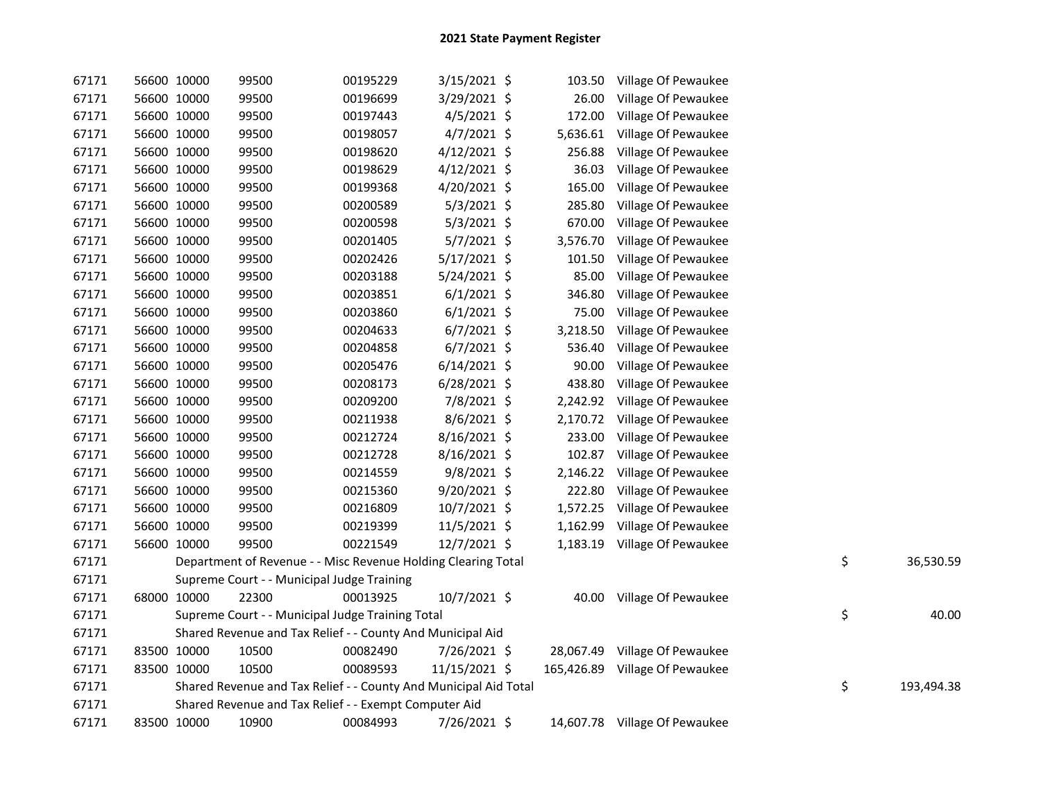| 67171 | 56600 10000 | 99500                                                            | 00195229 | $3/15/2021$ \$ | 103.50   | Village Of Pewaukee            |    |            |
|-------|-------------|------------------------------------------------------------------|----------|----------------|----------|--------------------------------|----|------------|
| 67171 | 56600 10000 | 99500                                                            | 00196699 | 3/29/2021 \$   | 26.00    | Village Of Pewaukee            |    |            |
| 67171 | 56600 10000 | 99500                                                            | 00197443 | $4/5/2021$ \$  | 172.00   | Village Of Pewaukee            |    |            |
| 67171 | 56600 10000 | 99500                                                            | 00198057 | $4/7/2021$ \$  | 5,636.61 | Village Of Pewaukee            |    |            |
| 67171 | 56600 10000 | 99500                                                            | 00198620 | 4/12/2021 \$   | 256.88   | Village Of Pewaukee            |    |            |
| 67171 | 56600 10000 | 99500                                                            | 00198629 | 4/12/2021 \$   | 36.03    | Village Of Pewaukee            |    |            |
| 67171 | 56600 10000 | 99500                                                            | 00199368 | 4/20/2021 \$   | 165.00   | Village Of Pewaukee            |    |            |
| 67171 | 56600 10000 | 99500                                                            | 00200589 | $5/3/2021$ \$  | 285.80   | Village Of Pewaukee            |    |            |
| 67171 | 56600 10000 | 99500                                                            | 00200598 | $5/3/2021$ \$  | 670.00   | Village Of Pewaukee            |    |            |
| 67171 | 56600 10000 | 99500                                                            | 00201405 | $5/7/2021$ \$  | 3,576.70 | Village Of Pewaukee            |    |            |
| 67171 | 56600 10000 | 99500                                                            | 00202426 | 5/17/2021 \$   | 101.50   | Village Of Pewaukee            |    |            |
| 67171 | 56600 10000 | 99500                                                            | 00203188 | $5/24/2021$ \$ | 85.00    | Village Of Pewaukee            |    |            |
| 67171 | 56600 10000 | 99500                                                            | 00203851 | $6/1/2021$ \$  | 346.80   | Village Of Pewaukee            |    |            |
| 67171 | 56600 10000 | 99500                                                            | 00203860 | $6/1/2021$ \$  | 75.00    | Village Of Pewaukee            |    |            |
| 67171 | 56600 10000 | 99500                                                            | 00204633 | $6/7/2021$ \$  | 3,218.50 | Village Of Pewaukee            |    |            |
| 67171 | 56600 10000 | 99500                                                            | 00204858 | $6/7/2021$ \$  | 536.40   | Village Of Pewaukee            |    |            |
| 67171 | 56600 10000 | 99500                                                            | 00205476 | $6/14/2021$ \$ | 90.00    | Village Of Pewaukee            |    |            |
| 67171 | 56600 10000 | 99500                                                            | 00208173 | $6/28/2021$ \$ | 438.80   | Village Of Pewaukee            |    |            |
| 67171 | 56600 10000 | 99500                                                            | 00209200 | 7/8/2021 \$    | 2,242.92 | Village Of Pewaukee            |    |            |
| 67171 | 56600 10000 | 99500                                                            | 00211938 | $8/6/2021$ \$  | 2,170.72 | Village Of Pewaukee            |    |            |
| 67171 | 56600 10000 | 99500                                                            | 00212724 | 8/16/2021 \$   | 233.00   | Village Of Pewaukee            |    |            |
| 67171 | 56600 10000 | 99500                                                            | 00212728 | 8/16/2021 \$   | 102.87   | Village Of Pewaukee            |    |            |
| 67171 | 56600 10000 | 99500                                                            | 00214559 | $9/8/2021$ \$  | 2,146.22 | Village Of Pewaukee            |    |            |
| 67171 | 56600 10000 | 99500                                                            | 00215360 | $9/20/2021$ \$ | 222.80   | Village Of Pewaukee            |    |            |
| 67171 | 56600 10000 | 99500                                                            | 00216809 | 10/7/2021 \$   | 1,572.25 | Village Of Pewaukee            |    |            |
| 67171 | 56600 10000 | 99500                                                            | 00219399 | 11/5/2021 \$   | 1,162.99 | Village Of Pewaukee            |    |            |
| 67171 | 56600 10000 | 99500                                                            | 00221549 | 12/7/2021 \$   |          | 1,183.19 Village Of Pewaukee   |    |            |
| 67171 |             | Department of Revenue - - Misc Revenue Holding Clearing Total    |          |                |          |                                | \$ | 36,530.59  |
| 67171 |             | Supreme Court - - Municipal Judge Training                       |          |                |          |                                |    |            |
| 67171 | 68000 10000 | 22300                                                            | 00013925 | 10/7/2021 \$   |          | 40.00 Village Of Pewaukee      |    |            |
| 67171 |             | Supreme Court - - Municipal Judge Training Total                 |          |                |          |                                | \$ | 40.00      |
| 67171 |             | Shared Revenue and Tax Relief - - County And Municipal Aid       |          |                |          |                                |    |            |
| 67171 | 83500 10000 | 10500                                                            | 00082490 | 7/26/2021 \$   |          | 28,067.49 Village Of Pewaukee  |    |            |
| 67171 | 83500 10000 | 10500                                                            | 00089593 | 11/15/2021 \$  |          | 165,426.89 Village Of Pewaukee |    |            |
| 67171 |             | Shared Revenue and Tax Relief - - County And Municipal Aid Total |          |                |          |                                | \$ | 193,494.38 |
| 67171 |             | Shared Revenue and Tax Relief - - Exempt Computer Aid            |          |                |          |                                |    |            |
| 67171 | 83500 10000 | 10900                                                            | 00084993 | 7/26/2021 \$   |          | 14,607.78 Village Of Pewaukee  |    |            |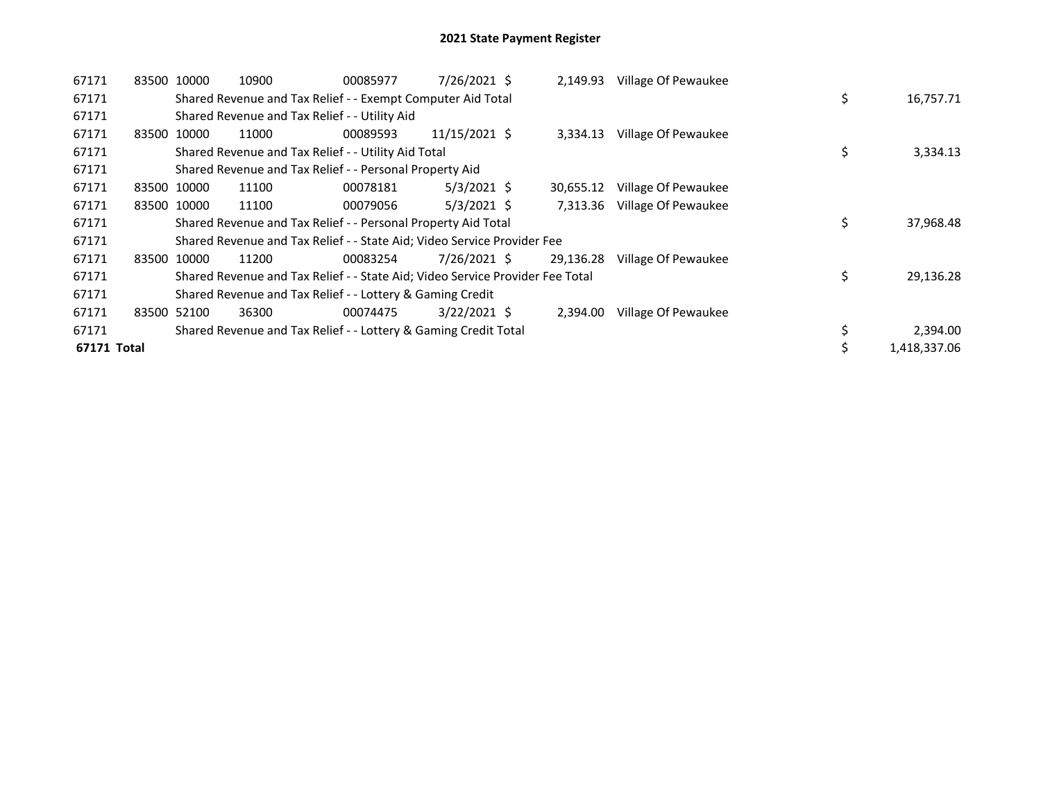| 67171       |       | 83500 10000 | 10900                                                                         | 00085977 | 7/26/2021 \$   | 2,149.93  | Village Of Pewaukee |    |              |
|-------------|-------|-------------|-------------------------------------------------------------------------------|----------|----------------|-----------|---------------------|----|--------------|
| 67171       |       |             | Shared Revenue and Tax Relief - - Exempt Computer Aid Total                   |          |                |           |                     | \$ | 16,757.71    |
| 67171       |       |             | Shared Revenue and Tax Relief - - Utility Aid                                 |          |                |           |                     |    |              |
| 67171       | 83500 | 10000       | 11000                                                                         | 00089593 | 11/15/2021 \$  | 3,334.13  | Village Of Pewaukee |    |              |
| 67171       |       |             | Shared Revenue and Tax Relief - - Utility Aid Total                           |          |                |           |                     | \$ | 3,334.13     |
| 67171       |       |             | Shared Revenue and Tax Relief - - Personal Property Aid                       |          |                |           |                     |    |              |
| 67171       |       | 83500 10000 | 11100                                                                         | 00078181 | $5/3/2021$ \$  | 30,655.12 | Village Of Pewaukee |    |              |
| 67171       |       | 83500 10000 | 11100                                                                         | 00079056 | $5/3/2021$ \$  | 7,313.36  | Village Of Pewaukee |    |              |
| 67171       |       |             | Shared Revenue and Tax Relief - - Personal Property Aid Total                 |          |                |           |                     | \$ | 37,968.48    |
| 67171       |       |             | Shared Revenue and Tax Relief - - State Aid; Video Service Provider Fee       |          |                |           |                     |    |              |
| 67171       |       | 83500 10000 | 11200                                                                         | 00083254 | 7/26/2021 \$   | 29,136.28 | Village Of Pewaukee |    |              |
| 67171       |       |             | Shared Revenue and Tax Relief - - State Aid; Video Service Provider Fee Total |          |                |           |                     | \$ | 29,136.28    |
| 67171       |       |             | Shared Revenue and Tax Relief - - Lottery & Gaming Credit                     |          |                |           |                     |    |              |
| 67171       |       | 83500 52100 | 36300                                                                         | 00074475 | $3/22/2021$ \$ | 2,394.00  | Village Of Pewaukee |    |              |
| 67171       |       |             | Shared Revenue and Tax Relief - - Lottery & Gaming Credit Total               |          |                |           |                     | \$ | 2,394.00     |
| 67171 Total |       |             |                                                                               |          |                |           |                     | \$ | 1,418,337.06 |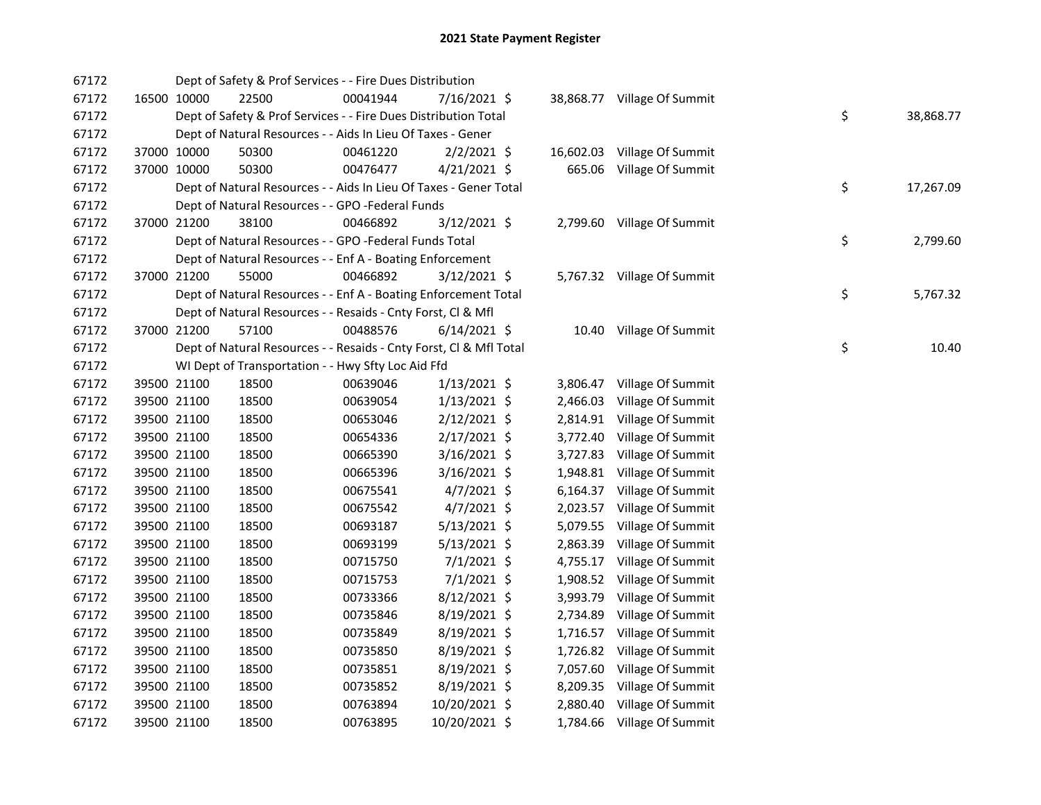| 67172 |             | Dept of Safety & Prof Services - - Fire Dues Distribution          |          |                |           |                             |    |           |
|-------|-------------|--------------------------------------------------------------------|----------|----------------|-----------|-----------------------------|----|-----------|
| 67172 | 16500 10000 | 22500                                                              | 00041944 | 7/16/2021 \$   |           | 38,868.77 Village Of Summit |    |           |
| 67172 |             | Dept of Safety & Prof Services - - Fire Dues Distribution Total    |          |                |           |                             | \$ | 38,868.77 |
| 67172 |             | Dept of Natural Resources - - Aids In Lieu Of Taxes - Gener        |          |                |           |                             |    |           |
| 67172 | 37000 10000 | 50300                                                              | 00461220 | $2/2/2021$ \$  | 16,602.03 | Village Of Summit           |    |           |
| 67172 | 37000 10000 | 50300                                                              | 00476477 | $4/21/2021$ \$ |           | 665.06 Village Of Summit    |    |           |
| 67172 |             | Dept of Natural Resources - - Aids In Lieu Of Taxes - Gener Total  |          |                |           |                             | \$ | 17,267.09 |
| 67172 |             | Dept of Natural Resources - - GPO -Federal Funds                   |          |                |           |                             |    |           |
| 67172 | 37000 21200 | 38100                                                              | 00466892 | 3/12/2021 \$   |           | 2,799.60 Village Of Summit  |    |           |
| 67172 |             | Dept of Natural Resources - - GPO -Federal Funds Total             |          |                |           |                             | \$ | 2,799.60  |
| 67172 |             | Dept of Natural Resources - - Enf A - Boating Enforcement          |          |                |           |                             |    |           |
| 67172 | 37000 21200 | 55000                                                              | 00466892 | 3/12/2021 \$   |           | 5,767.32 Village Of Summit  |    |           |
| 67172 |             | Dept of Natural Resources - - Enf A - Boating Enforcement Total    |          |                |           |                             | \$ | 5,767.32  |
| 67172 |             | Dept of Natural Resources - - Resaids - Cnty Forst, Cl & Mfl       |          |                |           |                             |    |           |
| 67172 | 37000 21200 | 57100                                                              | 00488576 | $6/14/2021$ \$ |           | 10.40 Village Of Summit     |    |           |
| 67172 |             | Dept of Natural Resources - - Resaids - Cnty Forst, Cl & Mfl Total |          |                |           |                             | \$ | 10.40     |
| 67172 |             | WI Dept of Transportation - - Hwy Sfty Loc Aid Ffd                 |          |                |           |                             |    |           |
| 67172 | 39500 21100 | 18500                                                              | 00639046 | $1/13/2021$ \$ | 3,806.47  | Village Of Summit           |    |           |
| 67172 | 39500 21100 | 18500                                                              | 00639054 | $1/13/2021$ \$ | 2,466.03  | Village Of Summit           |    |           |
| 67172 | 39500 21100 | 18500                                                              | 00653046 | $2/12/2021$ \$ | 2,814.91  | Village Of Summit           |    |           |
| 67172 | 39500 21100 | 18500                                                              | 00654336 | $2/17/2021$ \$ | 3,772.40  | Village Of Summit           |    |           |
| 67172 | 39500 21100 | 18500                                                              | 00665390 | $3/16/2021$ \$ | 3,727.83  | Village Of Summit           |    |           |
| 67172 | 39500 21100 | 18500                                                              | 00665396 | $3/16/2021$ \$ | 1,948.81  | Village Of Summit           |    |           |
| 67172 | 39500 21100 | 18500                                                              | 00675541 | $4/7/2021$ \$  | 6,164.37  | Village Of Summit           |    |           |
| 67172 | 39500 21100 | 18500                                                              | 00675542 | $4/7/2021$ \$  | 2,023.57  | Village Of Summit           |    |           |
| 67172 | 39500 21100 | 18500                                                              | 00693187 | $5/13/2021$ \$ | 5,079.55  | Village Of Summit           |    |           |
| 67172 | 39500 21100 | 18500                                                              | 00693199 | $5/13/2021$ \$ | 2,863.39  | Village Of Summit           |    |           |
| 67172 | 39500 21100 | 18500                                                              | 00715750 | $7/1/2021$ \$  | 4,755.17  | Village Of Summit           |    |           |
| 67172 | 39500 21100 | 18500                                                              | 00715753 | 7/1/2021 \$    | 1,908.52  | Village Of Summit           |    |           |
| 67172 | 39500 21100 | 18500                                                              | 00733366 | $8/12/2021$ \$ | 3,993.79  | Village Of Summit           |    |           |
| 67172 | 39500 21100 | 18500                                                              | 00735846 | 8/19/2021 \$   | 2,734.89  | Village Of Summit           |    |           |
| 67172 | 39500 21100 | 18500                                                              | 00735849 | 8/19/2021 \$   |           | 1,716.57 Village Of Summit  |    |           |
| 67172 | 39500 21100 | 18500                                                              | 00735850 | $8/19/2021$ \$ |           | 1,726.82 Village Of Summit  |    |           |
| 67172 | 39500 21100 | 18500                                                              | 00735851 | 8/19/2021 \$   |           | 7,057.60 Village Of Summit  |    |           |
| 67172 | 39500 21100 | 18500                                                              | 00735852 | 8/19/2021 \$   |           | 8,209.35 Village Of Summit  |    |           |
| 67172 | 39500 21100 | 18500                                                              | 00763894 | 10/20/2021 \$  |           | 2,880.40 Village Of Summit  |    |           |
| 67172 | 39500 21100 | 18500                                                              | 00763895 | 10/20/2021 \$  |           | 1,784.66 Village Of Summit  |    |           |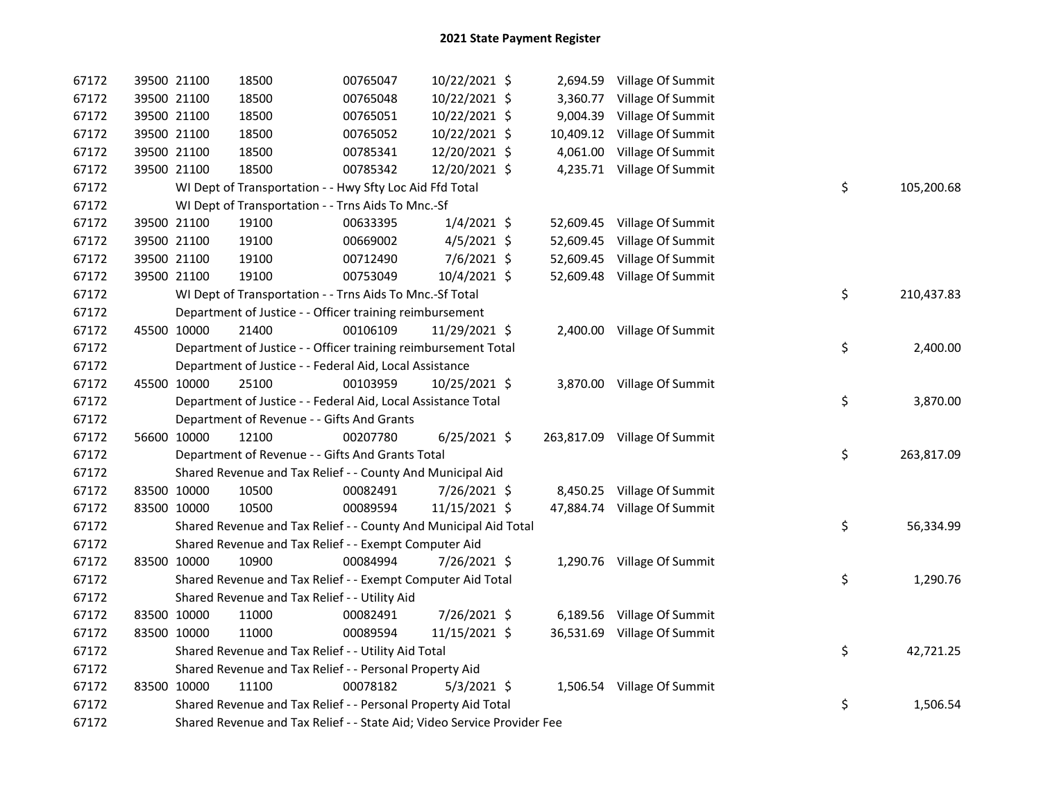| 67172 | 39500 21100 | 18500                                                                   | 00765047 | 10/22/2021 \$  |  | 2,694.59 Village Of Summit   |    |            |
|-------|-------------|-------------------------------------------------------------------------|----------|----------------|--|------------------------------|----|------------|
| 67172 | 39500 21100 | 18500                                                                   | 00765048 | 10/22/2021 \$  |  | 3,360.77 Village Of Summit   |    |            |
| 67172 | 39500 21100 | 18500                                                                   | 00765051 | 10/22/2021 \$  |  | 9,004.39 Village Of Summit   |    |            |
| 67172 | 39500 21100 | 18500                                                                   | 00765052 | 10/22/2021 \$  |  | 10,409.12 Village Of Summit  |    |            |
| 67172 | 39500 21100 | 18500                                                                   | 00785341 | 12/20/2021 \$  |  | 4,061.00 Village Of Summit   |    |            |
| 67172 | 39500 21100 | 18500                                                                   | 00785342 | 12/20/2021 \$  |  | 4,235.71 Village Of Summit   |    |            |
| 67172 |             | WI Dept of Transportation - - Hwy Sfty Loc Aid Ffd Total                |          |                |  |                              | \$ | 105,200.68 |
| 67172 |             | WI Dept of Transportation - - Trns Aids To Mnc.-Sf                      |          |                |  |                              |    |            |
| 67172 | 39500 21100 | 19100                                                                   | 00633395 | $1/4/2021$ \$  |  | 52,609.45 Village Of Summit  |    |            |
| 67172 | 39500 21100 | 19100                                                                   | 00669002 | $4/5/2021$ \$  |  | 52,609.45 Village Of Summit  |    |            |
| 67172 | 39500 21100 | 19100                                                                   | 00712490 | 7/6/2021 \$    |  | 52,609.45 Village Of Summit  |    |            |
| 67172 | 39500 21100 | 19100                                                                   | 00753049 | 10/4/2021 \$   |  | 52,609.48 Village Of Summit  |    |            |
| 67172 |             | WI Dept of Transportation - - Trns Aids To Mnc.-Sf Total                |          |                |  |                              | \$ | 210,437.83 |
| 67172 |             | Department of Justice - - Officer training reimbursement                |          |                |  |                              |    |            |
| 67172 | 45500 10000 | 21400                                                                   | 00106109 | 11/29/2021 \$  |  | 2,400.00 Village Of Summit   |    |            |
| 67172 |             | Department of Justice - - Officer training reimbursement Total          |          |                |  |                              | \$ | 2,400.00   |
| 67172 |             | Department of Justice - - Federal Aid, Local Assistance                 |          |                |  |                              |    |            |
| 67172 | 45500 10000 | 25100                                                                   | 00103959 | 10/25/2021 \$  |  | 3,870.00 Village Of Summit   |    |            |
| 67172 |             | Department of Justice - - Federal Aid, Local Assistance Total           |          |                |  |                              | \$ | 3,870.00   |
| 67172 |             | Department of Revenue - - Gifts And Grants                              |          |                |  |                              |    |            |
| 67172 | 56600 10000 | 12100                                                                   | 00207780 | $6/25/2021$ \$ |  | 263,817.09 Village Of Summit |    |            |
| 67172 |             | Department of Revenue - - Gifts And Grants Total                        |          |                |  |                              | \$ | 263,817.09 |
| 67172 |             | Shared Revenue and Tax Relief - - County And Municipal Aid              |          |                |  |                              |    |            |
| 67172 | 83500 10000 | 10500                                                                   | 00082491 | 7/26/2021 \$   |  | 8,450.25 Village Of Summit   |    |            |
| 67172 | 83500 10000 | 10500                                                                   | 00089594 | 11/15/2021 \$  |  | 47,884.74 Village Of Summit  |    |            |
| 67172 |             | Shared Revenue and Tax Relief - - County And Municipal Aid Total        |          |                |  |                              | \$ | 56,334.99  |
| 67172 |             | Shared Revenue and Tax Relief - - Exempt Computer Aid                   |          |                |  |                              |    |            |
| 67172 | 83500 10000 | 10900                                                                   | 00084994 | 7/26/2021 \$   |  | 1,290.76 Village Of Summit   |    |            |
| 67172 |             | Shared Revenue and Tax Relief - - Exempt Computer Aid Total             |          |                |  |                              | \$ | 1,290.76   |
| 67172 |             | Shared Revenue and Tax Relief - - Utility Aid                           |          |                |  |                              |    |            |
| 67172 | 83500 10000 | 11000                                                                   | 00082491 | 7/26/2021 \$   |  | 6,189.56 Village Of Summit   |    |            |
| 67172 | 83500 10000 | 11000                                                                   | 00089594 | 11/15/2021 \$  |  | 36,531.69 Village Of Summit  |    |            |
| 67172 |             | Shared Revenue and Tax Relief - - Utility Aid Total                     |          |                |  |                              | \$ | 42,721.25  |
| 67172 |             | Shared Revenue and Tax Relief - - Personal Property Aid                 |          |                |  |                              |    |            |
| 67172 | 83500 10000 | 11100                                                                   | 00078182 | $5/3/2021$ \$  |  | 1,506.54 Village Of Summit   |    |            |
| 67172 |             | Shared Revenue and Tax Relief - - Personal Property Aid Total           |          |                |  |                              | \$ | 1,506.54   |
| 67172 |             | Shared Revenue and Tax Relief - - State Aid; Video Service Provider Fee |          |                |  |                              |    |            |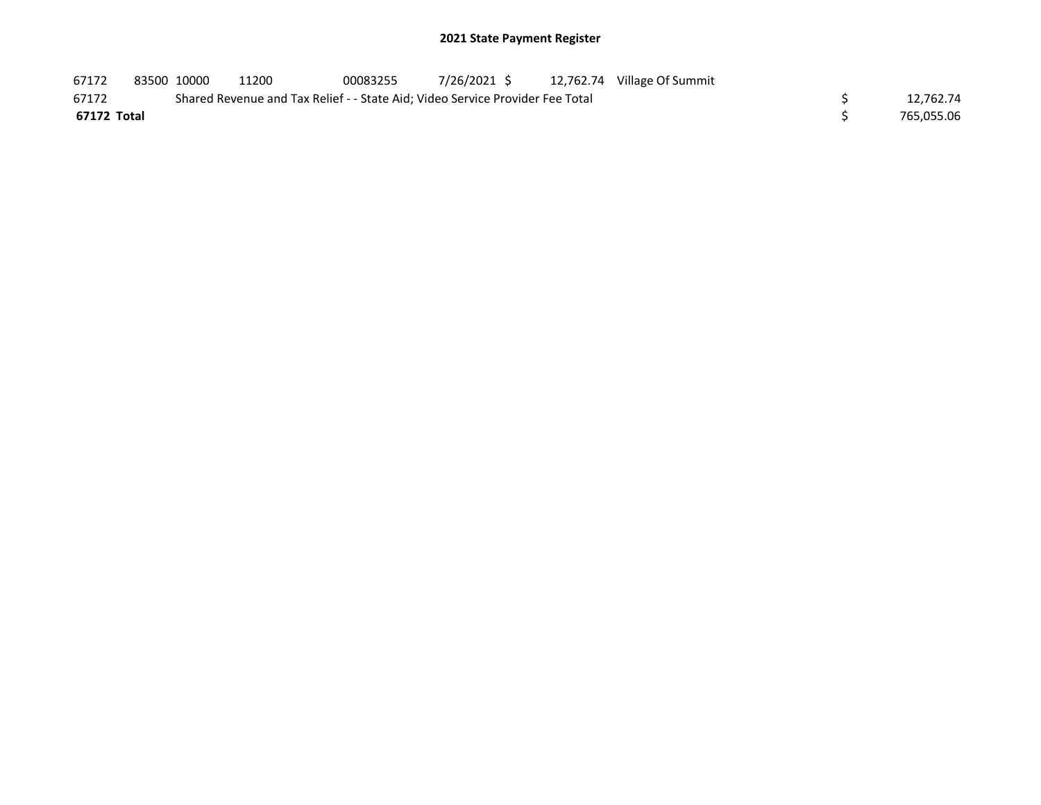| 67172       | 83500 10000 | 11200 | 00083255 | 7/26/2021 \$                                                                  | 12,762.74 Village Of Summit |            |
|-------------|-------------|-------|----------|-------------------------------------------------------------------------------|-----------------------------|------------|
| 67172       |             |       |          | Shared Revenue and Tax Relief - - State Aid; Video Service Provider Fee Total |                             | 12.762.74  |
| 67172 Total |             |       |          |                                                                               |                             | 765.055.06 |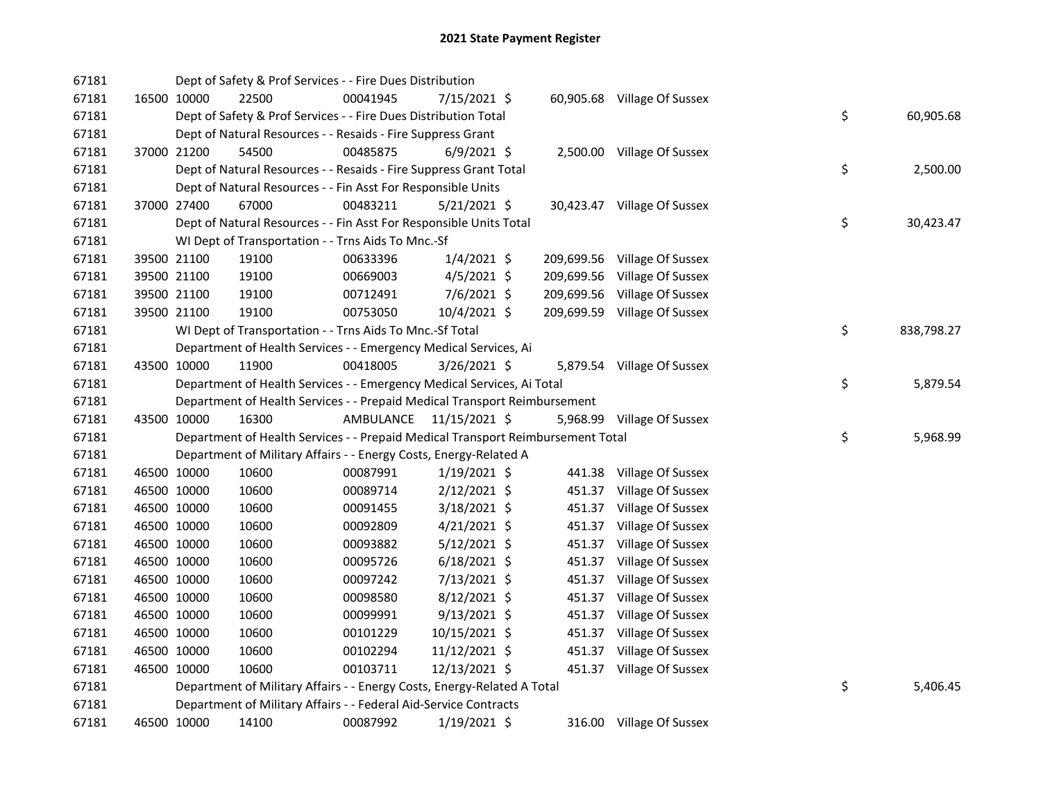| 67181 |             |             | Dept of Safety & Prof Services - - Fire Dues Distribution                       |           |                |        |                              |    |            |
|-------|-------------|-------------|---------------------------------------------------------------------------------|-----------|----------------|--------|------------------------------|----|------------|
| 67181 |             | 16500 10000 | 22500                                                                           | 00041945  | 7/15/2021 \$   |        | 60,905.68 Village Of Sussex  |    |            |
| 67181 |             |             | Dept of Safety & Prof Services - - Fire Dues Distribution Total                 |           |                |        |                              | \$ | 60,905.68  |
| 67181 |             |             | Dept of Natural Resources - - Resaids - Fire Suppress Grant                     |           |                |        |                              |    |            |
| 67181 |             | 37000 21200 | 54500                                                                           | 00485875  | $6/9/2021$ \$  |        | 2,500.00 Village Of Sussex   |    |            |
| 67181 |             |             | Dept of Natural Resources - - Resaids - Fire Suppress Grant Total               |           |                |        |                              | \$ | 2,500.00   |
| 67181 |             |             | Dept of Natural Resources - - Fin Asst For Responsible Units                    |           |                |        |                              |    |            |
| 67181 |             | 37000 27400 | 67000                                                                           | 00483211  | $5/21/2021$ \$ |        | 30,423.47 Village Of Sussex  |    |            |
| 67181 |             |             | Dept of Natural Resources - - Fin Asst For Responsible Units Total              |           |                |        |                              | \$ | 30,423.47  |
| 67181 |             |             | WI Dept of Transportation - - Trns Aids To Mnc.-Sf                              |           |                |        |                              |    |            |
| 67181 |             | 39500 21100 | 19100                                                                           | 00633396  | $1/4/2021$ \$  |        | 209,699.56 Village Of Sussex |    |            |
| 67181 |             | 39500 21100 | 19100                                                                           | 00669003  | $4/5/2021$ \$  |        | 209,699.56 Village Of Sussex |    |            |
| 67181 |             | 39500 21100 | 19100                                                                           | 00712491  | $7/6/2021$ \$  |        | 209,699.56 Village Of Sussex |    |            |
| 67181 |             | 39500 21100 | 19100                                                                           | 00753050  | 10/4/2021 \$   |        | 209,699.59 Village Of Sussex |    |            |
| 67181 |             |             | WI Dept of Transportation - - Trns Aids To Mnc.-Sf Total                        |           |                |        |                              | \$ | 838,798.27 |
| 67181 |             |             | Department of Health Services - - Emergency Medical Services, Ai                |           |                |        |                              |    |            |
| 67181 |             | 43500 10000 | 11900                                                                           | 00418005  | $3/26/2021$ \$ |        | 5,879.54 Village Of Sussex   |    |            |
| 67181 |             |             | Department of Health Services - - Emergency Medical Services, Ai Total          |           |                |        |                              | \$ | 5,879.54   |
| 67181 |             |             | Department of Health Services - - Prepaid Medical Transport Reimbursement       |           |                |        |                              |    |            |
| 67181 |             | 43500 10000 | 16300                                                                           | AMBULANCE | 11/15/2021 \$  |        | 5,968.99 Village Of Sussex   |    |            |
| 67181 |             |             | Department of Health Services - - Prepaid Medical Transport Reimbursement Total |           |                |        |                              | \$ | 5,968.99   |
| 67181 |             |             | Department of Military Affairs - - Energy Costs, Energy-Related A               |           |                |        |                              |    |            |
| 67181 |             | 46500 10000 | 10600                                                                           | 00087991  | $1/19/2021$ \$ |        | 441.38 Village Of Sussex     |    |            |
| 67181 |             | 46500 10000 | 10600                                                                           | 00089714  | $2/12/2021$ \$ |        |                              |    |            |
| 67181 | 46500 10000 |             |                                                                                 |           |                |        | 451.37 Village Of Sussex     |    |            |
| 67181 |             |             | 10600                                                                           | 00091455  | 3/18/2021 \$   |        | 451.37 Village Of Sussex     |    |            |
|       |             | 46500 10000 | 10600                                                                           | 00092809  | $4/21/2021$ \$ |        | 451.37 Village Of Sussex     |    |            |
| 67181 |             | 46500 10000 | 10600                                                                           | 00093882  | $5/12/2021$ \$ | 451.37 | Village Of Sussex            |    |            |
| 67181 |             | 46500 10000 | 10600                                                                           | 00095726  | $6/18/2021$ \$ | 451.37 | Village Of Sussex            |    |            |
| 67181 |             | 46500 10000 | 10600                                                                           | 00097242  | 7/13/2021 \$   | 451.37 | Village Of Sussex            |    |            |
| 67181 |             | 46500 10000 | 10600                                                                           | 00098580  | 8/12/2021 \$   | 451.37 | Village Of Sussex            |    |            |
| 67181 |             | 46500 10000 | 10600                                                                           | 00099991  | $9/13/2021$ \$ | 451.37 | Village Of Sussex            |    |            |
| 67181 |             | 46500 10000 | 10600                                                                           | 00101229  | 10/15/2021 \$  |        | 451.37 Village Of Sussex     |    |            |
| 67181 |             | 46500 10000 | 10600                                                                           | 00102294  | 11/12/2021 \$  | 451.37 | Village Of Sussex            |    |            |
| 67181 |             | 46500 10000 | 10600                                                                           | 00103711  | 12/13/2021 \$  |        | 451.37 Village Of Sussex     |    |            |
| 67181 |             |             | Department of Military Affairs - - Energy Costs, Energy-Related A Total         |           |                |        |                              | \$ | 5,406.45   |
| 67181 |             |             | Department of Military Affairs - - Federal Aid-Service Contracts                |           |                |        |                              |    |            |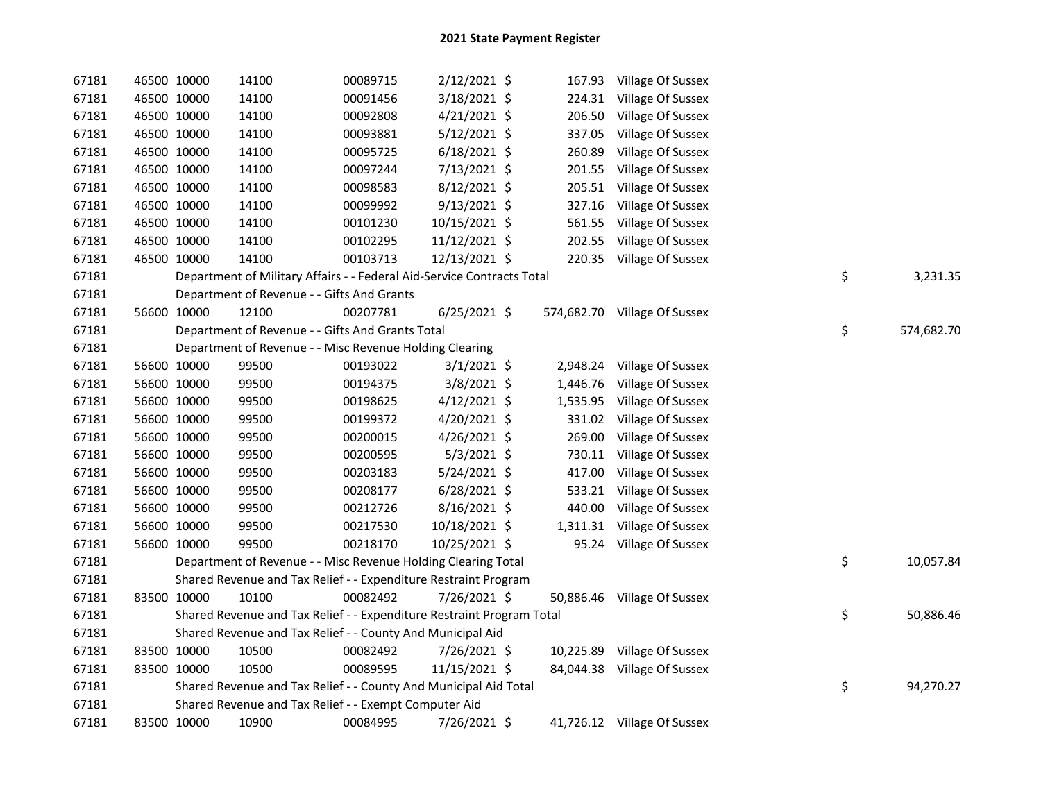| 67181 | 46500 10000 |             | 14100                                                                  | 00089715 | 2/12/2021 \$   |          | 167.93 Village Of Sussex     |    |            |
|-------|-------------|-------------|------------------------------------------------------------------------|----------|----------------|----------|------------------------------|----|------------|
| 67181 |             | 46500 10000 | 14100                                                                  | 00091456 | 3/18/2021 \$   |          | 224.31 Village Of Sussex     |    |            |
| 67181 |             | 46500 10000 | 14100                                                                  | 00092808 | 4/21/2021 \$   |          | 206.50 Village Of Sussex     |    |            |
| 67181 |             | 46500 10000 | 14100                                                                  | 00093881 | 5/12/2021 \$   |          | 337.05 Village Of Sussex     |    |            |
| 67181 |             | 46500 10000 | 14100                                                                  | 00095725 | $6/18/2021$ \$ | 260.89   | Village Of Sussex            |    |            |
| 67181 |             | 46500 10000 | 14100                                                                  | 00097244 | 7/13/2021 \$   |          | 201.55 Village Of Sussex     |    |            |
| 67181 | 46500 10000 |             | 14100                                                                  | 00098583 | $8/12/2021$ \$ |          | 205.51 Village Of Sussex     |    |            |
| 67181 |             | 46500 10000 | 14100                                                                  | 00099992 | 9/13/2021 \$   |          | 327.16 Village Of Sussex     |    |            |
| 67181 |             | 46500 10000 | 14100                                                                  | 00101230 | 10/15/2021 \$  |          | 561.55 Village Of Sussex     |    |            |
| 67181 |             | 46500 10000 | 14100                                                                  | 00102295 | 11/12/2021 \$  |          | 202.55 Village Of Sussex     |    |            |
| 67181 |             | 46500 10000 | 14100                                                                  | 00103713 | 12/13/2021 \$  |          | 220.35 Village Of Sussex     |    |            |
| 67181 |             |             | Department of Military Affairs - - Federal Aid-Service Contracts Total |          |                |          |                              | \$ | 3,231.35   |
| 67181 |             |             | Department of Revenue - - Gifts And Grants                             |          |                |          |                              |    |            |
| 67181 |             | 56600 10000 | 12100                                                                  | 00207781 | $6/25/2021$ \$ |          | 574,682.70 Village Of Sussex |    |            |
| 67181 |             |             | Department of Revenue - - Gifts And Grants Total                       |          |                |          |                              | \$ | 574,682.70 |
| 67181 |             |             | Department of Revenue - - Misc Revenue Holding Clearing                |          |                |          |                              |    |            |
| 67181 |             | 56600 10000 | 99500                                                                  | 00193022 | $3/1/2021$ \$  |          | 2,948.24 Village Of Sussex   |    |            |
| 67181 |             | 56600 10000 | 99500                                                                  | 00194375 | 3/8/2021 \$    |          | 1,446.76 Village Of Sussex   |    |            |
| 67181 |             | 56600 10000 | 99500                                                                  | 00198625 | 4/12/2021 \$   |          | 1,535.95 Village Of Sussex   |    |            |
| 67181 |             | 56600 10000 | 99500                                                                  | 00199372 | 4/20/2021 \$   | 331.02   | Village Of Sussex            |    |            |
| 67181 |             | 56600 10000 | 99500                                                                  | 00200015 | 4/26/2021 \$   | 269.00   | Village Of Sussex            |    |            |
| 67181 |             | 56600 10000 | 99500                                                                  | 00200595 | $5/3/2021$ \$  | 730.11   | Village Of Sussex            |    |            |
| 67181 |             | 56600 10000 | 99500                                                                  | 00203183 | 5/24/2021 \$   | 417.00   | Village Of Sussex            |    |            |
| 67181 |             | 56600 10000 | 99500                                                                  | 00208177 | $6/28/2021$ \$ | 533.21   | Village Of Sussex            |    |            |
| 67181 |             | 56600 10000 | 99500                                                                  | 00212726 | 8/16/2021 \$   | 440.00   | Village Of Sussex            |    |            |
| 67181 |             | 56600 10000 | 99500                                                                  | 00217530 | 10/18/2021 \$  | 1,311.31 | Village Of Sussex            |    |            |
| 67181 |             | 56600 10000 | 99500                                                                  | 00218170 | 10/25/2021 \$  |          | 95.24 Village Of Sussex      |    |            |
| 67181 |             |             | Department of Revenue - - Misc Revenue Holding Clearing Total          |          |                |          |                              | \$ | 10,057.84  |
| 67181 |             |             | Shared Revenue and Tax Relief - - Expenditure Restraint Program        |          |                |          |                              |    |            |
| 67181 | 83500 10000 |             | 10100                                                                  | 00082492 | 7/26/2021 \$   |          | 50,886.46 Village Of Sussex  |    |            |
| 67181 |             |             | Shared Revenue and Tax Relief - - Expenditure Restraint Program Total  |          |                |          |                              | \$ | 50,886.46  |
| 67181 |             |             | Shared Revenue and Tax Relief - - County And Municipal Aid             |          |                |          |                              |    |            |
| 67181 |             | 83500 10000 | 10500                                                                  | 00082492 | 7/26/2021 \$   |          | 10,225.89 Village Of Sussex  |    |            |
| 67181 | 83500 10000 |             | 10500                                                                  | 00089595 | 11/15/2021 \$  |          | 84,044.38 Village Of Sussex  |    |            |
| 67181 |             |             | Shared Revenue and Tax Relief - - County And Municipal Aid Total       |          |                |          |                              | \$ | 94,270.27  |
| 67181 |             |             | Shared Revenue and Tax Relief - - Exempt Computer Aid                  |          |                |          |                              |    |            |
| 67181 |             | 83500 10000 | 10900                                                                  | 00084995 | 7/26/2021 \$   |          | 41,726.12 Village Of Sussex  |    |            |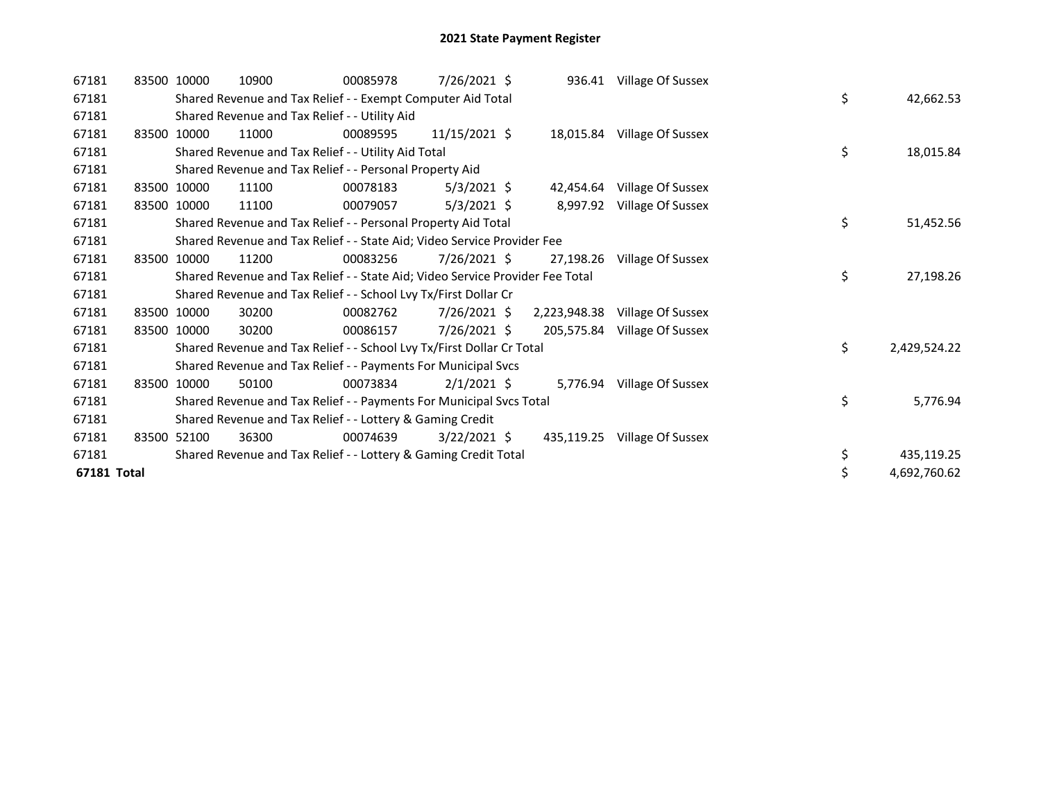| 67181       |       | 83500 10000 | 10900                                                                         | 00085978 | 7/26/2021 \$   |              | 936.41 Village Of Sussex    |    |              |
|-------------|-------|-------------|-------------------------------------------------------------------------------|----------|----------------|--------------|-----------------------------|----|--------------|
| 67181       |       |             | Shared Revenue and Tax Relief - - Exempt Computer Aid Total                   |          |                |              |                             | \$ | 42,662.53    |
| 67181       |       |             | Shared Revenue and Tax Relief - - Utility Aid                                 |          |                |              |                             |    |              |
| 67181       |       | 83500 10000 | 11000                                                                         | 00089595 | 11/15/2021 \$  |              | 18,015.84 Village Of Sussex |    |              |
| 67181       |       |             | Shared Revenue and Tax Relief - - Utility Aid Total                           |          |                |              |                             | \$ | 18,015.84    |
| 67181       |       |             | Shared Revenue and Tax Relief - - Personal Property Aid                       |          |                |              |                             |    |              |
| 67181       |       | 83500 10000 | 11100                                                                         | 00078183 | $5/3/2021$ \$  | 42,454.64    | Village Of Sussex           |    |              |
| 67181       | 83500 | 10000       | 11100                                                                         | 00079057 | $5/3/2021$ \$  | 8,997.92     | Village Of Sussex           |    |              |
| 67181       |       |             | Shared Revenue and Tax Relief - - Personal Property Aid Total                 |          |                |              |                             | \$ | 51,452.56    |
| 67181       |       |             | Shared Revenue and Tax Relief - - State Aid; Video Service Provider Fee       |          |                |              |                             |    |              |
| 67181       |       | 83500 10000 | 11200                                                                         | 00083256 | 7/26/2021 \$   | 27,198.26    | Village Of Sussex           |    |              |
| 67181       |       |             | Shared Revenue and Tax Relief - - State Aid; Video Service Provider Fee Total |          |                |              |                             | \$ | 27,198.26    |
| 67181       |       |             | Shared Revenue and Tax Relief - - School Lvy Tx/First Dollar Cr               |          |                |              |                             |    |              |
| 67181       |       | 83500 10000 | 30200                                                                         | 00082762 | $7/26/2021$ \$ | 2,223,948.38 | Village Of Sussex           |    |              |
| 67181       |       | 83500 10000 | 30200                                                                         | 00086157 | 7/26/2021 \$   | 205,575.84   | Village Of Sussex           |    |              |
| 67181       |       |             | Shared Revenue and Tax Relief - - School Lvy Tx/First Dollar Cr Total         |          |                |              |                             | \$ | 2,429,524.22 |
| 67181       |       |             | Shared Revenue and Tax Relief - - Payments For Municipal Svcs                 |          |                |              |                             |    |              |
| 67181       |       | 83500 10000 | 50100                                                                         | 00073834 | $2/1/2021$ \$  |              | 5,776.94 Village Of Sussex  |    |              |
| 67181       |       |             | Shared Revenue and Tax Relief - - Payments For Municipal Svcs Total           |          |                |              |                             | \$ | 5,776.94     |
| 67181       |       |             | Shared Revenue and Tax Relief - - Lottery & Gaming Credit                     |          |                |              |                             |    |              |
| 67181       |       | 83500 52100 | 36300                                                                         | 00074639 | $3/22/2021$ \$ | 435,119.25   | Village Of Sussex           |    |              |
| 67181       |       |             | Shared Revenue and Tax Relief - - Lottery & Gaming Credit Total               |          |                |              |                             | \$ | 435,119.25   |
| 67181 Total |       |             |                                                                               |          |                |              |                             | \$ | 4,692,760.62 |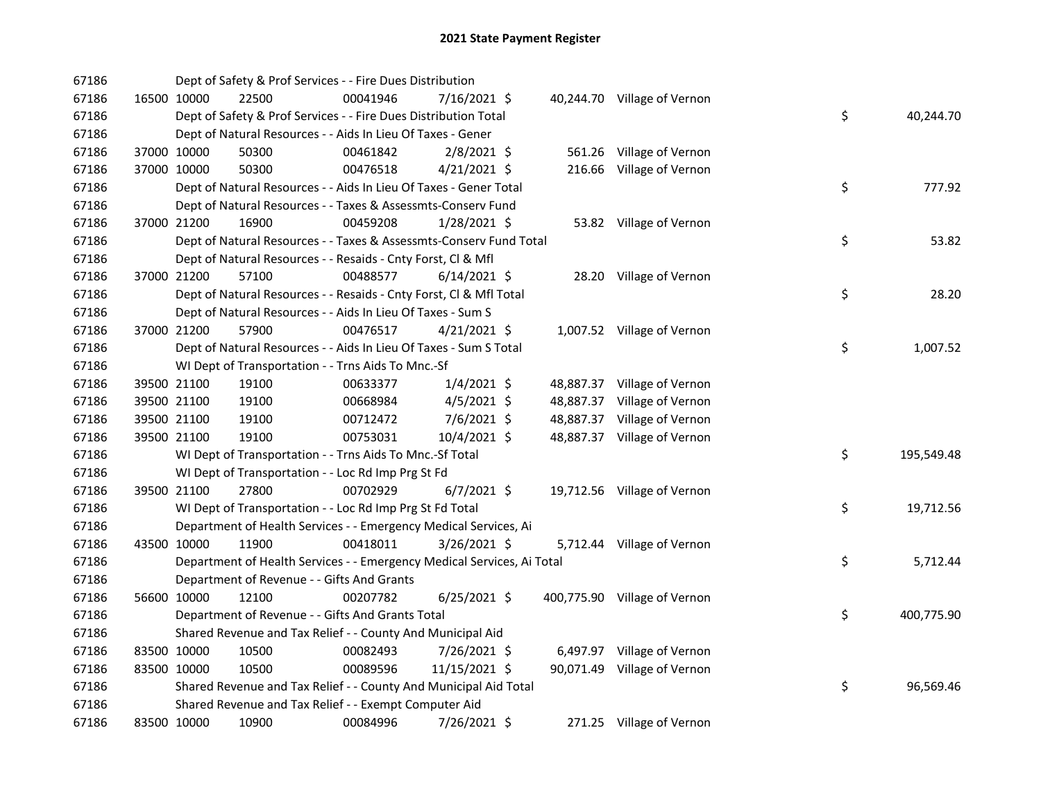| 67186 |             |             | Dept of Safety & Prof Services - - Fire Dues Distribution              |          |                |  |                              |    |            |
|-------|-------------|-------------|------------------------------------------------------------------------|----------|----------------|--|------------------------------|----|------------|
| 67186 |             | 16500 10000 | 22500                                                                  | 00041946 | 7/16/2021 \$   |  | 40,244.70 Village of Vernon  |    |            |
| 67186 |             |             | Dept of Safety & Prof Services - - Fire Dues Distribution Total        |          |                |  |                              | \$ | 40,244.70  |
| 67186 |             |             | Dept of Natural Resources - - Aids In Lieu Of Taxes - Gener            |          |                |  |                              |    |            |
| 67186 | 37000 10000 |             | 50300                                                                  | 00461842 | $2/8/2021$ \$  |  | 561.26 Village of Vernon     |    |            |
| 67186 | 37000 10000 |             | 50300                                                                  | 00476518 | $4/21/2021$ \$ |  | 216.66 Village of Vernon     |    |            |
| 67186 |             |             | Dept of Natural Resources - - Aids In Lieu Of Taxes - Gener Total      |          |                |  |                              | \$ | 777.92     |
| 67186 |             |             | Dept of Natural Resources - - Taxes & Assessmts-Conserv Fund           |          |                |  |                              |    |            |
| 67186 | 37000 21200 |             | 16900                                                                  | 00459208 | $1/28/2021$ \$ |  | 53.82 Village of Vernon      |    |            |
| 67186 |             |             | Dept of Natural Resources - - Taxes & Assessmts-Conserv Fund Total     |          |                |  |                              | \$ | 53.82      |
| 67186 |             |             | Dept of Natural Resources - - Resaids - Cnty Forst, Cl & Mfl           |          |                |  |                              |    |            |
| 67186 | 37000 21200 |             | 57100                                                                  | 00488577 | $6/14/2021$ \$ |  | 28.20 Village of Vernon      |    |            |
| 67186 |             |             | Dept of Natural Resources - - Resaids - Cnty Forst, Cl & Mfl Total     |          |                |  |                              | \$ | 28.20      |
| 67186 |             |             | Dept of Natural Resources - - Aids In Lieu Of Taxes - Sum S            |          |                |  |                              |    |            |
| 67186 |             | 37000 21200 | 57900                                                                  | 00476517 | $4/21/2021$ \$ |  | 1,007.52 Village of Vernon   |    |            |
| 67186 |             |             | Dept of Natural Resources - - Aids In Lieu Of Taxes - Sum S Total      |          |                |  |                              | \$ | 1,007.52   |
| 67186 |             |             | WI Dept of Transportation - - Trns Aids To Mnc.-Sf                     |          |                |  |                              |    |            |
| 67186 |             | 39500 21100 | 19100                                                                  | 00633377 | $1/4/2021$ \$  |  | 48,887.37 Village of Vernon  |    |            |
| 67186 |             | 39500 21100 | 19100                                                                  | 00668984 | $4/5/2021$ \$  |  | 48,887.37 Village of Vernon  |    |            |
| 67186 |             | 39500 21100 | 19100                                                                  | 00712472 | 7/6/2021 \$    |  | 48,887.37 Village of Vernon  |    |            |
| 67186 | 39500 21100 |             | 19100                                                                  | 00753031 | 10/4/2021 \$   |  | 48,887.37 Village of Vernon  |    |            |
| 67186 |             |             | WI Dept of Transportation - - Trns Aids To Mnc.-Sf Total               |          |                |  |                              | \$ | 195,549.48 |
| 67186 |             |             | WI Dept of Transportation - - Loc Rd Imp Prg St Fd                     |          |                |  |                              |    |            |
| 67186 | 39500 21100 |             | 27800                                                                  | 00702929 | $6/7/2021$ \$  |  | 19,712.56 Village of Vernon  |    |            |
| 67186 |             |             | WI Dept of Transportation - - Loc Rd Imp Prg St Fd Total               |          |                |  |                              | \$ | 19,712.56  |
| 67186 |             |             | Department of Health Services - - Emergency Medical Services, Ai       |          |                |  |                              |    |            |
| 67186 | 43500 10000 |             | 11900                                                                  | 00418011 | 3/26/2021 \$   |  | 5,712.44 Village of Vernon   |    |            |
| 67186 |             |             | Department of Health Services - - Emergency Medical Services, Ai Total |          |                |  |                              | \$ | 5,712.44   |
| 67186 |             |             | Department of Revenue - - Gifts And Grants                             |          |                |  |                              |    |            |
| 67186 |             | 56600 10000 | 12100                                                                  | 00207782 | $6/25/2021$ \$ |  | 400,775.90 Village of Vernon |    |            |
| 67186 |             |             | Department of Revenue - - Gifts And Grants Total                       |          |                |  |                              | \$ | 400,775.90 |
| 67186 |             |             | Shared Revenue and Tax Relief - - County And Municipal Aid             |          |                |  |                              |    |            |
| 67186 | 83500 10000 |             | 10500                                                                  | 00082493 | 7/26/2021 \$   |  | 6,497.97 Village of Vernon   |    |            |
| 67186 | 83500 10000 |             | 10500                                                                  | 00089596 | 11/15/2021 \$  |  | 90,071.49 Village of Vernon  |    |            |
| 67186 |             |             | Shared Revenue and Tax Relief - - County And Municipal Aid Total       |          |                |  |                              | \$ | 96,569.46  |
| 67186 |             |             | Shared Revenue and Tax Relief - - Exempt Computer Aid                  |          |                |  |                              |    |            |
| 67186 | 83500 10000 |             | 10900                                                                  | 00084996 | 7/26/2021 \$   |  | 271.25 Village of Vernon     |    |            |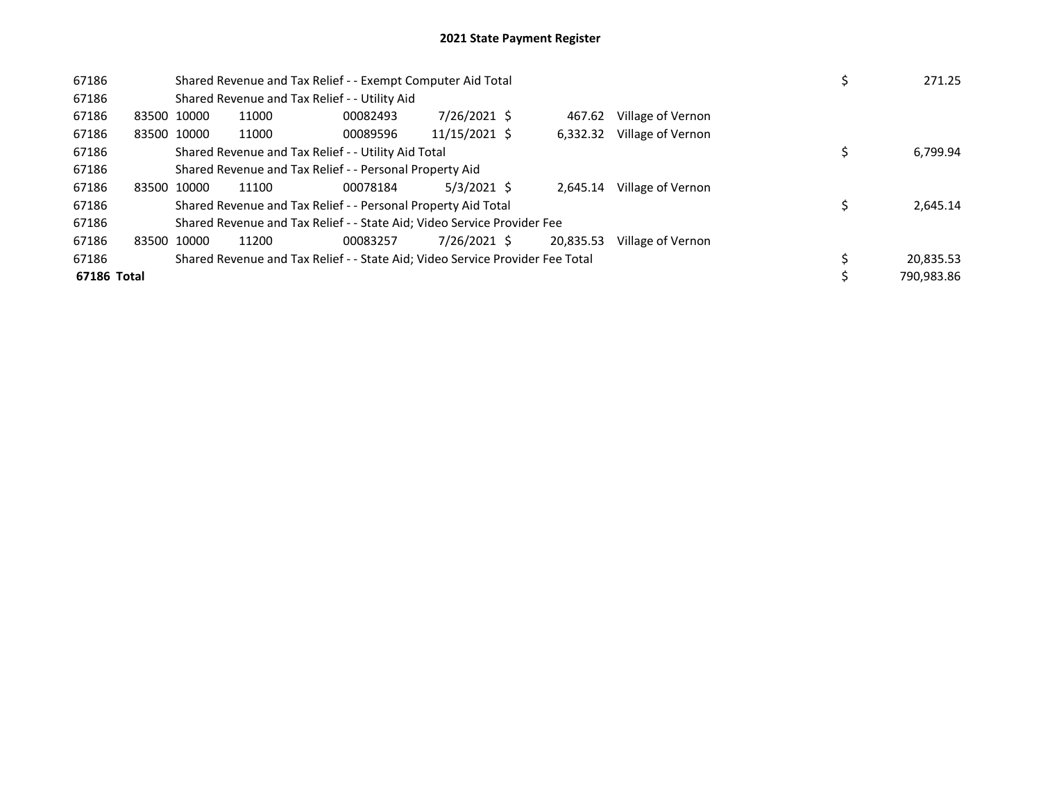| 67186       |             | Shared Revenue and Tax Relief - - Exempt Computer Aid Total                   |          | 271.25        |           |                   |  |            |
|-------------|-------------|-------------------------------------------------------------------------------|----------|---------------|-----------|-------------------|--|------------|
| 67186       |             | Shared Revenue and Tax Relief - - Utility Aid                                 |          |               |           |                   |  |            |
| 67186       | 83500 10000 | 11000                                                                         | 00082493 | 7/26/2021 \$  | 467.62    | Village of Vernon |  |            |
| 67186       | 83500 10000 | 11000                                                                         | 00089596 | 11/15/2021 \$ | 6.332.32  | Village of Vernon |  |            |
| 67186       |             | Shared Revenue and Tax Relief - - Utility Aid Total                           |          |               |           |                   |  | 6,799.94   |
| 67186       |             | Shared Revenue and Tax Relief - - Personal Property Aid                       |          |               |           |                   |  |            |
| 67186       | 83500 10000 | 11100                                                                         | 00078184 | $5/3/2021$ \$ | 2.645.14  | Village of Vernon |  |            |
| 67186       |             | Shared Revenue and Tax Relief - - Personal Property Aid Total                 |          |               |           |                   |  | 2,645.14   |
| 67186       |             | Shared Revenue and Tax Relief - - State Aid; Video Service Provider Fee       |          |               |           |                   |  |            |
| 67186       | 83500 10000 | 11200                                                                         | 00083257 | 7/26/2021 \$  | 20.835.53 | Village of Vernon |  |            |
| 67186       |             | Shared Revenue and Tax Relief - - State Aid; Video Service Provider Fee Total |          | 20,835.53     |           |                   |  |            |
| 67186 Total |             |                                                                               |          |               |           |                   |  | 790,983.86 |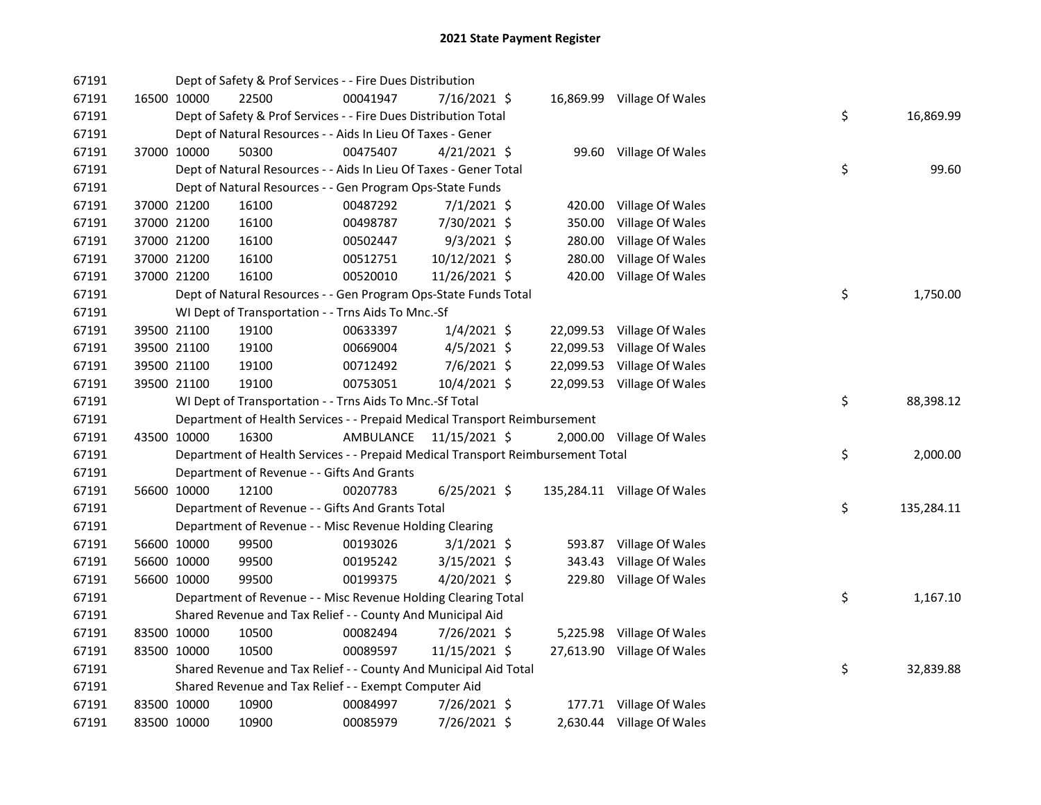| 67191 |             | Dept of Safety & Prof Services - - Fire Dues Distribution                       |           |                |           |                             |    |            |
|-------|-------------|---------------------------------------------------------------------------------|-----------|----------------|-----------|-----------------------------|----|------------|
| 67191 | 16500 10000 | 22500                                                                           | 00041947  | 7/16/2021 \$   |           | 16,869.99 Village Of Wales  |    |            |
| 67191 |             | Dept of Safety & Prof Services - - Fire Dues Distribution Total                 |           |                |           |                             | \$ | 16,869.99  |
| 67191 |             | Dept of Natural Resources - - Aids In Lieu Of Taxes - Gener                     |           |                |           |                             |    |            |
| 67191 | 37000 10000 | 50300                                                                           | 00475407  | $4/21/2021$ \$ |           | 99.60 Village Of Wales      |    |            |
| 67191 |             | Dept of Natural Resources - - Aids In Lieu Of Taxes - Gener Total               |           |                |           |                             | \$ | 99.60      |
| 67191 |             | Dept of Natural Resources - - Gen Program Ops-State Funds                       |           |                |           |                             |    |            |
| 67191 | 37000 21200 | 16100                                                                           | 00487292  | $7/1/2021$ \$  | 420.00    | Village Of Wales            |    |            |
| 67191 | 37000 21200 | 16100                                                                           | 00498787  | 7/30/2021 \$   | 350.00    | Village Of Wales            |    |            |
| 67191 | 37000 21200 | 16100                                                                           | 00502447  | $9/3/2021$ \$  | 280.00    | Village Of Wales            |    |            |
| 67191 | 37000 21200 | 16100                                                                           | 00512751  | 10/12/2021 \$  | 280.00    | Village Of Wales            |    |            |
| 67191 | 37000 21200 | 16100                                                                           | 00520010  | 11/26/2021 \$  | 420.00    | Village Of Wales            |    |            |
| 67191 |             | Dept of Natural Resources - - Gen Program Ops-State Funds Total                 |           |                |           |                             | \$ | 1,750.00   |
| 67191 |             | WI Dept of Transportation - - Trns Aids To Mnc.-Sf                              |           |                |           |                             |    |            |
| 67191 | 39500 21100 | 19100                                                                           | 00633397  | $1/4/2021$ \$  |           | 22,099.53 Village Of Wales  |    |            |
| 67191 | 39500 21100 | 19100                                                                           | 00669004  | $4/5/2021$ \$  | 22,099.53 | Village Of Wales            |    |            |
| 67191 | 39500 21100 | 19100                                                                           | 00712492  | $7/6/2021$ \$  | 22,099.53 | Village Of Wales            |    |            |
| 67191 | 39500 21100 | 19100                                                                           | 00753051  | 10/4/2021 \$   |           | 22,099.53 Village Of Wales  |    |            |
| 67191 |             | WI Dept of Transportation - - Trns Aids To Mnc.-Sf Total                        |           |                |           |                             | \$ | 88,398.12  |
| 67191 |             | Department of Health Services - - Prepaid Medical Transport Reimbursement       |           |                |           |                             |    |            |
| 67191 | 43500 10000 | 16300                                                                           | AMBULANCE | 11/15/2021 \$  |           | 2,000.00 Village Of Wales   |    |            |
| 67191 |             | Department of Health Services - - Prepaid Medical Transport Reimbursement Total |           |                |           |                             | \$ | 2,000.00   |
| 67191 |             | Department of Revenue - - Gifts And Grants                                      |           |                |           |                             |    |            |
| 67191 | 56600 10000 | 12100                                                                           | 00207783  | $6/25/2021$ \$ |           | 135,284.11 Village Of Wales |    |            |
| 67191 |             | Department of Revenue - - Gifts And Grants Total                                |           |                |           |                             | \$ | 135,284.11 |
| 67191 |             | Department of Revenue - - Misc Revenue Holding Clearing                         |           |                |           |                             |    |            |
| 67191 | 56600 10000 | 99500                                                                           | 00193026  | $3/1/2021$ \$  |           | 593.87 Village Of Wales     |    |            |
| 67191 | 56600 10000 | 99500                                                                           | 00195242  | $3/15/2021$ \$ | 343.43    | Village Of Wales            |    |            |
| 67191 | 56600 10000 | 99500                                                                           | 00199375  | $4/20/2021$ \$ |           | 229.80 Village Of Wales     |    |            |
| 67191 |             | Department of Revenue - - Misc Revenue Holding Clearing Total                   |           |                |           |                             | \$ | 1,167.10   |
| 67191 |             | Shared Revenue and Tax Relief - - County And Municipal Aid                      |           |                |           |                             |    |            |
| 67191 | 83500 10000 | 10500                                                                           | 00082494  | 7/26/2021 \$   |           | 5,225.98 Village Of Wales   |    |            |
| 67191 | 83500 10000 | 10500                                                                           | 00089597  | 11/15/2021 \$  |           | 27,613.90 Village Of Wales  |    |            |
| 67191 |             | Shared Revenue and Tax Relief - - County And Municipal Aid Total                |           |                |           |                             | \$ | 32,839.88  |
| 67191 |             | Shared Revenue and Tax Relief - - Exempt Computer Aid                           |           |                |           |                             |    |            |
| 67191 | 83500 10000 | 10900                                                                           | 00084997  | 7/26/2021 \$   |           | 177.71 Village Of Wales     |    |            |
| 67191 | 83500 10000 | 10900                                                                           | 00085979  | 7/26/2021 \$   |           | 2,630.44 Village Of Wales   |    |            |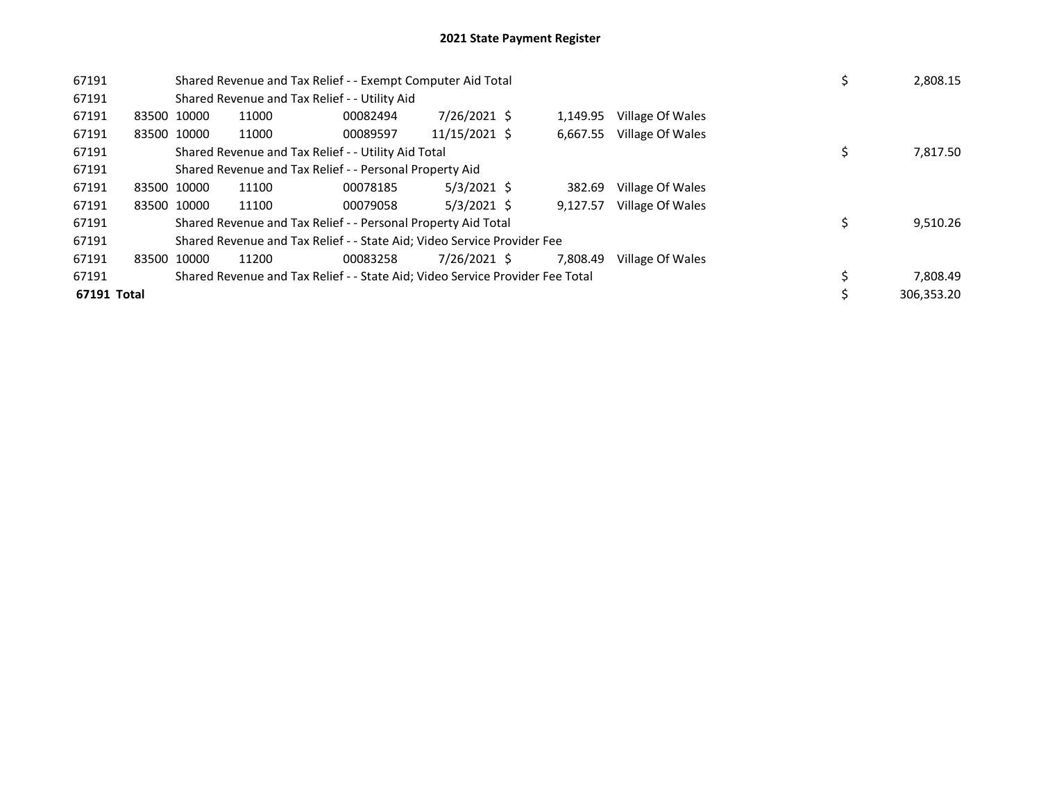| 67191       |             |             | Shared Revenue and Tax Relief - - Exempt Computer Aid Total                   |          |               | 2,808.15 |                  |  |            |
|-------------|-------------|-------------|-------------------------------------------------------------------------------|----------|---------------|----------|------------------|--|------------|
| 67191       |             |             | Shared Revenue and Tax Relief - - Utility Aid                                 |          |               |          |                  |  |            |
| 67191       | 83500 10000 |             | 11000                                                                         | 00082494 | 7/26/2021 \$  | 1.149.95 | Village Of Wales |  |            |
| 67191       |             | 83500 10000 | 11000                                                                         | 00089597 | 11/15/2021 \$ | 6,667.55 | Village Of Wales |  |            |
| 67191       |             |             | Shared Revenue and Tax Relief - - Utility Aid Total                           |          |               |          |                  |  | 7,817.50   |
| 67191       |             |             | Shared Revenue and Tax Relief - - Personal Property Aid                       |          |               |          |                  |  |            |
| 67191       | 83500 10000 |             | 11100                                                                         | 00078185 | $5/3/2021$ \$ | 382.69   | Village Of Wales |  |            |
| 67191       |             | 83500 10000 | 11100                                                                         | 00079058 | $5/3/2021$ \$ | 9.127.57 | Village Of Wales |  |            |
| 67191       |             |             | Shared Revenue and Tax Relief - - Personal Property Aid Total                 |          |               |          |                  |  | 9,510.26   |
| 67191       |             |             | Shared Revenue and Tax Relief - - State Aid; Video Service Provider Fee       |          |               |          |                  |  |            |
| 67191       | 83500 10000 |             | 11200                                                                         | 00083258 | 7/26/2021 \$  | 7.808.49 | Village Of Wales |  |            |
| 67191       |             |             | Shared Revenue and Tax Relief - - State Aid; Video Service Provider Fee Total |          | 7,808.49      |          |                  |  |            |
| 67191 Total |             |             |                                                                               |          |               |          |                  |  | 306,353.20 |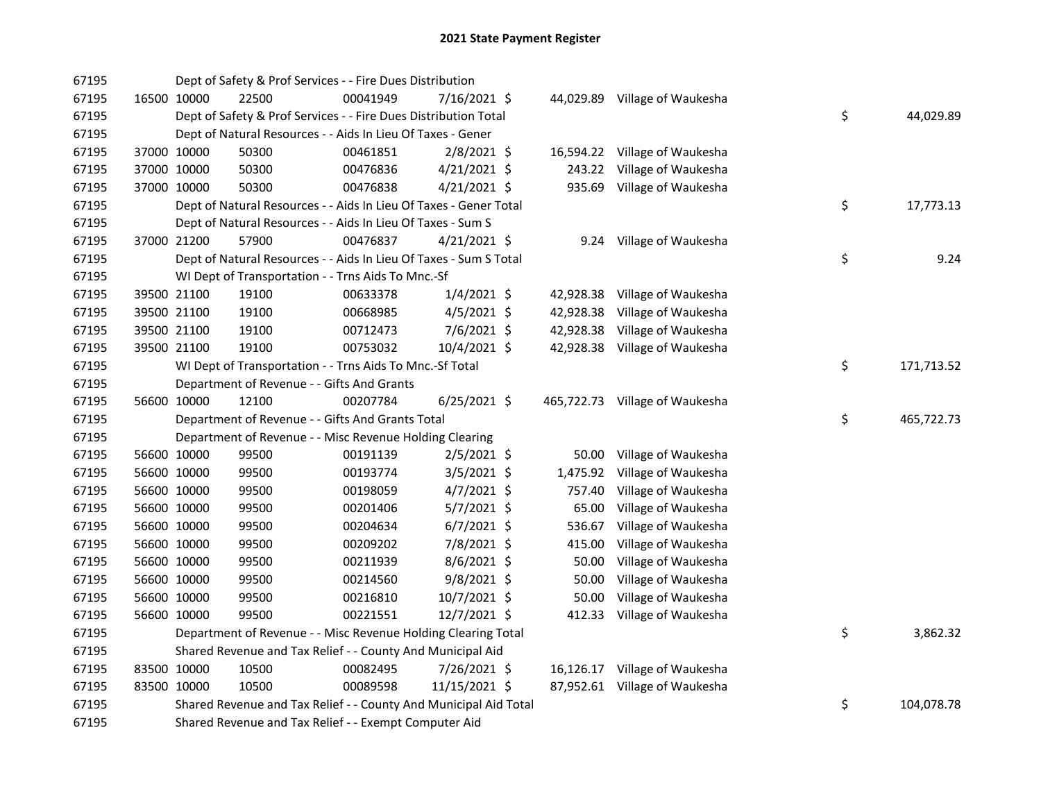| 67195 |             | Dept of Safety & Prof Services - - Fire Dues Distribution         |          |                |           |                                |    |            |
|-------|-------------|-------------------------------------------------------------------|----------|----------------|-----------|--------------------------------|----|------------|
| 67195 | 16500 10000 | 22500                                                             | 00041949 | 7/16/2021 \$   |           | 44,029.89 Village of Waukesha  |    |            |
| 67195 |             | Dept of Safety & Prof Services - - Fire Dues Distribution Total   |          |                |           |                                | \$ | 44,029.89  |
| 67195 |             | Dept of Natural Resources - - Aids In Lieu Of Taxes - Gener       |          |                |           |                                |    |            |
| 67195 | 37000 10000 | 50300                                                             | 00461851 | 2/8/2021 \$    |           | 16,594.22 Village of Waukesha  |    |            |
| 67195 | 37000 10000 | 50300                                                             | 00476836 | $4/21/2021$ \$ |           | 243.22 Village of Waukesha     |    |            |
| 67195 | 37000 10000 | 50300                                                             | 00476838 | $4/21/2021$ \$ |           | 935.69 Village of Waukesha     |    |            |
| 67195 |             | Dept of Natural Resources - - Aids In Lieu Of Taxes - Gener Total |          |                |           |                                | \$ | 17,773.13  |
| 67195 |             | Dept of Natural Resources - - Aids In Lieu Of Taxes - Sum S       |          |                |           |                                |    |            |
| 67195 | 37000 21200 | 57900                                                             | 00476837 | $4/21/2021$ \$ |           | 9.24 Village of Waukesha       |    |            |
| 67195 |             | Dept of Natural Resources - - Aids In Lieu Of Taxes - Sum S Total |          |                |           |                                | \$ | 9.24       |
| 67195 |             | WI Dept of Transportation - - Trns Aids To Mnc.-Sf                |          |                |           |                                |    |            |
| 67195 | 39500 21100 | 19100                                                             | 00633378 | $1/4/2021$ \$  |           | 42,928.38 Village of Waukesha  |    |            |
| 67195 | 39500 21100 | 19100                                                             | 00668985 | $4/5/2021$ \$  | 42,928.38 | Village of Waukesha            |    |            |
| 67195 | 39500 21100 | 19100                                                             | 00712473 | 7/6/2021 \$    | 42,928.38 | Village of Waukesha            |    |            |
| 67195 | 39500 21100 | 19100                                                             | 00753032 | 10/4/2021 \$   |           | 42,928.38 Village of Waukesha  |    |            |
| 67195 |             | WI Dept of Transportation - - Trns Aids To Mnc.-Sf Total          |          |                |           |                                | \$ | 171,713.52 |
| 67195 |             | Department of Revenue - - Gifts And Grants                        |          |                |           |                                |    |            |
| 67195 | 56600 10000 | 12100                                                             | 00207784 | $6/25/2021$ \$ |           | 465,722.73 Village of Waukesha |    |            |
| 67195 |             | Department of Revenue - - Gifts And Grants Total                  |          |                |           |                                | \$ | 465,722.73 |
| 67195 |             | Department of Revenue - - Misc Revenue Holding Clearing           |          |                |           |                                |    |            |
| 67195 | 56600 10000 | 99500                                                             | 00191139 | $2/5/2021$ \$  | 50.00     | Village of Waukesha            |    |            |
| 67195 | 56600 10000 | 99500                                                             | 00193774 | 3/5/2021 \$    | 1,475.92  | Village of Waukesha            |    |            |
| 67195 | 56600 10000 | 99500                                                             | 00198059 | $4/7/2021$ \$  | 757.40    | Village of Waukesha            |    |            |
| 67195 | 56600 10000 | 99500                                                             | 00201406 | $5/7/2021$ \$  | 65.00     | Village of Waukesha            |    |            |
| 67195 | 56600 10000 | 99500                                                             | 00204634 | $6/7/2021$ \$  | 536.67    | Village of Waukesha            |    |            |
| 67195 | 56600 10000 | 99500                                                             | 00209202 | 7/8/2021 \$    | 415.00    | Village of Waukesha            |    |            |
| 67195 | 56600 10000 | 99500                                                             | 00211939 | $8/6/2021$ \$  | 50.00     | Village of Waukesha            |    |            |
| 67195 | 56600 10000 | 99500                                                             | 00214560 | $9/8/2021$ \$  | 50.00     | Village of Waukesha            |    |            |
| 67195 | 56600 10000 | 99500                                                             | 00216810 | 10/7/2021 \$   | 50.00     | Village of Waukesha            |    |            |
| 67195 | 56600 10000 | 99500                                                             | 00221551 | 12/7/2021 \$   |           | 412.33 Village of Waukesha     |    |            |
| 67195 |             | Department of Revenue - - Misc Revenue Holding Clearing Total     |          |                |           |                                | \$ | 3,862.32   |
| 67195 |             | Shared Revenue and Tax Relief - - County And Municipal Aid        |          |                |           |                                |    |            |
| 67195 | 83500 10000 | 10500                                                             | 00082495 | 7/26/2021 \$   |           | 16,126.17 Village of Waukesha  |    |            |
| 67195 | 83500 10000 | 10500                                                             | 00089598 | 11/15/2021 \$  |           | 87,952.61 Village of Waukesha  |    |            |
| 67195 |             | Shared Revenue and Tax Relief - - County And Municipal Aid Total  |          |                |           |                                | \$ | 104,078.78 |
| 67195 |             | Shared Revenue and Tax Relief - - Exempt Computer Aid             |          |                |           |                                |    |            |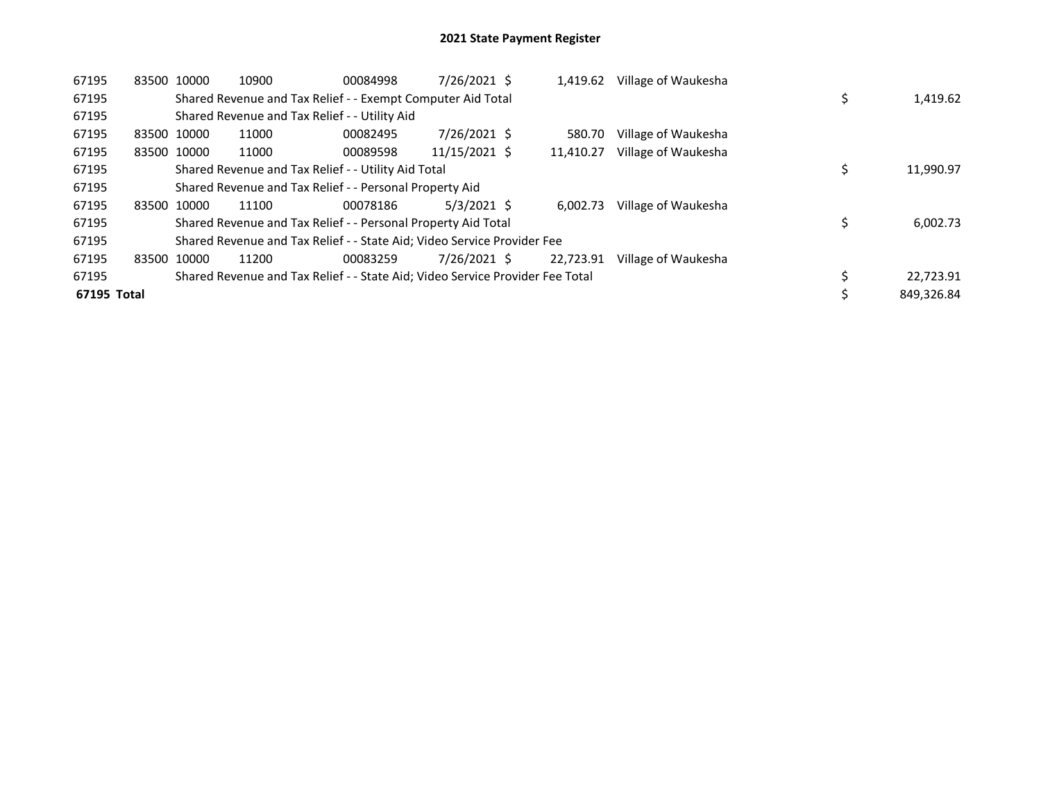| 67195       | 83500 10000 |             | 10900                                                                         | 00084998 | 7/26/2021 \$  | 1,419.62  | Village of Waukesha |  |            |
|-------------|-------------|-------------|-------------------------------------------------------------------------------|----------|---------------|-----------|---------------------|--|------------|
| 67195       |             |             | Shared Revenue and Tax Relief - - Exempt Computer Aid Total                   |          |               |           |                     |  | 1,419.62   |
| 67195       |             |             | Shared Revenue and Tax Relief - - Utility Aid                                 |          |               |           |                     |  |            |
| 67195       | 83500 10000 |             | 11000                                                                         | 00082495 | 7/26/2021 \$  | 580.70    | Village of Waukesha |  |            |
| 67195       | 83500 10000 |             | 11000                                                                         | 00089598 | 11/15/2021 \$ | 11.410.27 | Village of Waukesha |  |            |
| 67195       |             |             | Shared Revenue and Tax Relief - - Utility Aid Total                           |          |               |           |                     |  | 11,990.97  |
| 67195       |             |             | Shared Revenue and Tax Relief - - Personal Property Aid                       |          |               |           |                     |  |            |
| 67195       |             | 83500 10000 | 11100                                                                         | 00078186 | $5/3/2021$ \$ | 6.002.73  | Village of Waukesha |  |            |
| 67195       |             |             | Shared Revenue and Tax Relief - - Personal Property Aid Total                 |          |               |           |                     |  | 6,002.73   |
| 67195       |             |             | Shared Revenue and Tax Relief - - State Aid; Video Service Provider Fee       |          |               |           |                     |  |            |
| 67195       | 83500 10000 |             | 11200                                                                         | 00083259 | 7/26/2021 \$  | 22.723.91 | Village of Waukesha |  |            |
| 67195       |             |             | Shared Revenue and Tax Relief - - State Aid; Video Service Provider Fee Total |          |               |           |                     |  | 22,723.91  |
| 67195 Total |             |             |                                                                               |          |               |           |                     |  | 849.326.84 |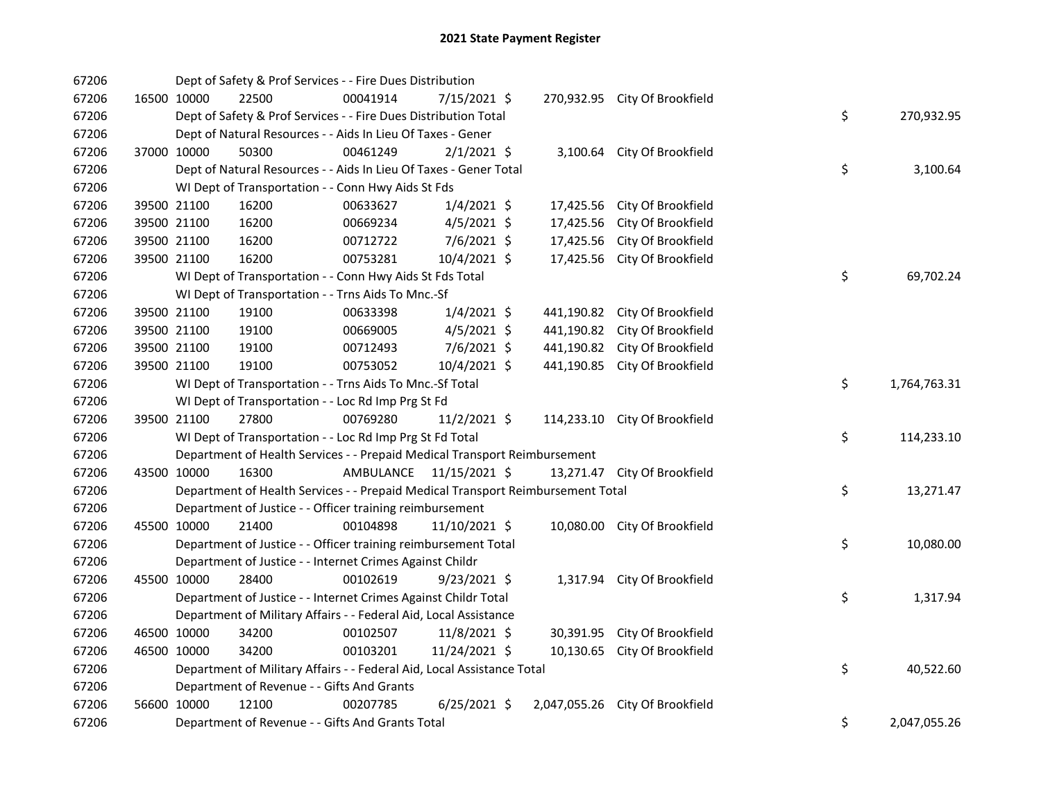| 67206 |             | Dept of Safety & Prof Services - - Fire Dues Distribution                       |                         |                |            |                                 |    |              |
|-------|-------------|---------------------------------------------------------------------------------|-------------------------|----------------|------------|---------------------------------|----|--------------|
| 67206 | 16500 10000 | 22500                                                                           | 00041914                | 7/15/2021 \$   |            | 270,932.95 City Of Brookfield   |    |              |
| 67206 |             | Dept of Safety & Prof Services - - Fire Dues Distribution Total                 |                         |                |            |                                 | \$ | 270,932.95   |
| 67206 |             | Dept of Natural Resources - - Aids In Lieu Of Taxes - Gener                     |                         |                |            |                                 |    |              |
| 67206 | 37000 10000 | 50300                                                                           | 00461249                | $2/1/2021$ \$  |            | 3,100.64 City Of Brookfield     |    |              |
| 67206 |             | Dept of Natural Resources - - Aids In Lieu Of Taxes - Gener Total               |                         |                |            |                                 | \$ | 3,100.64     |
| 67206 |             | WI Dept of Transportation - - Conn Hwy Aids St Fds                              |                         |                |            |                                 |    |              |
| 67206 | 39500 21100 | 16200                                                                           | 00633627                | $1/4/2021$ \$  | 17,425.56  | City Of Brookfield              |    |              |
| 67206 | 39500 21100 | 16200                                                                           | 00669234                | 4/5/2021 \$    | 17,425.56  | City Of Brookfield              |    |              |
| 67206 | 39500 21100 | 16200                                                                           | 00712722                | $7/6/2021$ \$  | 17,425.56  | City Of Brookfield              |    |              |
| 67206 | 39500 21100 | 16200                                                                           | 00753281                | 10/4/2021 \$   |            | 17,425.56 City Of Brookfield    |    |              |
| 67206 |             | WI Dept of Transportation - - Conn Hwy Aids St Fds Total                        |                         |                |            |                                 | \$ | 69,702.24    |
| 67206 |             | WI Dept of Transportation - - Trns Aids To Mnc.-Sf                              |                         |                |            |                                 |    |              |
| 67206 | 39500 21100 | 19100                                                                           | 00633398                | $1/4/2021$ \$  |            | 441,190.82 City Of Brookfield   |    |              |
| 67206 | 39500 21100 | 19100                                                                           | 00669005                | $4/5/2021$ \$  | 441,190.82 | City Of Brookfield              |    |              |
| 67206 | 39500 21100 | 19100                                                                           | 00712493                | $7/6/2021$ \$  | 441,190.82 | City Of Brookfield              |    |              |
| 67206 | 39500 21100 | 19100                                                                           | 00753052                | 10/4/2021 \$   |            | 441,190.85 City Of Brookfield   |    |              |
| 67206 |             | WI Dept of Transportation - - Trns Aids To Mnc.-Sf Total                        |                         |                |            |                                 | \$ | 1,764,763.31 |
| 67206 |             | WI Dept of Transportation - - Loc Rd Imp Prg St Fd                              |                         |                |            |                                 |    |              |
| 67206 | 39500 21100 | 27800                                                                           | 00769280                | $11/2/2021$ \$ |            | 114,233.10 City Of Brookfield   |    |              |
| 67206 |             | WI Dept of Transportation - - Loc Rd Imp Prg St Fd Total                        |                         |                |            |                                 | \$ | 114,233.10   |
| 67206 |             | Department of Health Services - - Prepaid Medical Transport Reimbursement       |                         |                |            |                                 |    |              |
| 67206 | 43500 10000 | 16300                                                                           | AMBULANCE 11/15/2021 \$ |                |            | 13,271.47 City Of Brookfield    |    |              |
| 67206 |             | Department of Health Services - - Prepaid Medical Transport Reimbursement Total |                         |                |            |                                 | \$ | 13,271.47    |
| 67206 |             | Department of Justice - - Officer training reimbursement                        |                         |                |            |                                 |    |              |
| 67206 | 45500 10000 | 21400                                                                           | 00104898                | 11/10/2021 \$  |            | 10,080.00 City Of Brookfield    |    |              |
| 67206 |             | Department of Justice - - Officer training reimbursement Total                  |                         |                |            |                                 | \$ | 10,080.00    |
| 67206 |             | Department of Justice - - Internet Crimes Against Childr                        |                         |                |            |                                 |    |              |
| 67206 | 45500 10000 | 28400                                                                           | 00102619                | $9/23/2021$ \$ |            | 1,317.94 City Of Brookfield     |    |              |
| 67206 |             | Department of Justice - - Internet Crimes Against Childr Total                  |                         |                |            |                                 | \$ | 1,317.94     |
| 67206 |             | Department of Military Affairs - - Federal Aid, Local Assistance                |                         |                |            |                                 |    |              |
| 67206 | 46500 10000 | 34200                                                                           | 00102507                | 11/8/2021 \$   |            | 30,391.95 City Of Brookfield    |    |              |
| 67206 | 46500 10000 | 34200                                                                           | 00103201                | 11/24/2021 \$  |            | 10,130.65 City Of Brookfield    |    |              |
| 67206 |             | Department of Military Affairs - - Federal Aid, Local Assistance Total          |                         |                |            |                                 | \$ | 40,522.60    |
| 67206 |             | Department of Revenue - - Gifts And Grants                                      |                         |                |            |                                 |    |              |
| 67206 | 56600 10000 | 12100                                                                           | 00207785                | $6/25/2021$ \$ |            | 2,047,055.26 City Of Brookfield |    |              |
| 67206 |             | Department of Revenue - - Gifts And Grants Total                                |                         |                |            |                                 | \$ | 2,047,055.26 |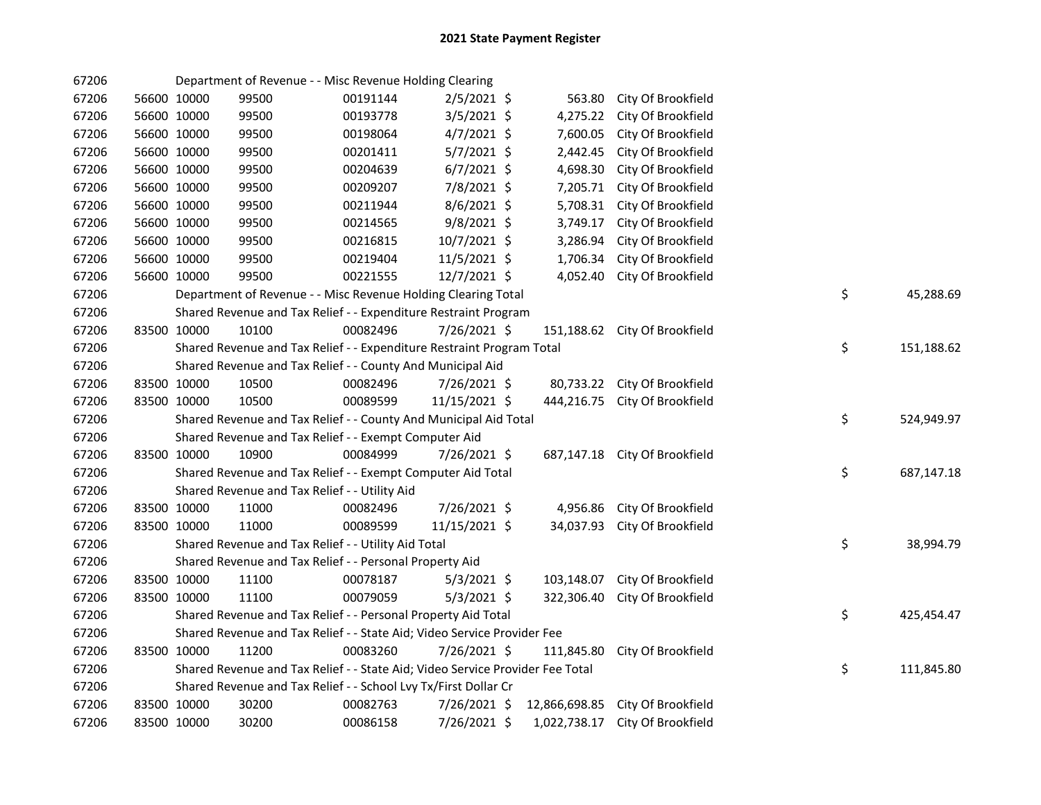| 67206 |             | Department of Revenue - - Misc Revenue Holding Clearing                       |          |               |               |                               |    |            |
|-------|-------------|-------------------------------------------------------------------------------|----------|---------------|---------------|-------------------------------|----|------------|
| 67206 | 56600 10000 | 99500                                                                         | 00191144 | $2/5/2021$ \$ | 563.80        | City Of Brookfield            |    |            |
| 67206 | 56600 10000 | 99500                                                                         | 00193778 | 3/5/2021 \$   | 4,275.22      | City Of Brookfield            |    |            |
| 67206 | 56600 10000 | 99500                                                                         | 00198064 | 4/7/2021 \$   | 7,600.05      | City Of Brookfield            |    |            |
| 67206 | 56600 10000 | 99500                                                                         | 00201411 | 5/7/2021 \$   | 2,442.45      | City Of Brookfield            |    |            |
| 67206 | 56600 10000 | 99500                                                                         | 00204639 | $6/7/2021$ \$ | 4,698.30      | City Of Brookfield            |    |            |
| 67206 | 56600 10000 | 99500                                                                         | 00209207 | 7/8/2021 \$   | 7,205.71      | City Of Brookfield            |    |            |
| 67206 | 56600 10000 | 99500                                                                         | 00211944 | 8/6/2021 \$   | 5,708.31      | City Of Brookfield            |    |            |
| 67206 | 56600 10000 | 99500                                                                         | 00214565 | 9/8/2021 \$   | 3,749.17      | City Of Brookfield            |    |            |
| 67206 | 56600 10000 | 99500                                                                         | 00216815 | 10/7/2021 \$  | 3,286.94      | City Of Brookfield            |    |            |
| 67206 | 56600 10000 | 99500                                                                         | 00219404 | 11/5/2021 \$  | 1,706.34      | City Of Brookfield            |    |            |
| 67206 | 56600 10000 | 99500                                                                         | 00221555 | 12/7/2021 \$  | 4,052.40      | City Of Brookfield            |    |            |
| 67206 |             | Department of Revenue - - Misc Revenue Holding Clearing Total                 |          |               |               |                               | \$ | 45,288.69  |
| 67206 |             | Shared Revenue and Tax Relief - - Expenditure Restraint Program               |          |               |               |                               |    |            |
| 67206 | 83500 10000 | 10100                                                                         | 00082496 | 7/26/2021 \$  |               | 151,188.62 City Of Brookfield |    |            |
| 67206 |             | Shared Revenue and Tax Relief - - Expenditure Restraint Program Total         |          |               |               |                               | \$ | 151,188.62 |
| 67206 |             | Shared Revenue and Tax Relief - - County And Municipal Aid                    |          |               |               |                               |    |            |
| 67206 | 83500 10000 | 10500                                                                         | 00082496 | 7/26/2021 \$  |               | 80,733.22 City Of Brookfield  |    |            |
| 67206 | 83500 10000 | 10500                                                                         | 00089599 | 11/15/2021 \$ |               | 444,216.75 City Of Brookfield |    |            |
| 67206 |             | Shared Revenue and Tax Relief - - County And Municipal Aid Total              |          |               |               |                               | \$ | 524,949.97 |
| 67206 |             | Shared Revenue and Tax Relief - - Exempt Computer Aid                         |          |               |               |                               |    |            |
| 67206 | 83500 10000 | 10900                                                                         | 00084999 | 7/26/2021 \$  |               | 687,147.18 City Of Brookfield |    |            |
| 67206 |             | Shared Revenue and Tax Relief - - Exempt Computer Aid Total                   |          |               |               |                               | \$ | 687,147.18 |
| 67206 |             | Shared Revenue and Tax Relief - - Utility Aid                                 |          |               |               |                               |    |            |
| 67206 | 83500 10000 | 11000                                                                         | 00082496 | 7/26/2021 \$  | 4,956.86      | City Of Brookfield            |    |            |
| 67206 | 83500 10000 | 11000                                                                         | 00089599 | 11/15/2021 \$ | 34,037.93     | City Of Brookfield            |    |            |
| 67206 |             | Shared Revenue and Tax Relief - - Utility Aid Total                           |          |               |               |                               | \$ | 38,994.79  |
| 67206 |             | Shared Revenue and Tax Relief - - Personal Property Aid                       |          |               |               |                               |    |            |
| 67206 | 83500 10000 | 11100                                                                         | 00078187 | $5/3/2021$ \$ | 103,148.07    | City Of Brookfield            |    |            |
| 67206 | 83500 10000 | 11100                                                                         | 00079059 | $5/3/2021$ \$ | 322,306.40    | City Of Brookfield            |    |            |
| 67206 |             | Shared Revenue and Tax Relief - - Personal Property Aid Total                 |          |               |               |                               | \$ | 425,454.47 |
| 67206 |             | Shared Revenue and Tax Relief - - State Aid; Video Service Provider Fee       |          |               |               |                               |    |            |
| 67206 | 83500 10000 | 11200                                                                         | 00083260 | 7/26/2021 \$  | 111,845.80    | City Of Brookfield            |    |            |
| 67206 |             | Shared Revenue and Tax Relief - - State Aid; Video Service Provider Fee Total |          |               |               |                               | \$ | 111,845.80 |
| 67206 |             | Shared Revenue and Tax Relief - - School Lvy Tx/First Dollar Cr               |          |               |               |                               |    |            |
| 67206 | 83500 10000 | 30200                                                                         | 00082763 | 7/26/2021 \$  | 12,866,698.85 | City Of Brookfield            |    |            |
| 67206 | 83500 10000 | 30200                                                                         | 00086158 | 7/26/2021 \$  | 1,022,738.17  | City Of Brookfield            |    |            |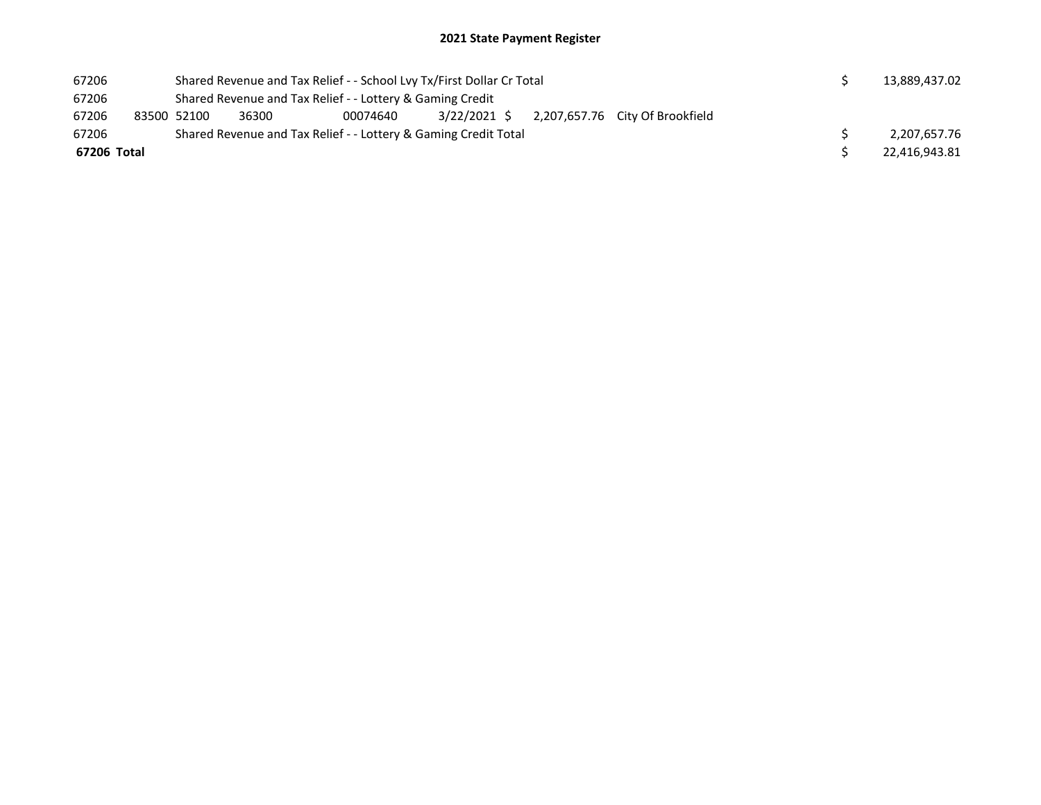| 67206       |  | Shared Revenue and Tax Relief - - School Lvy Tx/First Dollar Cr Total |                                                                     | 13,889,437.02 |  |  |  |  |               |  |  |  |
|-------------|--|-----------------------------------------------------------------------|---------------------------------------------------------------------|---------------|--|--|--|--|---------------|--|--|--|
| 67206       |  | Shared Revenue and Tax Relief - - Lottery & Gaming Credit             |                                                                     |               |  |  |  |  |               |  |  |  |
| 67206       |  | 83500 52100                                                           | 3/22/2021 S<br>2,207,657.76 City Of Brookfield<br>36300<br>00074640 |               |  |  |  |  |               |  |  |  |
| 67206       |  | Shared Revenue and Tax Relief - - Lottery & Gaming Credit Total       |                                                                     | 2,207,657.76  |  |  |  |  |               |  |  |  |
| 67206 Total |  |                                                                       |                                                                     |               |  |  |  |  | 22.416.943.81 |  |  |  |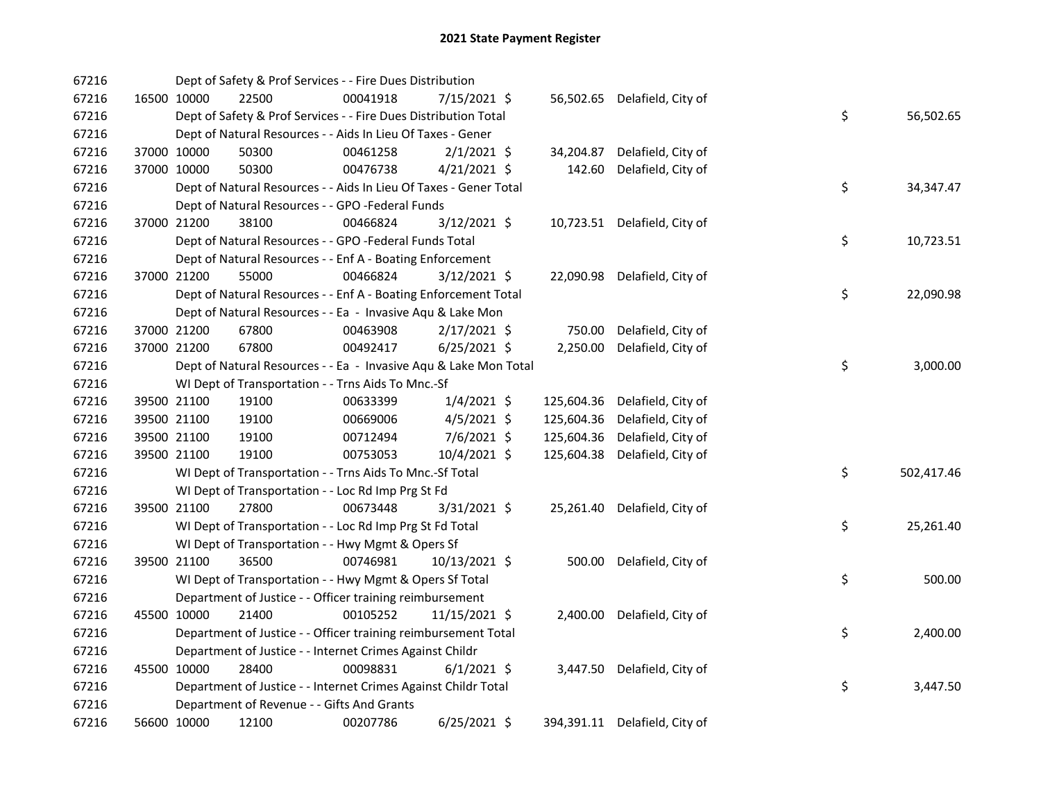| 67216 |             |             | Dept of Safety & Prof Services - - Fire Dues Distribution         |          |                |            |                               |    |             |
|-------|-------------|-------------|-------------------------------------------------------------------|----------|----------------|------------|-------------------------------|----|-------------|
| 67216 |             | 16500 10000 | 22500                                                             | 00041918 | 7/15/2021 \$   |            | 56,502.65 Delafield, City of  |    |             |
| 67216 |             |             | Dept of Safety & Prof Services - - Fire Dues Distribution Total   |          |                |            |                               | \$ | 56,502.65   |
| 67216 |             |             | Dept of Natural Resources - - Aids In Lieu Of Taxes - Gener       |          |                |            |                               |    |             |
| 67216 |             | 37000 10000 | 50300                                                             | 00461258 | $2/1/2021$ \$  | 34,204.87  | Delafield, City of            |    |             |
| 67216 |             | 37000 10000 | 50300                                                             | 00476738 | $4/21/2021$ \$ | 142.60     | Delafield, City of            |    |             |
| 67216 |             |             | Dept of Natural Resources - - Aids In Lieu Of Taxes - Gener Total |          |                |            |                               | \$ | 34, 347. 47 |
| 67216 |             |             | Dept of Natural Resources - - GPO -Federal Funds                  |          |                |            |                               |    |             |
| 67216 |             | 37000 21200 | 38100                                                             | 00466824 | 3/12/2021 \$   | 10,723.51  | Delafield, City of            |    |             |
| 67216 |             |             | Dept of Natural Resources - - GPO -Federal Funds Total            |          |                |            |                               | \$ | 10,723.51   |
| 67216 |             |             | Dept of Natural Resources - - Enf A - Boating Enforcement         |          |                |            |                               |    |             |
| 67216 | 37000 21200 |             | 55000                                                             | 00466824 | $3/12/2021$ \$ | 22,090.98  | Delafield, City of            |    |             |
| 67216 |             |             | Dept of Natural Resources - - Enf A - Boating Enforcement Total   |          |                |            |                               | \$ | 22,090.98   |
| 67216 |             |             | Dept of Natural Resources - - Ea - Invasive Aqu & Lake Mon        |          |                |            |                               |    |             |
| 67216 |             | 37000 21200 | 67800                                                             | 00463908 | $2/17/2021$ \$ | 750.00     | Delafield, City of            |    |             |
| 67216 |             | 37000 21200 | 67800                                                             | 00492417 | $6/25/2021$ \$ | 2,250.00   | Delafield, City of            |    |             |
| 67216 |             |             | Dept of Natural Resources - - Ea - Invasive Aqu & Lake Mon Total  |          |                |            |                               | \$ | 3,000.00    |
| 67216 |             |             | WI Dept of Transportation - - Trns Aids To Mnc.-Sf                |          |                |            |                               |    |             |
| 67216 |             | 39500 21100 | 19100                                                             | 00633399 | $1/4/2021$ \$  | 125,604.36 | Delafield, City of            |    |             |
| 67216 |             | 39500 21100 | 19100                                                             | 00669006 | $4/5/2021$ \$  | 125,604.36 | Delafield, City of            |    |             |
| 67216 |             | 39500 21100 | 19100                                                             | 00712494 | $7/6/2021$ \$  | 125,604.36 | Delafield, City of            |    |             |
| 67216 |             | 39500 21100 | 19100                                                             | 00753053 | 10/4/2021 \$   | 125,604.38 | Delafield, City of            |    |             |
| 67216 |             |             | WI Dept of Transportation - - Trns Aids To Mnc.-Sf Total          |          |                |            |                               | \$ | 502,417.46  |
| 67216 |             |             | WI Dept of Transportation - - Loc Rd Imp Prg St Fd                |          |                |            |                               |    |             |
| 67216 |             | 39500 21100 | 27800                                                             | 00673448 | 3/31/2021 \$   | 25,261.40  | Delafield, City of            |    |             |
| 67216 |             |             | WI Dept of Transportation - - Loc Rd Imp Prg St Fd Total          |          |                |            |                               | \$ | 25,261.40   |
| 67216 |             |             | WI Dept of Transportation - - Hwy Mgmt & Opers Sf                 |          |                |            |                               |    |             |
| 67216 |             | 39500 21100 | 36500                                                             | 00746981 | 10/13/2021 \$  | 500.00     | Delafield, City of            |    |             |
| 67216 |             |             | WI Dept of Transportation - - Hwy Mgmt & Opers Sf Total           |          |                |            |                               | \$ | 500.00      |
| 67216 |             |             | Department of Justice - - Officer training reimbursement          |          |                |            |                               |    |             |
| 67216 |             | 45500 10000 | 21400                                                             | 00105252 | 11/15/2021 \$  | 2,400.00   | Delafield, City of            |    |             |
| 67216 |             |             | Department of Justice - - Officer training reimbursement Total    |          |                |            |                               | \$ | 2,400.00    |
| 67216 |             |             | Department of Justice - - Internet Crimes Against Childr          |          |                |            |                               |    |             |
| 67216 |             | 45500 10000 | 28400                                                             | 00098831 | $6/1/2021$ \$  | 3,447.50   | Delafield, City of            |    |             |
| 67216 |             |             | Department of Justice - - Internet Crimes Against Childr Total    |          |                |            |                               | \$ | 3,447.50    |
| 67216 |             |             | Department of Revenue - - Gifts And Grants                        |          |                |            |                               |    |             |
| 67216 |             | 56600 10000 | 12100                                                             | 00207786 | $6/25/2021$ \$ |            | 394,391.11 Delafield, City of |    |             |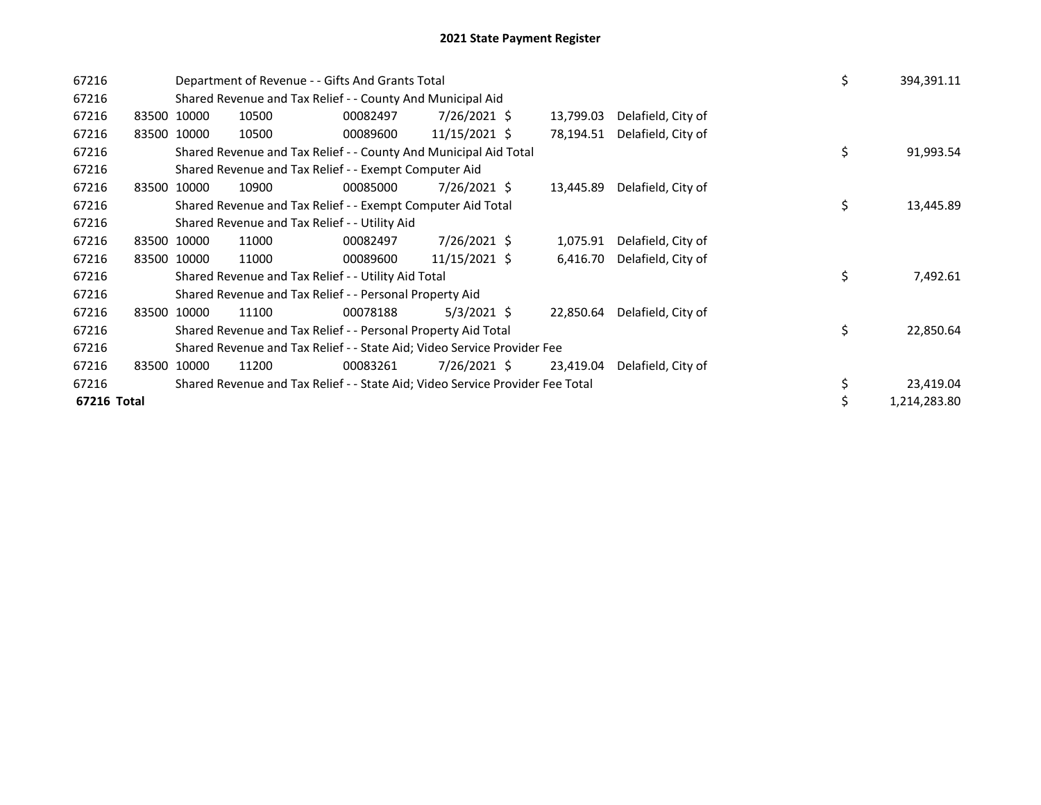| 67216       |             |             | Department of Revenue - - Gifts And Grants Total                              | \$       | 394,391.11     |           |                    |    |              |
|-------------|-------------|-------------|-------------------------------------------------------------------------------|----------|----------------|-----------|--------------------|----|--------------|
| 67216       |             |             | Shared Revenue and Tax Relief - - County And Municipal Aid                    |          |                |           |                    |    |              |
| 67216       |             | 83500 10000 | 10500                                                                         | 00082497 | 7/26/2021 \$   | 13,799.03 | Delafield, City of |    |              |
| 67216       | 83500       | 10000       | 10500                                                                         | 00089600 | 11/15/2021 \$  | 78,194.51 | Delafield, City of |    |              |
| 67216       |             |             | Shared Revenue and Tax Relief - - County And Municipal Aid Total              |          |                |           |                    | \$ | 91,993.54    |
| 67216       |             |             | Shared Revenue and Tax Relief - - Exempt Computer Aid                         |          |                |           |                    |    |              |
| 67216       | 83500 10000 |             | 10900                                                                         | 00085000 | 7/26/2021 \$   | 13,445.89 | Delafield, City of |    |              |
| 67216       |             |             | Shared Revenue and Tax Relief - - Exempt Computer Aid Total                   | \$       | 13,445.89      |           |                    |    |              |
| 67216       |             |             | Shared Revenue and Tax Relief - - Utility Aid                                 |          |                |           |                    |    |              |
| 67216       |             | 83500 10000 | 11000                                                                         | 00082497 | 7/26/2021 \$   | 1,075.91  | Delafield, City of |    |              |
| 67216       |             | 83500 10000 | 11000                                                                         | 00089600 | 11/15/2021 \$  | 6,416.70  | Delafield, City of |    |              |
| 67216       |             |             | Shared Revenue and Tax Relief - - Utility Aid Total                           |          |                |           |                    | \$ | 7,492.61     |
| 67216       |             |             | Shared Revenue and Tax Relief - - Personal Property Aid                       |          |                |           |                    |    |              |
| 67216       | 83500       | 10000       | 11100                                                                         | 00078188 | $5/3/2021$ \$  | 22,850.64 | Delafield, City of |    |              |
| 67216       |             |             | Shared Revenue and Tax Relief - - Personal Property Aid Total                 |          |                |           |                    | \$ | 22,850.64    |
| 67216       |             |             | Shared Revenue and Tax Relief - - State Aid; Video Service Provider Fee       |          |                |           |                    |    |              |
| 67216       | 83500       | 10000       | 11200                                                                         | 00083261 | $7/26/2021$ \$ | 23,419.04 | Delafield, City of |    |              |
| 67216       |             |             | Shared Revenue and Tax Relief - - State Aid; Video Service Provider Fee Total |          |                |           |                    |    | 23,419.04    |
| 67216 Total |             |             |                                                                               |          |                |           |                    | \$ | 1,214,283.80 |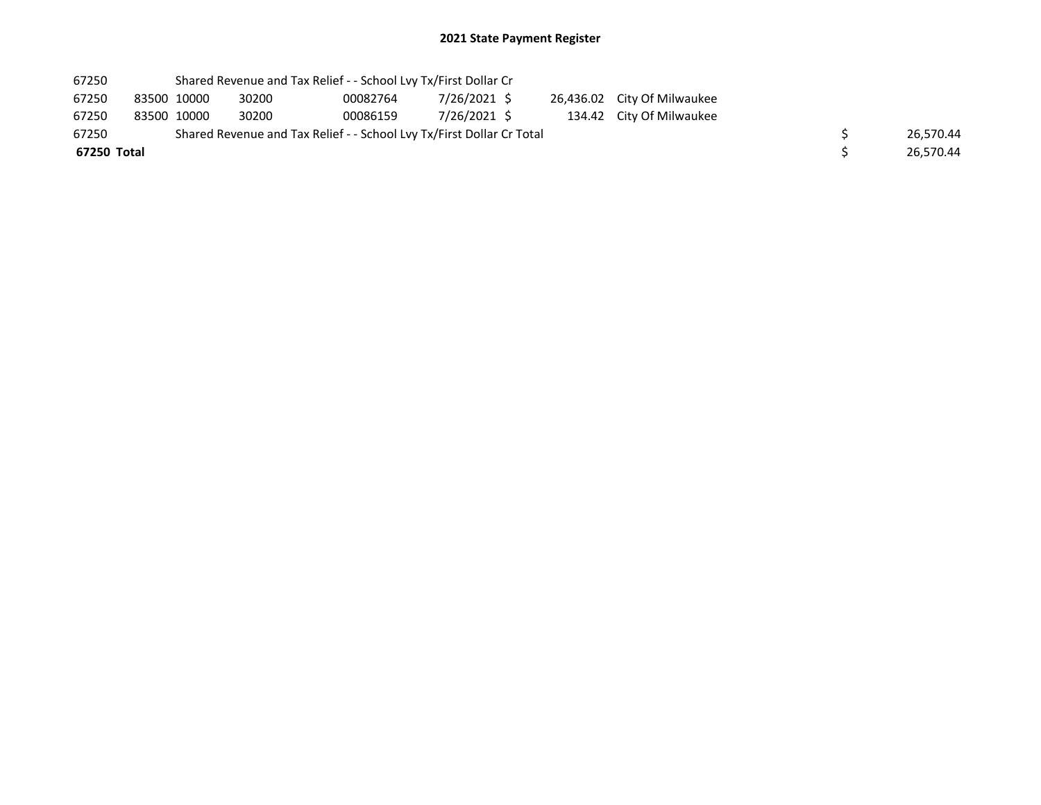| 67250       |             | Shared Revenue and Tax Relief - - School Lvy Tx/First Dollar Cr       |          |              |  |                             |  |           |
|-------------|-------------|-----------------------------------------------------------------------|----------|--------------|--|-----------------------------|--|-----------|
| 67250       | 83500 10000 | 30200                                                                 | 00082764 | 7/26/2021 \$ |  | 26,436.02 City Of Milwaukee |  |           |
| 67250       | 83500 10000 | 30200                                                                 | 00086159 | 7/26/2021 S  |  | 134.42 City Of Milwaukee    |  |           |
| 67250       |             | Shared Revenue and Tax Relief - - School Lvy Tx/First Dollar Cr Total |          |              |  |                             |  | 26.570.44 |
| 67250 Total |             |                                                                       |          |              |  |                             |  | 26.570.44 |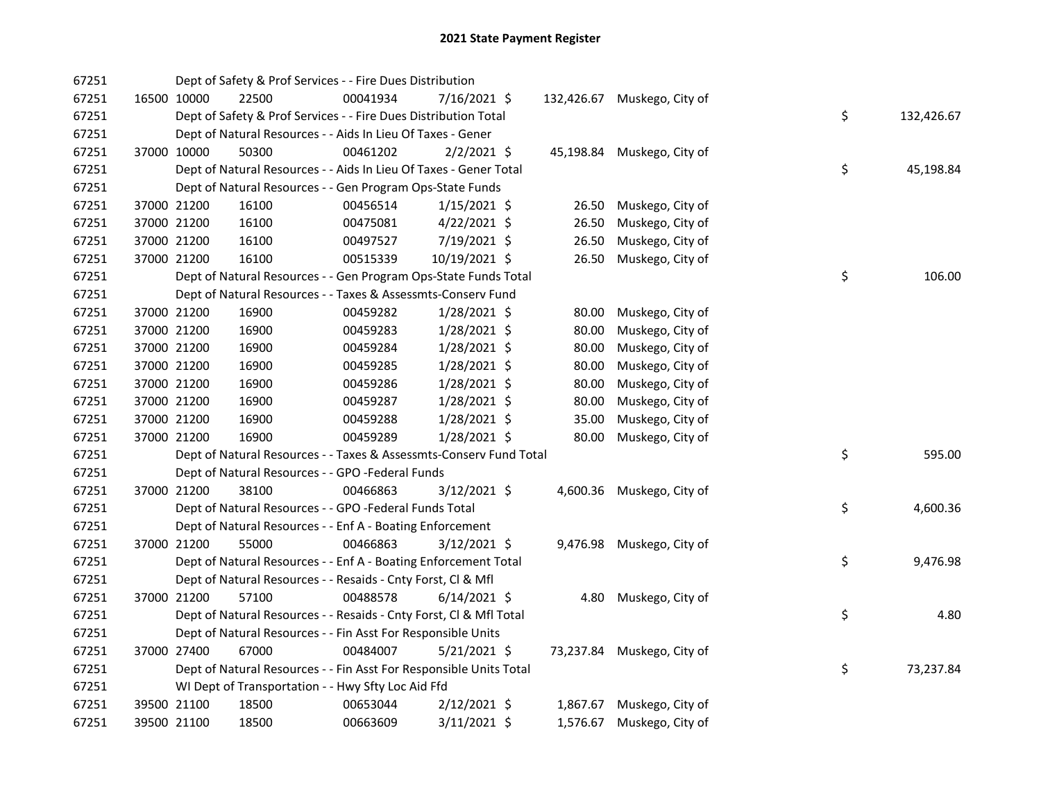| 67251 |             | Dept of Safety & Prof Services - - Fire Dues Distribution          |          |                |       |                             |    |            |
|-------|-------------|--------------------------------------------------------------------|----------|----------------|-------|-----------------------------|----|------------|
| 67251 | 16500 10000 | 22500                                                              | 00041934 | 7/16/2021 \$   |       | 132,426.67 Muskego, City of |    |            |
| 67251 |             | Dept of Safety & Prof Services - - Fire Dues Distribution Total    |          |                |       |                             | \$ | 132,426.67 |
| 67251 |             | Dept of Natural Resources - - Aids In Lieu Of Taxes - Gener        |          |                |       |                             |    |            |
| 67251 | 37000 10000 | 50300                                                              | 00461202 | $2/2/2021$ \$  |       | 45,198.84 Muskego, City of  |    |            |
| 67251 |             | Dept of Natural Resources - - Aids In Lieu Of Taxes - Gener Total  |          |                |       |                             | \$ | 45,198.84  |
| 67251 |             | Dept of Natural Resources - - Gen Program Ops-State Funds          |          |                |       |                             |    |            |
| 67251 | 37000 21200 | 16100                                                              | 00456514 | $1/15/2021$ \$ | 26.50 | Muskego, City of            |    |            |
| 67251 | 37000 21200 | 16100                                                              | 00475081 | $4/22/2021$ \$ | 26.50 | Muskego, City of            |    |            |
| 67251 | 37000 21200 | 16100                                                              | 00497527 | 7/19/2021 \$   | 26.50 | Muskego, City of            |    |            |
| 67251 | 37000 21200 | 16100                                                              | 00515339 | 10/19/2021 \$  | 26.50 | Muskego, City of            |    |            |
| 67251 |             | Dept of Natural Resources - - Gen Program Ops-State Funds Total    |          |                |       |                             | \$ | 106.00     |
| 67251 |             | Dept of Natural Resources - - Taxes & Assessmts-Conserv Fund       |          |                |       |                             |    |            |
| 67251 | 37000 21200 | 16900                                                              | 00459282 | 1/28/2021 \$   | 80.00 | Muskego, City of            |    |            |
| 67251 | 37000 21200 | 16900                                                              | 00459283 | 1/28/2021 \$   | 80.00 | Muskego, City of            |    |            |
| 67251 | 37000 21200 | 16900                                                              | 00459284 | 1/28/2021 \$   | 80.00 | Muskego, City of            |    |            |
| 67251 | 37000 21200 | 16900                                                              | 00459285 | 1/28/2021 \$   | 80.00 | Muskego, City of            |    |            |
| 67251 | 37000 21200 | 16900                                                              | 00459286 | 1/28/2021 \$   | 80.00 | Muskego, City of            |    |            |
| 67251 | 37000 21200 | 16900                                                              | 00459287 | 1/28/2021 \$   | 80.00 | Muskego, City of            |    |            |
| 67251 | 37000 21200 | 16900                                                              | 00459288 | 1/28/2021 \$   | 35.00 | Muskego, City of            |    |            |
| 67251 | 37000 21200 | 16900                                                              | 00459289 | $1/28/2021$ \$ | 80.00 | Muskego, City of            |    |            |
| 67251 |             | Dept of Natural Resources - - Taxes & Assessmts-Conserv Fund Total |          |                |       |                             | \$ | 595.00     |
| 67251 |             | Dept of Natural Resources - - GPO -Federal Funds                   |          |                |       |                             |    |            |
| 67251 | 37000 21200 | 38100                                                              | 00466863 | 3/12/2021 \$   |       | 4,600.36 Muskego, City of   |    |            |
| 67251 |             | Dept of Natural Resources - - GPO -Federal Funds Total             |          |                |       |                             | \$ | 4,600.36   |
| 67251 |             | Dept of Natural Resources - - Enf A - Boating Enforcement          |          |                |       |                             |    |            |
| 67251 | 37000 21200 | 55000                                                              | 00466863 | $3/12/2021$ \$ |       | 9,476.98 Muskego, City of   |    |            |
| 67251 |             | Dept of Natural Resources - - Enf A - Boating Enforcement Total    |          |                |       |                             | \$ | 9,476.98   |
| 67251 |             | Dept of Natural Resources - - Resaids - Cnty Forst, Cl & Mfl       |          |                |       |                             |    |            |
| 67251 | 37000 21200 | 57100                                                              | 00488578 | $6/14/2021$ \$ | 4.80  | Muskego, City of            |    |            |
| 67251 |             | Dept of Natural Resources - - Resaids - Cnty Forst, Cl & Mfl Total |          |                |       |                             | \$ | 4.80       |
| 67251 |             | Dept of Natural Resources - - Fin Asst For Responsible Units       |          |                |       |                             |    |            |
| 67251 | 37000 27400 | 67000                                                              | 00484007 | $5/21/2021$ \$ |       | 73,237.84 Muskego, City of  |    |            |
| 67251 |             | Dept of Natural Resources - - Fin Asst For Responsible Units Total |          |                |       |                             | \$ | 73,237.84  |
| 67251 |             | WI Dept of Transportation - - Hwy Sfty Loc Aid Ffd                 |          |                |       |                             |    |            |
| 67251 | 39500 21100 | 18500                                                              | 00653044 | $2/12/2021$ \$ |       | 1,867.67 Muskego, City of   |    |            |
| 67251 | 39500 21100 | 18500                                                              | 00663609 | 3/11/2021 \$   |       | 1,576.67 Muskego, City of   |    |            |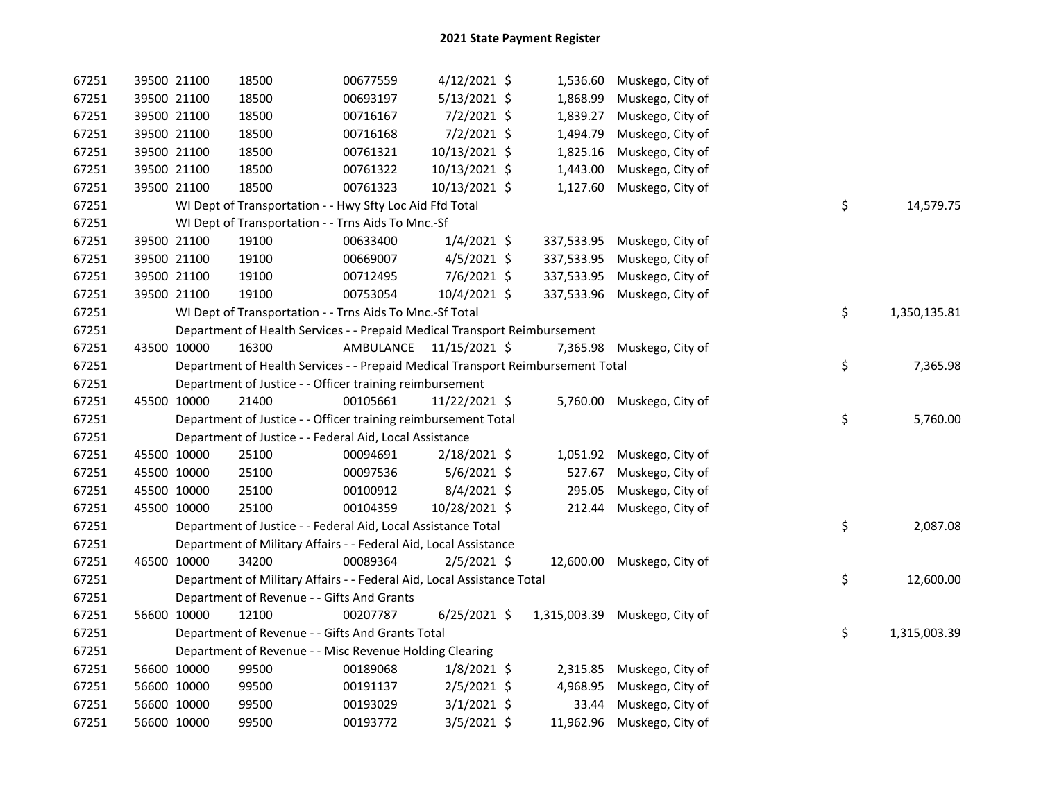| 67251 |             | 39500 21100 | 18500                                                                           | 00677559                | $4/12/2021$ \$ | 1,536.60   | Muskego, City of              |    |              |
|-------|-------------|-------------|---------------------------------------------------------------------------------|-------------------------|----------------|------------|-------------------------------|----|--------------|
| 67251 |             | 39500 21100 | 18500                                                                           | 00693197                | 5/13/2021 \$   | 1,868.99   | Muskego, City of              |    |              |
| 67251 |             | 39500 21100 | 18500                                                                           | 00716167                | 7/2/2021 \$    | 1,839.27   | Muskego, City of              |    |              |
| 67251 |             | 39500 21100 | 18500                                                                           | 00716168                | 7/2/2021 \$    | 1,494.79   | Muskego, City of              |    |              |
| 67251 |             | 39500 21100 | 18500                                                                           | 00761321                | 10/13/2021 \$  | 1,825.16   | Muskego, City of              |    |              |
| 67251 |             | 39500 21100 | 18500                                                                           | 00761322                | 10/13/2021 \$  | 1,443.00   | Muskego, City of              |    |              |
| 67251 |             | 39500 21100 | 18500                                                                           | 00761323                | 10/13/2021 \$  | 1,127.60   | Muskego, City of              |    |              |
| 67251 |             |             | WI Dept of Transportation - - Hwy Sfty Loc Aid Ffd Total                        |                         |                |            |                               | \$ | 14,579.75    |
| 67251 |             |             | WI Dept of Transportation - - Trns Aids To Mnc.-Sf                              |                         |                |            |                               |    |              |
| 67251 |             | 39500 21100 | 19100                                                                           | 00633400                | $1/4/2021$ \$  |            | 337,533.95 Muskego, City of   |    |              |
| 67251 |             | 39500 21100 | 19100                                                                           | 00669007                | $4/5/2021$ \$  | 337,533.95 | Muskego, City of              |    |              |
| 67251 |             | 39500 21100 | 19100                                                                           | 00712495                | $7/6/2021$ \$  | 337,533.95 | Muskego, City of              |    |              |
| 67251 |             | 39500 21100 | 19100                                                                           | 00753054                | $10/4/2021$ \$ | 337,533.96 | Muskego, City of              |    |              |
| 67251 |             |             | WI Dept of Transportation - - Trns Aids To Mnc.-Sf Total                        |                         |                |            |                               | \$ | 1,350,135.81 |
| 67251 |             |             | Department of Health Services - - Prepaid Medical Transport Reimbursement       |                         |                |            |                               |    |              |
| 67251 |             | 43500 10000 | 16300                                                                           | AMBULANCE 11/15/2021 \$ |                |            | 7,365.98 Muskego, City of     |    |              |
| 67251 |             |             | Department of Health Services - - Prepaid Medical Transport Reimbursement Total |                         |                |            |                               | \$ | 7,365.98     |
| 67251 |             |             | Department of Justice - - Officer training reimbursement                        |                         |                |            |                               |    |              |
| 67251 |             | 45500 10000 | 21400                                                                           | 00105661                | 11/22/2021 \$  |            | 5,760.00 Muskego, City of     |    |              |
| 67251 |             |             | Department of Justice - - Officer training reimbursement Total                  |                         |                |            |                               | \$ | 5,760.00     |
| 67251 |             |             | Department of Justice - - Federal Aid, Local Assistance                         |                         |                |            |                               |    |              |
| 67251 |             | 45500 10000 | 25100                                                                           | 00094691                | 2/18/2021 \$   |            | 1,051.92 Muskego, City of     |    |              |
| 67251 | 45500 10000 |             | 25100                                                                           | 00097536                | $5/6/2021$ \$  | 527.67     | Muskego, City of              |    |              |
| 67251 | 45500 10000 |             | 25100                                                                           | 00100912                | $8/4/2021$ \$  | 295.05     | Muskego, City of              |    |              |
| 67251 |             | 45500 10000 | 25100                                                                           | 00104359                | 10/28/2021 \$  | 212.44     | Muskego, City of              |    |              |
| 67251 |             |             | Department of Justice - - Federal Aid, Local Assistance Total                   |                         |                |            |                               | \$ | 2,087.08     |
| 67251 |             |             | Department of Military Affairs - - Federal Aid, Local Assistance                |                         |                |            |                               |    |              |
| 67251 |             | 46500 10000 | 34200                                                                           | 00089364                | $2/5/2021$ \$  |            | 12,600.00 Muskego, City of    |    |              |
| 67251 |             |             | Department of Military Affairs - - Federal Aid, Local Assistance Total          |                         |                |            |                               | \$ | 12,600.00    |
| 67251 |             |             | Department of Revenue - - Gifts And Grants                                      |                         |                |            |                               |    |              |
| 67251 |             | 56600 10000 | 12100                                                                           | 00207787                | $6/25/2021$ \$ |            | 1,315,003.39 Muskego, City of |    |              |
| 67251 |             |             | Department of Revenue - - Gifts And Grants Total                                |                         |                |            |                               | \$ | 1,315,003.39 |
| 67251 |             |             | Department of Revenue - - Misc Revenue Holding Clearing                         |                         |                |            |                               |    |              |
| 67251 |             | 56600 10000 | 99500                                                                           | 00189068                | $1/8/2021$ \$  |            | 2,315.85 Muskego, City of     |    |              |
| 67251 |             | 56600 10000 | 99500                                                                           | 00191137                | $2/5/2021$ \$  | 4,968.95   | Muskego, City of              |    |              |
| 67251 |             | 56600 10000 | 99500                                                                           | 00193029                | $3/1/2021$ \$  | 33.44      | Muskego, City of              |    |              |
| 67251 |             | 56600 10000 | 99500                                                                           | 00193772                | $3/5/2021$ \$  |            | 11,962.96 Muskego, City of    |    |              |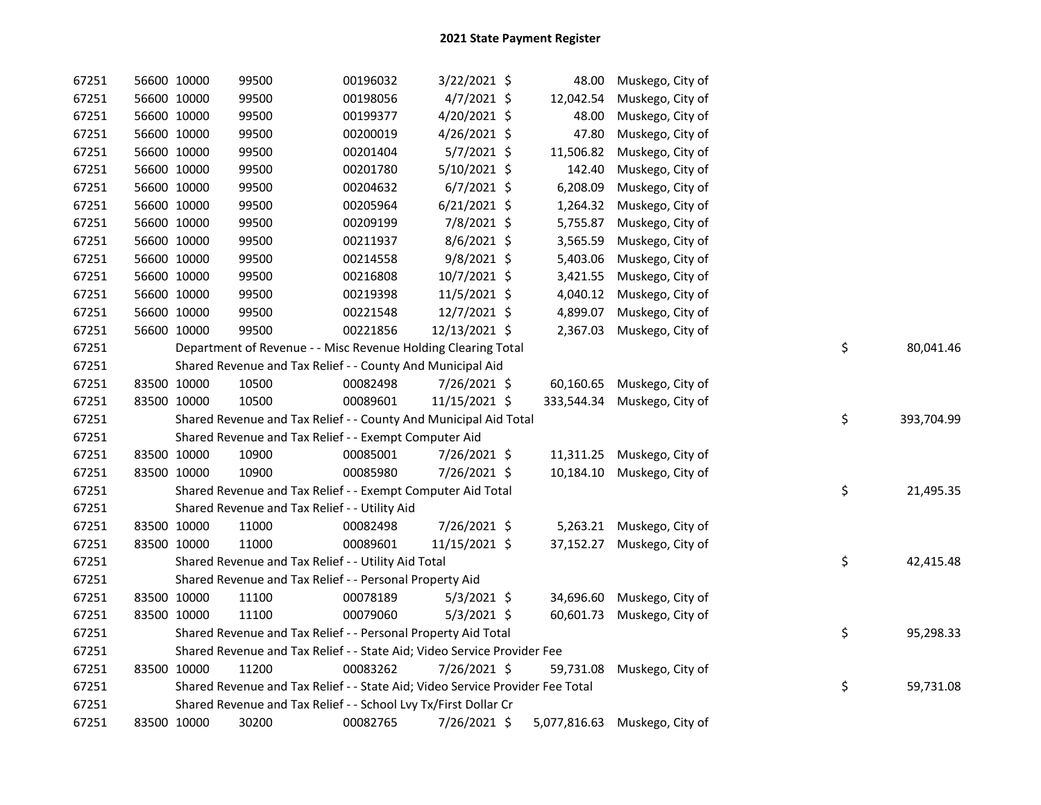| 67251 | 56600 10000 | 99500                                                                         | 00196032 | 3/22/2021 \$   | 48.00      | Muskego, City of              |    |            |
|-------|-------------|-------------------------------------------------------------------------------|----------|----------------|------------|-------------------------------|----|------------|
| 67251 | 56600 10000 | 99500                                                                         | 00198056 | $4/7/2021$ \$  | 12,042.54  | Muskego, City of              |    |            |
| 67251 | 56600 10000 | 99500                                                                         | 00199377 | 4/20/2021 \$   | 48.00      | Muskego, City of              |    |            |
| 67251 | 56600 10000 | 99500                                                                         | 00200019 | $4/26/2021$ \$ | 47.80      | Muskego, City of              |    |            |
| 67251 | 56600 10000 | 99500                                                                         | 00201404 | 5/7/2021 \$    | 11,506.82  | Muskego, City of              |    |            |
| 67251 | 56600 10000 | 99500                                                                         | 00201780 | 5/10/2021 \$   | 142.40     | Muskego, City of              |    |            |
| 67251 | 56600 10000 | 99500                                                                         | 00204632 | $6/7/2021$ \$  | 6,208.09   | Muskego, City of              |    |            |
| 67251 | 56600 10000 | 99500                                                                         | 00205964 | $6/21/2021$ \$ | 1,264.32   | Muskego, City of              |    |            |
| 67251 | 56600 10000 | 99500                                                                         | 00209199 | 7/8/2021 \$    | 5,755.87   | Muskego, City of              |    |            |
| 67251 | 56600 10000 | 99500                                                                         | 00211937 | 8/6/2021 \$    | 3,565.59   | Muskego, City of              |    |            |
| 67251 | 56600 10000 | 99500                                                                         | 00214558 | 9/8/2021 \$    | 5,403.06   | Muskego, City of              |    |            |
| 67251 | 56600 10000 | 99500                                                                         | 00216808 | 10/7/2021 \$   | 3,421.55   | Muskego, City of              |    |            |
| 67251 | 56600 10000 | 99500                                                                         | 00219398 | $11/5/2021$ \$ | 4,040.12   | Muskego, City of              |    |            |
| 67251 | 56600 10000 | 99500                                                                         | 00221548 | 12/7/2021 \$   | 4,899.07   | Muskego, City of              |    |            |
| 67251 | 56600 10000 | 99500                                                                         | 00221856 | 12/13/2021 \$  | 2,367.03   | Muskego, City of              |    |            |
| 67251 |             | Department of Revenue - - Misc Revenue Holding Clearing Total                 |          |                |            |                               | \$ | 80,041.46  |
| 67251 |             | Shared Revenue and Tax Relief - - County And Municipal Aid                    |          |                |            |                               |    |            |
| 67251 | 83500 10000 | 10500                                                                         | 00082498 | 7/26/2021 \$   |            | 60,160.65 Muskego, City of    |    |            |
| 67251 | 83500 10000 | 10500                                                                         | 00089601 | 11/15/2021 \$  | 333,544.34 | Muskego, City of              |    |            |
| 67251 |             | Shared Revenue and Tax Relief - - County And Municipal Aid Total              |          |                |            |                               | \$ | 393,704.99 |
| 67251 |             | Shared Revenue and Tax Relief - - Exempt Computer Aid                         |          |                |            |                               |    |            |
| 67251 | 83500 10000 | 10900                                                                         | 00085001 | 7/26/2021 \$   |            | 11,311.25 Muskego, City of    |    |            |
| 67251 | 83500 10000 | 10900                                                                         | 00085980 | 7/26/2021 \$   | 10,184.10  | Muskego, City of              |    |            |
| 67251 |             | Shared Revenue and Tax Relief - - Exempt Computer Aid Total                   |          |                |            |                               | \$ | 21,495.35  |
| 67251 |             | Shared Revenue and Tax Relief - - Utility Aid                                 |          |                |            |                               |    |            |
| 67251 | 83500 10000 | 11000                                                                         | 00082498 | 7/26/2021 \$   |            | 5,263.21 Muskego, City of     |    |            |
| 67251 | 83500 10000 | 11000                                                                         | 00089601 | 11/15/2021 \$  |            | 37,152.27 Muskego, City of    |    |            |
| 67251 |             | Shared Revenue and Tax Relief - - Utility Aid Total                           |          |                |            |                               | \$ | 42,415.48  |
| 67251 |             | Shared Revenue and Tax Relief - - Personal Property Aid                       |          |                |            |                               |    |            |
| 67251 | 83500 10000 | 11100                                                                         | 00078189 | $5/3/2021$ \$  |            | 34,696.60 Muskego, City of    |    |            |
| 67251 | 83500 10000 | 11100                                                                         | 00079060 | $5/3/2021$ \$  | 60,601.73  | Muskego, City of              |    |            |
| 67251 |             | Shared Revenue and Tax Relief - - Personal Property Aid Total                 |          |                |            |                               | \$ | 95,298.33  |
| 67251 |             | Shared Revenue and Tax Relief - - State Aid; Video Service Provider Fee       |          |                |            |                               |    |            |
| 67251 | 83500 10000 | 11200                                                                         | 00083262 | 7/26/2021 \$   |            | 59,731.08 Muskego, City of    |    |            |
| 67251 |             | Shared Revenue and Tax Relief - - State Aid; Video Service Provider Fee Total |          |                |            |                               | \$ | 59,731.08  |
| 67251 |             | Shared Revenue and Tax Relief - - School Lvy Tx/First Dollar Cr               |          |                |            |                               |    |            |
| 67251 | 83500 10000 | 30200                                                                         | 00082765 | 7/26/2021 \$   |            | 5,077,816.63 Muskego, City of |    |            |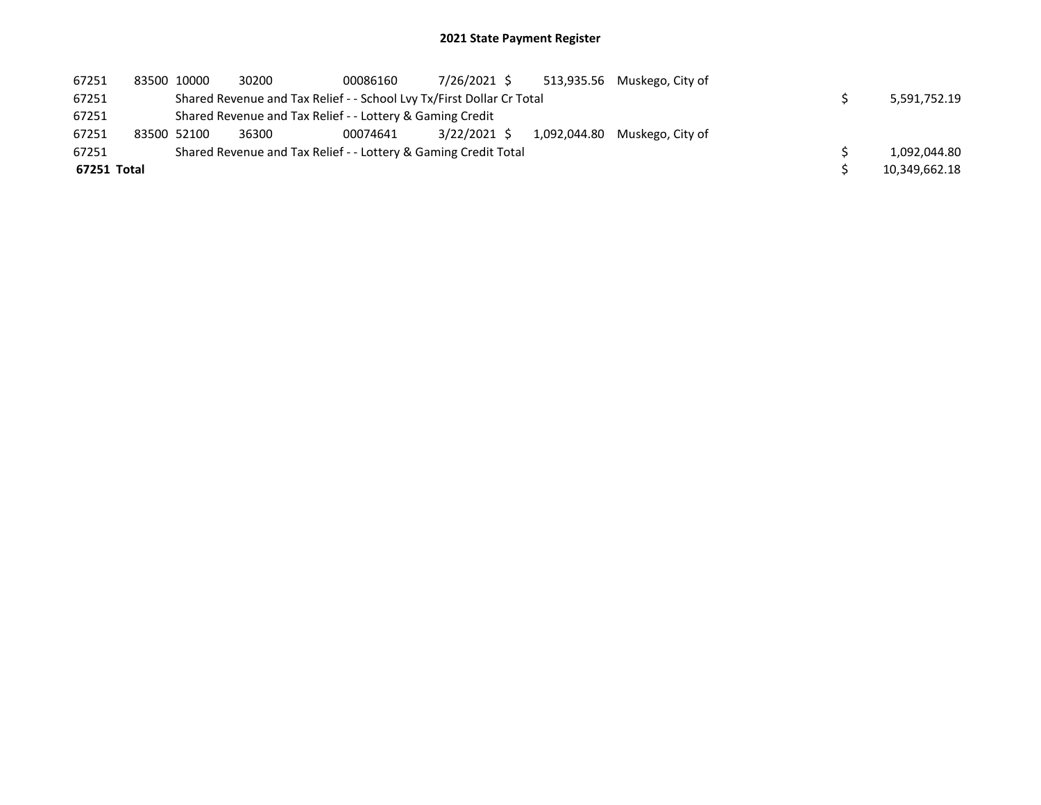| 67251       | 83500 10000 | 30200 | 00086160                                                              | 7/26/2021 \$ |              | 513,935.56 Muskego, City of |  |               |
|-------------|-------------|-------|-----------------------------------------------------------------------|--------------|--------------|-----------------------------|--|---------------|
| 67251       |             |       | Shared Revenue and Tax Relief - - School Lvy Tx/First Dollar Cr Total |              |              |                             |  | 5,591,752.19  |
| 67251       |             |       | Shared Revenue and Tax Relief - - Lottery & Gaming Credit             |              |              |                             |  |               |
| 67251       | 83500 52100 | 36300 | 00074641                                                              | 3/22/2021 S  | 1,092,044.80 | Muskego, City of            |  |               |
| 67251       |             |       | Shared Revenue and Tax Relief - - Lottery & Gaming Credit Total       |              |              |                             |  | 1,092,044.80  |
| 67251 Total |             |       |                                                                       |              |              |                             |  | 10,349,662.18 |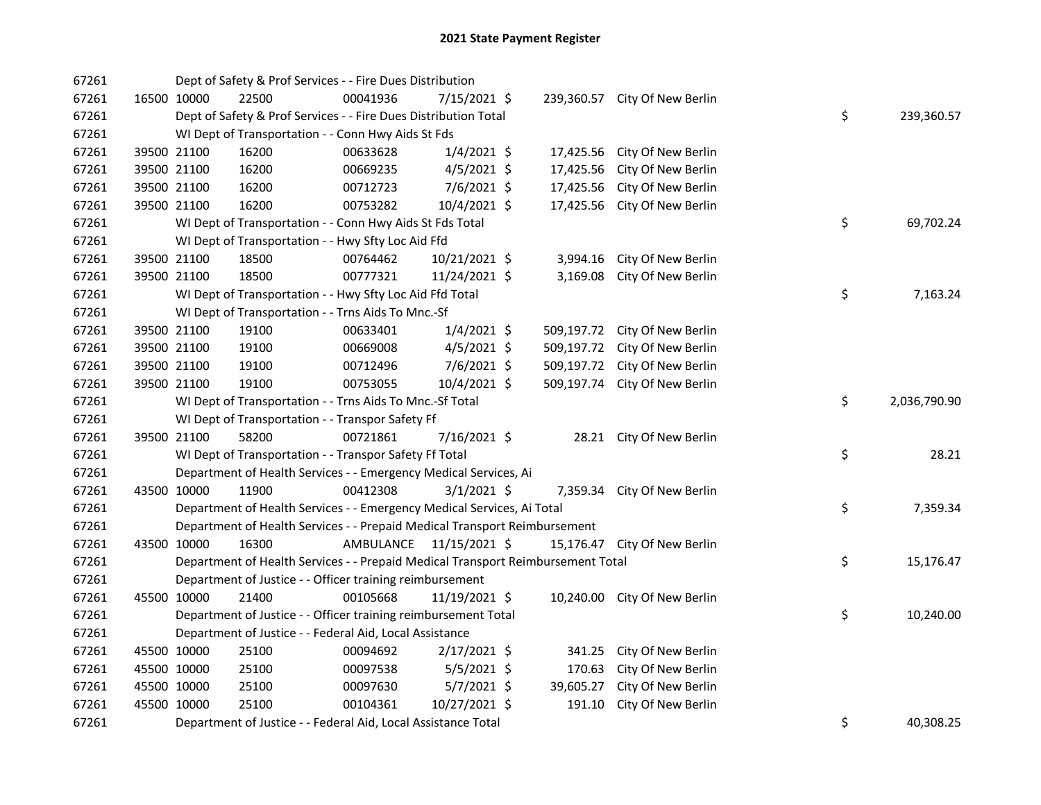| 67261 |             | Dept of Safety & Prof Services - - Fire Dues Distribution                       |           |                |            |                               |    |              |
|-------|-------------|---------------------------------------------------------------------------------|-----------|----------------|------------|-------------------------------|----|--------------|
| 67261 | 16500 10000 | 22500                                                                           | 00041936  | 7/15/2021 \$   |            | 239,360.57 City Of New Berlin |    |              |
| 67261 |             | Dept of Safety & Prof Services - - Fire Dues Distribution Total                 |           |                |            |                               | \$ | 239,360.57   |
| 67261 |             | WI Dept of Transportation - - Conn Hwy Aids St Fds                              |           |                |            |                               |    |              |
| 67261 | 39500 21100 | 16200                                                                           | 00633628  | $1/4/2021$ \$  | 17,425.56  | City Of New Berlin            |    |              |
| 67261 | 39500 21100 | 16200                                                                           | 00669235  | $4/5/2021$ \$  | 17,425.56  | City Of New Berlin            |    |              |
| 67261 | 39500 21100 | 16200                                                                           | 00712723  | $7/6/2021$ \$  | 17,425.56  | City Of New Berlin            |    |              |
| 67261 | 39500 21100 | 16200                                                                           | 00753282  | 10/4/2021 \$   | 17,425.56  | City Of New Berlin            |    |              |
| 67261 |             | WI Dept of Transportation - - Conn Hwy Aids St Fds Total                        |           |                |            |                               | \$ | 69,702.24    |
| 67261 |             | WI Dept of Transportation - - Hwy Sfty Loc Aid Ffd                              |           |                |            |                               |    |              |
| 67261 | 39500 21100 | 18500                                                                           | 00764462  | 10/21/2021 \$  | 3,994.16   | City Of New Berlin            |    |              |
| 67261 | 39500 21100 | 18500                                                                           | 00777321  | 11/24/2021 \$  | 3,169.08   | City Of New Berlin            |    |              |
| 67261 |             | WI Dept of Transportation - - Hwy Sfty Loc Aid Ffd Total                        |           |                |            |                               | \$ | 7,163.24     |
| 67261 |             | WI Dept of Transportation - - Trns Aids To Mnc.-Sf                              |           |                |            |                               |    |              |
| 67261 | 39500 21100 | 19100                                                                           | 00633401  | $1/4/2021$ \$  |            | 509,197.72 City Of New Berlin |    |              |
| 67261 | 39500 21100 | 19100                                                                           | 00669008  | $4/5/2021$ \$  | 509,197.72 | City Of New Berlin            |    |              |
| 67261 | 39500 21100 | 19100                                                                           | 00712496  | $7/6/2021$ \$  | 509,197.72 | City Of New Berlin            |    |              |
| 67261 | 39500 21100 | 19100                                                                           | 00753055  | 10/4/2021 \$   |            | 509,197.74 City Of New Berlin |    |              |
| 67261 |             | WI Dept of Transportation - - Trns Aids To Mnc.-Sf Total                        |           |                |            |                               | \$ | 2,036,790.90 |
| 67261 |             | WI Dept of Transportation - - Transpor Safety Ff                                |           |                |            |                               |    |              |
| 67261 | 39500 21100 | 58200                                                                           | 00721861  | 7/16/2021 \$   |            | 28.21 City Of New Berlin      |    |              |
| 67261 |             | WI Dept of Transportation - - Transpor Safety Ff Total                          |           |                |            |                               | \$ | 28.21        |
| 67261 |             | Department of Health Services - - Emergency Medical Services, Ai                |           |                |            |                               |    |              |
| 67261 | 43500 10000 | 11900                                                                           | 00412308  | $3/1/2021$ \$  | 7,359.34   | City Of New Berlin            |    |              |
| 67261 |             | Department of Health Services - - Emergency Medical Services, Ai Total          |           |                |            |                               | \$ | 7,359.34     |
| 67261 |             | Department of Health Services - - Prepaid Medical Transport Reimbursement       |           |                |            |                               |    |              |
| 67261 | 43500 10000 | 16300                                                                           | AMBULANCE | 11/15/2021 \$  |            | 15,176.47 City Of New Berlin  |    |              |
| 67261 |             | Department of Health Services - - Prepaid Medical Transport Reimbursement Total |           |                |            |                               | \$ | 15,176.47    |
| 67261 |             | Department of Justice - - Officer training reimbursement                        |           |                |            |                               |    |              |
| 67261 | 45500 10000 | 21400                                                                           | 00105668  | 11/19/2021 \$  |            | 10,240.00 City Of New Berlin  |    |              |
| 67261 |             | Department of Justice - - Officer training reimbursement Total                  |           |                |            |                               | \$ | 10,240.00    |
| 67261 |             | Department of Justice - - Federal Aid, Local Assistance                         |           |                |            |                               |    |              |
| 67261 | 45500 10000 | 25100                                                                           | 00094692  | $2/17/2021$ \$ | 341.25     | City Of New Berlin            |    |              |
| 67261 | 45500 10000 | 25100                                                                           | 00097538  | $5/5/2021$ \$  | 170.63     | City Of New Berlin            |    |              |
| 67261 | 45500 10000 | 25100                                                                           | 00097630  | $5/7/2021$ \$  | 39,605.27  | City Of New Berlin            |    |              |
| 67261 | 45500 10000 | 25100                                                                           | 00104361  | 10/27/2021 \$  | 191.10     | City Of New Berlin            |    |              |
| 67261 |             | Department of Justice - - Federal Aid, Local Assistance Total                   |           |                |            |                               | \$ | 40,308.25    |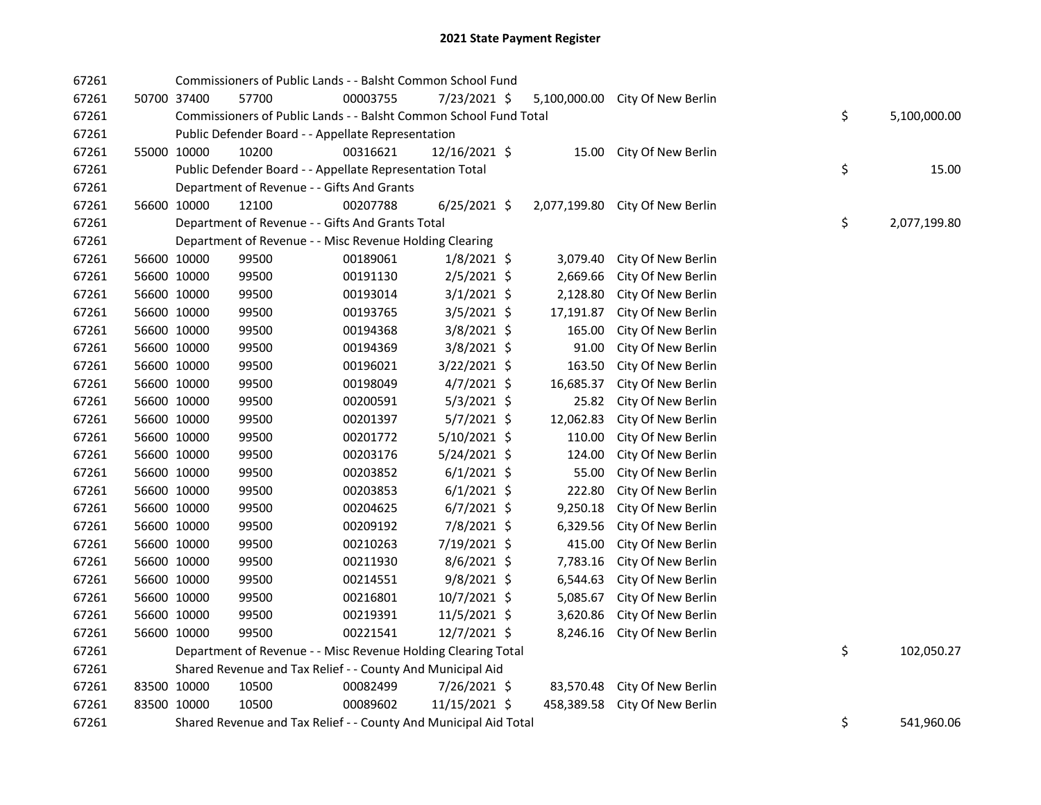| 67261 |             | Commissioners of Public Lands - - Balsht Common School Fund       |          |                |              |                                 |    |              |
|-------|-------------|-------------------------------------------------------------------|----------|----------------|--------------|---------------------------------|----|--------------|
| 67261 | 50700 37400 | 57700                                                             | 00003755 | 7/23/2021 \$   |              | 5,100,000.00 City Of New Berlin |    |              |
| 67261 |             | Commissioners of Public Lands - - Balsht Common School Fund Total |          |                |              |                                 | \$ | 5,100,000.00 |
| 67261 |             | Public Defender Board - - Appellate Representation                |          |                |              |                                 |    |              |
| 67261 | 55000 10000 | 10200                                                             | 00316621 | 12/16/2021 \$  |              | 15.00 City Of New Berlin        |    |              |
| 67261 |             | Public Defender Board - - Appellate Representation Total          |          |                |              |                                 | \$ | 15.00        |
| 67261 |             | Department of Revenue - - Gifts And Grants                        |          |                |              |                                 |    |              |
| 67261 | 56600 10000 | 12100                                                             | 00207788 | $6/25/2021$ \$ | 2,077,199.80 | City Of New Berlin              |    |              |
| 67261 |             | Department of Revenue - - Gifts And Grants Total                  |          |                |              |                                 | \$ | 2,077,199.80 |
| 67261 |             | Department of Revenue - - Misc Revenue Holding Clearing           |          |                |              |                                 |    |              |
| 67261 | 56600 10000 | 99500                                                             | 00189061 | $1/8/2021$ \$  | 3,079.40     | City Of New Berlin              |    |              |
| 67261 | 56600 10000 | 99500                                                             | 00191130 | $2/5/2021$ \$  | 2,669.66     | City Of New Berlin              |    |              |
| 67261 | 56600 10000 | 99500                                                             | 00193014 | $3/1/2021$ \$  | 2,128.80     | City Of New Berlin              |    |              |
| 67261 | 56600 10000 | 99500                                                             | 00193765 | $3/5/2021$ \$  | 17,191.87    | City Of New Berlin              |    |              |
| 67261 | 56600 10000 | 99500                                                             | 00194368 | 3/8/2021 \$    | 165.00       | City Of New Berlin              |    |              |
| 67261 | 56600 10000 | 99500                                                             | 00194369 | 3/8/2021 \$    | 91.00        | City Of New Berlin              |    |              |
| 67261 | 56600 10000 | 99500                                                             | 00196021 | 3/22/2021 \$   | 163.50       | City Of New Berlin              |    |              |
| 67261 | 56600 10000 | 99500                                                             | 00198049 | $4/7/2021$ \$  | 16,685.37    | City Of New Berlin              |    |              |
| 67261 | 56600 10000 | 99500                                                             | 00200591 | $5/3/2021$ \$  | 25.82        | City Of New Berlin              |    |              |
| 67261 | 56600 10000 | 99500                                                             | 00201397 | $5/7/2021$ \$  | 12,062.83    | City Of New Berlin              |    |              |
| 67261 | 56600 10000 | 99500                                                             | 00201772 | $5/10/2021$ \$ | 110.00       | City Of New Berlin              |    |              |
| 67261 | 56600 10000 | 99500                                                             | 00203176 | 5/24/2021 \$   | 124.00       | City Of New Berlin              |    |              |
| 67261 | 56600 10000 | 99500                                                             | 00203852 | $6/1/2021$ \$  | 55.00        | City Of New Berlin              |    |              |
| 67261 | 56600 10000 | 99500                                                             | 00203853 | $6/1/2021$ \$  | 222.80       | City Of New Berlin              |    |              |
| 67261 | 56600 10000 | 99500                                                             | 00204625 | $6/7/2021$ \$  | 9,250.18     | City Of New Berlin              |    |              |
| 67261 | 56600 10000 | 99500                                                             | 00209192 | 7/8/2021 \$    | 6,329.56     | City Of New Berlin              |    |              |
| 67261 | 56600 10000 | 99500                                                             | 00210263 | 7/19/2021 \$   | 415.00       | City Of New Berlin              |    |              |
| 67261 | 56600 10000 | 99500                                                             | 00211930 | $8/6/2021$ \$  | 7,783.16     | City Of New Berlin              |    |              |
| 67261 | 56600 10000 | 99500                                                             | 00214551 | $9/8/2021$ \$  | 6,544.63     | City Of New Berlin              |    |              |
| 67261 | 56600 10000 | 99500                                                             | 00216801 | 10/7/2021 \$   | 5,085.67     | City Of New Berlin              |    |              |
| 67261 | 56600 10000 | 99500                                                             | 00219391 | 11/5/2021 \$   | 3,620.86     | City Of New Berlin              |    |              |
| 67261 | 56600 10000 | 99500                                                             | 00221541 | 12/7/2021 \$   | 8,246.16     | City Of New Berlin              |    |              |
| 67261 |             | Department of Revenue - - Misc Revenue Holding Clearing Total     |          |                |              |                                 | \$ | 102,050.27   |
| 67261 |             | Shared Revenue and Tax Relief - - County And Municipal Aid        |          |                |              |                                 |    |              |
| 67261 | 83500 10000 | 10500                                                             | 00082499 | 7/26/2021 \$   |              | 83,570.48 City Of New Berlin    |    |              |
| 67261 | 83500 10000 | 10500                                                             | 00089602 | 11/15/2021 \$  | 458,389.58   | City Of New Berlin              |    |              |
| 67261 |             | Shared Revenue and Tax Relief - - County And Municipal Aid Total  |          |                |              |                                 | \$ | 541,960.06   |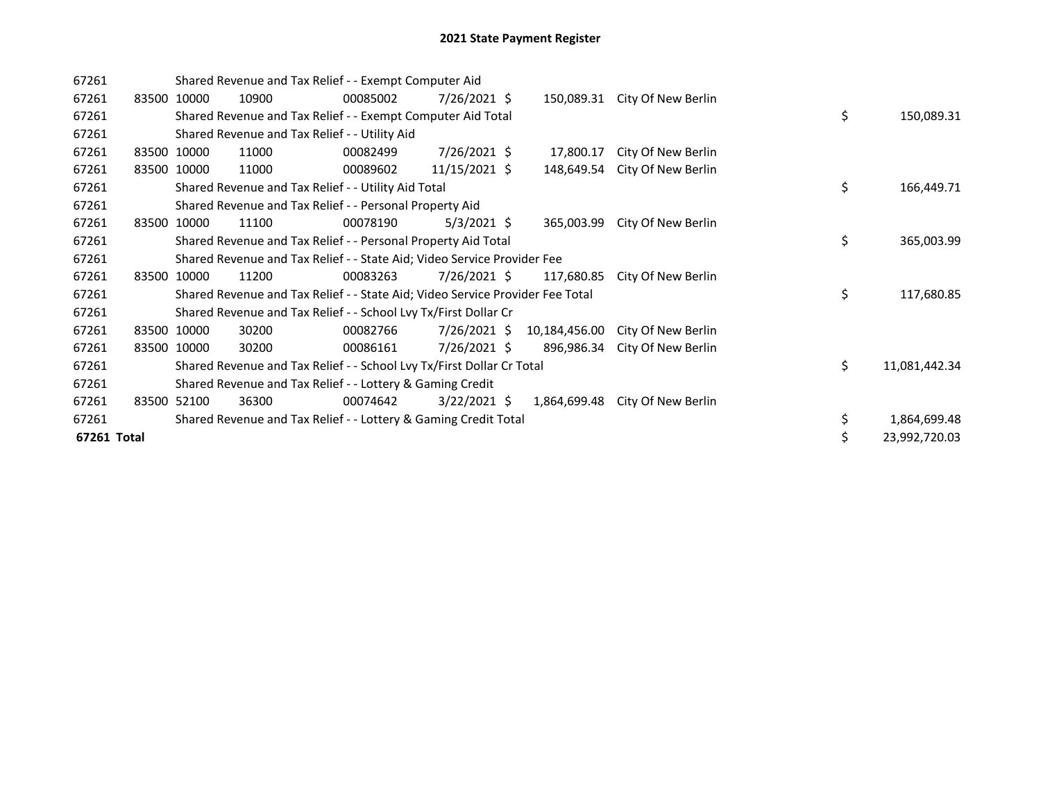| 67261       |       |             |       | Shared Revenue and Tax Relief - - Exempt Computer Aid                         |                |               |                    |    |               |
|-------------|-------|-------------|-------|-------------------------------------------------------------------------------|----------------|---------------|--------------------|----|---------------|
| 67261       |       | 83500 10000 | 10900 | 00085002                                                                      | $7/26/2021$ \$ | 150,089.31    | City Of New Berlin |    |               |
| 67261       |       |             |       | Shared Revenue and Tax Relief - - Exempt Computer Aid Total                   |                |               |                    | \$ | 150,089.31    |
| 67261       |       |             |       | Shared Revenue and Tax Relief - - Utility Aid                                 |                |               |                    |    |               |
| 67261       |       | 83500 10000 | 11000 | 00082499                                                                      | $7/26/2021$ \$ | 17,800.17     | City Of New Berlin |    |               |
| 67261       |       | 83500 10000 | 11000 | 00089602                                                                      | 11/15/2021 \$  | 148,649.54    | City Of New Berlin |    |               |
| 67261       |       |             |       | Shared Revenue and Tax Relief - - Utility Aid Total                           |                |               |                    | \$ | 166,449.71    |
| 67261       |       |             |       | Shared Revenue and Tax Relief - - Personal Property Aid                       |                |               |                    |    |               |
| 67261       | 83500 | 10000       | 11100 | 00078190                                                                      | $5/3/2021$ \$  | 365,003.99    | City Of New Berlin |    |               |
| 67261       |       |             |       | Shared Revenue and Tax Relief - - Personal Property Aid Total                 |                |               |                    | \$ | 365,003.99    |
| 67261       |       |             |       | Shared Revenue and Tax Relief - - State Aid; Video Service Provider Fee       |                |               |                    |    |               |
| 67261       | 83500 | 10000       | 11200 | 00083263                                                                      | 7/26/2021 \$   | 117,680.85    | City Of New Berlin |    |               |
| 67261       |       |             |       | Shared Revenue and Tax Relief - - State Aid; Video Service Provider Fee Total |                |               |                    | \$ | 117,680.85    |
| 67261       |       |             |       | Shared Revenue and Tax Relief - - School Lvy Tx/First Dollar Cr               |                |               |                    |    |               |
| 67261       |       | 83500 10000 | 30200 | 00082766                                                                      | $7/26/2021$ \$ | 10,184,456.00 | City Of New Berlin |    |               |
| 67261       |       | 83500 10000 | 30200 | 00086161                                                                      | $7/26/2021$ \$ | 896,986.34    | City Of New Berlin |    |               |
| 67261       |       |             |       | Shared Revenue and Tax Relief - - School Lvy Tx/First Dollar Cr Total         |                |               |                    | \$ | 11,081,442.34 |
| 67261       |       |             |       | Shared Revenue and Tax Relief - - Lottery & Gaming Credit                     |                |               |                    |    |               |
| 67261       |       | 83500 52100 | 36300 | 00074642                                                                      | $3/22/2021$ \$ | 1,864,699.48  | City Of New Berlin |    |               |
| 67261       |       |             |       | Shared Revenue and Tax Relief - - Lottery & Gaming Credit Total               |                |               |                    | \$ | 1,864,699.48  |
| 67261 Total |       |             |       |                                                                               |                |               |                    | \$ | 23,992,720.03 |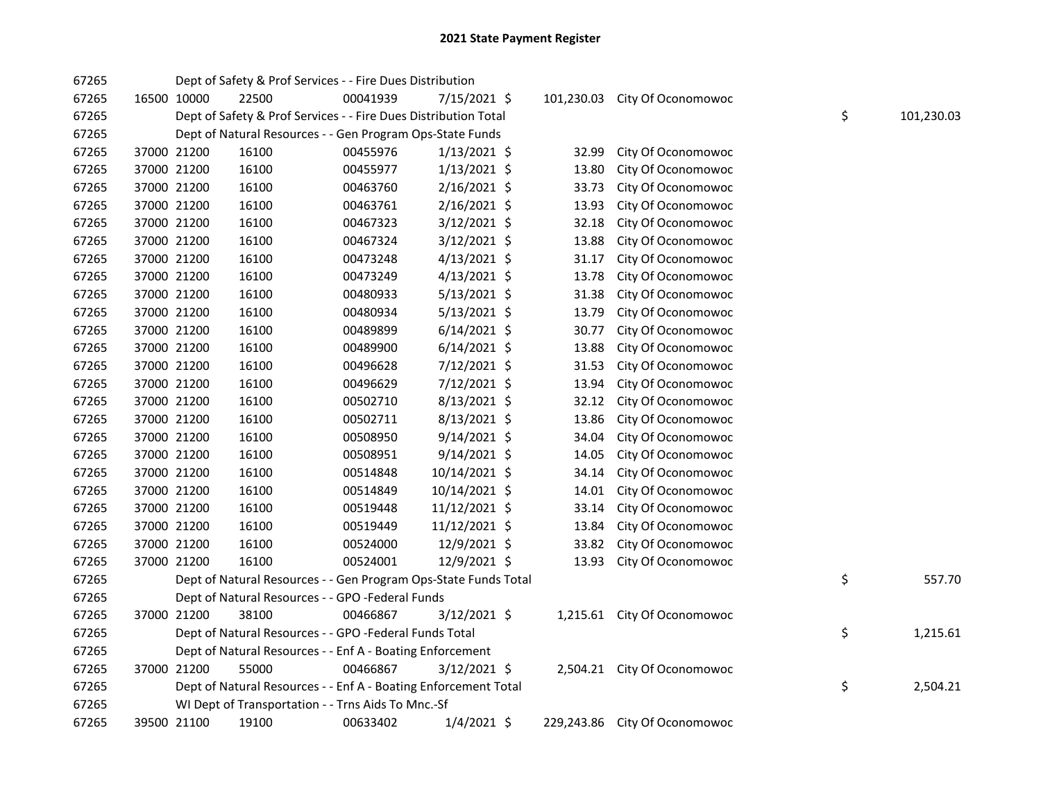| 67265 |             | Dept of Safety & Prof Services - - Fire Dues Distribution       |          |                |            |                               |    |            |
|-------|-------------|-----------------------------------------------------------------|----------|----------------|------------|-------------------------------|----|------------|
| 67265 | 16500 10000 | 22500                                                           | 00041939 | 7/15/2021 \$   | 101,230.03 | City Of Oconomowoc            |    |            |
| 67265 |             | Dept of Safety & Prof Services - - Fire Dues Distribution Total |          |                |            |                               | \$ | 101,230.03 |
| 67265 |             | Dept of Natural Resources - - Gen Program Ops-State Funds       |          |                |            |                               |    |            |
| 67265 | 37000 21200 | 16100                                                           | 00455976 | $1/13/2021$ \$ | 32.99      | City Of Oconomowoc            |    |            |
| 67265 | 37000 21200 | 16100                                                           | 00455977 | $1/13/2021$ \$ | 13.80      | City Of Oconomowoc            |    |            |
| 67265 | 37000 21200 | 16100                                                           | 00463760 | 2/16/2021 \$   | 33.73      | City Of Oconomowoc            |    |            |
| 67265 | 37000 21200 | 16100                                                           | 00463761 | 2/16/2021 \$   | 13.93      | City Of Oconomowoc            |    |            |
| 67265 | 37000 21200 | 16100                                                           | 00467323 | 3/12/2021 \$   | 32.18      | City Of Oconomowoc            |    |            |
| 67265 | 37000 21200 | 16100                                                           | 00467324 | $3/12/2021$ \$ | 13.88      | City Of Oconomowoc            |    |            |
| 67265 | 37000 21200 | 16100                                                           | 00473248 | $4/13/2021$ \$ | 31.17      | City Of Oconomowoc            |    |            |
| 67265 | 37000 21200 | 16100                                                           | 00473249 | $4/13/2021$ \$ | 13.78      | City Of Oconomowoc            |    |            |
| 67265 | 37000 21200 | 16100                                                           | 00480933 | 5/13/2021 \$   | 31.38      | City Of Oconomowoc            |    |            |
| 67265 | 37000 21200 | 16100                                                           | 00480934 | $5/13/2021$ \$ | 13.79      | City Of Oconomowoc            |    |            |
| 67265 | 37000 21200 | 16100                                                           | 00489899 | $6/14/2021$ \$ | 30.77      | City Of Oconomowoc            |    |            |
| 67265 | 37000 21200 | 16100                                                           | 00489900 | $6/14/2021$ \$ | 13.88      | City Of Oconomowoc            |    |            |
| 67265 | 37000 21200 | 16100                                                           | 00496628 | 7/12/2021 \$   | 31.53      | City Of Oconomowoc            |    |            |
| 67265 | 37000 21200 | 16100                                                           | 00496629 | 7/12/2021 \$   | 13.94      | City Of Oconomowoc            |    |            |
| 67265 | 37000 21200 | 16100                                                           | 00502710 | 8/13/2021 \$   | 32.12      | City Of Oconomowoc            |    |            |
| 67265 | 37000 21200 | 16100                                                           | 00502711 | 8/13/2021 \$   | 13.86      | City Of Oconomowoc            |    |            |
| 67265 | 37000 21200 | 16100                                                           | 00508950 | $9/14/2021$ \$ | 34.04      | City Of Oconomowoc            |    |            |
| 67265 | 37000 21200 | 16100                                                           | 00508951 | $9/14/2021$ \$ | 14.05      | City Of Oconomowoc            |    |            |
| 67265 | 37000 21200 | 16100                                                           | 00514848 | 10/14/2021 \$  | 34.14      | City Of Oconomowoc            |    |            |
| 67265 | 37000 21200 | 16100                                                           | 00514849 | 10/14/2021 \$  | 14.01      | City Of Oconomowoc            |    |            |
| 67265 | 37000 21200 | 16100                                                           | 00519448 | 11/12/2021 \$  | 33.14      | City Of Oconomowoc            |    |            |
| 67265 | 37000 21200 | 16100                                                           | 00519449 | 11/12/2021 \$  | 13.84      | City Of Oconomowoc            |    |            |
| 67265 | 37000 21200 | 16100                                                           | 00524000 | 12/9/2021 \$   | 33.82      | City Of Oconomowoc            |    |            |
| 67265 | 37000 21200 | 16100                                                           | 00524001 | 12/9/2021 \$   | 13.93      | City Of Oconomowoc            |    |            |
| 67265 |             | Dept of Natural Resources - - Gen Program Ops-State Funds Total |          |                |            |                               | \$ | 557.70     |
| 67265 |             | Dept of Natural Resources - - GPO -Federal Funds                |          |                |            |                               |    |            |
| 67265 | 37000 21200 | 38100                                                           | 00466867 | $3/12/2021$ \$ |            | 1,215.61 City Of Oconomowoc   |    |            |
| 67265 |             | Dept of Natural Resources - - GPO -Federal Funds Total          |          |                |            |                               | \$ | 1,215.61   |
| 67265 |             | Dept of Natural Resources - - Enf A - Boating Enforcement       |          |                |            |                               |    |            |
| 67265 | 37000 21200 | 55000                                                           | 00466867 | $3/12/2021$ \$ |            | 2,504.21 City Of Oconomowoc   |    |            |
| 67265 |             | Dept of Natural Resources - - Enf A - Boating Enforcement Total |          |                |            |                               | \$ | 2,504.21   |
| 67265 |             | WI Dept of Transportation - - Trns Aids To Mnc.-Sf              |          |                |            |                               |    |            |
| 67265 | 39500 21100 | 19100                                                           | 00633402 | $1/4/2021$ \$  |            | 229,243.86 City Of Oconomowoc |    |            |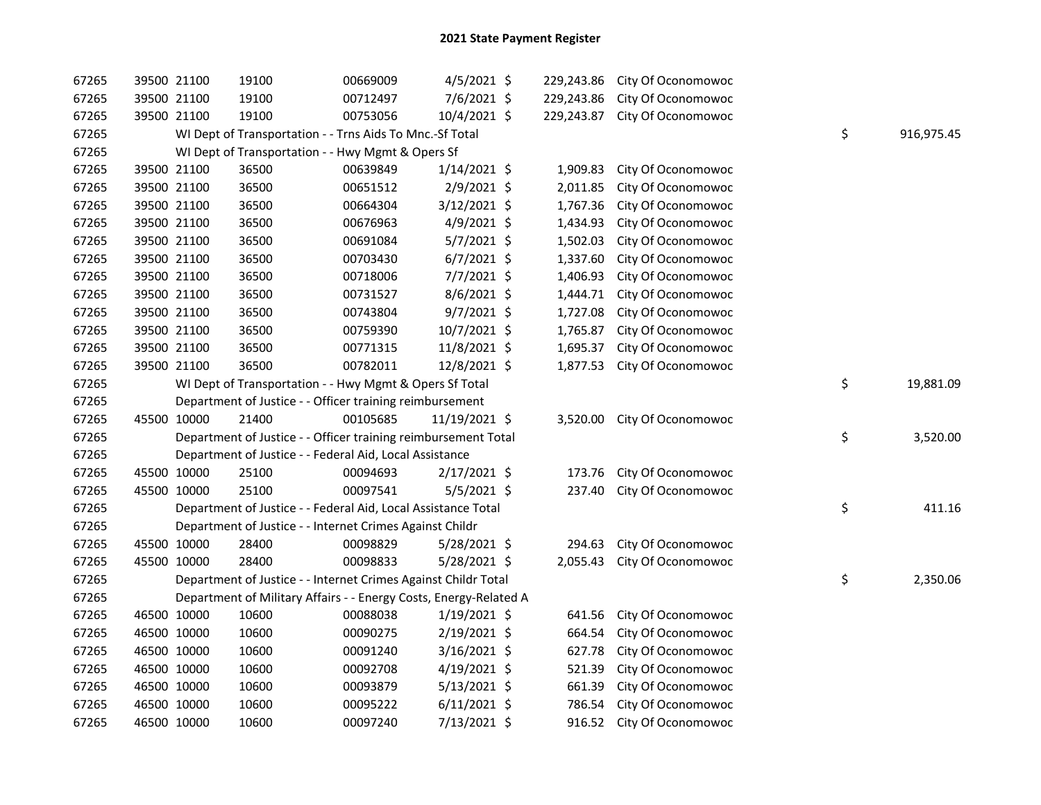| 67265 | 39500 21100 | 19100                                                             | 00669009 | 4/5/2021 \$    |            | 229,243.86 City Of Oconomowoc |    |            |
|-------|-------------|-------------------------------------------------------------------|----------|----------------|------------|-------------------------------|----|------------|
| 67265 | 39500 21100 | 19100                                                             | 00712497 | 7/6/2021 \$    | 229,243.86 | City Of Oconomowoc            |    |            |
| 67265 | 39500 21100 | 19100                                                             | 00753056 | 10/4/2021 \$   | 229,243.87 | City Of Oconomowoc            |    |            |
| 67265 |             | WI Dept of Transportation - - Trns Aids To Mnc.-Sf Total          |          |                |            |                               | \$ | 916,975.45 |
| 67265 |             | WI Dept of Transportation - - Hwy Mgmt & Opers Sf                 |          |                |            |                               |    |            |
| 67265 | 39500 21100 | 36500                                                             | 00639849 | $1/14/2021$ \$ | 1,909.83   | City Of Oconomowoc            |    |            |
| 67265 | 39500 21100 | 36500                                                             | 00651512 | 2/9/2021 \$    | 2,011.85   | City Of Oconomowoc            |    |            |
| 67265 | 39500 21100 | 36500                                                             | 00664304 | 3/12/2021 \$   | 1,767.36   | City Of Oconomowoc            |    |            |
| 67265 | 39500 21100 | 36500                                                             | 00676963 | 4/9/2021 \$    | 1,434.93   | City Of Oconomowoc            |    |            |
| 67265 | 39500 21100 | 36500                                                             | 00691084 | $5/7/2021$ \$  | 1,502.03   | City Of Oconomowoc            |    |            |
| 67265 | 39500 21100 | 36500                                                             | 00703430 | $6/7/2021$ \$  | 1,337.60   | City Of Oconomowoc            |    |            |
| 67265 | 39500 21100 | 36500                                                             | 00718006 | 7/7/2021 \$    | 1,406.93   | City Of Oconomowoc            |    |            |
| 67265 | 39500 21100 | 36500                                                             | 00731527 | $8/6/2021$ \$  | 1,444.71   | City Of Oconomowoc            |    |            |
| 67265 | 39500 21100 | 36500                                                             | 00743804 | $9/7/2021$ \$  | 1,727.08   | City Of Oconomowoc            |    |            |
| 67265 | 39500 21100 | 36500                                                             | 00759390 | $10/7/2021$ \$ | 1,765.87   | City Of Oconomowoc            |    |            |
| 67265 | 39500 21100 | 36500                                                             | 00771315 | 11/8/2021 \$   | 1,695.37   | City Of Oconomowoc            |    |            |
| 67265 | 39500 21100 | 36500                                                             | 00782011 | 12/8/2021 \$   | 1,877.53   | City Of Oconomowoc            |    |            |
| 67265 |             | WI Dept of Transportation - - Hwy Mgmt & Opers Sf Total           |          |                |            |                               | \$ | 19,881.09  |
| 67265 |             | Department of Justice - - Officer training reimbursement          |          |                |            |                               |    |            |
| 67265 | 45500 10000 | 21400                                                             | 00105685 | 11/19/2021 \$  | 3,520.00   | City Of Oconomowoc            |    |            |
| 67265 |             | Department of Justice - - Officer training reimbursement Total    |          |                |            |                               | \$ | 3,520.00   |
| 67265 |             | Department of Justice - - Federal Aid, Local Assistance           |          |                |            |                               |    |            |
| 67265 | 45500 10000 | 25100                                                             | 00094693 | 2/17/2021 \$   | 173.76     | City Of Oconomowoc            |    |            |
| 67265 | 45500 10000 | 25100                                                             | 00097541 | 5/5/2021 \$    | 237.40     | City Of Oconomowoc            |    |            |
| 67265 |             | Department of Justice - - Federal Aid, Local Assistance Total     |          |                |            |                               | \$ | 411.16     |
| 67265 |             | Department of Justice - - Internet Crimes Against Childr          |          |                |            |                               |    |            |
| 67265 | 45500 10000 | 28400                                                             | 00098829 | 5/28/2021 \$   | 294.63     | City Of Oconomowoc            |    |            |
| 67265 | 45500 10000 | 28400                                                             | 00098833 | $5/28/2021$ \$ | 2,055.43   | City Of Oconomowoc            |    |            |
| 67265 |             | Department of Justice - - Internet Crimes Against Childr Total    |          |                |            |                               | \$ | 2,350.06   |
| 67265 |             | Department of Military Affairs - - Energy Costs, Energy-Related A |          |                |            |                               |    |            |
| 67265 | 46500 10000 | 10600                                                             | 00088038 | $1/19/2021$ \$ | 641.56     | City Of Oconomowoc            |    |            |
| 67265 | 46500 10000 | 10600                                                             | 00090275 | 2/19/2021 \$   | 664.54     | City Of Oconomowoc            |    |            |
| 67265 | 46500 10000 | 10600                                                             | 00091240 | $3/16/2021$ \$ | 627.78     | City Of Oconomowoc            |    |            |
| 67265 | 46500 10000 | 10600                                                             | 00092708 | $4/19/2021$ \$ | 521.39     | City Of Oconomowoc            |    |            |
| 67265 | 46500 10000 | 10600                                                             | 00093879 | $5/13/2021$ \$ | 661.39     | City Of Oconomowoc            |    |            |
| 67265 | 46500 10000 | 10600                                                             | 00095222 | $6/11/2021$ \$ | 786.54     | City Of Oconomowoc            |    |            |
| 67265 | 46500 10000 | 10600                                                             | 00097240 | 7/13/2021 \$   |            | 916.52 City Of Oconomowoc     |    |            |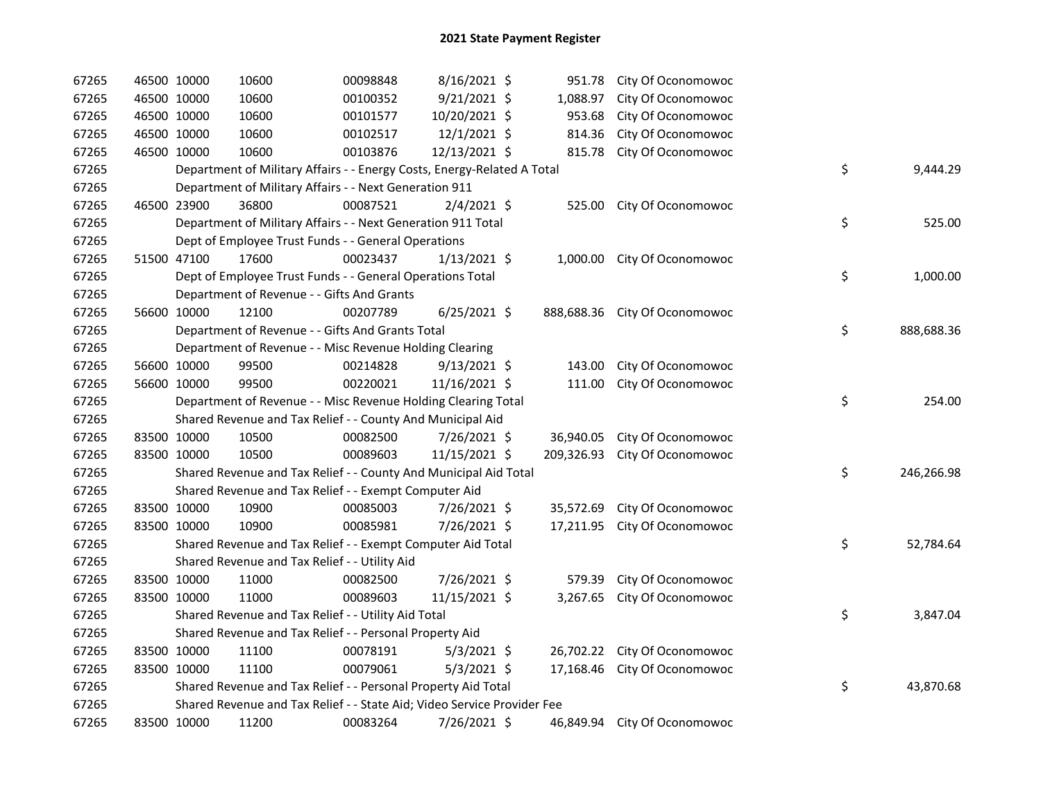| 67265 | 46500 10000 | 10600                                                                   | 00098848 | 8/16/2021 \$   |            | 951.78 City Of Oconomowoc     |                  |
|-------|-------------|-------------------------------------------------------------------------|----------|----------------|------------|-------------------------------|------------------|
| 67265 | 46500 10000 | 10600                                                                   | 00100352 | $9/21/2021$ \$ | 1,088.97   | City Of Oconomowoc            |                  |
| 67265 | 46500 10000 | 10600                                                                   | 00101577 | 10/20/2021 \$  | 953.68     | City Of Oconomowoc            |                  |
| 67265 | 46500 10000 | 10600                                                                   | 00102517 | 12/1/2021 \$   | 814.36     | City Of Oconomowoc            |                  |
| 67265 | 46500 10000 | 10600                                                                   | 00103876 | 12/13/2021 \$  | 815.78     | City Of Oconomowoc            |                  |
| 67265 |             | Department of Military Affairs - - Energy Costs, Energy-Related A Total |          |                |            |                               | \$<br>9,444.29   |
| 67265 |             | Department of Military Affairs - - Next Generation 911                  |          |                |            |                               |                  |
| 67265 | 46500 23900 | 36800                                                                   | 00087521 | $2/4/2021$ \$  |            | 525.00 City Of Oconomowoc     |                  |
| 67265 |             | Department of Military Affairs - - Next Generation 911 Total            |          |                |            |                               | \$<br>525.00     |
| 67265 |             | Dept of Employee Trust Funds - - General Operations                     |          |                |            |                               |                  |
| 67265 | 51500 47100 | 17600                                                                   | 00023437 | $1/13/2021$ \$ |            | 1,000.00 City Of Oconomowoc   |                  |
| 67265 |             | Dept of Employee Trust Funds - - General Operations Total               |          |                |            |                               | \$<br>1,000.00   |
| 67265 |             | Department of Revenue - - Gifts And Grants                              |          |                |            |                               |                  |
| 67265 | 56600 10000 | 12100                                                                   | 00207789 | $6/25/2021$ \$ |            | 888,688.36 City Of Oconomowoc |                  |
| 67265 |             | Department of Revenue - - Gifts And Grants Total                        |          |                |            |                               | \$<br>888,688.36 |
| 67265 |             | Department of Revenue - - Misc Revenue Holding Clearing                 |          |                |            |                               |                  |
| 67265 | 56600 10000 | 99500                                                                   | 00214828 | $9/13/2021$ \$ | 143.00     | City Of Oconomowoc            |                  |
| 67265 | 56600 10000 | 99500                                                                   | 00220021 | 11/16/2021 \$  | 111.00     | City Of Oconomowoc            |                  |
| 67265 |             | Department of Revenue - - Misc Revenue Holding Clearing Total           |          |                |            |                               | \$<br>254.00     |
| 67265 |             | Shared Revenue and Tax Relief - - County And Municipal Aid              |          |                |            |                               |                  |
| 67265 | 83500 10000 | 10500                                                                   | 00082500 | 7/26/2021 \$   |            | 36,940.05 City Of Oconomowoc  |                  |
| 67265 | 83500 10000 | 10500                                                                   | 00089603 | 11/15/2021 \$  | 209,326.93 | City Of Oconomowoc            |                  |
| 67265 |             | Shared Revenue and Tax Relief - - County And Municipal Aid Total        |          |                |            |                               | \$<br>246,266.98 |
| 67265 |             | Shared Revenue and Tax Relief - - Exempt Computer Aid                   |          |                |            |                               |                  |
| 67265 | 83500 10000 | 10900                                                                   | 00085003 | 7/26/2021 \$   | 35,572.69  | City Of Oconomowoc            |                  |
| 67265 | 83500 10000 | 10900                                                                   | 00085981 | 7/26/2021 \$   | 17,211.95  | City Of Oconomowoc            |                  |
| 67265 |             | Shared Revenue and Tax Relief - - Exempt Computer Aid Total             |          |                |            |                               | \$<br>52,784.64  |
| 67265 |             | Shared Revenue and Tax Relief - - Utility Aid                           |          |                |            |                               |                  |
| 67265 | 83500 10000 | 11000                                                                   | 00082500 | 7/26/2021 \$   | 579.39     | City Of Oconomowoc            |                  |
| 67265 | 83500 10000 | 11000                                                                   | 00089603 | 11/15/2021 \$  | 3,267.65   | City Of Oconomowoc            |                  |
| 67265 |             | Shared Revenue and Tax Relief - - Utility Aid Total                     |          |                |            |                               | \$<br>3,847.04   |
| 67265 |             | Shared Revenue and Tax Relief - - Personal Property Aid                 |          |                |            |                               |                  |
| 67265 | 83500 10000 | 11100                                                                   | 00078191 | $5/3/2021$ \$  |            | 26,702.22 City Of Oconomowoc  |                  |
| 67265 | 83500 10000 | 11100                                                                   | 00079061 | $5/3/2021$ \$  | 17,168.46  | City Of Oconomowoc            |                  |
| 67265 |             | Shared Revenue and Tax Relief - - Personal Property Aid Total           |          |                |            |                               | \$<br>43,870.68  |
| 67265 |             | Shared Revenue and Tax Relief - - State Aid; Video Service Provider Fee |          |                |            |                               |                  |
| 67265 | 83500 10000 | 11200                                                                   | 00083264 | 7/26/2021 \$   |            | 46,849.94 City Of Oconomowoc  |                  |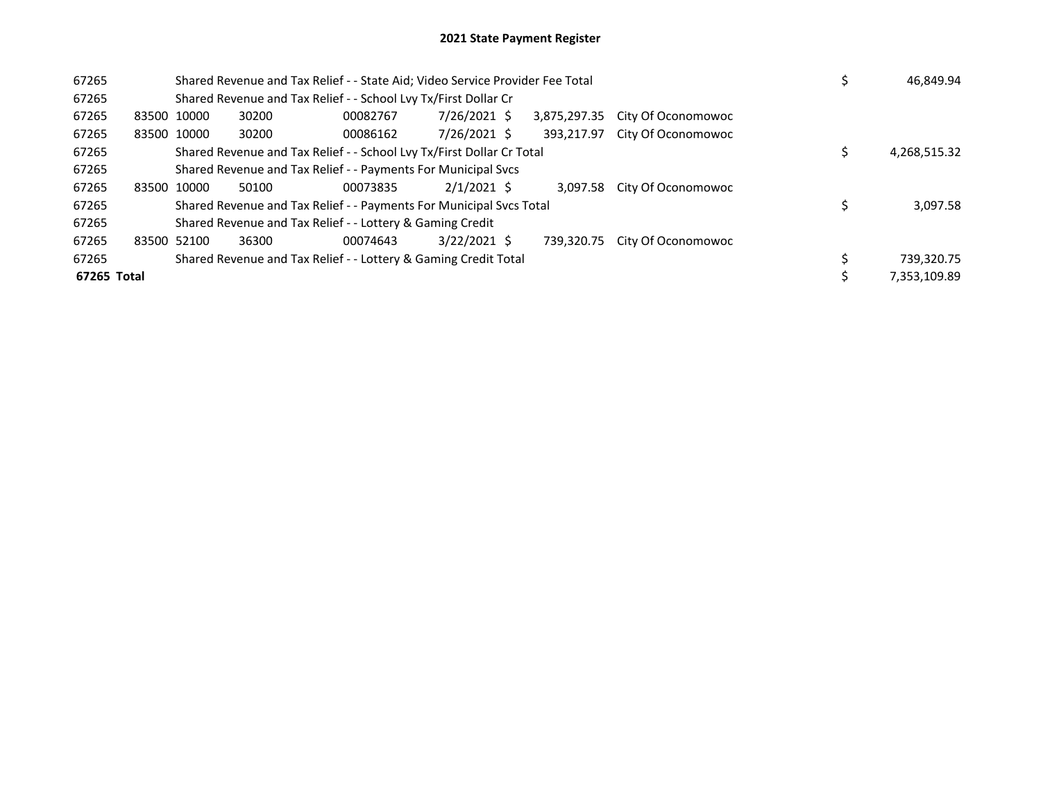| 67265       |             |       | Shared Revenue and Tax Relief - - State Aid; Video Service Provider Fee Total |                | 46,849.94    |                    |              |
|-------------|-------------|-------|-------------------------------------------------------------------------------|----------------|--------------|--------------------|--------------|
| 67265       |             |       | Shared Revenue and Tax Relief - - School Lvy Tx/First Dollar Cr               |                |              |                    |              |
| 67265       | 83500 10000 | 30200 | 00082767                                                                      | 7/26/2021 \$   | 3,875,297.35 | City Of Oconomowoc |              |
| 67265       | 83500 10000 | 30200 | 00086162                                                                      | 7/26/2021 \$   | 393.217.97   | City Of Oconomowoc |              |
| 67265       |             |       | Shared Revenue and Tax Relief - - School Lvy Tx/First Dollar Cr Total         |                |              |                    | 4,268,515.32 |
| 67265       |             |       | Shared Revenue and Tax Relief - - Payments For Municipal Svcs                 |                |              |                    |              |
| 67265       | 83500 10000 | 50100 | 00073835                                                                      | $2/1/2021$ \$  | 3.097.58     | City Of Oconomowoc |              |
| 67265       |             |       | Shared Revenue and Tax Relief - - Payments For Municipal Svcs Total           |                |              |                    | 3,097.58     |
| 67265       |             |       | Shared Revenue and Tax Relief - - Lottery & Gaming Credit                     |                |              |                    |              |
| 67265       | 83500 52100 | 36300 | 00074643                                                                      | $3/22/2021$ \$ | 739.320.75   | City Of Oconomowoc |              |
| 67265       |             |       | Shared Revenue and Tax Relief - - Lottery & Gaming Credit Total               |                |              |                    | 739,320.75   |
| 67265 Total |             |       |                                                                               |                |              |                    | 7,353,109.89 |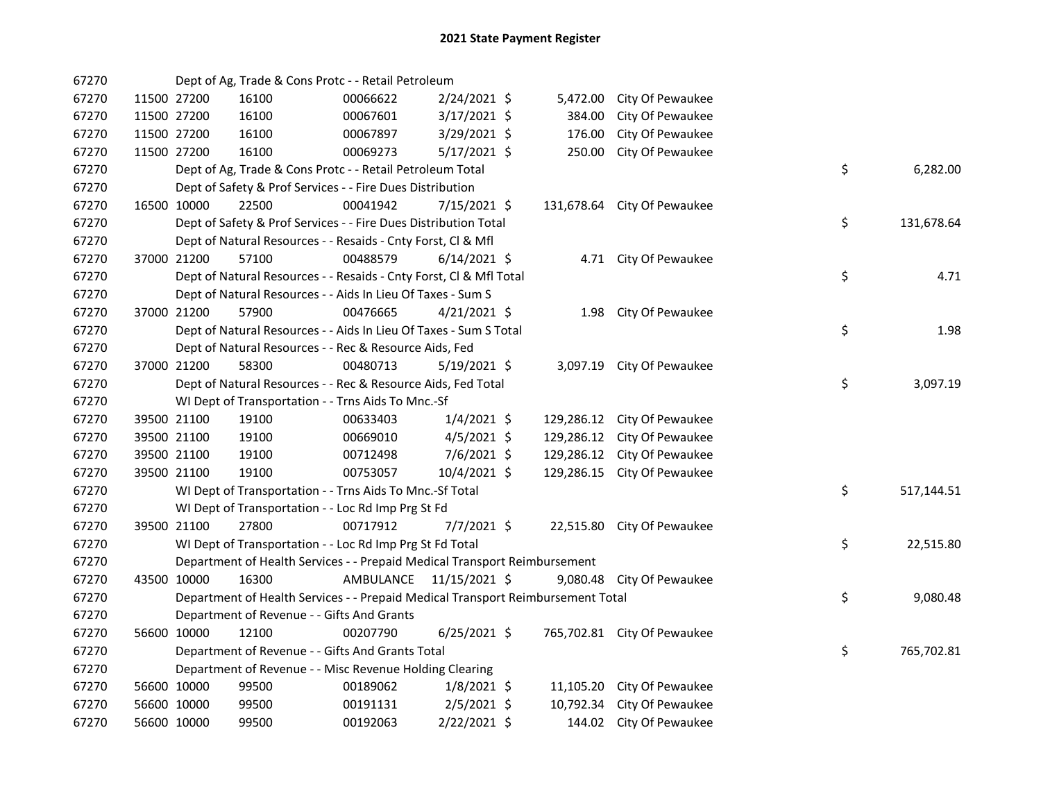| 67270 |             | Dept of Ag, Trade & Cons Protc - - Retail Petroleum                             |           |                |           |                             |    |            |
|-------|-------------|---------------------------------------------------------------------------------|-----------|----------------|-----------|-----------------------------|----|------------|
| 67270 | 11500 27200 | 16100                                                                           | 00066622  | 2/24/2021 \$   | 5,472.00  | City Of Pewaukee            |    |            |
| 67270 | 11500 27200 | 16100                                                                           | 00067601  | $3/17/2021$ \$ | 384.00    | City Of Pewaukee            |    |            |
| 67270 | 11500 27200 | 16100                                                                           | 00067897  | 3/29/2021 \$   | 176.00    | City Of Pewaukee            |    |            |
| 67270 | 11500 27200 | 16100                                                                           | 00069273  | $5/17/2021$ \$ | 250.00    | City Of Pewaukee            |    |            |
| 67270 |             | Dept of Ag, Trade & Cons Protc - - Retail Petroleum Total                       |           |                |           |                             | \$ | 6,282.00   |
| 67270 |             | Dept of Safety & Prof Services - - Fire Dues Distribution                       |           |                |           |                             |    |            |
| 67270 | 16500 10000 | 22500                                                                           | 00041942  | 7/15/2021 \$   |           | 131,678.64 City Of Pewaukee |    |            |
| 67270 |             | Dept of Safety & Prof Services - - Fire Dues Distribution Total                 |           |                |           |                             | \$ | 131,678.64 |
| 67270 |             | Dept of Natural Resources - - Resaids - Cnty Forst, CI & Mfl                    |           |                |           |                             |    |            |
| 67270 | 37000 21200 | 57100                                                                           | 00488579  | $6/14/2021$ \$ |           | 4.71 City Of Pewaukee       |    |            |
| 67270 |             | Dept of Natural Resources - - Resaids - Cnty Forst, CI & Mfl Total              |           |                |           |                             | \$ | 4.71       |
| 67270 |             | Dept of Natural Resources - - Aids In Lieu Of Taxes - Sum S                     |           |                |           |                             |    |            |
| 67270 | 37000 21200 | 57900                                                                           | 00476665  | $4/21/2021$ \$ |           | 1.98 City Of Pewaukee       |    |            |
| 67270 |             | Dept of Natural Resources - - Aids In Lieu Of Taxes - Sum S Total               |           |                |           |                             | \$ | 1.98       |
| 67270 |             | Dept of Natural Resources - - Rec & Resource Aids, Fed                          |           |                |           |                             |    |            |
| 67270 | 37000 21200 | 58300                                                                           | 00480713  | $5/19/2021$ \$ |           | 3,097.19 City Of Pewaukee   |    |            |
| 67270 |             | Dept of Natural Resources - - Rec & Resource Aids, Fed Total                    |           |                |           |                             | \$ | 3,097.19   |
| 67270 |             | WI Dept of Transportation - - Trns Aids To Mnc.-Sf                              |           |                |           |                             |    |            |
| 67270 | 39500 21100 | 19100                                                                           | 00633403  | $1/4/2021$ \$  |           | 129,286.12 City Of Pewaukee |    |            |
| 67270 | 39500 21100 | 19100                                                                           | 00669010  | $4/5/2021$ \$  |           | 129,286.12 City Of Pewaukee |    |            |
| 67270 | 39500 21100 | 19100                                                                           | 00712498  | 7/6/2021 \$    |           | 129,286.12 City Of Pewaukee |    |            |
| 67270 | 39500 21100 | 19100                                                                           | 00753057  | 10/4/2021 \$   |           | 129,286.15 City Of Pewaukee |    |            |
| 67270 |             | WI Dept of Transportation - - Trns Aids To Mnc.-Sf Total                        |           |                |           |                             | \$ | 517,144.51 |
| 67270 |             | WI Dept of Transportation - - Loc Rd Imp Prg St Fd                              |           |                |           |                             |    |            |
| 67270 | 39500 21100 | 27800                                                                           | 00717912  | $7/7/2021$ \$  |           | 22,515.80 City Of Pewaukee  |    |            |
| 67270 |             | WI Dept of Transportation - - Loc Rd Imp Prg St Fd Total                        |           |                |           |                             | \$ | 22,515.80  |
| 67270 |             | Department of Health Services - - Prepaid Medical Transport Reimbursement       |           |                |           |                             |    |            |
| 67270 | 43500 10000 | 16300                                                                           | AMBULANCE | 11/15/2021 \$  |           | 9,080.48 City Of Pewaukee   |    |            |
| 67270 |             | Department of Health Services - - Prepaid Medical Transport Reimbursement Total |           |                |           |                             | \$ | 9,080.48   |
| 67270 |             | Department of Revenue - - Gifts And Grants                                      |           |                |           |                             |    |            |
| 67270 | 56600 10000 | 12100                                                                           | 00207790  | $6/25/2021$ \$ |           | 765,702.81 City Of Pewaukee |    |            |
| 67270 |             | Department of Revenue - - Gifts And Grants Total                                |           |                |           |                             | \$ | 765,702.81 |
| 67270 |             | Department of Revenue - - Misc Revenue Holding Clearing                         |           |                |           |                             |    |            |
| 67270 | 56600 10000 | 99500                                                                           | 00189062  | $1/8/2021$ \$  |           | 11,105.20 City Of Pewaukee  |    |            |
| 67270 | 56600 10000 | 99500                                                                           | 00191131  | $2/5/2021$ \$  | 10,792.34 | City Of Pewaukee            |    |            |
| 67270 | 56600 10000 | 99500                                                                           | 00192063  | 2/22/2021 \$   |           | 144.02 City Of Pewaukee     |    |            |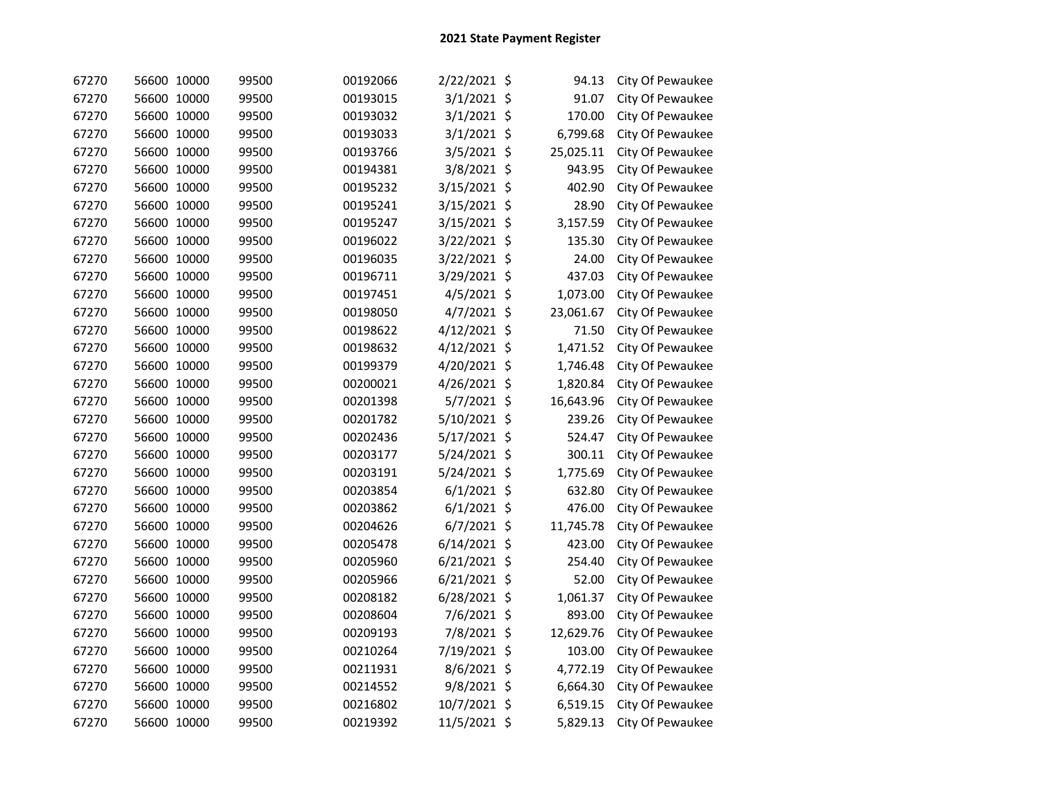| 67270 | 56600 10000 | 99500 | 00192066 | 2/22/2021 \$  | 94.13     | City Of Pewaukee |
|-------|-------------|-------|----------|---------------|-----------|------------------|
| 67270 | 56600 10000 | 99500 | 00193015 | $3/1/2021$ \$ | 91.07     | City Of Pewaukee |
| 67270 | 56600 10000 | 99500 | 00193032 | $3/1/2021$ \$ | 170.00    | City Of Pewaukee |
| 67270 | 56600 10000 | 99500 | 00193033 | 3/1/2021 \$   | 6,799.68  | City Of Pewaukee |
| 67270 | 56600 10000 | 99500 | 00193766 | 3/5/2021 \$   | 25,025.11 | City Of Pewaukee |
| 67270 | 56600 10000 | 99500 | 00194381 | 3/8/2021 \$   | 943.95    | City Of Pewaukee |
| 67270 | 56600 10000 | 99500 | 00195232 | 3/15/2021 \$  | 402.90    | City Of Pewaukee |
| 67270 | 56600 10000 | 99500 | 00195241 | 3/15/2021 \$  | 28.90     | City Of Pewaukee |
| 67270 | 56600 10000 | 99500 | 00195247 | 3/15/2021 \$  | 3,157.59  | City Of Pewaukee |
| 67270 | 56600 10000 | 99500 | 00196022 | 3/22/2021 \$  | 135.30    | City Of Pewaukee |
| 67270 | 56600 10000 | 99500 | 00196035 | 3/22/2021 \$  | 24.00     | City Of Pewaukee |
| 67270 | 56600 10000 | 99500 | 00196711 | 3/29/2021 \$  | 437.03    | City Of Pewaukee |
| 67270 | 56600 10000 | 99500 | 00197451 | 4/5/2021 \$   | 1,073.00  | City Of Pewaukee |
| 67270 | 56600 10000 | 99500 | 00198050 | 4/7/2021 \$   | 23,061.67 | City Of Pewaukee |
| 67270 | 56600 10000 | 99500 | 00198622 | 4/12/2021 \$  | 71.50     | City Of Pewaukee |
| 67270 | 56600 10000 | 99500 | 00198632 | 4/12/2021 \$  | 1,471.52  | City Of Pewaukee |
| 67270 | 56600 10000 | 99500 | 00199379 | 4/20/2021 \$  | 1,746.48  | City Of Pewaukee |
| 67270 | 56600 10000 | 99500 | 00200021 | 4/26/2021 \$  | 1,820.84  | City Of Pewaukee |
| 67270 | 56600 10000 | 99500 | 00201398 | 5/7/2021 \$   | 16,643.96 | City Of Pewaukee |
| 67270 | 56600 10000 | 99500 | 00201782 | 5/10/2021 \$  | 239.26    | City Of Pewaukee |
| 67270 | 56600 10000 | 99500 | 00202436 | 5/17/2021 \$  | 524.47    | City Of Pewaukee |
| 67270 | 56600 10000 | 99500 | 00203177 | 5/24/2021 \$  | 300.11    | City Of Pewaukee |
| 67270 | 56600 10000 | 99500 | 00203191 | 5/24/2021 \$  | 1,775.69  | City Of Pewaukee |
| 67270 | 56600 10000 | 99500 | 00203854 | $6/1/2021$ \$ | 632.80    | City Of Pewaukee |
| 67270 | 56600 10000 | 99500 | 00203862 | $6/1/2021$ \$ | 476.00    | City Of Pewaukee |
| 67270 | 56600 10000 | 99500 | 00204626 | $6/7/2021$ \$ | 11,745.78 | City Of Pewaukee |
| 67270 | 56600 10000 | 99500 | 00205478 | 6/14/2021 \$  | 423.00    | City Of Pewaukee |
| 67270 | 56600 10000 | 99500 | 00205960 | 6/21/2021 \$  | 254.40    | City Of Pewaukee |
| 67270 | 56600 10000 | 99500 | 00205966 | 6/21/2021 \$  | 52.00     | City Of Pewaukee |
| 67270 | 56600 10000 | 99500 | 00208182 | 6/28/2021 \$  | 1,061.37  | City Of Pewaukee |
| 67270 | 56600 10000 | 99500 | 00208604 | 7/6/2021 \$   | 893.00    | City Of Pewaukee |
| 67270 | 56600 10000 | 99500 | 00209193 | 7/8/2021 \$   | 12,629.76 | City Of Pewaukee |
| 67270 | 56600 10000 | 99500 | 00210264 | 7/19/2021 \$  | 103.00    | City Of Pewaukee |
| 67270 | 56600 10000 | 99500 | 00211931 | 8/6/2021 \$   | 4,772.19  | City Of Pewaukee |
| 67270 | 56600 10000 | 99500 | 00214552 | 9/8/2021 \$   | 6,664.30  | City Of Pewaukee |
| 67270 | 56600 10000 | 99500 | 00216802 | 10/7/2021 \$  | 6,519.15  | City Of Pewaukee |
| 67270 | 56600 10000 | 99500 | 00219392 | 11/5/2021 \$  | 5,829.13  | City Of Pewaukee |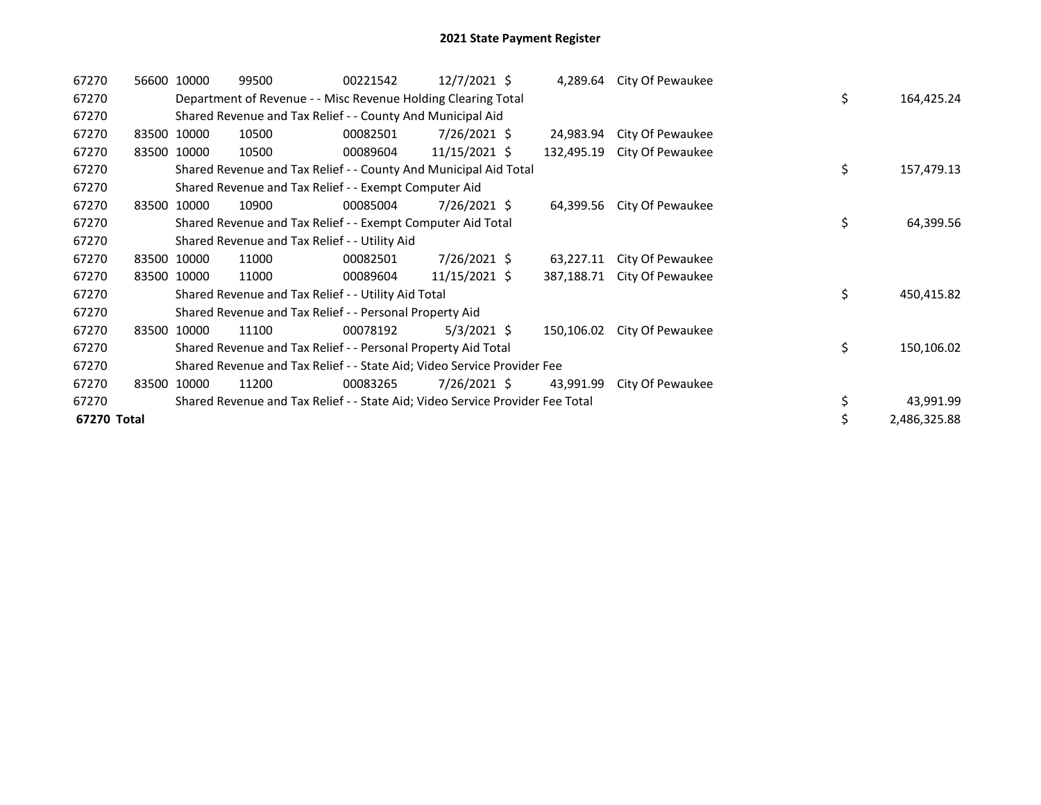| 67270       | 56600 10000 | 99500                                                                         | 00221542 | 12/7/2021 \$  |            | 4,289.64 City Of Pewaukee |    |              |
|-------------|-------------|-------------------------------------------------------------------------------|----------|---------------|------------|---------------------------|----|--------------|
| 67270       |             | Department of Revenue - - Misc Revenue Holding Clearing Total                 |          |               |            |                           | \$ | 164,425.24   |
| 67270       |             | Shared Revenue and Tax Relief - - County And Municipal Aid                    |          |               |            |                           |    |              |
| 67270       | 83500 10000 | 10500                                                                         | 00082501 | 7/26/2021 \$  | 24,983.94  | City Of Pewaukee          |    |              |
| 67270       | 83500 10000 | 10500                                                                         | 00089604 | 11/15/2021 \$ | 132,495.19 | City Of Pewaukee          |    |              |
| 67270       |             | Shared Revenue and Tax Relief - - County And Municipal Aid Total              |          |               |            |                           | \$ | 157,479.13   |
| 67270       |             | Shared Revenue and Tax Relief - - Exempt Computer Aid                         |          |               |            |                           |    |              |
| 67270       | 83500 10000 | 10900                                                                         | 00085004 | 7/26/2021 \$  | 64,399.56  | City Of Pewaukee          |    |              |
| 67270       |             | Shared Revenue and Tax Relief - - Exempt Computer Aid Total                   |          |               |            |                           | \$ | 64,399.56    |
| 67270       |             | Shared Revenue and Tax Relief - - Utility Aid                                 |          |               |            |                           |    |              |
| 67270       | 83500 10000 | 11000                                                                         | 00082501 | 7/26/2021 \$  | 63,227.11  | City Of Pewaukee          |    |              |
| 67270       | 83500 10000 | 11000                                                                         | 00089604 | 11/15/2021 \$ | 387,188.71 | City Of Pewaukee          |    |              |
| 67270       |             | Shared Revenue and Tax Relief - - Utility Aid Total                           |          |               |            |                           | \$ | 450,415.82   |
| 67270       |             | Shared Revenue and Tax Relief - - Personal Property Aid                       |          |               |            |                           |    |              |
| 67270       | 83500 10000 | 11100                                                                         | 00078192 | $5/3/2021$ \$ | 150,106.02 | City Of Pewaukee          |    |              |
| 67270       |             | Shared Revenue and Tax Relief - - Personal Property Aid Total                 |          |               |            |                           | \$ | 150,106.02   |
| 67270       |             | Shared Revenue and Tax Relief - - State Aid; Video Service Provider Fee       |          |               |            |                           |    |              |
| 67270       | 83500 10000 | 11200                                                                         | 00083265 | 7/26/2021 \$  | 43,991.99  | City Of Pewaukee          |    |              |
| 67270       |             | Shared Revenue and Tax Relief - - State Aid; Video Service Provider Fee Total |          |               |            |                           |    | 43,991.99    |
| 67270 Total |             |                                                                               |          |               |            |                           | \$ | 2,486,325.88 |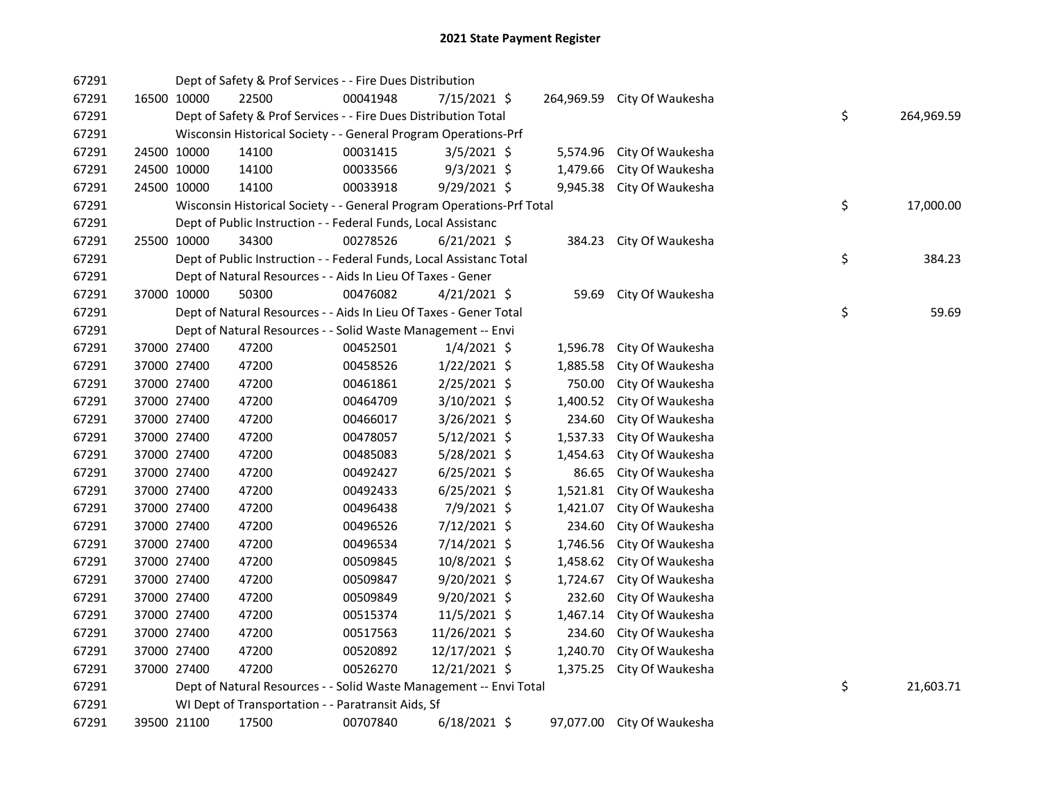| 67291 |             |             | Dept of Safety & Prof Services - - Fire Dues Distribution             |          |                |          |                             |    |            |
|-------|-------------|-------------|-----------------------------------------------------------------------|----------|----------------|----------|-----------------------------|----|------------|
| 67291 |             | 16500 10000 | 22500                                                                 | 00041948 | 7/15/2021 \$   |          | 264,969.59 City Of Waukesha |    |            |
| 67291 |             |             | Dept of Safety & Prof Services - - Fire Dues Distribution Total       |          |                |          |                             | \$ | 264,969.59 |
| 67291 |             |             | Wisconsin Historical Society - - General Program Operations-Prf       |          |                |          |                             |    |            |
| 67291 |             | 24500 10000 | 14100                                                                 | 00031415 | $3/5/2021$ \$  | 5,574.96 | City Of Waukesha            |    |            |
| 67291 |             | 24500 10000 | 14100                                                                 | 00033566 | $9/3/2021$ \$  | 1,479.66 | City Of Waukesha            |    |            |
| 67291 | 24500 10000 |             | 14100                                                                 | 00033918 | $9/29/2021$ \$ | 9,945.38 | City Of Waukesha            |    |            |
| 67291 |             |             | Wisconsin Historical Society - - General Program Operations-Prf Total |          |                |          |                             | \$ | 17,000.00  |
| 67291 |             |             | Dept of Public Instruction - - Federal Funds, Local Assistanc         |          |                |          |                             |    |            |
| 67291 |             | 25500 10000 | 34300                                                                 | 00278526 | $6/21/2021$ \$ |          | 384.23 City Of Waukesha     |    |            |
| 67291 |             |             | Dept of Public Instruction - - Federal Funds, Local Assistanc Total   |          |                |          |                             | \$ | 384.23     |
| 67291 |             |             | Dept of Natural Resources - - Aids In Lieu Of Taxes - Gener           |          |                |          |                             |    |            |
| 67291 |             | 37000 10000 | 50300                                                                 | 00476082 | $4/21/2021$ \$ | 59.69    | City Of Waukesha            |    |            |
| 67291 |             |             | Dept of Natural Resources - - Aids In Lieu Of Taxes - Gener Total     |          |                |          |                             | \$ | 59.69      |
| 67291 |             |             | Dept of Natural Resources - - Solid Waste Management -- Envi          |          |                |          |                             |    |            |
| 67291 | 37000 27400 |             | 47200                                                                 | 00452501 | $1/4/2021$ \$  | 1,596.78 | City Of Waukesha            |    |            |
| 67291 |             | 37000 27400 | 47200                                                                 | 00458526 | $1/22/2021$ \$ | 1,885.58 | City Of Waukesha            |    |            |
| 67291 |             | 37000 27400 | 47200                                                                 | 00461861 | $2/25/2021$ \$ | 750.00   | City Of Waukesha            |    |            |
| 67291 |             | 37000 27400 | 47200                                                                 | 00464709 | $3/10/2021$ \$ | 1,400.52 | City Of Waukesha            |    |            |
| 67291 |             | 37000 27400 | 47200                                                                 | 00466017 | 3/26/2021 \$   | 234.60   | City Of Waukesha            |    |            |
| 67291 |             | 37000 27400 | 47200                                                                 | 00478057 | $5/12/2021$ \$ | 1,537.33 | City Of Waukesha            |    |            |
| 67291 | 37000 27400 |             | 47200                                                                 | 00485083 | 5/28/2021 \$   | 1,454.63 | City Of Waukesha            |    |            |
| 67291 | 37000 27400 |             | 47200                                                                 | 00492427 | $6/25/2021$ \$ | 86.65    | City Of Waukesha            |    |            |
| 67291 | 37000 27400 |             | 47200                                                                 | 00492433 | $6/25/2021$ \$ | 1,521.81 | City Of Waukesha            |    |            |
| 67291 | 37000 27400 |             | 47200                                                                 | 00496438 | 7/9/2021 \$    | 1,421.07 | City Of Waukesha            |    |            |
| 67291 | 37000 27400 |             | 47200                                                                 | 00496526 | 7/12/2021 \$   | 234.60   | City Of Waukesha            |    |            |
| 67291 | 37000 27400 |             | 47200                                                                 | 00496534 | 7/14/2021 \$   | 1,746.56 | City Of Waukesha            |    |            |
| 67291 | 37000 27400 |             | 47200                                                                 | 00509845 | 10/8/2021 \$   | 1,458.62 | City Of Waukesha            |    |            |
| 67291 | 37000 27400 |             | 47200                                                                 | 00509847 | $9/20/2021$ \$ | 1,724.67 | City Of Waukesha            |    |            |
| 67291 | 37000 27400 |             | 47200                                                                 | 00509849 | $9/20/2021$ \$ | 232.60   | City Of Waukesha            |    |            |
| 67291 | 37000 27400 |             | 47200                                                                 | 00515374 | 11/5/2021 \$   | 1,467.14 | City Of Waukesha            |    |            |
| 67291 | 37000 27400 |             | 47200                                                                 | 00517563 | 11/26/2021 \$  | 234.60   | City Of Waukesha            |    |            |
| 67291 | 37000 27400 |             | 47200                                                                 | 00520892 | 12/17/2021 \$  | 1,240.70 | City Of Waukesha            |    |            |
| 67291 | 37000 27400 |             | 47200                                                                 | 00526270 | 12/21/2021 \$  |          | 1,375.25 City Of Waukesha   |    |            |
| 67291 |             |             | Dept of Natural Resources - - Solid Waste Management -- Envi Total    |          |                |          |                             | \$ | 21,603.71  |
| 67291 |             |             | WI Dept of Transportation - - Paratransit Aids, Sf                    |          |                |          |                             |    |            |
| 67291 |             | 39500 21100 | 17500                                                                 | 00707840 | 6/18/2021 \$   |          | 97,077.00 City Of Waukesha  |    |            |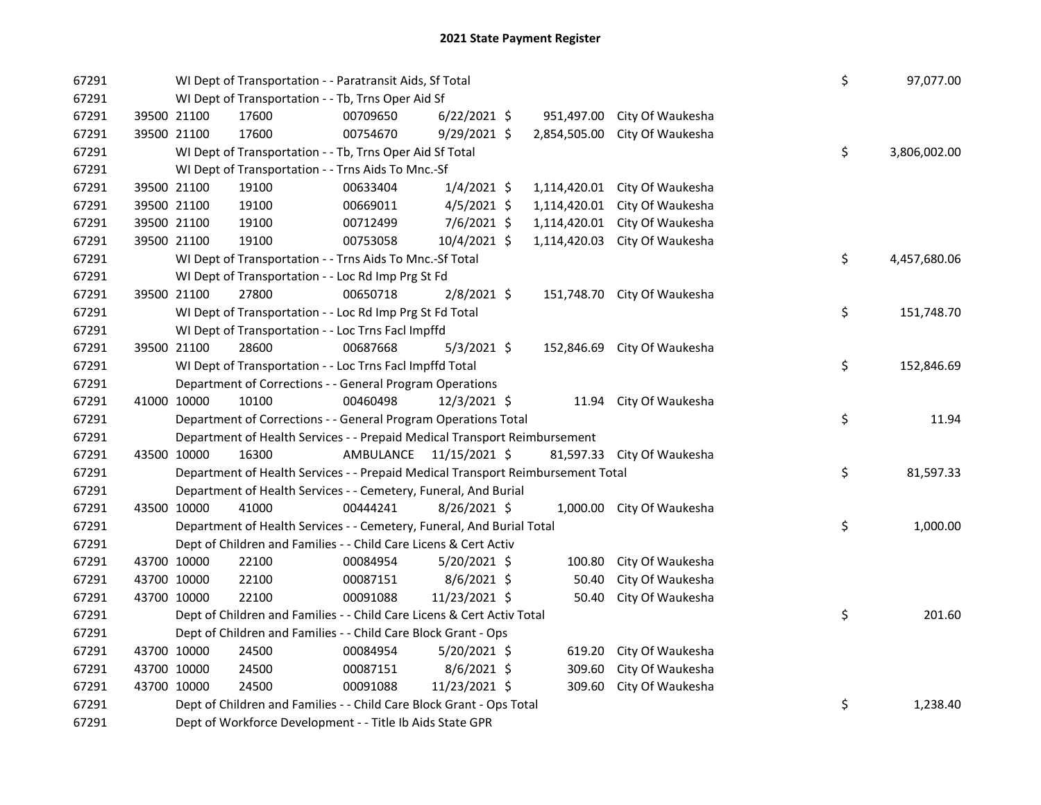| 67291 |             | WI Dept of Transportation - - Paratransit Aids, Sf Total                        |           |                |              |                             | \$ | 97,077.00    |
|-------|-------------|---------------------------------------------------------------------------------|-----------|----------------|--------------|-----------------------------|----|--------------|
| 67291 |             | WI Dept of Transportation - - Tb, Trns Oper Aid Sf                              |           |                |              |                             |    |              |
| 67291 | 39500 21100 | 17600                                                                           | 00709650  | $6/22/2021$ \$ | 951,497.00   | City Of Waukesha            |    |              |
| 67291 | 39500 21100 | 17600                                                                           | 00754670  | 9/29/2021 \$   | 2,854,505.00 | City Of Waukesha            |    |              |
| 67291 |             | WI Dept of Transportation - - Tb, Trns Oper Aid Sf Total                        |           |                |              |                             | \$ | 3,806,002.00 |
| 67291 |             | WI Dept of Transportation - - Trns Aids To Mnc.-Sf                              |           |                |              |                             |    |              |
| 67291 | 39500 21100 | 19100                                                                           | 00633404  | $1/4/2021$ \$  | 1,114,420.01 | City Of Waukesha            |    |              |
| 67291 | 39500 21100 | 19100                                                                           | 00669011  | $4/5/2021$ \$  | 1,114,420.01 | City Of Waukesha            |    |              |
| 67291 | 39500 21100 | 19100                                                                           | 00712499  | 7/6/2021 \$    | 1,114,420.01 | City Of Waukesha            |    |              |
| 67291 | 39500 21100 | 19100                                                                           | 00753058  | 10/4/2021 \$   | 1,114,420.03 | City Of Waukesha            |    |              |
| 67291 |             | WI Dept of Transportation - - Trns Aids To Mnc.-Sf Total                        |           |                |              |                             | \$ | 4,457,680.06 |
| 67291 |             | WI Dept of Transportation - - Loc Rd Imp Prg St Fd                              |           |                |              |                             |    |              |
| 67291 | 39500 21100 | 27800                                                                           | 00650718  | 2/8/2021 \$    |              | 151,748.70 City Of Waukesha |    |              |
| 67291 |             | WI Dept of Transportation - - Loc Rd Imp Prg St Fd Total                        |           |                |              |                             | \$ | 151,748.70   |
| 67291 |             | WI Dept of Transportation - - Loc Trns Facl Impffd                              |           |                |              |                             |    |              |
| 67291 | 39500 21100 | 28600                                                                           | 00687668  | $5/3/2021$ \$  | 152,846.69   | City Of Waukesha            |    |              |
| 67291 |             | WI Dept of Transportation - - Loc Trns Facl Impffd Total                        |           |                |              |                             | \$ | 152,846.69   |
| 67291 |             | Department of Corrections - - General Program Operations                        |           |                |              |                             |    |              |
| 67291 | 41000 10000 | 10100                                                                           | 00460498  | 12/3/2021 \$   | 11.94        | City Of Waukesha            |    |              |
| 67291 |             | Department of Corrections - - General Program Operations Total                  |           |                |              |                             | \$ | 11.94        |
| 67291 |             | Department of Health Services - - Prepaid Medical Transport Reimbursement       |           |                |              |                             |    |              |
| 67291 | 43500 10000 | 16300                                                                           | AMBULANCE | 11/15/2021 \$  |              | 81,597.33 City Of Waukesha  |    |              |
| 67291 |             | Department of Health Services - - Prepaid Medical Transport Reimbursement Total |           |                |              |                             | \$ | 81,597.33    |
| 67291 |             | Department of Health Services - - Cemetery, Funeral, And Burial                 |           |                |              |                             |    |              |
| 67291 | 43500 10000 | 41000                                                                           | 00444241  | 8/26/2021 \$   | 1,000.00     | City Of Waukesha            |    |              |
| 67291 |             | Department of Health Services - - Cemetery, Funeral, And Burial Total           |           |                |              |                             | \$ | 1,000.00     |
| 67291 |             | Dept of Children and Families - - Child Care Licens & Cert Activ                |           |                |              |                             |    |              |
| 67291 | 43700 10000 | 22100                                                                           | 00084954  | 5/20/2021 \$   | 100.80       | City Of Waukesha            |    |              |
| 67291 | 43700 10000 | 22100                                                                           | 00087151  | 8/6/2021 \$    | 50.40        | City Of Waukesha            |    |              |
| 67291 | 43700 10000 | 22100                                                                           | 00091088  | 11/23/2021 \$  | 50.40        | City Of Waukesha            |    |              |
| 67291 |             | Dept of Children and Families - - Child Care Licens & Cert Activ Total          |           |                |              |                             | \$ | 201.60       |
| 67291 |             | Dept of Children and Families - - Child Care Block Grant - Ops                  |           |                |              |                             |    |              |
| 67291 | 43700 10000 | 24500                                                                           | 00084954  | $5/20/2021$ \$ | 619.20       | City Of Waukesha            |    |              |
| 67291 | 43700 10000 | 24500                                                                           | 00087151  | 8/6/2021 \$    | 309.60       | City Of Waukesha            |    |              |
| 67291 | 43700 10000 | 24500                                                                           | 00091088  | 11/23/2021 \$  | 309.60       | City Of Waukesha            |    |              |
| 67291 |             | Dept of Children and Families - - Child Care Block Grant - Ops Total            |           |                |              |                             | \$ | 1,238.40     |
| 67291 |             | Dept of Workforce Development - - Title Ib Aids State GPR                       |           |                |              |                             |    |              |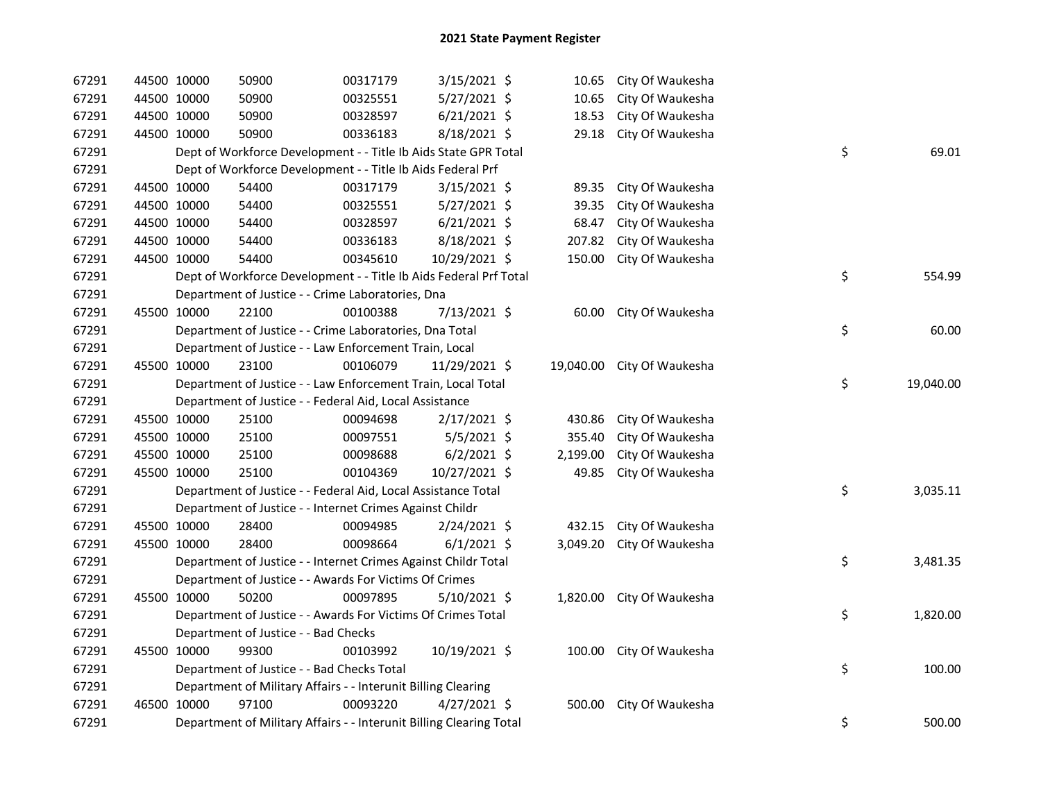| 67291 | 44500 10000 | 50900                                                               | 00317179 | $3/15/2021$ \$ | 10.65    | City Of Waukesha           |    |           |
|-------|-------------|---------------------------------------------------------------------|----------|----------------|----------|----------------------------|----|-----------|
| 67291 | 44500 10000 | 50900                                                               | 00325551 | 5/27/2021 \$   | 10.65    | City Of Waukesha           |    |           |
| 67291 | 44500 10000 | 50900                                                               | 00328597 | $6/21/2021$ \$ | 18.53    | City Of Waukesha           |    |           |
| 67291 | 44500 10000 | 50900                                                               | 00336183 | 8/18/2021 \$   | 29.18    | City Of Waukesha           |    |           |
| 67291 |             | Dept of Workforce Development - - Title Ib Aids State GPR Total     |          |                |          |                            | \$ | 69.01     |
| 67291 |             | Dept of Workforce Development - - Title Ib Aids Federal Prf         |          |                |          |                            |    |           |
| 67291 | 44500 10000 | 54400                                                               | 00317179 | $3/15/2021$ \$ | 89.35    | City Of Waukesha           |    |           |
| 67291 | 44500 10000 | 54400                                                               | 00325551 | 5/27/2021 \$   | 39.35    | City Of Waukesha           |    |           |
| 67291 | 44500 10000 | 54400                                                               | 00328597 | $6/21/2021$ \$ | 68.47    | City Of Waukesha           |    |           |
| 67291 | 44500 10000 | 54400                                                               | 00336183 | 8/18/2021 \$   | 207.82   | City Of Waukesha           |    |           |
| 67291 | 44500 10000 | 54400                                                               | 00345610 | 10/29/2021 \$  | 150.00   | City Of Waukesha           |    |           |
| 67291 |             | Dept of Workforce Development - - Title Ib Aids Federal Prf Total   |          |                |          |                            | \$ | 554.99    |
| 67291 |             | Department of Justice - - Crime Laboratories, Dna                   |          |                |          |                            |    |           |
| 67291 | 45500 10000 | 22100                                                               | 00100388 | 7/13/2021 \$   | 60.00    | City Of Waukesha           |    |           |
| 67291 |             | Department of Justice - - Crime Laboratories, Dna Total             |          |                |          |                            | \$ | 60.00     |
| 67291 |             | Department of Justice - - Law Enforcement Train, Local              |          |                |          |                            |    |           |
| 67291 | 45500 10000 | 23100                                                               | 00106079 | 11/29/2021 \$  |          | 19,040.00 City Of Waukesha |    |           |
| 67291 |             | Department of Justice - - Law Enforcement Train, Local Total        |          |                |          |                            | \$ | 19,040.00 |
| 67291 |             | Department of Justice - - Federal Aid, Local Assistance             |          |                |          |                            |    |           |
| 67291 | 45500 10000 | 25100                                                               | 00094698 | $2/17/2021$ \$ | 430.86   | City Of Waukesha           |    |           |
| 67291 | 45500 10000 | 25100                                                               | 00097551 | $5/5/2021$ \$  | 355.40   | City Of Waukesha           |    |           |
| 67291 | 45500 10000 | 25100                                                               | 00098688 | $6/2/2021$ \$  | 2,199.00 | City Of Waukesha           |    |           |
| 67291 | 45500 10000 | 25100                                                               | 00104369 | 10/27/2021 \$  | 49.85    | City Of Waukesha           |    |           |
| 67291 |             | Department of Justice - - Federal Aid, Local Assistance Total       |          |                |          |                            | \$ | 3,035.11  |
| 67291 |             | Department of Justice - - Internet Crimes Against Childr            |          |                |          |                            |    |           |
| 67291 | 45500 10000 | 28400                                                               | 00094985 | $2/24/2021$ \$ | 432.15   | City Of Waukesha           |    |           |
| 67291 | 45500 10000 | 28400                                                               | 00098664 | $6/1/2021$ \$  | 3,049.20 | City Of Waukesha           |    |           |
| 67291 |             | Department of Justice - - Internet Crimes Against Childr Total      |          |                |          |                            | \$ | 3,481.35  |
| 67291 |             | Department of Justice - - Awards For Victims Of Crimes              |          |                |          |                            |    |           |
| 67291 | 45500 10000 | 50200                                                               | 00097895 | 5/10/2021 \$   |          | 1,820.00 City Of Waukesha  |    |           |
| 67291 |             | Department of Justice - - Awards For Victims Of Crimes Total        |          |                |          |                            | \$ | 1,820.00  |
| 67291 |             | Department of Justice - - Bad Checks                                |          |                |          |                            |    |           |
| 67291 | 45500 10000 | 99300                                                               | 00103992 | 10/19/2021 \$  |          | 100.00 City Of Waukesha    |    |           |
| 67291 |             | Department of Justice - - Bad Checks Total                          |          |                |          |                            | \$ | 100.00    |
| 67291 |             | Department of Military Affairs - - Interunit Billing Clearing       |          |                |          |                            |    |           |
| 67291 | 46500 10000 | 97100                                                               | 00093220 | $4/27/2021$ \$ | 500.00   | City Of Waukesha           |    |           |
| 67291 |             | Department of Military Affairs - - Interunit Billing Clearing Total |          |                |          |                            | \$ | 500.00    |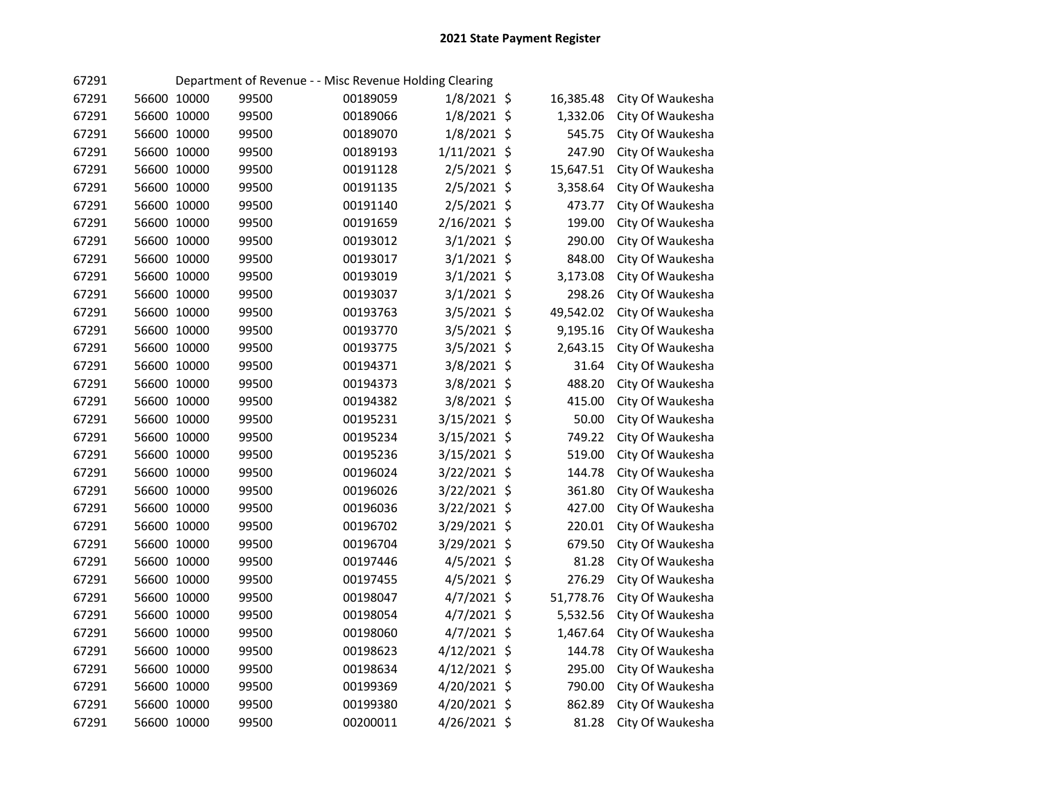| 67291 |             |             |       | Department of Revenue - - Misc Revenue Holding Clearing |               |           |                  |
|-------|-------------|-------------|-------|---------------------------------------------------------|---------------|-----------|------------------|
| 67291 | 56600 10000 |             | 99500 | 00189059                                                | 1/8/2021 \$   | 16,385.48 | City Of Waukesha |
| 67291 | 56600 10000 |             | 99500 | 00189066                                                | $1/8/2021$ \$ | 1,332.06  | City Of Waukesha |
| 67291 |             | 56600 10000 | 99500 | 00189070                                                | $1/8/2021$ \$ | 545.75    | City Of Waukesha |
| 67291 |             | 56600 10000 | 99500 | 00189193                                                | 1/11/2021 \$  | 247.90    | City Of Waukesha |
| 67291 |             | 56600 10000 | 99500 | 00191128                                                | 2/5/2021 \$   | 15,647.51 | City Of Waukesha |
| 67291 |             | 56600 10000 | 99500 | 00191135                                                | 2/5/2021 \$   | 3,358.64  | City Of Waukesha |
| 67291 |             | 56600 10000 | 99500 | 00191140                                                | $2/5/2021$ \$ | 473.77    | City Of Waukesha |
| 67291 |             | 56600 10000 | 99500 | 00191659                                                | 2/16/2021 \$  | 199.00    | City Of Waukesha |
| 67291 |             | 56600 10000 | 99500 | 00193012                                                | $3/1/2021$ \$ | 290.00    | City Of Waukesha |
| 67291 |             | 56600 10000 | 99500 | 00193017                                                | $3/1/2021$ \$ | 848.00    | City Of Waukesha |
| 67291 |             | 56600 10000 | 99500 | 00193019                                                | $3/1/2021$ \$ | 3,173.08  | City Of Waukesha |
| 67291 |             | 56600 10000 | 99500 | 00193037                                                | $3/1/2021$ \$ | 298.26    | City Of Waukesha |
| 67291 |             | 56600 10000 | 99500 | 00193763                                                | 3/5/2021 \$   | 49,542.02 | City Of Waukesha |
| 67291 |             | 56600 10000 | 99500 | 00193770                                                | $3/5/2021$ \$ | 9,195.16  | City Of Waukesha |
| 67291 |             | 56600 10000 | 99500 | 00193775                                                | 3/5/2021 \$   | 2,643.15  | City Of Waukesha |
| 67291 |             | 56600 10000 | 99500 | 00194371                                                | 3/8/2021 \$   | 31.64     | City Of Waukesha |
| 67291 |             | 56600 10000 | 99500 | 00194373                                                | 3/8/2021 \$   | 488.20    | City Of Waukesha |
| 67291 |             | 56600 10000 | 99500 | 00194382                                                | 3/8/2021 \$   | 415.00    | City Of Waukesha |
| 67291 |             | 56600 10000 | 99500 | 00195231                                                | 3/15/2021 \$  | 50.00     | City Of Waukesha |
| 67291 |             | 56600 10000 | 99500 | 00195234                                                | 3/15/2021 \$  | 749.22    | City Of Waukesha |
| 67291 |             | 56600 10000 | 99500 | 00195236                                                | 3/15/2021 \$  | 519.00    | City Of Waukesha |
| 67291 | 56600 10000 |             | 99500 | 00196024                                                | 3/22/2021 \$  | 144.78    | City Of Waukesha |
| 67291 | 56600 10000 |             | 99500 | 00196026                                                | 3/22/2021 \$  | 361.80    | City Of Waukesha |
| 67291 | 56600 10000 |             | 99500 | 00196036                                                | 3/22/2021 \$  | 427.00    | City Of Waukesha |
| 67291 | 56600 10000 |             | 99500 | 00196702                                                | 3/29/2021 \$  | 220.01    | City Of Waukesha |
| 67291 | 56600 10000 |             | 99500 | 00196704                                                | 3/29/2021 \$  | 679.50    | City Of Waukesha |
| 67291 | 56600 10000 |             | 99500 | 00197446                                                | 4/5/2021 \$   | 81.28     | City Of Waukesha |
| 67291 | 56600 10000 |             | 99500 | 00197455                                                | $4/5/2021$ \$ | 276.29    | City Of Waukesha |
| 67291 | 56600 10000 |             | 99500 | 00198047                                                | $4/7/2021$ \$ | 51,778.76 | City Of Waukesha |
| 67291 | 56600 10000 |             | 99500 | 00198054                                                | 4/7/2021 \$   | 5,532.56  | City Of Waukesha |
| 67291 | 56600 10000 |             | 99500 | 00198060                                                | $4/7/2021$ \$ | 1,467.64  | City Of Waukesha |
| 67291 | 56600 10000 |             | 99500 | 00198623                                                | 4/12/2021 \$  | 144.78    | City Of Waukesha |
| 67291 | 56600 10000 |             | 99500 | 00198634                                                | 4/12/2021 \$  | 295.00    | City Of Waukesha |
| 67291 | 56600 10000 |             | 99500 | 00199369                                                | 4/20/2021 \$  | 790.00    | City Of Waukesha |
| 67291 |             | 56600 10000 | 99500 | 00199380                                                | 4/20/2021 \$  | 862.89    | City Of Waukesha |
| 67291 | 56600 10000 |             | 99500 | 00200011                                                | 4/26/2021 \$  | 81.28     | City Of Waukesha |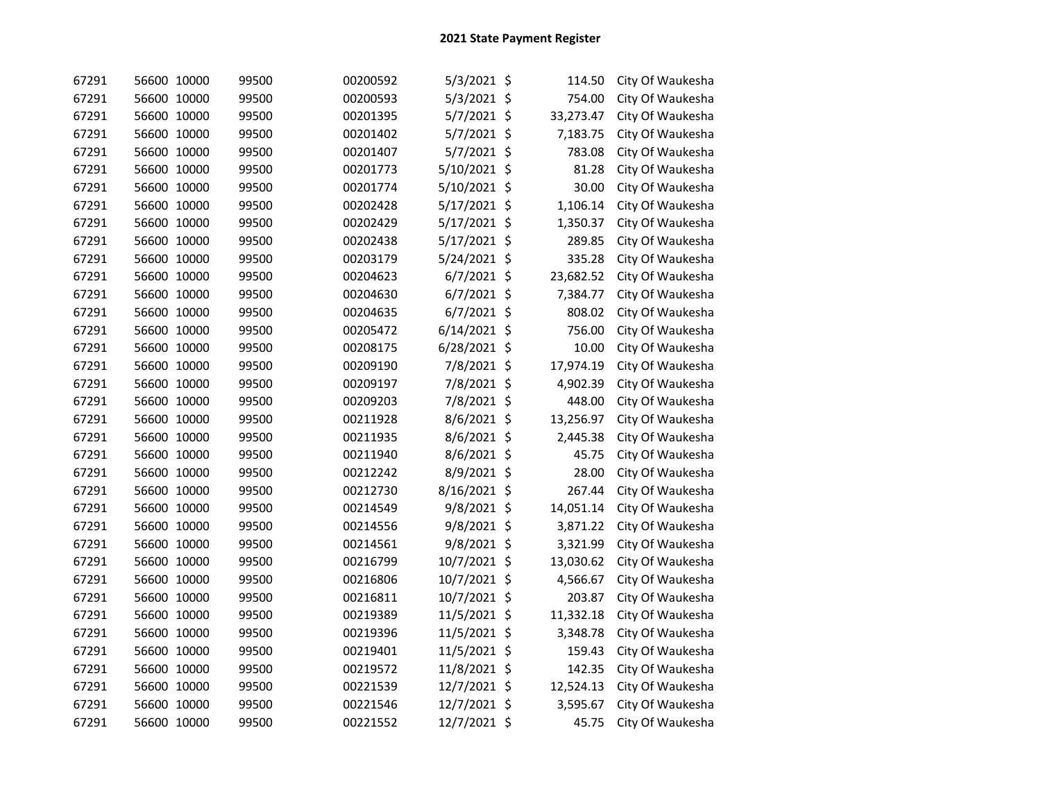| 67291 | 56600 10000 | 99500 | 00200592 | 5/3/2021 \$    | 114.50    | City Of Waukesha |
|-------|-------------|-------|----------|----------------|-----------|------------------|
| 67291 | 56600 10000 | 99500 | 00200593 | 5/3/2021 \$    | 754.00    | City Of Waukesha |
| 67291 | 56600 10000 | 99500 | 00201395 | 5/7/2021 \$    | 33,273.47 | City Of Waukesha |
| 67291 | 56600 10000 | 99500 | 00201402 | 5/7/2021 \$    | 7,183.75  | City Of Waukesha |
| 67291 | 56600 10000 | 99500 | 00201407 | 5/7/2021 \$    | 783.08    | City Of Waukesha |
| 67291 | 56600 10000 | 99500 | 00201773 | 5/10/2021 \$   | 81.28     | City Of Waukesha |
| 67291 | 56600 10000 | 99500 | 00201774 | 5/10/2021 \$   | 30.00     | City Of Waukesha |
| 67291 | 56600 10000 | 99500 | 00202428 | 5/17/2021 \$   | 1,106.14  | City Of Waukesha |
| 67291 | 56600 10000 | 99500 | 00202429 | 5/17/2021 \$   | 1,350.37  | City Of Waukesha |
| 67291 | 56600 10000 | 99500 | 00202438 | 5/17/2021 \$   | 289.85    | City Of Waukesha |
| 67291 | 56600 10000 | 99500 | 00203179 | 5/24/2021 \$   | 335.28    | City Of Waukesha |
| 67291 | 56600 10000 | 99500 | 00204623 | 6/7/2021 \$    | 23,682.52 | City Of Waukesha |
| 67291 | 56600 10000 | 99500 | 00204630 | $6/7/2021$ \$  | 7,384.77  | City Of Waukesha |
| 67291 | 56600 10000 | 99500 | 00204635 | $6/7/2021$ \$  | 808.02    | City Of Waukesha |
| 67291 | 56600 10000 | 99500 | 00205472 | $6/14/2021$ \$ | 756.00    | City Of Waukesha |
| 67291 | 56600 10000 | 99500 | 00208175 | 6/28/2021 \$   | 10.00     | City Of Waukesha |
| 67291 | 56600 10000 | 99500 | 00209190 | 7/8/2021 \$    | 17,974.19 | City Of Waukesha |
| 67291 | 56600 10000 | 99500 | 00209197 | 7/8/2021 \$    | 4,902.39  | City Of Waukesha |
| 67291 | 56600 10000 | 99500 | 00209203 | 7/8/2021 \$    | 448.00    | City Of Waukesha |
| 67291 | 56600 10000 | 99500 | 00211928 | 8/6/2021 \$    | 13,256.97 | City Of Waukesha |
| 67291 | 56600 10000 | 99500 | 00211935 | 8/6/2021 \$    | 2,445.38  | City Of Waukesha |
| 67291 | 56600 10000 | 99500 | 00211940 | 8/6/2021 \$    | 45.75     | City Of Waukesha |
| 67291 | 56600 10000 | 99500 | 00212242 | 8/9/2021 \$    | 28.00     | City Of Waukesha |
| 67291 | 56600 10000 | 99500 | 00212730 | 8/16/2021 \$   | 267.44    | City Of Waukesha |
| 67291 | 56600 10000 | 99500 | 00214549 | 9/8/2021 \$    | 14,051.14 | City Of Waukesha |
| 67291 | 56600 10000 | 99500 | 00214556 | 9/8/2021 \$    | 3,871.22  | City Of Waukesha |
| 67291 | 56600 10000 | 99500 | 00214561 | 9/8/2021 \$    | 3,321.99  | City Of Waukesha |
| 67291 | 56600 10000 | 99500 | 00216799 | 10/7/2021 \$   | 13,030.62 | City Of Waukesha |
| 67291 | 56600 10000 | 99500 | 00216806 | 10/7/2021 \$   | 4,566.67  | City Of Waukesha |
| 67291 | 56600 10000 | 99500 | 00216811 | 10/7/2021 \$   | 203.87    | City Of Waukesha |
| 67291 | 56600 10000 | 99500 | 00219389 | 11/5/2021 \$   | 11,332.18 | City Of Waukesha |
| 67291 | 56600 10000 | 99500 | 00219396 | 11/5/2021 \$   | 3,348.78  | City Of Waukesha |
| 67291 | 56600 10000 | 99500 | 00219401 | 11/5/2021 \$   | 159.43    | City Of Waukesha |
| 67291 | 56600 10000 | 99500 | 00219572 | 11/8/2021 \$   | 142.35    | City Of Waukesha |
| 67291 | 56600 10000 | 99500 | 00221539 | 12/7/2021 \$   | 12,524.13 | City Of Waukesha |
| 67291 | 56600 10000 | 99500 | 00221546 | 12/7/2021 \$   | 3,595.67  | City Of Waukesha |
| 67291 | 56600 10000 | 99500 | 00221552 | 12/7/2021 \$   | 45.75     | City Of Waukesha |